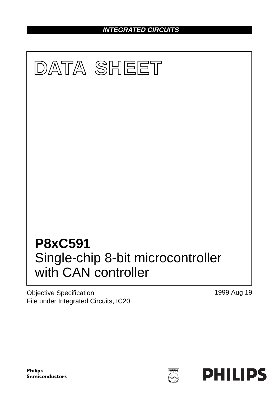**INTEGRATED CIRCUITS**



Objective Specification File under Integrated Circuits, IC20 1999 Aug 19



HILIP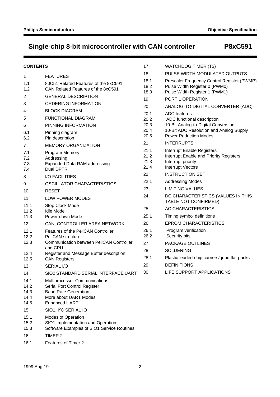| <b>CONTENTS</b>                      |                                                                                                                                               | 17                           | <b>WATCHDOG TIMER (T3)</b>                                                                                              |
|--------------------------------------|-----------------------------------------------------------------------------------------------------------------------------------------------|------------------------------|-------------------------------------------------------------------------------------------------------------------------|
| 1                                    | <b>FEATURES</b>                                                                                                                               | 18                           | PULSE WIDTH MODULATED OUTPUTS                                                                                           |
| 1.1<br>1.2                           | 80C51 Related Features of the 8xC591<br>CAN Related Features of the 8xC591                                                                    | 18.1<br>18.2<br>18.3         | Prescaler Frequency Control Register (PWMP)<br>Pulse Width Register 0 (PWM0)<br>Pulse Width Register 1 (PWM1)           |
| 2                                    | <b>GENERAL DESCRIPTION</b>                                                                                                                    | 19                           | PORT 1 OPERATION                                                                                                        |
| 3                                    | ORDERING INFORMATION                                                                                                                          | 20                           | ANALOG-TO-DIGITAL CONVERTER (ADC)                                                                                       |
| 4                                    | <b>BLOCK DIAGRAM</b>                                                                                                                          | 20.1                         | <b>ADC</b> features                                                                                                     |
| 5                                    | <b>FUNCTIONAL DIAGRAM</b>                                                                                                                     | 20.2                         | ADC functional description                                                                                              |
| 6                                    | PINNING INFORMATION                                                                                                                           | 20.3                         | 10-Bit Analog-to-Digital Conversion                                                                                     |
| 6.1<br>6.2                           | Pinning diagram<br>Pin description                                                                                                            | 20.4<br>20.5                 | 10-Bit ADC Resolution and Analog Supply<br><b>Power Reduction Modes</b>                                                 |
| 7                                    | <b>MEMORY ORGANIZATION</b>                                                                                                                    | 21                           | <b>INTERRUPTS</b>                                                                                                       |
| 7.1<br>7.2<br>7.3<br>7.4             | Program Memory<br>Addressing<br><b>Expanded Data RAM addressing</b><br>Dual DPTR                                                              | 21.1<br>21.2<br>21.3<br>21.4 | Interrupt Enable Registers<br>Interrupt Enable and Priority Registers<br>Interrupt priority<br><b>Interrupt Vectors</b> |
| 8                                    | <b>I/O FACILITIES</b>                                                                                                                         | 22                           | <b>INSTRUCTION SET</b>                                                                                                  |
| 9                                    | OSCILLATOR CHARACTERISTICS                                                                                                                    | 22.1                         | <b>Addressing Modes</b>                                                                                                 |
| 10                                   | <b>RESET</b>                                                                                                                                  | 23                           | <b>LIMITING VALUES</b>                                                                                                  |
| 11                                   | LOW POWER MODES                                                                                                                               | 24                           | DC CHARACTERISTICS (VALUES IN THIS<br>TABLE NOT CONFIRMED)                                                              |
| 11.1<br>11.2                         | Stop Clock Mode<br><b>Idle Mode</b>                                                                                                           | 25                           | AC CHARACTERISTICS                                                                                                      |
| 11.3                                 | Power-down Mode                                                                                                                               | 25.1                         | Timing symbol definitions                                                                                               |
| 12                                   | CAN, CONTROLLER AREA NETWORK                                                                                                                  | 26                           | <b>EPROM CHARACTERISTICS</b>                                                                                            |
| 12.1<br>12.2<br>12.3                 | Features of the PeliCAN Controller<br><b>PeliCAN</b> structure<br><b>Communication between PeliCAN Controller</b>                             | 26.1<br>26.2<br>27           | Program verification<br>Security bits<br>PACKAGE OUTLINES                                                               |
|                                      | and CPU                                                                                                                                       | 28                           | <b>SOLDERING</b>                                                                                                        |
| 12.4<br>12.5                         | Register and Message Buffer description<br><b>CAN Registers</b>                                                                               | 28.1                         | Plastic leaded-chip carriers/quad flat-packs                                                                            |
| 13                                   | SERIAL I/O                                                                                                                                    | 29                           | <b>DEFINITIONS</b>                                                                                                      |
| 14                                   | SIO0 STANDARD SERIAL INTERFACE UART                                                                                                           | 30                           | LIFE SUPPORT APPLICATIONS                                                                                               |
| 14.1<br>14.2<br>14.3<br>14.4<br>14.5 | Multiprocessor Communications<br>Serial Port Control Register<br><b>Baud Rate Generation</b><br>More about UART Modes<br><b>Enhanced UART</b> |                              |                                                                                                                         |
| 15                                   | SIO1, I <sup>2</sup> C SERIAL IO                                                                                                              |                              |                                                                                                                         |
| 15.1<br>15.2<br>15.3<br>16           | Modes of Operation<br>SIO1 Implementation and Operation<br>Software Examples of SIO1 Service Routines<br>TIMER 2                              |                              |                                                                                                                         |

16.1 Features of Timer 2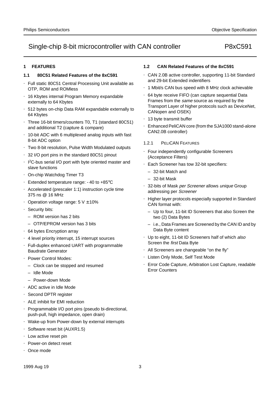### **1 FEATURES**

#### **1.1 80C51 Related Features of the 8xC591**

- Full static 80C51 Central Processing Unit available as OTP, ROM and ROMless
- 16 Kbytes internal Program Memory expandable externally to 64 Kbytes
- 512 bytes on-chip Data RAM expandable externally to 64 Kbytes
- Three 16-bit timers/counters T0, T1 (standard 80C51) and additional T2 (capture & compare)
- 10-bit ADC with 6 multiplexed analog inputs with fast 8-bit ADC option
- Two 8-bit resolution, Pulse Width Modulated outputs
- 32 I/O port pins in the standard 80C51 pinout
- I<sup>2</sup>C-bus serial I/O port with byte oriented master and slave functions
- On-chip Watchdog Timer T3
- Extended temperature range: −40 to +85°C
- Accelerated (prescaler 1:1) instruction cycle time 375 ns @ 16 MHz
- Operation voltage range:  $5 V ± 10%$
- Security bits:
	- ROM version has 2 bits
	- OTP/EPROM version has 3 bits
- 64 bytes Encryption array
- 4 level priority interrupt, 15 interrupt sources
- Full-duplex enhanced UART with programmable Baudrate Generator
- Power Control Modes:
	- Clock can be stopped and resumed
	- Idle Mode
	- Power-down Mode
- ADC active in Idle Mode
- Second DPTR register
- ALE inhibit for EMI reduction
- Programmable I/O port pins (pseudo bi-directional, push-pull, high impedance, open drain)
- Wake-up from Power-down by external interrupts
- Software reset bit (AUXR1.5)
- Low active reset pin
- Power-on detect reset
- Once mode

### **1.2 CAN Related Features of the 8xC591**

- CAN 2.0B active controller, supporting 11-bit Standard and 29-bit Extended indentifiers
- 1 Mbit/s CAN bus speed with 8 MHz clock achievable
- 64 byte receive FIFO (can capture sequential Data Frames from the same source as required by the Transport Layer of higher protocols such as DeviceNet, CANopen and OSEK)
- 13 byte transmit buffer
- Enhanced PeliCAN core (from the SJA1000 stand-alone CAN2.0B controller)

#### 1.2.1 PELICAN FEATURES

- Four independently configurable Screeners (Acceptance Filters)
- Each Screener has tow 32-bit specifiers:
	- 32-bit Match and
	- 32-bit Mask
- 32-bits of Mask per Screener allows unique Group addressing per Screener
- Higher layer protocols especially supported in Standard CAN format with:
	- Up to four, 11-bit ID Screeners that also Screen the two (2) Data Bytes
	- i.e., Data Frames are Screened by the CAN ID and by Data Byte content
- Up to eight, 11-bit ID Screeners half of which also Screen the first Data Byte
- All Screeners are changeable "on the fly"
- Listen Only Mode, Self Test Mode
- Error Code Capture, Arbitration Lost Capture, readable Error Counters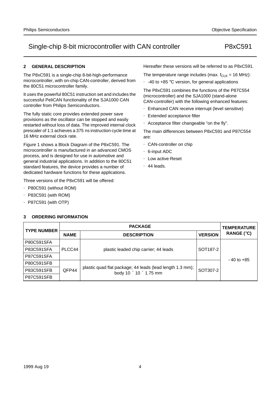#### **2 GENERAL DESCRIPTION**

The P8xC591 is a single-chip 8-bit-high-performance microcontroller, with on-chip CAN-controller, derived from the 80C51 microcontroller family.

It uses the powerful 80C51 instruction set and includes the successful PeliCAN functionality of the SJA1000 CAN controller from Philips Semiconductors.

The fully static core provides extended power save provisions as the oscillator can be stopped and easily restarted without loss of data. The improved internal clock prescaler of 1:1 achieves a 375 ns instruction cycle time at 16 MHz external clock rate.

Figure 1 shows a Block Diagram of the P8xC591. The microcontroller is manufactured in an advanced CMOS process, and is designed for use in automotive and general industrial applications. In addition to the 80C51 standard features, the device provides a number of dedicated hardware functions for these applications.

Three versions of the P8xC591 will be offered:

- P80C591 (without ROM)
- P83C591 (with ROM)
- P87C591 (with OTP)

## Hereafter these versions will be referred to as P8xC591.

The temperature range includes (max.  $f_{CLK} = 16 \text{ MHz}$ ):

• -40 to +85 °C version, for general applications

The P8xC591 combines the functions of the P87C554 (microcontroller) and the SJA1000 (stand-alone CAN-controller) with the following enhanced features:

- Enhanced CAN receive interrupt (level sensitive)
- Extended acceptance filter
- Acceptance filter changeable "on the fly".

The main differences between P8xC591 and P87C554 are:

- CAN-controller on chip
- 6-input ADC
- Low active Reset
- 44 leads.

| <b>TYPE NUMBER</b> |             | <b>TEMPERATURE</b>                                                                              |                      |                |  |
|--------------------|-------------|-------------------------------------------------------------------------------------------------|----------------------|----------------|--|
|                    | <b>NAME</b> | <b>VERSION</b>                                                                                  | RANGE $(°C)$         |                |  |
| P80C591SFA         |             |                                                                                                 |                      |                |  |
| P83C591SFA         | PLCC44      | plastic leaded chip carrier; 44 leads                                                           | SOT <sub>187-2</sub> |                |  |
| P87C591SFA         |             |                                                                                                 |                      | $-40$ to $+85$ |  |
| <b>P80C591SFB</b>  |             |                                                                                                 |                      |                |  |
| P83C591SFB         | QFP44       | plastic quad flat package; 44 leads (lead length 1.3 mm);<br>body $10 \times 10 \times 1.75$ mm | SOT307-2             |                |  |
| <b>P87C591SFB</b>  |             |                                                                                                 |                      |                |  |

#### **3 ORDERING INFORMATION**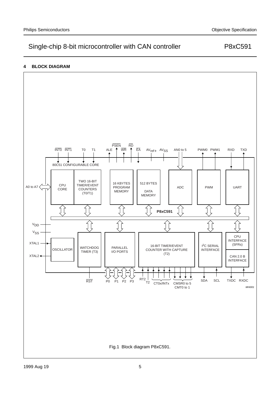### **4 BLOCK DIAGRAM**

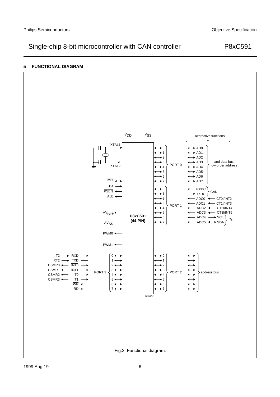#### **5 FUNCTIONAL DIAGRAM**

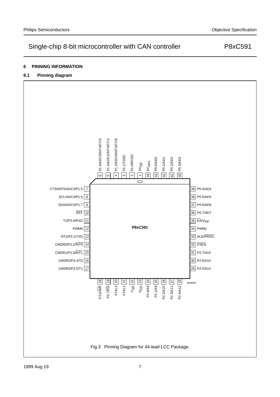## **6 PINNING INFORMATION**

## **6.1 Pinning diagram**

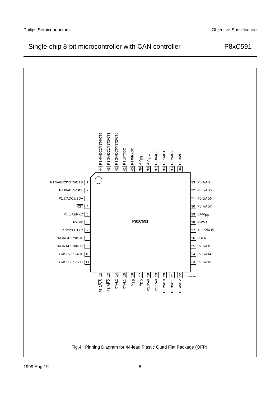

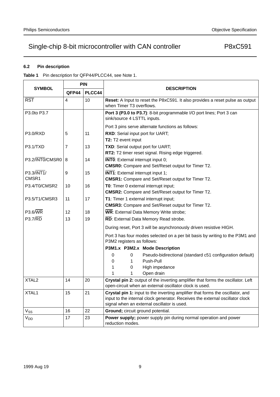### **6.2 Pin description**

**Table 1** Pin description for QFP44/PLCC44, see Note 1.

|                                  |                         | <b>PIN</b> | <b>DESCRIPTION</b>                                                                                                                                                                                             |  |  |  |  |  |  |  |  |  |
|----------------------------------|-------------------------|------------|----------------------------------------------------------------------------------------------------------------------------------------------------------------------------------------------------------------|--|--|--|--|--|--|--|--|--|
| <b>SYMBOL</b>                    | QFP44                   | PLCC44     |                                                                                                                                                                                                                |  |  |  |  |  |  |  |  |  |
| $\overline{\text{RST}}$          | $\overline{\mathbf{4}}$ | 10         | Reset: A Input to reset the P8xC591. It also provides a reset pulse as output<br>when Timer T3 overflows.                                                                                                      |  |  |  |  |  |  |  |  |  |
| P3.0to P3.7                      |                         |            | Port 3 (P3.0 to P3.7): 8-bit programmable I/O port lines; Port 3 can<br>sink/source 4 LSTTL inputs.                                                                                                            |  |  |  |  |  |  |  |  |  |
|                                  |                         |            | Port 3 pins serve alternate functions as follows:                                                                                                                                                              |  |  |  |  |  |  |  |  |  |
| P3.0/RXD                         | 5                       | 11         | RXD: Serial input port for UART;<br>T2: T2 event input                                                                                                                                                         |  |  |  |  |  |  |  |  |  |
| P3.1/TXD                         | $\overline{7}$          | 13         | TXD: Serial output port for UART;<br>RT2: T2 timer reset signal. Rising edge triggered.                                                                                                                        |  |  |  |  |  |  |  |  |  |
| P3.2/INTO/CMSR0                  | 8                       | 14         | <b>INTO:</b> External interrupt input 0;<br><b>CMSR0:</b> Compare and Set/Reset output for Timer T2.                                                                                                           |  |  |  |  |  |  |  |  |  |
| $P3.3/\overline{INT1}/$<br>CMSR1 | 9                       | 15         | <b>INT1:</b> External interrupt input 1;<br><b>CMSR1:</b> Compare and Set/Reset output for Timer T2.                                                                                                           |  |  |  |  |  |  |  |  |  |
| P3.4/T0/CMSR2                    | 10                      | 16         | T0: Timer 0 external interrupt input;<br><b>CMSR2:</b> Compare and Set/Reset output for Timer T2.                                                                                                              |  |  |  |  |  |  |  |  |  |
| P3.5/T1/CMSR3                    | 11                      | 17         | T1: Timer 1 external interrupt input;<br><b>CMSR3:</b> Compare and Set/Reset output for Timer T2.                                                                                                              |  |  |  |  |  |  |  |  |  |
| $P3.6/\overline{WR}$             | 12                      | 18         | WR: External Data Memory Write strobe;                                                                                                                                                                         |  |  |  |  |  |  |  |  |  |
| <b>P3.7/RD</b>                   | 13                      | 19         | RD: External Data Memory Read strobe.                                                                                                                                                                          |  |  |  |  |  |  |  |  |  |
|                                  |                         |            | During reset, Port 3 will be asynchronously driven resistive HIGH.                                                                                                                                             |  |  |  |  |  |  |  |  |  |
|                                  |                         |            | Port 3 has four modes selected on a per bit basis by writing to the P3M1 and<br>P3M2 registers as follows:                                                                                                     |  |  |  |  |  |  |  |  |  |
|                                  |                         |            | P3M1.x P3M2.x Mode Description                                                                                                                                                                                 |  |  |  |  |  |  |  |  |  |
|                                  |                         |            | 0<br>$\Omega$<br>Pseudo-bidirectional (standard c51 configuration default)                                                                                                                                     |  |  |  |  |  |  |  |  |  |
|                                  |                         |            | Push-Pull<br>0<br>1                                                                                                                                                                                            |  |  |  |  |  |  |  |  |  |
|                                  |                         |            | 1<br>High impedance<br>0                                                                                                                                                                                       |  |  |  |  |  |  |  |  |  |
|                                  |                         |            | 1<br>Open drain<br>1                                                                                                                                                                                           |  |  |  |  |  |  |  |  |  |
| XTAL <sub>2</sub>                | 14                      | 20         | Crystal pin 2: output of the inverting amplifier that forms the oscillator. Left<br>open-circuit when an external oscillator clock is used.                                                                    |  |  |  |  |  |  |  |  |  |
| XTAL1                            | 15                      | 21         | Crystal pin 1: input to the inverting amplifier that forms the oscillator, and<br>input to the internal clock generator. Receives the external oscillator clock<br>signal when an external oscillator is used. |  |  |  |  |  |  |  |  |  |
| $V_{SS}$                         | 16                      | 22         | Ground; circuit ground potential.                                                                                                                                                                              |  |  |  |  |  |  |  |  |  |
| <b>V<sub>DD</sub></b>            | 17                      | 23         | Power supply; power supply pin during normal operation and power<br>reduction modes.                                                                                                                           |  |  |  |  |  |  |  |  |  |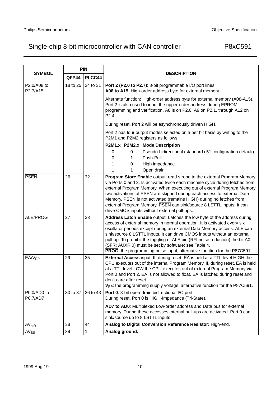|                         |          | <b>PIN</b> |                                                                                                                                                                                                                                                                                                                                                                                                                                                                                                                                 |  |  |  |  |  |  |  |
|-------------------------|----------|------------|---------------------------------------------------------------------------------------------------------------------------------------------------------------------------------------------------------------------------------------------------------------------------------------------------------------------------------------------------------------------------------------------------------------------------------------------------------------------------------------------------------------------------------|--|--|--|--|--|--|--|
| <b>SYMBOL</b>           | QFP44    | PLCC44     | <b>DESCRIPTION</b>                                                                                                                                                                                                                                                                                                                                                                                                                                                                                                              |  |  |  |  |  |  |  |
| P2.0/A08 to<br>P2.7/A15 | 18 to 25 | 24 to 31   | Port 2 (P2.0 to P2.7): 8-bit programmable I/O port lines;<br>A08 to A15: High-order address byte for external memory.                                                                                                                                                                                                                                                                                                                                                                                                           |  |  |  |  |  |  |  |
|                         |          |            | Alternate function: High-order address byte for external memory (A08-A15).<br>Port 2 is also used to input the upper order address during EPROM<br>programming and verification. A8 is on P2.0, A9 on P2.1, through A12 on<br>P2.4.                                                                                                                                                                                                                                                                                             |  |  |  |  |  |  |  |
|                         |          |            | During reset, Port 2 will be asynchronously driven HIGH.                                                                                                                                                                                                                                                                                                                                                                                                                                                                        |  |  |  |  |  |  |  |
|                         |          |            | Port 2 has four output modes selected on a per bit basis by writing to the<br>P2M1 and P2M2 registers as follows:                                                                                                                                                                                                                                                                                                                                                                                                               |  |  |  |  |  |  |  |
|                         |          |            | P2M1.x P2M2.x Mode Description                                                                                                                                                                                                                                                                                                                                                                                                                                                                                                  |  |  |  |  |  |  |  |
|                         |          |            | $\mathbf 0$<br>Pseudo-bidirectional (standard c51 configuration default)<br>0<br>Push-Pull<br>0<br>1                                                                                                                                                                                                                                                                                                                                                                                                                            |  |  |  |  |  |  |  |
|                         |          |            | High impedance<br>1.<br>0                                                                                                                                                                                                                                                                                                                                                                                                                                                                                                       |  |  |  |  |  |  |  |
|                         |          |            | Open drain<br>1<br>1                                                                                                                                                                                                                                                                                                                                                                                                                                                                                                            |  |  |  |  |  |  |  |
| <b>PSEN</b>             | 26       | 32         | Program Store Enable output: read strobe to the external Program Memory<br>via Ports 0 and 2. Is activated twice each machine cycle during fetches from<br>external Program Memory. When executing out of external Program Memory<br>two activations of PSEN are skipped during each access to external Data<br>Memory. PSEN is not activated (remains HIGH) during no fetches from<br>external Program Memory. PSEN can sink/source 8 LSTTL inputs. It can<br>drive CMOS inputs without external pull-ups.                     |  |  |  |  |  |  |  |
| ALE/PROG                | 27       | 33         | Address Latch Enable output. Latches the low byte of the address during<br>access of external memory in normal operation. It is activated every six<br>oscillator periods except during an external Data Memory access. ALE can<br>sink/source 8 LSTTL inputs. It can drive CMOS inputs without an external<br>pull-up. To prohibit the toggling of ALE pin (RFI noise reduction) the bit A0<br>(SFR: AUXR.0) must be set by software; see Table 4.<br>PROG: the programming pulse input; alternative function for the P87C591. |  |  |  |  |  |  |  |
| EA/V <sub>PP</sub>      | 29       | 35         | External Access input. If, during reset, EA is held at a TTL level HIGH the<br>CPU executes out of the internal Program Memory. If, during reset, $\overline{EA}$ is held<br>at a TTL level LOW the CPU executes out of external Program Memory via<br>Port 0 and Port 2. EA is not allowed to float. EA is latched during reset and<br>don't care after reset.<br>V <sub>PP</sub> : the programming supply voltage; alternative function for the P87C591.                                                                      |  |  |  |  |  |  |  |
| P0.0/AD0 to<br>P0.7/AD7 | 30 to 37 | 36 to 43   | Port 0: 8-bit open-drain bidirectional I/O port.<br>During reset, Port 0 is HIGH-Impedance (Tri-State).                                                                                                                                                                                                                                                                                                                                                                                                                         |  |  |  |  |  |  |  |
|                         |          |            | AD7 to AD0: Multiplexed Low-order address and Data bus for external<br>memory. During these accesses internal pull-ups are activated. Port 0 can<br>sink/source up to 8 LSTTL inputs.                                                                                                                                                                                                                                                                                                                                           |  |  |  |  |  |  |  |
| $AV_{ref+}$             | 38       | 44         | Analog to Digital Conversion Reference Resistor: High-end.                                                                                                                                                                                                                                                                                                                                                                                                                                                                      |  |  |  |  |  |  |  |
| AV <sub>SS</sub>        | 39       | 1          | Analog ground.                                                                                                                                                                                                                                                                                                                                                                                                                                                                                                                  |  |  |  |  |  |  |  |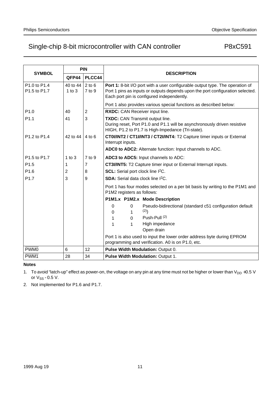|                              | <b>PIN</b>             |                         | <b>DESCRIPTION</b>                                                                                                                                                                                            |  |  |  |  |  |  |  |  |
|------------------------------|------------------------|-------------------------|---------------------------------------------------------------------------------------------------------------------------------------------------------------------------------------------------------------|--|--|--|--|--|--|--|--|
| <b>SYMBOL</b>                | QFP44                  | PLCC44                  |                                                                                                                                                                                                               |  |  |  |  |  |  |  |  |
| P1.0 to P1.4<br>P1.5 to P1.7 | 40 to 44<br>$1$ to $3$ | $2$ to $6$<br>7 to 9    | Port 1: 8-bit I/O port with a user configurable output type. The operation of<br>Port 1 pins as inputs or outputs depends upon the port configuration selected.<br>Each port pin is configured independently. |  |  |  |  |  |  |  |  |
|                              |                        |                         | Port 1 also provides various special functions as described below:                                                                                                                                            |  |  |  |  |  |  |  |  |
| P1.0                         | 40                     | $\overline{\mathbf{c}}$ | RXDC: CAN Receiver input line.                                                                                                                                                                                |  |  |  |  |  |  |  |  |
| P <sub>1.1</sub>             | 41                     | 3                       | TXDC: CAN Transmit output line.<br>During reset, Port P1.0 and P1.1 will be asynchronously driven resistive<br>HIGH, P1.2 to P1.7 is High-Impedance (Tri-state).                                              |  |  |  |  |  |  |  |  |
| P1.2 to P1.4                 | 42 to 44               | $4$ to $6$              | CT0I/INT2 / CT1I/INT3 / CT2I/INT4: T2 Capture timer inputs or External<br>Interrupt inputs.                                                                                                                   |  |  |  |  |  |  |  |  |
|                              |                        |                         | ADC0 to ADC2: Alternate function: Input channels to ADC.                                                                                                                                                      |  |  |  |  |  |  |  |  |
| P1.5 to P1.7                 | 1 to $3$               | 7 to 9                  | ADC3 to ADC5: Input channels to ADC:                                                                                                                                                                          |  |  |  |  |  |  |  |  |
| P1.5                         | 1                      | 7                       | CT3I/INT5: T2 Capture timer input or External Interrupt inputs.                                                                                                                                               |  |  |  |  |  |  |  |  |
| P <sub>1.6</sub>             | 2                      | 8                       | SCL: Serial port clock line I <sup>2</sup> C.                                                                                                                                                                 |  |  |  |  |  |  |  |  |
| P1.7                         | 3                      | 9                       | <b>SDA:</b> Serial data clock line I <sup>2</sup> C.                                                                                                                                                          |  |  |  |  |  |  |  |  |
|                              |                        |                         | Port 1 has four modes selected on a per bit basis by writing to the P1M1 and<br>P1M2 registers as follows:                                                                                                    |  |  |  |  |  |  |  |  |
|                              |                        |                         | P1M1.x P1M2.x Mode Description                                                                                                                                                                                |  |  |  |  |  |  |  |  |
|                              |                        |                         | $\Omega$<br>Pseudo-bidirectional (standard c51 configuration default<br>0                                                                                                                                     |  |  |  |  |  |  |  |  |
|                              |                        |                         | (2)<br>$\Omega$                                                                                                                                                                                               |  |  |  |  |  |  |  |  |
|                              |                        |                         | Push-Pull (2)<br>$\mathbf{1}$<br>0                                                                                                                                                                            |  |  |  |  |  |  |  |  |
|                              |                        |                         | High impedance<br>1<br>1                                                                                                                                                                                      |  |  |  |  |  |  |  |  |
|                              |                        |                         | Open drain                                                                                                                                                                                                    |  |  |  |  |  |  |  |  |
|                              |                        |                         | Port 1 is also used to input the lower order address byte during EPROM<br>programming and verification. A0 is on P1.0, etc.                                                                                   |  |  |  |  |  |  |  |  |
| PWM <sub>0</sub>             | 6                      | 12                      | Pulse Width Modulation: Output 0.                                                                                                                                                                             |  |  |  |  |  |  |  |  |
| PWM <sub>1</sub>             | 28                     | 34                      | <b>Pulse Width Modulation: Output 1.</b>                                                                                                                                                                      |  |  |  |  |  |  |  |  |

#### **Notes**

- 1. To avoid "latch-up" effect as power-on, the voltage on any pin at any time must not be higher or lower than  $V_{DD}$  +0.5 V or  $V_{SS}$  –0.5 V.
- 2. Not implemented for P1.6 and P1.7.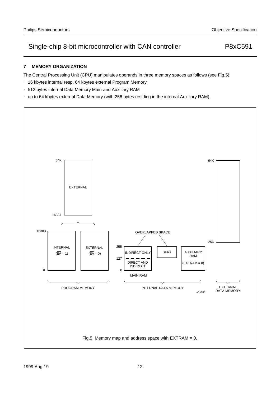### **7 MEMORY ORGANIZATION**

The Central Processing Unit (CPU) manipulates operands in three memory spaces as follows (see Fig.5):

- 16 kbytes internal resp. 64 kbytes external Program Memory
- 512 bytes internal Data Memory Main-and Auxiliary RAM
- up to 64 kbytes external Data Memory (with 256 bytes residing in the internal Auxiliary RAM).

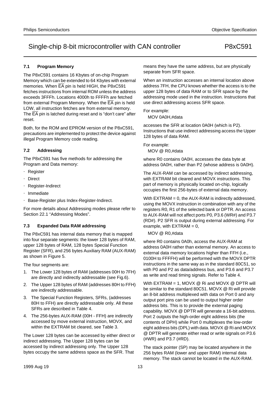#### **7.1 Program Memory**

The P8xC591 contains 16 Kbytes of on-chip Program Memory which can be extended to 64 Kbytes with external memories. When  $\overline{EA}$  pin is held HIGH, the P8xC591 fetches instructions from internal ROM unless the address exceeds 3FFFh. Locations 4000h to FFFFh are fetched from external Program Memory. When the  $\overline{EA}$  pin is held LOW, all instruction fetches are from external memory. The EA pin is latched during reset and is "don't care" after reset.

Both, for the ROM and EPROM version of the P8xC591, precautions are implemented to protect the device against illegal Program Memory code reading.

#### **7.2 Addressing**

The P8xC591 has five methods for addressing the Program and Data memory:

- Register
- Direct
- Register-Indirect
- Immediate
- Base-Register plus Index-Register-Indirect.

For more details about Addressing modes please refer to Section 22.1 "Addressing Modes".

#### **7.3 Expanded Data RAM addressing**

The P8xC591 has internal data memory that is mapped into four separate segments: the lower 128 bytes of RAM, upper 128 bytes of RAM, 128 bytes Special Function Register (SFR), and 256 bytes Auxiliary RAM (AUX-RAM) as shown in Figure 5.

The four segments are:

- 1. The Lower 128 bytes of RAM (addresses 00H to 7FH) are directly and indirectly addressable (see Fig.6).
- 2. The Upper 128 bytes of RAM (addresses 80H to FFH) are indirectly addressable.
- 3. The Special Function Registers, SFRs, (addresses 80H to FFH) are directly addressable only. All these SFRs are described in Table 4.
- 4. The 256-bytes AUX-RAM (00H FFH) are indirectly accessed by move external instruction, MOVX, and within the EXTRAM bit cleared, see Table 3.

The Lower 128 bytes can be accessed by either direct or indirect addressing. The Upper 128 bytes can be accessed by indirect addressing only. The Upper 128 bytes occupy the same address space as the SFR. That

means they have the same address, but are physically separate from SFR space.

When an instruction accesses an internal location above address 7FH, the CPU knows whether the access is to the upper 128 bytes of data RAM or to SFR space by the addressing mode used in the instruction. Instructions that use direct addressing access SFR space.

For example:

MOV 0A0H,#data

accesses the SFR at location 0A0H (which is P2). Instructions that use indirect addressing access the Upper 128 bytes of data RAM.

For example:

MOV @ R0,#data

where R0 contains 0A0H, accesses the data byte at address 0A0H, rather than P2 (whose address is 0A0H).

The AUX-RAM can be accessed by indirect addressing, with EXTRAM bit cleared and MOVX instructions. This part of memory is physically located on-chip, logically occupies the first 256-bytes of external data memory.

With EXTRAM = 0, the AUX-RAM is indirectly addressed, using the MOVX instruction in combination with any of the registers R0, R1 of the selected bank or DPTR. An access to AUX-RAM will not affect ports P0, P3.6 (WR#) and P3.7 (RD#). P2 SFR is output during external addressing. For example, with  $EXTRAN = 0$ ,

#### MOV @ R0,#data

where R0 contains 0A0h, access the AUX-RAM at address 0A0H rather than external memory. An access to external data memory locations higher than FFH (i.e., 0100H to FFFFH) will be performed with the MOVX DPTR instructions in the same way as in the standard 80C51, so with P0 and P2 as data/address bus, and P3.6 and P3.7 as write and read timing signals. Refer to Table 4.

With EXTRAM = 1, MOVX @ Ri and MOVX @ DPTR will be similar to the standard 80C51. MOVX @ Ri will provide an 8-bit address multiplexed with data on Port 0 and any output port pins can be used to output higher order address bits. This is to provide the external paging capability. MOVX @ DPTR will generate a 16-bit address. Port 2 outputs the high-order eight address bits (the contents of DPH) while Port 0 multiplexes the low-order eight address bits (DPL) with data. MOVX @ Ri and MOVX @ DPTR will generate either read or write signals on P3.6 (#WR) and P3.7 (#RD).

The stack pointer (SP) may be located anywhere in the 256 bytes RAM (lower and upper RAM) internal data memory. The stack cannot be located in the AUX-RAM.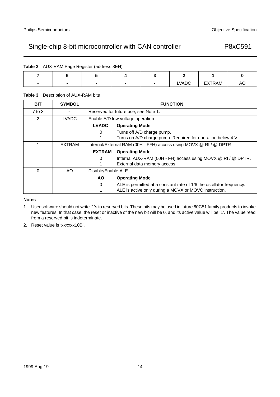| <b>Table 2</b> AUX-RAM Page Register (address 8EH) |  |
|----------------------------------------------------|--|
|                                                    |  |

|  |  | <b>LVADC</b> | EXTRAM | AU |
|--|--|--------------|--------|----|

#### **Table 3** Description of AUX-RAM bits

| <b>BIT</b> | <b>SYMBOL</b> | <b>FUNCTION</b>     |                                                                      |  |  |  |  |  |  |  |
|------------|---------------|---------------------|----------------------------------------------------------------------|--|--|--|--|--|--|--|
| $7$ to $3$ |               |                     | Reserved for future use; see Note 1.                                 |  |  |  |  |  |  |  |
| 2          | LVADC         |                     | Enable A/D low voltage operation.                                    |  |  |  |  |  |  |  |
|            |               | <b>LVADC</b>        | <b>Operating Mode</b>                                                |  |  |  |  |  |  |  |
|            |               | 0                   | Turns off A/D charge pump.                                           |  |  |  |  |  |  |  |
|            |               |                     | Turns on A/D charge pump. Required for operation below 4 V.          |  |  |  |  |  |  |  |
|            | <b>EXTRAM</b> |                     | Internal/External RAM (00H - FFH) access using MOVX @ RI / @ DPTR    |  |  |  |  |  |  |  |
|            |               | <b>EXTRAM</b>       | <b>Operating Mode</b>                                                |  |  |  |  |  |  |  |
|            |               | 0                   | Internal AUX-RAM (00H - FH) access using MOVX @ RI / @ DPTR.         |  |  |  |  |  |  |  |
|            |               |                     | External data memory access.                                         |  |  |  |  |  |  |  |
| $\Omega$   | AO.           | Disable/Enable ALE. |                                                                      |  |  |  |  |  |  |  |
|            |               | <b>AO</b>           | <b>Operating Mode</b>                                                |  |  |  |  |  |  |  |
|            |               | 0                   | ALE is permitted at a constant rate of 1/6 the oscillator frequency. |  |  |  |  |  |  |  |
|            |               |                     | ALE is active only during a MOVX or MOVC instruction.                |  |  |  |  |  |  |  |

#### **Notes**

- 1. User software should not write '1's to reserved bits. These bits may be used in future 80C51 family products to invoke new features. In that case, the reset or inactive of the new bit will be 0, and its active value will be '1'. The value read from a reserved bit is indeterminate.
- 2. Reset value is 'xxxxxx10B'.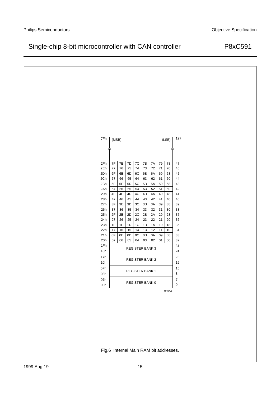| 127<br>7Fh<br>(LSB)<br>(MSB)<br>7F<br>$7\mathsf{E}$<br>$7\mathsf{D}$<br>${\mbox{7C}}$<br>$7\mathsf{B}$<br>2Fh<br>7A<br>79<br>78<br>47<br>2Eh<br>77<br>76<br>75<br>74<br>73<br>72<br>71<br>70<br>46<br>2Dh<br>6F<br>6E<br>6D<br>$6\mathsf{B}$<br>45<br>6C<br>6A<br>69<br>68<br>2Ch<br>62<br>44<br>67<br>66<br>65<br>64<br>63<br>61<br>60<br>2Bh<br>5F<br>5E<br>5D<br>5C<br>5A<br>5B<br>59<br>58<br>43<br>2Ah<br>57<br>56<br>55<br>53<br>52<br>51<br>42<br>54<br>50<br>4F<br>4E<br>4D<br>$4\mathrm{C}$<br>29h<br>4B<br>4A<br>41<br>49<br>48<br>28h<br>47<br>$40\,$<br>46<br>45<br>43<br>42<br>41<br>40<br>44<br>3F<br>27h<br>3E<br>$3\mathsf{D}$<br>$3\mathrm{C}$<br>$3\mathsf{B}$<br>$3A$<br>39<br>38<br>39<br>32<br>31<br>26h<br>37<br>36<br>35<br>34<br>33<br>30<br>38<br>2F<br>$2\mathsf{E}$<br>$2\mathsf{D}$<br>$2\mathsf{B}$<br>29<br>37<br>25h<br>2C<br>2A<br>28<br>24h<br>27<br>21<br>26<br>25<br>24<br>23<br>22<br>20<br>36<br>1F<br>$1E$<br>23h<br>1D<br>$1C$<br>1B<br>19<br>18<br>$35\,$<br>1A<br>22h<br>17<br>16<br>15<br>13<br>12<br>$11$<br>34<br>14<br>10<br>0F<br>0E<br>21h<br>0D<br>0C<br>0B<br>0A<br>09<br>08<br>33<br>20h<br>05<br>02<br>32<br>07<br>06<br>04<br>03<br>01<br>$00\,$<br>1Fh<br>31<br><b>REGISTER BANK 3</b><br>24<br>18h<br>17h<br>23<br><b>REGISTER BANK 2</b><br>10h<br>16<br>0Fh<br>15<br><b>REGISTER BANK 1</b><br>8<br>08h<br>07h<br>$\overline{7}$<br>REGISTER BANK 0<br>0<br>00h |  |  |  |               |  |
|-------------------------------------------------------------------------------------------------------------------------------------------------------------------------------------------------------------------------------------------------------------------------------------------------------------------------------------------------------------------------------------------------------------------------------------------------------------------------------------------------------------------------------------------------------------------------------------------------------------------------------------------------------------------------------------------------------------------------------------------------------------------------------------------------------------------------------------------------------------------------------------------------------------------------------------------------------------------------------------------------------------------------------------------------------------------------------------------------------------------------------------------------------------------------------------------------------------------------------------------------------------------------------------------------------------------------------------------------------------------------------------------------------------------------|--|--|--|---------------|--|
|                                                                                                                                                                                                                                                                                                                                                                                                                                                                                                                                                                                                                                                                                                                                                                                                                                                                                                                                                                                                                                                                                                                                                                                                                                                                                                                                                                                                                         |  |  |  |               |  |
|                                                                                                                                                                                                                                                                                                                                                                                                                                                                                                                                                                                                                                                                                                                                                                                                                                                                                                                                                                                                                                                                                                                                                                                                                                                                                                                                                                                                                         |  |  |  |               |  |
|                                                                                                                                                                                                                                                                                                                                                                                                                                                                                                                                                                                                                                                                                                                                                                                                                                                                                                                                                                                                                                                                                                                                                                                                                                                                                                                                                                                                                         |  |  |  |               |  |
|                                                                                                                                                                                                                                                                                                                                                                                                                                                                                                                                                                                                                                                                                                                                                                                                                                                                                                                                                                                                                                                                                                                                                                                                                                                                                                                                                                                                                         |  |  |  |               |  |
|                                                                                                                                                                                                                                                                                                                                                                                                                                                                                                                                                                                                                                                                                                                                                                                                                                                                                                                                                                                                                                                                                                                                                                                                                                                                                                                                                                                                                         |  |  |  |               |  |
|                                                                                                                                                                                                                                                                                                                                                                                                                                                                                                                                                                                                                                                                                                                                                                                                                                                                                                                                                                                                                                                                                                                                                                                                                                                                                                                                                                                                                         |  |  |  |               |  |
|                                                                                                                                                                                                                                                                                                                                                                                                                                                                                                                                                                                                                                                                                                                                                                                                                                                                                                                                                                                                                                                                                                                                                                                                                                                                                                                                                                                                                         |  |  |  |               |  |
|                                                                                                                                                                                                                                                                                                                                                                                                                                                                                                                                                                                                                                                                                                                                                                                                                                                                                                                                                                                                                                                                                                                                                                                                                                                                                                                                                                                                                         |  |  |  |               |  |
|                                                                                                                                                                                                                                                                                                                                                                                                                                                                                                                                                                                                                                                                                                                                                                                                                                                                                                                                                                                                                                                                                                                                                                                                                                                                                                                                                                                                                         |  |  |  |               |  |
|                                                                                                                                                                                                                                                                                                                                                                                                                                                                                                                                                                                                                                                                                                                                                                                                                                                                                                                                                                                                                                                                                                                                                                                                                                                                                                                                                                                                                         |  |  |  |               |  |
|                                                                                                                                                                                                                                                                                                                                                                                                                                                                                                                                                                                                                                                                                                                                                                                                                                                                                                                                                                                                                                                                                                                                                                                                                                                                                                                                                                                                                         |  |  |  |               |  |
|                                                                                                                                                                                                                                                                                                                                                                                                                                                                                                                                                                                                                                                                                                                                                                                                                                                                                                                                                                                                                                                                                                                                                                                                                                                                                                                                                                                                                         |  |  |  |               |  |
|                                                                                                                                                                                                                                                                                                                                                                                                                                                                                                                                                                                                                                                                                                                                                                                                                                                                                                                                                                                                                                                                                                                                                                                                                                                                                                                                                                                                                         |  |  |  |               |  |
|                                                                                                                                                                                                                                                                                                                                                                                                                                                                                                                                                                                                                                                                                                                                                                                                                                                                                                                                                                                                                                                                                                                                                                                                                                                                                                                                                                                                                         |  |  |  |               |  |
|                                                                                                                                                                                                                                                                                                                                                                                                                                                                                                                                                                                                                                                                                                                                                                                                                                                                                                                                                                                                                                                                                                                                                                                                                                                                                                                                                                                                                         |  |  |  |               |  |
|                                                                                                                                                                                                                                                                                                                                                                                                                                                                                                                                                                                                                                                                                                                                                                                                                                                                                                                                                                                                                                                                                                                                                                                                                                                                                                                                                                                                                         |  |  |  |               |  |
|                                                                                                                                                                                                                                                                                                                                                                                                                                                                                                                                                                                                                                                                                                                                                                                                                                                                                                                                                                                                                                                                                                                                                                                                                                                                                                                                                                                                                         |  |  |  |               |  |
|                                                                                                                                                                                                                                                                                                                                                                                                                                                                                                                                                                                                                                                                                                                                                                                                                                                                                                                                                                                                                                                                                                                                                                                                                                                                                                                                                                                                                         |  |  |  |               |  |
|                                                                                                                                                                                                                                                                                                                                                                                                                                                                                                                                                                                                                                                                                                                                                                                                                                                                                                                                                                                                                                                                                                                                                                                                                                                                                                                                                                                                                         |  |  |  |               |  |
|                                                                                                                                                                                                                                                                                                                                                                                                                                                                                                                                                                                                                                                                                                                                                                                                                                                                                                                                                                                                                                                                                                                                                                                                                                                                                                                                                                                                                         |  |  |  |               |  |
|                                                                                                                                                                                                                                                                                                                                                                                                                                                                                                                                                                                                                                                                                                                                                                                                                                                                                                                                                                                                                                                                                                                                                                                                                                                                                                                                                                                                                         |  |  |  |               |  |
|                                                                                                                                                                                                                                                                                                                                                                                                                                                                                                                                                                                                                                                                                                                                                                                                                                                                                                                                                                                                                                                                                                                                                                                                                                                                                                                                                                                                                         |  |  |  |               |  |
|                                                                                                                                                                                                                                                                                                                                                                                                                                                                                                                                                                                                                                                                                                                                                                                                                                                                                                                                                                                                                                                                                                                                                                                                                                                                                                                                                                                                                         |  |  |  |               |  |
|                                                                                                                                                                                                                                                                                                                                                                                                                                                                                                                                                                                                                                                                                                                                                                                                                                                                                                                                                                                                                                                                                                                                                                                                                                                                                                                                                                                                                         |  |  |  |               |  |
|                                                                                                                                                                                                                                                                                                                                                                                                                                                                                                                                                                                                                                                                                                                                                                                                                                                                                                                                                                                                                                                                                                                                                                                                                                                                                                                                                                                                                         |  |  |  |               |  |
|                                                                                                                                                                                                                                                                                                                                                                                                                                                                                                                                                                                                                                                                                                                                                                                                                                                                                                                                                                                                                                                                                                                                                                                                                                                                                                                                                                                                                         |  |  |  |               |  |
|                                                                                                                                                                                                                                                                                                                                                                                                                                                                                                                                                                                                                                                                                                                                                                                                                                                                                                                                                                                                                                                                                                                                                                                                                                                                                                                                                                                                                         |  |  |  |               |  |
|                                                                                                                                                                                                                                                                                                                                                                                                                                                                                                                                                                                                                                                                                                                                                                                                                                                                                                                                                                                                                                                                                                                                                                                                                                                                                                                                                                                                                         |  |  |  |               |  |
|                                                                                                                                                                                                                                                                                                                                                                                                                                                                                                                                                                                                                                                                                                                                                                                                                                                                                                                                                                                                                                                                                                                                                                                                                                                                                                                                                                                                                         |  |  |  |               |  |
|                                                                                                                                                                                                                                                                                                                                                                                                                                                                                                                                                                                                                                                                                                                                                                                                                                                                                                                                                                                                                                                                                                                                                                                                                                                                                                                                                                                                                         |  |  |  |               |  |
|                                                                                                                                                                                                                                                                                                                                                                                                                                                                                                                                                                                                                                                                                                                                                                                                                                                                                                                                                                                                                                                                                                                                                                                                                                                                                                                                                                                                                         |  |  |  |               |  |
|                                                                                                                                                                                                                                                                                                                                                                                                                                                                                                                                                                                                                                                                                                                                                                                                                                                                                                                                                                                                                                                                                                                                                                                                                                                                                                                                                                                                                         |  |  |  | <b>MHI006</b> |  |

Fig.6 Internal Main RAM bit addresses.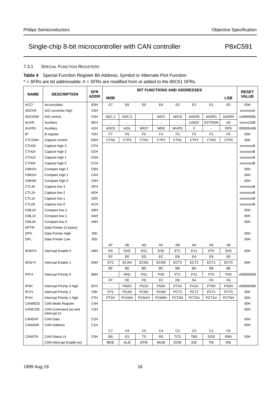### 7.3.1 SPECIAL FUNCTION REGISTERS

| Table 4 Special Function Register Bit Address, Symbol or Alternate Port Function        |
|-----------------------------------------------------------------------------------------|
| $^*$ = SFRs are bit addressable: # = SFRs are modified from or added to the 80C51 SFRs. |

|                    |                                      | <b>SFR</b>       |                  |                |                          | <b>BIT FUNCTIONS AND ADDRESSES</b> |                   |                  |                    |                  | <b>RESET</b>     |
|--------------------|--------------------------------------|------------------|------------------|----------------|--------------------------|------------------------------------|-------------------|------------------|--------------------|------------------|------------------|
| <b>NAME</b>        | <b>DESCRIPTION</b>                   | ADDR             | <b>MSB</b>       |                |                          |                                    |                   |                  |                    | <b>LSB</b>       | <b>VALUE</b>     |
| $ACC*$             | Accumulator                          | <b>E0H</b>       | E7               | E6             | E <sub>5</sub>           | E4                                 | E3                | E <sub>2</sub>   | E <sub>1</sub>     | E0               | 00H              |
| ADCH#              | A/D converter high                   | C6H              |                  |                |                          |                                    |                   |                  |                    |                  | xxxxxxxxb        |
| ADCON#             | A/D control                          | C5H              | ADC.1            | ADC.0          | $\overline{\phantom{a}}$ | <b>ADCI</b>                        | <b>ADCS</b>       | AADR2            | AADR1              | AADR0            | xx000000b        |
| <b>AUXR</b>        | Auxiliary                            | 8EH              |                  | ÷,             | $\overline{a}$           | ÷,                                 |                   | <b>LVADC</b>     | EXTRAM             | A <sub>0</sub>   | xxxxx110B        |
| AUXR1              | Auxiliary                            | A <sub>2</sub> H | ADC8             | <b>AIDL</b>    | <b>SRST</b>              | <b>WDE</b>                         | <b>WUPD</b>       | 0                |                    | <b>DPS</b>       | 000000x0B        |
| $B^*$              | <b>B</b> register                    | FOH              | F7               | F <sub>6</sub> | F <sub>5</sub>           | F4                                 | F3                | F <sub>2</sub>   | F <sub>1</sub>     | F <sub>0</sub>   | 00H              |
| CTCON#             | Capture control                      | EBH              | CTN <sub>3</sub> | CTP3           | CTN <sub>2</sub>         | CTP <sub>2</sub>                   | CTN <sub>1</sub>  | CTP1             | CTN <sub>0</sub>   | CTP <sub>0</sub> | 00H              |
| CTH <sub>3</sub> # | Capture high 3                       | <b>CFH</b>       |                  |                |                          |                                    |                   |                  |                    |                  | xxxxxxxxB        |
| CTH <sub>2#</sub>  | Capture high 2                       | CEH              |                  |                |                          |                                    |                   |                  |                    |                  | <b>XXXXXXXXB</b> |
| CTH <sub>1#</sub>  | Capture high 1                       | <b>CDH</b>       |                  |                |                          |                                    |                   |                  |                    |                  | xxxxxxxxB        |
| CTH <sub>0</sub> # | Capture high 0                       | <b>CCH</b>       |                  |                |                          |                                    |                   |                  |                    |                  | xxxxxxxB         |
| CMH <sub>2#</sub>  | Compare high 2                       | CBH              |                  |                |                          |                                    |                   |                  |                    |                  | 00H              |
| CMH1#              | Compare high 1                       | CAH              |                  |                |                          |                                    |                   |                  |                    |                  | 00H              |
| CMH <sub>0</sub> # | Compare high 0                       | C <sub>9</sub> H |                  |                |                          |                                    |                   |                  |                    |                  | 00H              |
| CTL3#              | Capture low 3                        | <b>AFH</b>       |                  |                |                          |                                    |                   |                  |                    |                  | xxxxxxxB         |
| CTL <sub>2</sub> # | Capture low 2                        | AEH              |                  |                |                          |                                    |                   |                  |                    |                  | xxxxxxxB         |
| CTL1#              | Capture low 1                        | ADh              |                  |                |                          |                                    |                   |                  |                    |                  | <b>xxxxxxxxB</b> |
| CTL <sub>0#</sub>  | Capture low 0                        | <b>ACH</b>       |                  |                |                          |                                    |                   |                  |                    |                  | xxxxxxxB         |
| CML2#              | Compare low 2                        | ABH              |                  |                |                          |                                    |                   |                  |                    |                  | 00H              |
| CML1#              | Compare low 1                        | AAH              |                  |                |                          |                                    |                   |                  |                    |                  | 00H              |
| CML0#              | Compare low 0                        | A9H              |                  |                |                          |                                    |                   |                  |                    |                  | 00H              |
| DPTR:              | Data Pointer (2 bytes):              |                  |                  |                |                          |                                    |                   |                  |                    |                  |                  |
| <b>DPH</b>         | Data Pointer High                    | 83h              |                  |                |                          |                                    |                   |                  |                    |                  | 00H              |
| <b>DPL</b>         | Data Pointer Low                     | 82h              |                  |                |                          |                                    |                   |                  |                    |                  | 00H              |
|                    |                                      |                  | AF               | AE             | AD                       | AC                                 | AB                | AA               | A9                 | A8               |                  |
| IENO*#             | Interrupt Enable 0                   | A8H              | EA               | EAD            | ES <sub>1</sub>          | ES <sub>0</sub>                    | ET <sub>1</sub>   | EX1              | ET <sub>0</sub>    | EX <sub>0</sub>  | 00H              |
|                    |                                      |                  | EF               | EE             | ED                       | EC                                 | EB                | EA               | E9                 | E8               |                  |
| IEN1*#             | Interrupt Enable 1                   | E8H              | ET <sub>2</sub>  | <b>ECAN</b>    | ECM1                     | ECM <sub>0</sub>                   | ECT <sub>3</sub>  | ECT <sub>2</sub> | ECT1               | ECT <sub>0</sub> | 00H              |
|                    |                                      |                  | BF               | BE             | BD                       | ВC                                 | BB                | BA               | B <sub>9</sub>     | B <sub>8</sub>   |                  |
| $IP0*$ #           | Interrupt Priority 0                 | B <sub>8</sub> H |                  | PAD            | PS <sub>1</sub>          | PS <sub>0</sub>                    | PT <sub>1</sub>   | PX1              | PT <sub>0</sub>    | PX <sub>0</sub>  | x0000000B        |
|                    |                                      |                  | FF               | FE             | FD                       | FC                                 | FB                | FA               | F9                 | F8               |                  |
| <b>IP0H</b>        | Interrupt Priority 0 high            | B7H              | $\overline{a}$   | PADH           | PS <sub>1</sub> H        | <b>PS0H</b>                        | PT <sub>1</sub> H | PX1H             | <b>PT0H</b>        | <b>PX0H</b>      | x0000000B        |
| $IP1*$ #           | Interrupt Priority 1                 | F8h              | PT <sub>2</sub>  | <b>PCAN</b>    | PCM1                     | PCM <sub>0</sub>                   | PCT <sub>3</sub>  | PCT <sub>2</sub> | PCT <sub>1</sub>   | PCT <sub>0</sub> | 00H              |
| IP <sub>1</sub> H  | Interrupt Priority 1 high            | F7H              | PT2H             | <b>PCANH</b>   | PCM1H                    | PCM0H                              | PCT3H             | PCT2H            | PCT <sub>1</sub> H | PCT0H            | 00H              |
| CANMOD             | <b>CAN Mode Register</b>             | C4H              |                  |                |                          |                                    |                   |                  |                    |                  | 00H              |
| CANCON             | CAN Command (w) and<br>Interrupt (r) | C <sub>3</sub> H |                  |                |                          |                                    |                   |                  |                    |                  | 00H              |
| CANDAT             | CAN Data                             | C <sub>2</sub> H |                  |                |                          |                                    |                   |                  |                    |                  | 00H              |
| CANADR             | <b>CAN Address</b>                   | C <sub>1</sub> H |                  |                |                          |                                    |                   |                  |                    |                  | 00H              |
|                    |                                      |                  | C7               | C <sub>6</sub> | C <sub>5</sub>           | C <sub>4</sub>                     | C <sub>3</sub>    | C <sub>2</sub>   | C <sub>1</sub>     | CO               |                  |
| CANSTA             | CAN Status (r)                       | <b>COH</b>       | BS               | ES             | TS                       | ${\sf RS}$                         | <b>TCS</b>        | <b>TBS</b>       | <b>DOS</b>         | <b>RBS</b>       | 00H              |
|                    | CAN Interrupt Enable (w)             |                  | BEIE             | ALIE           | EPIE                     | <b>WUIE</b>                        | DOIE              | EIE              | TIE                | <b>RIE</b>       |                  |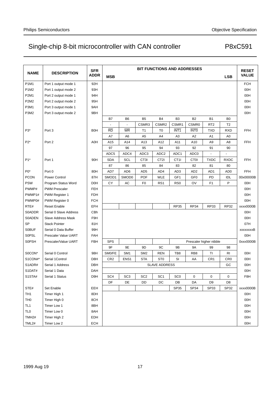|                   |                        |                           | <b>BIT FUNCTIONS AND ADDRESSES</b> |                   |                 |                      |                  |                   |                         |                 |                              |
|-------------------|------------------------|---------------------------|------------------------------------|-------------------|-----------------|----------------------|------------------|-------------------|-------------------------|-----------------|------------------------------|
| <b>NAME</b>       | <b>DESCRIPTION</b>     | <b>SFR</b><br><b>ADDR</b> |                                    |                   |                 |                      |                  |                   |                         |                 | <b>RESET</b><br><b>VALUE</b> |
|                   |                        |                           | <b>MSB</b>                         |                   |                 |                      |                  |                   |                         | <b>LSB</b>      |                              |
| P1M1              | Port 1 output mode 1   | 92H                       |                                    |                   |                 |                      |                  |                   |                         |                 | <b>FCH</b>                   |
| P1M2              | Port 1 output mode 2   | 93H                       |                                    |                   |                 |                      |                  |                   |                         |                 | 00H                          |
| P2M1              | Port 2 output mode 1   | 94H                       |                                    |                   |                 |                      |                  |                   |                         |                 | 00H                          |
| P2M2              | Port 2 output mode 2   | 95H                       |                                    |                   |                 |                      |                  |                   |                         |                 | 00H                          |
| P3M1              | Port 3 output mode 1   | 9AH                       |                                    |                   |                 |                      |                  |                   |                         |                 | 00H                          |
| P3M2              | Port 3 output mode 2   | 9BH                       |                                    |                   |                 |                      |                  |                   |                         |                 | 00H                          |
|                   |                        |                           | B7                                 | B <sub>6</sub>    | B <sub>5</sub>  | B4                   | B <sub>3</sub>   | <b>B2</b>         | <b>B1</b>               | B <sub>0</sub>  |                              |
|                   |                        |                           |                                    | $\blacksquare$    | CSMR3           | CSMR <sub>2</sub>    | CSMR1            | CSMR <sub>0</sub> | RT <sub>2</sub>         | T <sub>2</sub>  |                              |
| P3*               | Port 3                 | <b>B0H</b>                | <b>RD</b>                          | WR                | T1              | T <sub>0</sub>       | INT <sub>1</sub> | <b>INTO</b>       | TXD                     | <b>RXD</b>      | <b>FFH</b>                   |
|                   |                        |                           | A7                                 | A <sub>6</sub>    | A <sub>5</sub>  | A4                   | A3               | A2                | A1                      | A <sub>0</sub>  |                              |
| P2*               | Port 2                 | A0H                       | A15                                | A14               | A13             | A12                  | A11              | A10               | A <sub>9</sub>          | A8              | <b>FFH</b>                   |
|                   |                        |                           | 97                                 | 96                | 95              | 94                   | 93               | 92                | 91                      | 90              |                              |
|                   |                        |                           | ADC <sub>5</sub>                   | ADC4              | ADC3            | ADC <sub>2</sub>     | ADC1             | ADC0              |                         |                 |                              |
| P <sub>1</sub> *  | Port 1                 | 90H                       | <b>SDA</b>                         | SCL               | CT3I            | CT2I                 | CT <sub>1</sub>  | <b>CT0I</b>       | <b>TXDC</b>             | <b>RXDC</b>     | <b>FFH</b>                   |
|                   |                        |                           | 87                                 | 86                | 85              | 84                   | 83               | 82                | 81                      | 80              |                              |
| $P0*$             | Port 0                 | 80H                       | AD7                                | AD <sub>6</sub>   | AD <sub>5</sub> | AD4                  | AD3              | AD <sub>2</sub>   | AD <sub>1</sub>         | AD <sub>0</sub> | <b>FFH</b>                   |
| <b>PCON</b>       | Power Control          | 87H                       | SMOD1                              | SMOD <sub>0</sub> | <b>POF</b>      | <b>WLE</b>           | GF1              | GF <sub>0</sub>   | PD                      | IDL             | 00x00000B                    |
| <b>PSW</b>        | Program Status Word    | D <sub>OH</sub>           | СY                                 | AC                | F <sub>0</sub>  | RS <sub>1</sub>      | R <sub>S0</sub>  | OV                | F <sub>1</sub>          | P               | 00H                          |
| PWMP#             | <b>PWM Prescaler</b>   | <b>FEH</b>                |                                    |                   |                 |                      |                  |                   |                         |                 | 00H                          |
| PWMP1#            | <b>PWM Register 1</b>  | <b>FDH</b>                |                                    |                   |                 |                      |                  |                   |                         |                 | 00H                          |
| PWMP0#            | PWM Register 0         | <b>FCH</b>                |                                    |                   |                 |                      |                  |                   |                         |                 | 00H                          |
| RTE#              | <b>Reset Enable</b>    | EFH                       |                                    |                   |                 |                      | <b>RP35</b>      | <b>RP34</b>       | <b>RP33</b>             | <b>RP32</b>     | xxxx0000B                    |
| S0ADDR            | Serial 0 Slave Address | CBh                       |                                    |                   |                 |                      |                  |                   |                         |                 | 00H                          |
| <b>S0ADEN</b>     | Slave Address Mask     | F9H                       |                                    |                   |                 |                      |                  |                   |                         |                 | 00H                          |
| <b>SP</b>         | <b>Stack Pointer</b>   | 81H                       |                                    |                   |                 |                      |                  |                   |                         |                 | 07H                          |
| <b>SOBUF</b>      | Serial 0 Data Buffer   | 99H                       |                                    |                   |                 |                      |                  |                   |                         |                 | xxxxxxxxB                    |
| <b>SOPSL</b>      | Prescaler Value UART   | <b>FAH</b>                |                                    |                   |                 |                      |                  |                   |                         |                 | 00H                          |
| <b>SOPSH</b>      | Prescaler/Value UART   | <b>FBH</b>                | <b>SPS</b>                         |                   |                 |                      |                  |                   | Prescaler higher nibble |                 | 0xxx0000B                    |
|                   |                        |                           | 9F                                 | 9E                | 9D              | 9C                   | 9Β               | <b>9A</b>         | 99                      | 98              |                              |
| S0CON*            | Serial 0 Control       | 98H                       | SM0/FE                             | SM <sub>1</sub>   | SM <sub>2</sub> | <b>REN</b>           | TB8              | RB <sub>8</sub>   | TI                      | RI              | 00H                          |
| S1CON#*           | Serial 1Control        | D <sub>8</sub> H          | CR <sub>2</sub>                    | ENS <sub>1</sub>  | <b>STA</b>      | ST <sub>0</sub>      | SI               | AA                | CR <sub>1</sub>         | CR <sub>0</sub> | 00H                          |
| S1ADR#            | Serial 1 Address       | <b>DBH</b>                |                                    |                   |                 | <b>SLAVE ADDRESS</b> |                  |                   |                         | GC              | 00H                          |
| S1DAT#            | Serial 1 Data          | DAH                       |                                    |                   |                 |                      |                  |                   |                         |                 | 00H                          |
| S1STA#            | Serial 1 Status        | D <sub>9</sub> H          | SC <sub>4</sub>                    | SC <sub>3</sub>   | SC <sub>2</sub> | SC <sub>1</sub>      | SC <sub>0</sub>  | $\pmb{0}$         | 0                       | 0               | F8H                          |
|                   |                        |                           | DF                                 | DE                | DD              | DC                   | DB               | DA                | D <sub>9</sub>          | D <sub>8</sub>  |                              |
| STE#              | Set Enable             | EEH                       |                                    |                   |                 |                      | SP <sub>35</sub> | SP34              | SP33                    | SP32            | xxxx0000B                    |
| TH <sub>1</sub>   | Timer High 1           | 8DH                       |                                    |                   |                 |                      |                  |                   |                         |                 | 00H                          |
| TH <sub>0</sub>   | Timer High 0           | 8CH                       |                                    |                   |                 |                      |                  |                   |                         |                 | 00H                          |
| TL <sub>1</sub>   | Timer Low 1            | 8BH                       |                                    |                   |                 |                      |                  |                   |                         |                 | 00H                          |
| <b>TLO</b>        | Timer Low 0            | 8AH                       |                                    |                   |                 |                      |                  |                   |                         |                 | 00H                          |
| TMH <sub>2#</sub> | Timer High 2           | EDH                       |                                    |                   |                 |                      |                  |                   |                         |                 | 00H                          |
| TML2#             | Timer Low 2            | ECH                       |                                    |                   |                 |                      |                  |                   |                         |                 | 00H                          |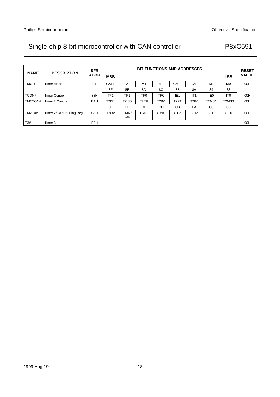| <b>NAME</b>    | <b>DESCRIPTION</b>       | <b>SFR</b><br><b>ADDR</b> | <b>MSB</b>        | <b>BIT FUNCTIONS AND ADDRESSES</b><br><b>LSB</b> |                   |                  |                  |                  |                  | <b>RESET</b><br><b>VALUE</b>   |     |
|----------------|--------------------------|---------------------------|-------------------|--------------------------------------------------|-------------------|------------------|------------------|------------------|------------------|--------------------------------|-----|
| <b>TMOD</b>    | Timer Mode               | 89H                       | <b>GATE</b>       | C/T                                              | M1                | M <sub>0</sub>   | <b>GATE</b>      | C/T              | M <sub>1</sub>   | M <sub>0</sub>                 | 00H |
|                |                          |                           | 8F                | 8E                                               | 8D                | 8C               | 8B               | 8A               | 89               | 88                             |     |
| TCON*          | <b>Timer Control</b>     | 88H                       | TF <sub>1</sub>   | TR <sub>1</sub>                                  | TF0               | TR <sub>0</sub>  | IE <sub>1</sub>  | IT <sub>1</sub>  | IE <sub>0</sub>  | IT <sub>0</sub>                | 00H |
| TM2CON#        | <b>Timer 2 Control</b>   | EAH                       | <b>T2IS1</b>      | <b>T2IS0</b>                                     | T <sub>2</sub> ER | <b>T2B0</b>      | <b>T2P1</b>      | <b>T2P0</b>      | <b>T2MS1</b>     | T <sub>2</sub> M <sub>S0</sub> | 00H |
|                |                          |                           | CF                | <b>CE</b>                                        | <b>CD</b>         | <b>CC</b>        | <b>CB</b>        | CA               | C <sub>9</sub>   | C <sub>8</sub>                 |     |
| <b>TM2IR#*</b> | Timer 2/CAN Int Flag Reg | C8H                       | T <sub>2</sub> OV | CMI2/<br>CAN                                     | CM <sub>1</sub>   | CM <sub>I0</sub> | CT <sub>13</sub> | CTI <sub>2</sub> | CTI <sub>1</sub> | CTI <sub>0</sub>               | 00H |
| T3#            | Timer 3                  | <b>FFH</b>                |                   |                                                  |                   |                  |                  |                  |                  |                                | 00H |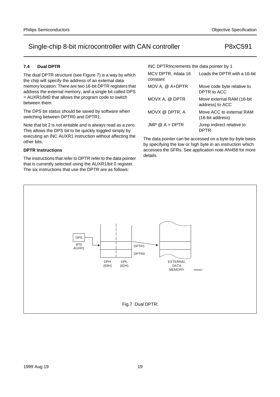### **7.4 Dual DPTR**

The dual DPTR structure (see Figure 7) is a way by which the chip will specify the address of an external data memory location. There are two 16-bit DPTR registers that address the external memory, and a single bit called DPS = AUXR1/bit0 that allows the program code to switch between them.

The DPS bit status should be saved by software when switching between DPTR0 and DPTR1.

Note that bit 2 is not writable and is always read as a zero. This allows the DPS bit to be quickly toggled simply by executing an INC AUXR1 instruction without affecting the other bits.

### **DPTR Instructions**

The instructions that refer to DPTR refer to the data pointer that is currently selected using the AUXR1/bit 0 register. The six instructions that use the DPTR are as follows:

| INC DPTRIncrements the data pointer by 1 |                                              |  |  |  |  |  |  |  |  |  |
|------------------------------------------|----------------------------------------------|--|--|--|--|--|--|--|--|--|
| MCV DPTR, #data 16<br>constant           | Loads the DPTR with a 16-bit                 |  |  |  |  |  |  |  |  |  |
| MOV A, @ A+DPTR                          | Move code byte relative to<br>DPTR to ACC    |  |  |  |  |  |  |  |  |  |
| MOVX A, @ DPTR                           | Move external RAM (16-bit<br>address) to ACC |  |  |  |  |  |  |  |  |  |
| MOVX @ DPTR, A                           | Move ACC to external RAM<br>(16-bit address) |  |  |  |  |  |  |  |  |  |
| $JMP @ A + DPTR$                         | Jump indirect relative to<br>DPTR            |  |  |  |  |  |  |  |  |  |

The data pointer can be accessed on a byte-by-byte basis by specifying the low or high byte in an instruction which accesses the SFRs. See application note AN458 for more details.

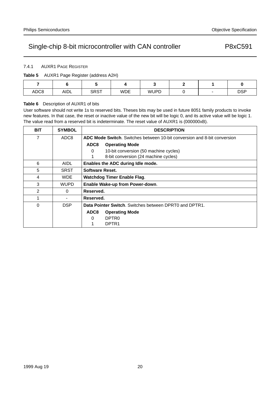### 7.4.1 AUXR1 PAGE REGISTER

#### **Table 5** AUXR1 Page Register (address A2H)

| ADC8 | AIDL | <b>SRST</b> | <b>WDE</b> | <b>WUPD</b> | $\overline{\phantom{m}}$ | <b>DSP</b> |
|------|------|-------------|------------|-------------|--------------------------|------------|

#### **Table 6** Description of AUXR1 of bits

User software should not write 1s to reserved bits. Theses bits may be used in future 8051 family products to invoke new features. In that case, the reset or inactive value of the new bit will be logic 0, and its active value will be logic 1. The value read from a reserved bit is indeterminate. The reset value of AUXR1 is (000000xB).

| <b>BIT</b> | <b>SYMBOL</b>    | <b>DESCRIPTION</b>                                                              |
|------------|------------------|---------------------------------------------------------------------------------|
| 7          | ADC <sub>8</sub> | <b>ADC Mode Switch.</b> Switches between 10-bit conversion and 8-bit conversion |
|            |                  | ADC8<br><b>Operating Mode</b>                                                   |
|            |                  | 10-bit conversion (50 machine cycles)<br>0                                      |
|            |                  | 8-bit conversion (24 machine cycles)                                            |
| 6          | AIDL             | Enables the ADC during Idle mode.                                               |
| 5          | <b>SRST</b>      | Software Reset.                                                                 |
| 4          | <b>WDE</b>       | <b>Watchdog Timer Enable Flag.</b>                                              |
| 3          | <b>WUPD</b>      | Enable Wake-up from Power-down.                                                 |
| 2          | 0                | Reserved.                                                                       |
|            |                  | Reserved.                                                                       |
| 0          | <b>DSP</b>       | Data Pointer Switch, Switches between DPRT0 and DPTR1.                          |
|            |                  | ADC8<br><b>Operating Mode</b>                                                   |
|            |                  | DPTR <sub>0</sub><br>0                                                          |
|            |                  | DPTR <sub>1</sub>                                                               |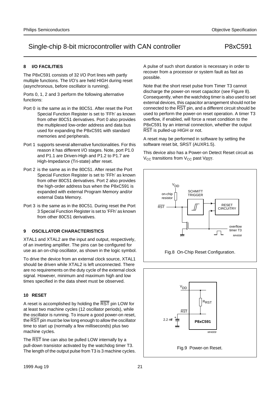### **8 I/O FACILITIES**

The P8xC591 consists of 32 I/O Port lines with partly multiple functions. The I/O's are held HIGH during reset (asynchronous, before oscillator is running).

Ports 0, 1, 2 and 3 perform the following alternative functions:

- Port 0 is the same as in the 80C51. After reset the Port Special Function Register is set to 'FFh' as known from other 80C51 derivatives. Port 0 also provides the multiplexed low-order address and data bus used for expanding the P8xC591 with standard memories and peripherals.
- Port 1 supports several alternative functionalities. For this reason it has different I/O stages. Note, port P1.0 and P1.1 are Driven-High and P1.2 to P1.7 are High-Impedance (Tri-state) after reset.
- Port 2 is the same as in the 80C51. After reset the Port Special Function Register is set to 'FFh' as known from other 80C51 derivatives. Port 2 also provides the high-order address bus when the P8xC591 is expanded with external Program Memory and/or external Data Memory.
- Port 3 is the same as in the 80C51. During reset the Port 3 Special Function Register is set to 'FFh' as known from other 80C51 derivatives.

### **9 OSCILLATOR CHARACTERISTICS**

XTAL1 and XTAL2 are the input and output, respectively, of an inverting amplifier. The pins can be configured for use as an on-chip oscillator, as shown in the logic symbol.

To drive the device from an external clock source, XTAL1 should be driven while XTAL2 is left unconnected. There are no requirements on the duty cycle of the external clock signal. However, minimum and maximum high and low times specified in the data sheet must be observed.

#### **10 RESET**

A reset is accomplished by holding the  $\overline{\text{RST}}$  pin LOW for at least two machine cycles (12 oscillator periods), while the oscillator is running. To insure a good power-on reset, the RST pin must be low long enough to allow the oscillator time to start up (normally a few milliseconds) plus two machine cycles.

The RST line can also be pulled LOW internally by a pull-down transistor activated by the watchdog timer T3. The length of the output pulse from T3 is 3 machine cycles. A pulse of such short duration is necessary in order to recover from a processor or system fault as fast as possible.

Note that the short reset pulse from Timer T3 cannot discharge the power-on reset capacitor (see Figure 8). Consequently, when the watchdog timer is also used to set external devices, this capacitor arrangement should not be connected to the  $\overline{\text{RST}}$  pin, and a different circuit should be used to perform the power-on reset operation. A timer T3 overflow, if enabled, will force a reset condition to the P8xC591 by an internal connection, whether the output RST is pulled-up HIGH or not.

A reset may be performed in software by setting the software reset bit, SRST (AUXR1.5).

This device also has a Power-on Detect Reset circuit as  $V_{CC}$  transitions from  $V_{CC}$  past  $V_{RST}$ .



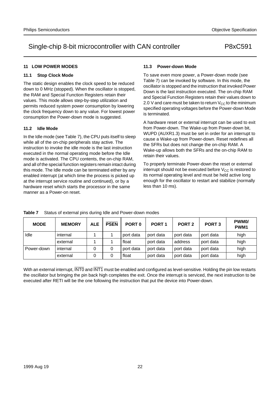#### **11 LOW POWER MODES**

#### **11.1 Stop Clock Mode**

The static design enables the clock speed to be reduced down to 0 MHz (stopped). When the oscillator is stopped, the RAM and Special Function Registers retain their values. This mode allows step-by-step utilization and permits reduced system power consumption by lowering the clock frequency down to any value. For lowest power consumption the Power-down mode is suggested.

#### **11.2 Idle Mode**

In the Idle mode (see Table 7), the CPU puts itself to sleep while all of the on-chip peripherals stay active. The instruction to invoke the idle mode is the last instruction executed in the normal operating mode before the Idle mode is activated. The CPU contents, the on-chip RAM, and all of the special function registers remain intact during this mode. The Idle mode can be terminated either by any enabled interrupt (at which time the process is picked up at the interrupt service routine and continued), or by a hardware reset which starts the processor in the same manner as a Power-on reset.

#### **11.3 Power-down Mode**

To save even more power, a Power-down mode (see Table 7) can be invoked by software. In this mode, the oscillator is stopped and the instruction that invoked Power Down is the last instruction executed. The on-chip RAM and Special Function Registers retain their values down to 2.0 V and care must be taken to return  $V_{CC}$  to the minimum specified operating voltages before the Power-down Mode is terminated.

A hardware reset or external interrupt can be used to exit from Power-down. The Wake-up from Power-down bit, WUPD (AUXR1.3) must be set in order for an interrupt to cause a Wake-up from Power-down. Reset redefines all the SFRs but does not change the on-chip RAM. A Wake-up allows both the SFRs and the on-chip RAM to retain their values.

To properly terminate Power-down the reset or external interrupt should not be executed before  $V_{CC}$  is restored to its normal operating level and must be held active long enough for the oscillator to restart and stabilize (normally less than 10 ms).

| <b>MODE</b> | <b>MEMORY</b> | <b>ALE</b> | <b>PSEN</b> | PORT <sub>0</sub> | PORT <sub>1</sub> | PORT <sub>2</sub> | PORT <sub>3</sub> | PWM <sub>0</sub> /<br>PWM <sub>1</sub> |
|-------------|---------------|------------|-------------|-------------------|-------------------|-------------------|-------------------|----------------------------------------|
| Idle        | internal      |            |             | port data         | port data         | port data         | port data         | high                                   |
|             | external      |            |             | float             | port data         | address           | port data         | high                                   |
| Power-down  | internal      |            |             | port data         | port data         | port data         | port data         | high                                   |
|             | external      |            |             | float             | port data         | port data         | port data         | high                                   |

**Table 7** Status of external pins during Idle and Power-down modes

With an external interrupt, INTO and INT1 must be enabled and configured as level-sensitive. Holding the pin low restarts the oscillator but bringing the pin back high completes the exit. Once the interrupt is serviced, the next instruction to be executed after RETI will be the one following the instruction that put the device into Power-down.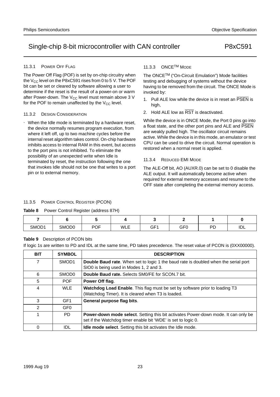#### 11.3.1 POWER OFF FLAG

The Power Off Flag (POF) is set by on-chip circuitry when the  $V_{CC}$  level on the P8xC591 rises from 0 to 5 V. The POF bit can be set or cleared by software allowing a user to determine if the reset is the result of a power-on or warm after Power-down. The  $V_{CC}$  level must remain above 3 V for the POF to remain unaffected by the  $V_{CC}$  level.

#### 11.3.2 DESIGN CONSIDERATION

• When the Idle mode is terminated by a hardware reset, the device normally resumes program execution, from where it left off, up to two machine cycles before the internal reset algorithm takes control. On-chip hardware inhibits access to internal RAM in this event, but access to the port pins is not inhibited. To eliminate the possibility of an unexpected write when Idle is terminated by reset, the instruction following the one that invokes Idle should not be one that writes to a port pin or to external memory.

#### 11.3.3 ONCETM MODE

The ONCETM ("On-Circuit Emulation") Mode facilities testing and debugging of systems without the device having to be removed from the circuit. The ONCE Mode is invoked by:

- 1. Pull ALE low while the device is in reset an PSEN is high,
- 2. Hold ALE low as  $\overline{\text{RST}}$  is deactivated.

While the device is in ONCE Mode, the Port 0 pins go into a float state, and the other port pins and ALE and PSEN are weakly pulled high. The oscillator circuit remains active. While the device is in this mode, an emulator or test CPU can be used to drive the circuit. Normal operation is restored when a normal reset is applied.

#### 11.3.4 REDUCED EMI MODE

The ALE-Off bit, AO (AUXR.0) can be set to 0 disable the ALE output. It will automatically become active when required for external memory accesses and resume to the OFF state after completing the external memory access.

#### 11.3.5 POWER CONTROL REGISTER (PCON)

**Table 8** Power Control Register (address 87H)

| SMOD1 | SMOD <sub>0</sub> | <b>POF</b> | <b>WLE</b> | GF1 | GF0 | DГ | IDL |
|-------|-------------------|------------|------------|-----|-----|----|-----|

#### **Table 9** Description of PCON bits

If logic 1s are written to PD and IDL at the same time, PD takes precedence. The reset value of PCON is (0XX00000).

| <b>BIT</b> | <b>SYMBOL</b>     | <b>DESCRIPTION</b>                                                                                                                                         |
|------------|-------------------|------------------------------------------------------------------------------------------------------------------------------------------------------------|
| 7          | SMOD <sub>1</sub> | <b>Double Baud rate.</b> When set to logic 1 the baud rate is doubled when the serial port<br>SIO0 is being used in Modes 1, 2 and 3.                      |
| 6          | SMOD <sub>0</sub> | Double Baud rate. Selects SM0/FE for SCON.7 bit.                                                                                                           |
| 5          | <b>POF</b>        | Power Off flag.                                                                                                                                            |
| 4          | <b>WLE</b>        | Watchdog Load Enable. This flag must be set by software prior to loading T3<br>(Watchdog Timer). It is cleared when T3 is loaded.                          |
| 3          | GF1               | General purpose flag bits.                                                                                                                                 |
| 2          | GF <sub>0</sub>   |                                                                                                                                                            |
| 1          | PD.               | <b>Power-down mode select.</b> Setting this bit activates Power-down mode. It can only be<br>set if the Watchdog timer enable bit 'WDE' is set to logic 0. |
| $\Omega$   | <b>IDL</b>        | <b>Idle mode select.</b> Setting this bit activates the Idle mode.                                                                                         |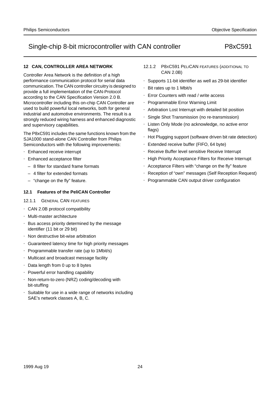### **12 CAN, CONTROLLER AREA NETWORK**

Controller Area Network is the definition of a high performance communication protocol for serial data communication. The CAN controller circuitry is designed to provide a full implementation of the CAN-Protocol according to the CAN Specification Version 2.0 B. Microcontroller including this on-chip CAN Controller are used to build powerful local networks, both for general industrial and automotive environments. The result is a strongly reduced wiring harness and enhanced diagnostic and supervisory capabilities.

The P8xC591 includes the same functions known from the SJA1000 stand-alone CAN Controller from Philips Semiconductors with the following improvements:

- Enhanced receive interrupt
- Enhanced acceptance filter
	- 8 filter for standard frame formats
	- 4 filter for extended formats
	- "change on the fly" feature.

#### **12.1 Features of the PeliCAN Controller**

#### 12.1.1 GENERAL CAN FEATURES

- CAN 2.0B protocol compatibility
- Multi-master architecture
- Bus access priority determined by the message identifier (11 bit or 29 bit)
- Non destructive bit-wise arbitration
- Guaranteed latency time for high priority messages
- Programmable transfer rate (up to 1Mbit/s)
- Multicast and broadcast message facility
- Data length from 0 up to 8 bytes
- Powerful error handling capability
- Non-return-to-zero (NRZ) coding/decoding with bit-stuffing
- Suitable for use in a wide range of networks including SAE's network classes A, B, C.
- 12.1.2 P8XC591 PELICAN FEATURES (ADDITIONAL TO CAN 2.0B)
- Supports 11-bit identifier as well as 29-bit identifier
- Bit rates up to 1 Mbit/s
- Error Counters with read / write access
- Programmable Error Warning Limit
- Arbitration Lost Interrupt with detailed bit position
- Single Shot Transmission (no re-transmission)
- Listen Only Mode (no acknowledge, no active error flags)
- Hot Plugging support (software driven bit rate detection)
- Extended receive buffer (FIFO, 64 byte)
- Receive Buffer level sensitive Receive Interrupt
- High Priority Acceptance Filters for Receive Interrupt
- Acceptance Filters with "change on the fly" feature
- Reception of "own" messages (Self Reception Request)
- Programmable CAN output driver configuration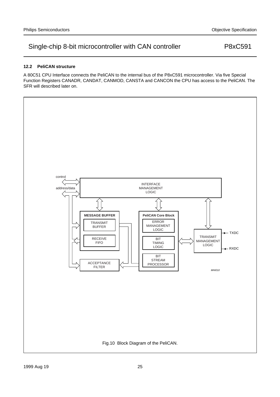### **12.2 PeliCAN structure**

A 80C51 CPU Interface connects the PeliCAN to the internal bus of the P8xC591 microcontroller. Via five Special Function Registers CANADR, CANDAT, CANMOD, CANSTA and CANCON the CPU has access to the PeliCAN. The SFR will described later on.

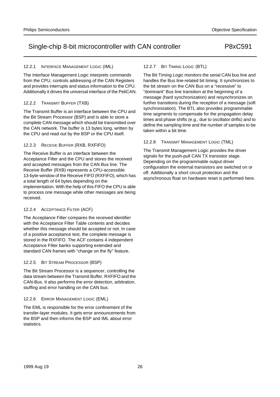#### 12.2.1 INTERFACE MANAGEMENT LOGIC (IML)

The Interface Management Logic interprets commands from the CPU, controls addressing of the CAN Registers and provides interrupts and status information to the CPU. Additionally it drives the universal interface of the PeliCAN.

#### 12.2.2 TRANSMIT BUFFER (TXB)

The Transmit Buffer is an interface between the CPU and the Bit Stream Processor (BSP) and is able to store a complete CAN message which should be transmitted over the CAN network. The buffer is 13 bytes long, written by the CPU and read out by the BSP or the CPU itself.

#### 12.2.3 RECEIVE BUFFER (RXB, RXFIFO)

The Receive Buffer is an interface between the Acceptance Filter and the CPU and stores the received and accepted messages from the CAN Bus line. The Receive Buffer (RXB) represents a CPU-accessible 13-byte-window of the Receive FIFO (RXFIFO), which has a total length of 64 bytes depending on the implementation. With the help of this FIFO the CPU is able to process one message while other messages are being received.

#### 12.2.4 ACCEPTANCE FILTER (ACF)

The Acceptance Filter compares the received identifier with the Acceptance Filter Table contents and decides whether this message should be accepted or not. In case of a positive acceptance test, the complete message is stored in the RXFIFO. The ACF contains 4 independent Acceptance Filter banks supporting extended and standard CAN frames with "change on the fly" feature.

#### 12.2.5 BIT STREAM PROCESSOR (BSP)

The Bit Stream Processor is a sequencer, controlling the data stream between the Transmit Buffer, RXFIFO and the CAN-Bus. It also performs the error detection, arbitration, stuffing and error handling on the CAN bus.

#### 12.2.6 ERROR MANAGEMENT LOGIC (EML)

The EML is responsible for the error confinement of the transfer-layer modules. It gets error announcements from the BSP and then informs the BSP and IML about error statistics.

#### 12.2.7 BIT TIMING LOGIC (BTL)

The Bit Timing Logic monitors the serial CAN bus line and handles the Bus line-related bit timing. It synchronizes to the bit stream on the CAN Bus on a "recessive" to "dominant" Bus line transition at the beginning of a message (hard synchronization) and resynchronizes on further transitions during the reception of a message (soft synchronization). The BTL also provides programmable time segments to compensate for the propagation delay times and phase shifts (e.g., due to oscillator drifts) and to define the sampling time and the number of samples to be taken within a bit time.

#### 12.2.8 TRANSMIT MANAGEMENT LOGIC (TML)

The Transmit Management Logic provides the driver signals for the push-pull CAN TX transistor stage. Depending on the programmable output driver configuration the external transistors are switched on or off. Additionally a short circuit protection and the asynchronous float on hardware reset is performed here.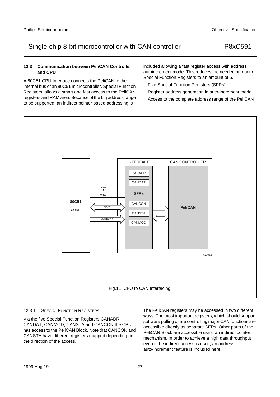#### **12.3 Communication between PeliCAN Controller and CPU**

A 80C51 CPU Interface connects the PeliCAN to the internal bus of an 80C51 microcontroller. Special Function Registers, allows a smart and fast access to the PeliCAN registers and RAM area. Because of the big address range to be supported, an indirect pointer based addressing is

included allowing a fast register access with address autoincrement mode. This reduces the needed number of Special Function Registers to an amount of 5.

- Five Special Function Registers (SFRs)
- Register address generation in auto-increment mode
- Access to the complete address range of the PeliCAN



#### 12.3.1 SPECIAL FUNCTION REGISTERS

Via the five Special Function Registers CANADR, CANDAT, CANMOD, CANSTA and CANCON the CPU has access to the PeliCAN Block. Note that CANCON and CANSTA have different registers mapped depending on the direction of the access.

The PeliCAN registers may be accessed in two different ways. The most important registers, which should support software polling or are controlling major CAN functions are accessible directly as separate SFRs. Other parts of the PeliCAN Block are accessible using an indirect pointer mechanism. In order to achieve a high data throughput even if the indirect access is used, an address auto-increment feature is included here.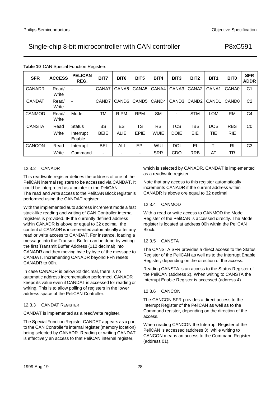| <b>SFR</b>    | <b>ACCESS</b>  | <b>PELICAN</b><br>REG. | BIT7           | BIT <sub>6</sub>  | BIT <sub>5</sub>         | BIT4        | BIT <sub>3</sub>  | BIT <sub>2</sub>  | BIT <sub>1</sub> | BIT <sub>0</sub>  | <b>SFR</b><br><b>ADDR</b> |
|---------------|----------------|------------------------|----------------|-------------------|--------------------------|-------------|-------------------|-------------------|------------------|-------------------|---------------------------|
| <b>CANADR</b> | Read/<br>Write |                        | CANA7          | CANA6             | CANA <sub>5</sub>        | CANA4       | CANA3             | CANA <sub>2</sub> | CANA1            | CANA0             | C <sub>1</sub>            |
| <b>CANDAT</b> | Read/<br>Write |                        | CAND7          | CAND <sub>6</sub> | CAND <sub>5</sub>        | CAND4       | CAND <sub>3</sub> | CAND <sub>2</sub> | CAND1            | CAND <sub>0</sub> | C <sub>2</sub>            |
| <b>CANMOD</b> | Read/<br>Write | Mode                   | ТM             | <b>RIPM</b>       | <b>RPM</b>               | <b>SM</b>   |                   | <b>STM</b>        | <b>LOM</b>       | <b>RM</b>         | C <sub>4</sub>            |
| <b>CANSTA</b> | Read           | <b>Status</b>          | <b>BS</b>      | ES                | <b>TS</b>                | <b>RS</b>   | <b>TCS</b>        | <b>TBS</b>        | <b>DOS</b>       | <b>RBS</b>        | C <sub>0</sub>            |
|               | Write          | Interrupt<br>Enable    | <b>BEIE</b>    | <b>ALIE</b>       | EPIE                     | <b>WUIE</b> | <b>DOIE</b>       | EIE               | TIE              | <b>RIE</b>        |                           |
| <b>CANCON</b> | Read           | Interrupt              | <b>BEI</b>     | ALI               | EPI                      | <b>WUI</b>  | <b>DOI</b>        | EI                | ΤI               | RI                | C <sub>3</sub>            |
|               | Write          | Command                | $\blacksquare$ |                   | $\overline{\phantom{0}}$ | <b>SRR</b>  | <b>CDO</b>        | <b>RRB</b>        | AT               | TR                |                           |

#### **Table 10** CAN Special Function Registers

#### 12.3.2 CANADR

This read/write register defines the address of one of the PeliCAN internal registers to be accessed via CANDAT. It could be interpreted as a pointer to the PeliCAN.

The read and write access to the PeliCAN Block register is performed using the CANDAT register.

With the implemented auto address increment mode a fast stack-like reading and writing of CAN Controller internal registers is provided. IF the currently defined address within CANADR is above or equal to 32 decimal, the content of CANADR is incremented automatically after any read or write access to CANDAT. For instance, loading a message into the Transmit Buffer can be done by writing the first Transmit Buffer Address (112 decimal) into CANADR and then moving byte by byte of the message to CANDAT. Incrementing CANADR beyond FFh resets CANADR to 00h.

In case CANADR is below 32 decimal, there is no automatic address incrementation performed. CANADR keeps its value even if CANDAT is accessed for reading or writing. This is to allow polling of registers in the lower address space of the PeliCAN Controller.

#### 12.3.3 CANDAT REGISTER

CANDAT is implemented as a read/write register.

The Special Function Register CANDAT appears as a port to the CAN Controller's internal register (memory location) being selected by CANADR. Reading or writing CANDAT is effectively an access to that PeliCAN internal register,

which is selected by CANADR. CANDAT is implemented as a read/write register.

Note that any access to this register automatically increments CANADR if the current address within CANADR is above ore equal to 32 decimal.

#### 12.3.4 CANMOD

With a read or write access to CANMOD the Mode Register of the PeliCAN is accessed directly. The Mode register is located at address 00h within the PeliCAN Block.

#### 12.3.5 CANSTA

The CANSTA SFR provides a direct access to the Status Register of the PeliCAN as well as to the Interrupt Enable Register, depending on the direction of the access.

Reading CANSTA is an access to the Status Register of the PeliCAN (address 2). When writing to CANSTA the Interrupt Enable Register is accessed (address 4).

#### 12.3.6 CANCON

The CANCON SFR provides a direct access to the Interrupt Register of the PeliCAN as well as to the Command register, depending on the direction of the access.

When reading CANCON the Interrupt Register of the PeliCAN is accessed (address 3), while writing to CANCON means an access to the Command Register (address 01).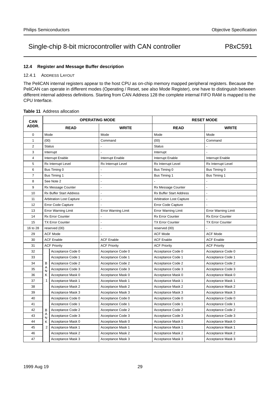#### **12.4 Register and Message Buffer description**

#### 12.4.1 ADDRESS LAYOUT

The PeliCAN internal registers appear to the host CPU as on-chip memory mapped peripheral registers. Because the PeliCAN can operate in different modes (Operating / Reset, see also Mode Register), one have to distinguish between different internal address definitions. Starting from CAN Address 128 the complete internal FIFO RAM is mapped to the CPU Interface.

#### **Table 11** Address allocation

| CAN         |                            | <b>OPERATING MODE</b>           |                            |                                 | <b>RESET MODE</b>          |  |
|-------------|----------------------------|---------------------------------|----------------------------|---------------------------------|----------------------------|--|
| ADDR.       |                            | <b>READ</b>                     | <b>WRITE</b>               | <b>READ</b>                     | <b>WRITE</b>               |  |
| $\mathbf 0$ | Mode                       |                                 | Mode                       | Mode                            | Mode                       |  |
| 1           | (00)                       |                                 | Command                    | (00)                            | Command                    |  |
| 2           | <b>Status</b>              |                                 |                            | <b>Status</b>                   |                            |  |
| 3           |                            | Interrupt                       |                            | Interrupt                       |                            |  |
| 4           |                            | Interrupt Enable                | Interrupt Enable           | Interrupt Enable                | Interrupt Enable           |  |
| 5           |                            | Rx Interrupt Level              | Rx Interrupt Level         | Rx Interrupt Level              | Rx Interrupt Level         |  |
| 6           |                            | Bus Timing 0                    |                            | Bus Timing 0                    | Bus Timing 0               |  |
| 7           |                            | Bus Timing 1                    |                            | Bus Timing 1                    | Bus Timing 1               |  |
| 8           |                            | See Note 2                      |                            |                                 |                            |  |
| 9           |                            | Rx Message Counter              |                            | Rx Message Counter              |                            |  |
| 10          |                            | <b>Rx Buffer Start Address</b>  |                            | Rx Buffer Start Address         | L,                         |  |
| 11          |                            | <b>Arbitration Lost Capture</b> |                            | <b>Arbitration Lost Capture</b> | L.                         |  |
| 12          |                            | <b>Error Code Capture</b>       |                            | <b>Error Code Capture</b>       |                            |  |
| 13          | <b>Error Warning Limit</b> |                                 | <b>Error Warning Limit</b> | <b>Error Warning Limit</b>      | <b>Error Warning Limit</b> |  |
| 14          | <b>Rx Error Counter</b>    |                                 |                            | Rx Error Counter                | <b>Rx Error Counter</b>    |  |
| 15          | <b>TX Error Counter</b>    |                                 |                            | <b>TX Error Counter</b>         | <b>TX Error Counter</b>    |  |
| 16 to 28    | reserved (00)              |                                 |                            | reserved (00)                   |                            |  |
| 29          |                            | <b>ACF Mode</b>                 |                            | <b>ACF Mode</b>                 | <b>ACF Mode</b>            |  |
| 30          |                            | <b>ACF Enable</b>               | <b>ACF Enable</b>          | <b>ACF Enable</b>               | <b>ACF Enable</b>          |  |
| 31          |                            | <b>ACF Priority</b>             | <b>ACF Priority</b>        | <b>ACF Priority</b>             | <b>ACF Priority</b>        |  |
| 32          |                            | Acceptance Code 0               | Acceptance Code 0          | Acceptance Code 0               | Acceptance Code 0          |  |
| 33          |                            | Acceptance Code 1               | Acceptance Code 1          | Acceptance Code 1               | Acceptance Code 1          |  |
| 34          | B                          | Acceptance Code 2               | Acceptance Code 2          | Acceptance Code 2               | Acceptance Code 2          |  |
| 35          | Α<br>N                     | Acceptance Code 3               | Acceptance Code 3          | Acceptance Code 3               | Acceptance Code 3          |  |
| 36          | K                          | Acceptance Mask 0               | Acceptance Mask 0          | Acceptance Mask 0               | Acceptance Mask 0          |  |
| 37          | $\mathbf{1}$               | Acceptance Mask 1               | Acceptance Mask 1          | Acceptance Mask 1               | Acceptance Mask 1          |  |
| 38          |                            | Acceptance Mask 2               | Acceptance Mask 2          | Acceptance Mask 2               | Acceptance Mask 2          |  |
| 39          |                            | Acceptance Mask 3               | Acceptance Mask 3          | Acceptance Mask 3               | Acceptance Mask 3          |  |
| 40          |                            | Acceptance Code 0               | Acceptance Code 0          | Acceptance Code 0               | Acceptance Code 0          |  |
| 41          |                            | Acceptance Code 1               | Acceptance Code 1          | Acceptance Code 1               | Acceptance Code 1          |  |
| 42          | B                          | Acceptance Code 2               | Acceptance Code 2          | Acceptance Code 2               | Acceptance Code 2          |  |
| 43          | A<br>N                     | Acceptance Code 3               | Acceptance Code 3          | Acceptance Code 3               | Acceptance Code 3          |  |
| 44          | Κ                          | Acceptance Mask 0               | Acceptance Mask 0          | Acceptance Mask 0               | Acceptance Mask 0          |  |
| 45          | 2                          | Acceptance Mask 1               | Acceptance Mask 1          | Acceptance Mask 1               | Acceptance Mask 1          |  |
| 46          |                            | Acceptance Mask 2               | Acceptance Mask 2          | Acceptance Mask 2               | Acceptance Mask 2          |  |
| 47          |                            | Acceptance Mask 3               | Acceptance Mask 3          | Acceptance Mask 3               | Acceptance Mask 3          |  |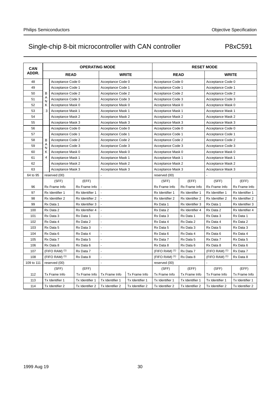| <b>CAN</b> |                   |                   | <b>OPERATING MODE</b> |                   |                   |                             |                   | <b>RESET MODE</b>           |                   |  |
|------------|-------------------|-------------------|-----------------------|-------------------|-------------------|-----------------------------|-------------------|-----------------------------|-------------------|--|
| ADDR.      |                   | <b>READ</b>       |                       |                   | <b>WRITE</b>      | <b>READ</b>                 |                   | <b>WRITE</b>                |                   |  |
| 48         |                   | Acceptance Code 0 |                       | Acceptance Code 0 |                   | Acceptance Code 0           |                   |                             | Acceptance Code 0 |  |
| 49         |                   | Acceptance Code 1 |                       | Acceptance Code 1 |                   | Acceptance Code 1           |                   | Acceptance Code 1           |                   |  |
| 50         | B                 | Acceptance Code 2 |                       | Acceptance Code 2 |                   | Acceptance Code 2           |                   | Acceptance Code 2           |                   |  |
| 51         | A<br>N            | Acceptance Code 3 |                       | Acceptance Code 3 |                   | Acceptance Code 3           |                   | Acceptance Code 3           |                   |  |
| 52         | ĸ                 | Acceptance Mask 0 |                       |                   | Acceptance Mask 0 |                             | Acceptance Mask 0 |                             | Acceptance Mask 0 |  |
| 53         | 3                 | Acceptance Mask 1 |                       | Acceptance Mask 1 |                   | Acceptance Mask 1           |                   | Acceptance Mask 1           |                   |  |
| 54         |                   | Acceptance Mask 2 |                       | Acceptance Mask 2 |                   | Acceptance Mask 2           |                   | Acceptance Mask 2           |                   |  |
| 55         |                   | Acceptance Mask 3 |                       | Acceptance Mask 3 |                   | Acceptance Mask 3           |                   | Acceptance Mask 3           |                   |  |
| 56         |                   | Acceptance Code 0 |                       | Acceptance Code 0 |                   | Acceptance Code 0           |                   | Acceptance Code 0           |                   |  |
| 57         |                   | Acceptance Code 1 |                       | Acceptance Code 1 |                   | Acceptance Code 1           |                   | Acceptance Code 1           |                   |  |
| 58         | B                 | Acceptance Code 2 |                       | Acceptance Code 2 |                   | Acceptance Code 2           |                   | Acceptance Code 2           |                   |  |
| 59         | Α<br>N            | Acceptance Code 3 |                       | Acceptance Code 3 |                   | Acceptance Code 3           |                   | Acceptance Code 3           |                   |  |
| 60         | κ                 | Acceptance Mask 0 |                       | Acceptance Mask 0 |                   | Acceptance Mask 0           |                   | Acceptance Mask 0           |                   |  |
| 61         | $\overline{4}$    | Acceptance Mask 1 |                       | Acceptance Mask 1 |                   | Acceptance Mask 1           |                   | Acceptance Mask 1           |                   |  |
| 62         |                   | Acceptance Mask 2 |                       | Acceptance Mask 2 |                   | Acceptance Mask 2           |                   | Acceptance Mask 2           |                   |  |
| 63         | Acceptance Mask 3 |                   | Acceptance Mask 3     |                   | Acceptance Mask 3 |                             | Acceptance Mask 3 |                             |                   |  |
| 64 to 95   | reserved (00)     |                   |                       |                   | reserved (00)     |                             |                   |                             |                   |  |
|            |                   | (SFF)             | (EFF)                 |                   |                   | (SFF)                       | (EFF)             | (SFF)                       | (EFF)             |  |
| 96         |                   | Rx Frame Info     | Rx Frame Info         |                   |                   | Rx Frame Info               | Rx Frame Info     | Rx Frame Info               | Rx Frame Info     |  |
| 97         |                   | Rx Identifier 1   | Rx Identifier 1       |                   |                   | Rx Identifier 1             | Rx Identifier 1   | Rx Identifier 1             | Rx Identifier 1   |  |
| 98         |                   | Rx Identifier 2   | Rx Identifier 2       |                   |                   | Rx Identifier 2             | Rx Identifier 2   | Rx Identifier 2             | Rx Identifier 2   |  |
| 99         |                   | Rx Data 1         | Rx Identifier 3       |                   |                   | Rx Data 1                   | Rx Identifier 3   | Rx Data 1                   | Rx Identifier 3   |  |
| 100        |                   | Rx Data 2         | Rx Identifier 4       |                   |                   | Rx Data 2                   | Rx Identifier 4   | Rx Data 2                   | Rx Identifier 4   |  |
| 101        |                   | Rx Data 3         | Rx Data 1             |                   |                   | Rx Data 3                   | Rx Data 1         | Rx Data 3                   | Rx Data 1         |  |
| 102        |                   | Rx Data 4         | Rx Data 2             |                   |                   | Rx Data 4                   | Rx Data 2         | Rx Data 4                   | Rx Data 2         |  |
| 103        |                   | Rx Data 5         | Rx Data 3             |                   |                   | Rx Data 5                   | Rx Data 3         | Rx Data 5                   | Rx Data 3         |  |
| 104        |                   | Rx Data 6         | Rx Data 4             |                   |                   | Rx Data 6                   | Rx Data 4         | Rx Data 6                   | Rx Data 4         |  |
| 105        |                   | Rx Data 7         | Rx Data 5             |                   |                   | Rx Data 7                   | Rx Data 5         | Rx Data 7                   | Rx Data 5         |  |
| 106        |                   | Rx Data 8         | Rx Data 6             |                   |                   | Rx Data 8                   | Rx Data 6         | Rx Data 8                   | Rx Data 6         |  |
| 107        |                   | $(FIFO RAM)$ (1)  | Rx Data 7             |                   |                   | $(FIFO RAM)$ <sup>(1)</sup> | Rx Data 7         | $(FIFO RAM)$ <sup>(1)</sup> | Rx Data 7         |  |
| 108        |                   | $(FIFO RAM)$ (1)  | Rx Data 8             |                   |                   | $(FIFO RAM)$ <sup>(1)</sup> | Rx Data 8         | $(FIFO RAM)$ <sup>(1)</sup> | Rx Data 8         |  |
| 109 to 111 |                   | reserved (00)     |                       |                   |                   | reserved (00)               |                   |                             |                   |  |
|            |                   | (SFF)             | (EFF)                 |                   |                   |                             | (EFF)             | (SFF)                       | (EFF)             |  |
| 112        |                   | Tx Frame Info     | Tx Frame Info         | Tx Frame Info     | Tx Frame Info     | Tx Frame Info               | Tx Frame Info     | Tx Frame Info               | Tx Frame Info     |  |
| 113        |                   | Tx Identifier 1   | Tx Identifier 1       | Tx Identifier 1   | Tx Identifier 1   | Tx Identifier 1             | Tx Identifier 1   | Tx Identifier 1             | Tx Identifier 1   |  |
| 114        |                   | Tx Identifier 2   | Tx Identifier 2       | Tx Identifier 2   | Tx Identifier 2   | Tx Identifier 2             | Tx Identifier 2   | Tx Identifier 2             | Tx Identifier 2   |  |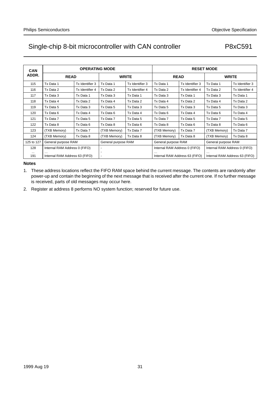| <b>CAN</b>      |                                     | <b>OPERATING MODE</b> |                        |                 | <b>RESET MODE</b>              |                     |                                |                     |  |
|-----------------|-------------------------------------|-----------------------|------------------------|-----------------|--------------------------------|---------------------|--------------------------------|---------------------|--|
| ADDR.           | <b>READ</b>                         |                       | <b>WRITE</b>           |                 |                                | <b>READ</b>         | <b>WRITE</b>                   |                     |  |
| 115             | Tx Data 1                           | Tx Identifier 3       | Tx Data 1              | Tx Identifier 3 | Tx Data 1                      | Tx Identifier 3     | Tx Data 1                      | Tx Identifier 3     |  |
| 116             | Tx Data 2                           | Tx Identifier 4       | Tx Data 2              | Tx Identifier 4 | Tx Data 2                      | Tx Identifier 4     | Tx Data 2                      | Tx Identifier 4     |  |
| 117             | Tx Data 3                           | Tx Data 1             | Tx Data 3              | Tx Data 1       | Tx Data 3                      | Tx Data 1           | Tx Data 3                      | Tx Data 1           |  |
| 118             | Tx Data 4                           | Tx Data 2             | Tx Data 4              | Tx Data 2       | Tx Data 4                      | Tx Data 2           | Tx Data 4                      | Tx Data 2           |  |
| 119             | Tx Data 5                           | Tx Data 3             | Tx Data 5              | Tx Data 3       | Tx Data 5                      | Tx Data 3           | Tx Data 5                      | Tx Data 3           |  |
| 120             | Tx Data 6                           | Tx Data 4             | Tx Data 6<br>Tx Data 4 |                 | Tx Data 6                      | Tx Data 4           | Tx Data 6                      | Tx Data 4           |  |
| 121             | Tx Data 7                           | Tx Data 5             | Tx Data 7              | Tx Data 5       | Tx Data 7                      | Tx Data 5           | Tx Data 7                      | Tx Data 5           |  |
| 122             | Tx Data 8                           | Tx Data 6             | Tx Data 8              | Tx Data 6       | Tx Data 8                      | Tx Data 6           | Tx Data 8                      | Tx Data 6           |  |
| 123             | (TXB Memory)                        | Tx Data 7             | (TXB Memory)           | Tx Data 7       | (TXB Memory)                   | Tx Data 7           | (TXB Memory)                   | Tx Data 7           |  |
| 124             | (TXB Memory)                        | Tx Data 8             | (TXB Memory)           | Tx Data 8       | (TXB Memory)                   | Tx Data 8           | (TXB Memory)                   | Tx Data 8           |  |
| 125 to 127      | General purpose RAM                 |                       | General purpose RAM    |                 |                                | General purpose RAM |                                | General purpose RAM |  |
| 128             | Internal RAM Address 0 (FIFO)       |                       | ٠                      |                 | Internal RAM Address 0 (FIFO)  |                     | Internal RAM Address 0 (FIFO)  |                     |  |
| $\cdots$<br>191 | .<br>Internal RAM Address 63 (FIFO) |                       |                        |                 | Internal RAM Address 63 (FIFO) |                     | Internal RAM Address 63 (FIFO) |                     |  |

#### **Notes**

1. These address locations reflect the FIFO RAM space behind the current message. The contents are randomly after power-up and contain the beginning of the next message that is received after the current one. If no further message is received, parts of old messages may occur here.

2. Register at address 8 performs NO system function; reserved for future use.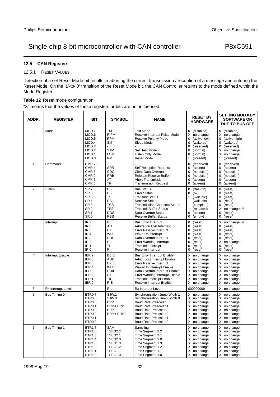#### **12.5 CAN Registers**

#### 12.5.1 RESET VALUES

Detection of a set Reset Mode bit results in aborting the current transmission / reception of a message and entering the Reset Mode. On the '1'-to-'0' transition of the Reset Mode bit, the CAN Controller returns to the mode defined within the Mode Register.

#### **Table 12** Reset mode configuration

"X" means that the values of these registers or bits are not influenced.

| ADDR.          | <b>REGISTER</b>    | <b>BIT</b>                                                                                                                           | <b>SYMBOL</b>                                                                                                              | <b>NAME</b>                                                                                                                                                                                                                                                  | <b>RESET BY</b><br><b>HARDWARE</b>                                                                                                                                                              | <b>SETTING MOD.0 BY</b><br><b>SOFTWARE OR</b><br><b>DUE TO BUS-OFF</b>                                                                                                   |
|----------------|--------------------|--------------------------------------------------------------------------------------------------------------------------------------|----------------------------------------------------------------------------------------------------------------------------|--------------------------------------------------------------------------------------------------------------------------------------------------------------------------------------------------------------------------------------------------------------|-------------------------------------------------------------------------------------------------------------------------------------------------------------------------------------------------|--------------------------------------------------------------------------------------------------------------------------------------------------------------------------|
| 0              | Mode               | MOD.7<br>MOD.6<br>MOD.5<br>MOD.4<br>MOD.3<br>MOD <sub>2</sub><br>MOD.1<br>MOD.0                                                      | <b>TM</b><br><b>RIPM</b><br><b>RPM</b><br><b>SM</b><br><b>STM</b><br><b>LOM</b><br><b>RM</b>                               | <b>Test Mode</b><br>Receive Interrupt Pulse Mode<br><b>Receive Polarity Mode</b><br>Sleep Mode<br>Self Test Mode<br>Listen Only Mode<br>Reset Mode                                                                                                           | (disabled)<br>$\mathbf{0}$<br>X no change<br>$\Omega$<br>(active low)<br>$\mathbf 0$<br>(wake-up)<br>$\mathbf 0$<br>(reserved)<br>0<br>(normal)<br>0<br>(normal)<br>$\mathbf{1}$<br>(present)   | 0 (disabled)<br>X no change<br>$\Omega$<br>(active high)<br>$\mathbf 0$<br>(wake-up)<br>(reserved)<br>0<br>no change<br>X<br>no change<br>X<br>$\mathbf{1}$<br>(present) |
| $\mathbf{1}$   | Command            | <b>CMR.7-5</b><br>CMR.4<br>CMR.3<br>CMR.2<br>CMR.1<br>CMR.0                                                                          | <b>SRR</b><br>CDO<br><b>RRB</b><br>AT<br><b>TR</b>                                                                         | <b>Self Reception Request</b><br>Clear Data Overrun<br>Release Receive Buffer<br><b>Abort Transmission</b><br><b>Transmission Request</b>                                                                                                                    | $\mathbf 0$<br>(reserved)<br>$\pmb{0}$<br>(absent)<br>0<br>(no action)<br>$\mathbf 0$<br>(no action)<br>$\mathbf 0$<br>(absent)<br>$\mathbf 0$<br>(absent)                                      | (reserved)<br>0<br>(absent)<br>0<br>(no action)<br>0<br>$\mathbf 0$<br>(no action)<br>(absent)<br>0<br>$\mathbf 0$<br>(absent)                                           |
| $\overline{2}$ | <b>Status</b>      | SR.7<br>SR.6<br><b>SR.5</b><br>SR.4<br>SR <sub>3</sub><br>SR <sub>2</sub><br><b>SR.1</b><br>SR.0                                     | <b>BS</b><br>ES<br>TS<br><b>RS</b><br><b>TCS</b><br><b>TBS</b><br><b>DOS</b><br><b>RBS</b>                                 | <b>Bus Status</b><br><b>Error Status</b><br><b>Transmit Status</b><br><b>Receive Status</b><br><b>Transmission Complete Status</b><br><b>Transmit Buffer Status</b><br>Data Overrun Status<br><b>Receive Buffer Status</b>                                   | 0<br>(Bus-On)<br>0<br>(ok)<br>$\mathbf{1}$<br>(wait idle)<br>$\mathbf{1}$<br>(wait idle)<br>$\mathbf{1}$<br>(complete)<br>$\mathbf{1}$<br>(released)<br>$\mathbf 0$<br>(absent)<br>0<br>(empty) | $\mathbf 0$<br>(reset)<br>(reset)<br>0<br>0<br>(reset)<br>0<br>(reset)<br>0<br>(reset)<br>no change (1)<br>X<br>(reset)<br>$\mathbf 0$<br>(reset)<br>0                   |
| 3              | Interrupt          | IR.7<br>IR.6<br>IR.5<br>IR.4<br>IR.3<br>IR.2<br>IR.1<br>IR.0                                                                         | <b>BEI</b><br>ALI<br>EPI<br>WUI<br>DOI<br>ΕI<br>ΤI<br><b>RI</b>                                                            | <b>Bus Error Interrupt</b><br>Arbitration Lost Interrupt<br>Error Passive Interrupt<br>Wake-Up Interrupt<br>Data Overrun Interrupt<br><b>Error Warning Interrupt</b><br><b>Transmit Interrupt</b><br>Receive Interrupt                                       | $\mathbf 0$<br>(reset)<br>$\mathbf 0$<br>(reset)<br>$\mathbf 0$<br>(reset)<br>$\Omega$<br>(reset)<br>0<br>(reset)<br>$\mathbf 0$<br>(reset)<br>0<br>(reset)<br>0<br>(reset)                     | X<br>no change $(1)$<br>(reset)<br>$\mathbf 0$<br>(reset)<br>$\mathbf 0$<br>$\mathbf 0$<br>(reset)<br>(reset)<br>0<br>X<br>no change<br>(reset)<br>0<br>0<br>(reset)     |
| $\overline{4}$ | Interrupt Enable   | IER.7<br>IER.6<br>IER.5<br>IER.4<br>IER.3<br>IER.2<br>IER.1<br>IER.0                                                                 | <b>BEIE</b><br><b>ALIE</b><br><b>EPIE</b><br><b>WUIE</b><br><b>DOIE</b><br>EIE<br><b>TIE</b><br><b>RIE</b>                 | <b>Bus Error Interrupt Enable</b><br>Arbitr. Lost Interrupt Enable<br>Error Passive Interrupt<br>Wake-Up Interrupt Enable<br>Data Overrun Interrupt Enable<br>Error Warning Interrupt Enable<br><b>Transmit Interrupt Enable</b><br>Receive Interrupt Enable | X<br>no change<br>no change<br>X<br>X<br>no change<br>X<br>no change<br>no change<br>Χ<br>X<br>no change<br>X<br>no change<br>X<br>no change                                                    | X no change<br>X no change<br>X no change<br>X no change<br>X<br>no change<br>X<br>no change<br>X<br>no change<br>Χ<br>no change                                         |
| 5              | Rx Interrupt Level |                                                                                                                                      | <b>RIL</b>                                                                                                                 | Rx Interrupt Level                                                                                                                                                                                                                                           | 00000000b                                                                                                                                                                                       | X no change                                                                                                                                                              |
| 6              | Bus Timing 0       | BTR0.7<br><b>BTR0.6</b><br><b>BTR0.5</b><br>BTR <sub>0.4</sub><br>BTR0.3<br><b>BTR0.2</b><br>BTR <sub>0.1</sub><br>BTR0.0            | SJW.1<br>SJW.0<br>BRP <sub>5</sub><br>BRP.4 BRP.3<br>BRP <sub>2</sub><br>BRP.1 BRP.0                                       | Synchronization Jump Width 1<br>Synchronization Jump Width 0<br><b>Baud Rate Prescaler 5</b><br>Baud Rate Prescaler 4<br>Baud Rate Prescaler 3<br><b>Baud Rate Prescaler 2</b><br>Baud Rate Prescaler 1<br>Baud Rate Prescaler 0                             | X no change<br>X no change<br>no change<br>Χ<br>X<br>no change<br>X<br>no change<br>X<br>no change<br>X<br>no change<br>Χ<br>no change                                                          | X no change<br>X no change<br>X<br>no change<br>X<br>no change<br>X<br>no change<br>X<br>no change<br>X<br>no change<br>Χ<br>no change                                   |
| $\overline{7}$ | Bus Timing 1       | <b>BTR1.7</b><br><b>BTR1.6</b><br><b>BTR1.5</b><br><b>BTR1.4</b><br><b>BTR1.3</b><br><b>BTR1.2</b><br><b>BTR1.1</b><br><b>BTR1.0</b> | <b>SAM</b><br><b>TSEG2.2</b><br><b>TSEG2.1</b><br><b>TSEG2.0</b><br><b>TSEG1.3</b><br><b>TSEG1.2</b><br>TSEG1.1<br>TSEG1.0 | Sampling<br>Time Segment 2.2<br>Time Segment 2.1<br>Time Segment 2.0<br>Time Segment 1.3<br>Time Segment 1.2<br>Time Segment 1.1<br>Time Segment 1.0                                                                                                         | X<br>no change<br>X<br>no change<br>X<br>no change<br>X<br>no change<br>X<br>no change<br>X<br>no change<br>Χ<br>no change<br>X<br>no change                                                    | X<br>no change<br>X no change<br>X<br>no change<br>X no change<br>no change<br>X<br>no change<br>X<br>X no change<br>X no change                                         |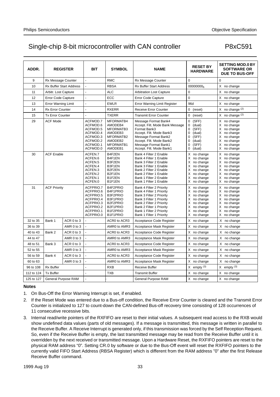| ADDR.      | <b>REGISTER</b>         |                         | <b>BIT</b>                                                                                           | <b>SYMBOL</b>                                                                                | <b>NAME</b>                                                                                                                                                                                                                  | <b>RESET BY</b><br><b>HARDWARE</b>                                                                                                        | <b>SETTING MOD.0 BY</b><br><b>SOFTWARE OR</b><br><b>DUE TO BUS-OFF</b>                                                                 |
|------------|-------------------------|-------------------------|------------------------------------------------------------------------------------------------------|----------------------------------------------------------------------------------------------|------------------------------------------------------------------------------------------------------------------------------------------------------------------------------------------------------------------------------|-------------------------------------------------------------------------------------------------------------------------------------------|----------------------------------------------------------------------------------------------------------------------------------------|
| 9          | Rx Message Counter      |                         | $\overline{a}$                                                                                       | <b>RMC</b>                                                                                   | Rx Message Counter                                                                                                                                                                                                           | 0                                                                                                                                         | $\mathbf 0$                                                                                                                            |
| 10         |                         | Rx Buffer Start Address | $\overline{a}$                                                                                       | <b>RBSA</b>                                                                                  | Rx Buffer Start Address                                                                                                                                                                                                      | 00000000 <sub>b</sub>                                                                                                                     | X no change                                                                                                                            |
| 11         | Arbitr. Lost Capture    |                         | L                                                                                                    | <b>ALC</b>                                                                                   | <b>Arbitration Lost Capture</b><br>0                                                                                                                                                                                         |                                                                                                                                           | X no change                                                                                                                            |
| 12         | Error Code Capture      |                         | L                                                                                                    | ECC                                                                                          | Error Code Capture                                                                                                                                                                                                           | $\Omega$                                                                                                                                  | X no change                                                                                                                            |
| 13         | Error Warning Limit     |                         |                                                                                                      | <b>EWLR</b>                                                                                  | Error Warning Limit Register                                                                                                                                                                                                 | 96d                                                                                                                                       | X no change                                                                                                                            |
| 14         | <b>Rx Error Counter</b> |                         | L                                                                                                    | <b>RXERR</b>                                                                                 | <b>Receive Error Counter</b><br>$0$ (reset)                                                                                                                                                                                  |                                                                                                                                           | X no change $(2)$                                                                                                                      |
| 15         | <b>Tx Error Counter</b> |                         |                                                                                                      | <b>TXERR</b>                                                                                 | <b>Transmit Error Counter</b>                                                                                                                                                                                                | 0<br>(reset)                                                                                                                              | X no change $(2)$                                                                                                                      |
| 29         | <b>ACF Mode</b>         |                         | ACFMOD.7<br>ACFMOD.6<br>ACFMOD.5<br>ACFMOD.4<br>ACFMOD.3<br>ACFMOD.2<br>ACFMOD.1<br>ACFMOD.0         | MFORMATB4<br>AMODEB4<br>MFORMATB3<br>AMODEB3<br>MFORMATB2<br>AMODEB2<br>MFORMATB1<br>AMODEB1 | Message Format Bank4<br>Accept. Filt. Mode Bank Message<br>Format Bank3<br>Accept. Filt. Mode Bank3<br>Message Format Bank2<br>Accept. Filt. Mode Bank2<br>Message Format Bank1<br>Accept. Filt. Mode Bank1                  | (SFF)<br>0<br>(dual)<br>0<br>0<br>(SFF)<br>$\Omega$<br>(dual)<br>(SFF)<br>0<br>$\Omega$<br>(dual)<br>(SFF)<br>0<br>(dual)<br>0            | X no change<br>X no change<br>X no change<br>no change<br>X<br>X no change<br>Χ<br>no change<br>X<br>no change<br>X<br>no change       |
| 30         | <b>ACF Enable</b>       |                         | ACFEN.7<br>ACFEN.6<br>ACFEN.5<br>ACFEN.4<br>ACFEN.3<br>ACFEN.2<br>ACFEN.1<br>ACFEN.0                 | B4F2EN<br>B4F1EN<br>B3F2EN<br>B3F1EN<br>B2F2EN<br>B2F1EN<br>B1F2EN<br>B1F1EN                 | Bank 4 Filter 2 Enable<br>Bank 4 Filter 1 Enable<br>Bank 3 Filter 2 Enable<br>Bank 3 Filter 1 Enable<br>Bank 2 Filter 2 Enable<br>Bank 2 Filter 1 Enable<br>Bank 1 Filter 2 Enable<br>Bank 1 Filter 1 Enable                 | X no change<br>no change<br>X<br>X no change<br>no change<br>X<br>X<br>no change<br>X<br>no change<br>X<br>no change<br>X<br>no change    | X no change<br>X<br>no change<br>X no change<br>no change<br>X<br>X<br>no change<br>X<br>no change<br>X<br>no change<br>Χ<br>no change |
| 31         | <b>ACF Priority</b>     |                         | ACFPRIO.7<br>ACFPRIO.6<br>ACFPRIO.5<br>ACFPRIO.4<br>ACFPRIO.3<br>ACFPRIO.2<br>ACFPRIO.1<br>ACFPRIO.0 | B4F2PRIO<br>B4F1PRIO<br>B3F2PRIO<br>B3F1PRIO<br>B2F2PRIO<br>B2F1PRIO<br>B1F2PRIO<br>B1F1PRIO | Bank 4 Filter 2 Priority<br>Bank 4 Filter 1 Priority<br>Bank 3 Filter 2 Priority<br>Bank 3 Filter 1 Priority<br>Bank 2 Filter 2 Priority<br>Bank 2 Filter 1 Priority<br>Bank 1 Filter 2 Priority<br>Bank 1 Filter 1 Priority | X no change<br>no change<br>X<br>X<br>no change<br>X<br>no change<br>X<br>no change<br>X<br>no change<br>no change<br>X<br>X<br>no change | X no change<br>X no change<br>X<br>no change<br>no change<br>X<br>X<br>no change<br>X<br>no change<br>X<br>no change<br>X<br>no change |
| 32 to 35   | Bank 1                  | ACR 0 to 3              |                                                                                                      | ACR0 to ACR3                                                                                 | Acceptance Code Register                                                                                                                                                                                                     | X no change                                                                                                                               | X no change                                                                                                                            |
| 36 to 39   |                         | AMR 0 to 3              | $\overline{a}$                                                                                       | AMR0 to AMR3                                                                                 | Acceptance Mask Register                                                                                                                                                                                                     | X no change                                                                                                                               | X no change                                                                                                                            |
| 40 to 43   | Bank 2                  | ACR 0 to 3              | $\overline{a}$                                                                                       | ACR0 to ACR3                                                                                 | Acceptance Code Register                                                                                                                                                                                                     | X no change                                                                                                                               | X no change                                                                                                                            |
| 44 to 47   | AMR 0 to 3              |                         | $\overline{\phantom{0}}$                                                                             | AMR0 to AMR3                                                                                 | Acceptance Mask Register                                                                                                                                                                                                     | X no change                                                                                                                               | X no change                                                                                                                            |
| 48 to 51   | Bank 3<br>ACR 0 to 3    |                         | -                                                                                                    | ACR0 to ACR3                                                                                 | Acceptance Code Register                                                                                                                                                                                                     | X no change                                                                                                                               | X no change                                                                                                                            |
| 52 to 55   | AMR 0 to 3              |                         | $\overline{\phantom{0}}$                                                                             | AMR0 to AMR3                                                                                 | Acceptance Mask Register                                                                                                                                                                                                     | X no change                                                                                                                               | X no change                                                                                                                            |
| 56 to 59   | Bank 4<br>ACR 0 to 3    |                         | $\overline{\phantom{a}}$                                                                             | ACR0 to ACR3                                                                                 | Acceptance Code Register                                                                                                                                                                                                     | X no change                                                                                                                               | X no change                                                                                                                            |
| 60 to 63   | AMR 0 to 3              |                         | $\overline{a}$                                                                                       | AMR0 to AMR3                                                                                 | Acceptance Mask Register                                                                                                                                                                                                     | X no change                                                                                                                               | X no change                                                                                                                            |
| 96 to 108  | <b>Rx Buffer</b>        |                         | L                                                                                                    | <b>RXB</b>                                                                                   | Receive Buffer                                                                                                                                                                                                               | $X$ empty $(3)$                                                                                                                           | $X$ empty $(3)$                                                                                                                        |
| 112 to 124 | <b>Tx Buffer</b>        |                         | L                                                                                                    | <b>TXB</b>                                                                                   | <b>Transmit Buffer</b>                                                                                                                                                                                                       | X no change                                                                                                                               | X no change                                                                                                                            |
| 125 to 127 | General Purpose RAM     |                         | $\overline{\phantom{0}}$                                                                             | L                                                                                            | <b>General Purpose RAM</b>                                                                                                                                                                                                   | X no change                                                                                                                               | X no change                                                                                                                            |

#### **Notes**

- 1. On Bus-Off the Error Warning Interrupt is set, if enabled.
- 2. If the Reset Mode was entered due to a Bus-off condition, the Receive Error Counter is cleared and the Transmit Error Counter is initialized to 127 to count-down the CAN-defined Bus-off recovery time consisting of 128 occurrences of 11 consecutive recessive bits.
- 3. Internal read/write pointers of the RXFIFO are reset to their initial values. A subsequent read access to the RXB would show undefined data values (parts of old messages). If a message is transmitted, this message is written in parallel to the Receive Buffer. A Receive Interrupt is generated only, if this transmission was forced by the Self Reception Request. So, even if the Receive Buffer is empty, the last transmitted message may be read from the Receive Buffer until it is overridden by the next received or transmitted message. Upon a Hardware Reset, the RXFIFO pointers are reset to the physical RAM address "0". Setting CR.0 by software or due to the Bus-Off event will reset the RXFIFO pointers to the currently valid FIFO Start Address (RBSA Register) which is different from the RAM address "0" after the first Release Receive Buffer command.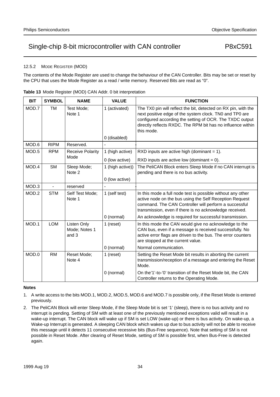#### 12.5.2 MODE REGISTER (MOD)

The contents of the Mode Register are used to change the behaviour of the CAN Controller. Bits may be set or reset by the CPU that uses the Mode Register as a read / write memory. Reserved Bits are read as "0".

| <b>BIT</b> | <b>SYMBOL</b>     | <b>NAME</b>                           | <b>VALUE</b>     | <b>FUNCTION</b>                                                                                                                                                                                                                                                    |
|------------|-------------------|---------------------------------------|------------------|--------------------------------------------------------------------------------------------------------------------------------------------------------------------------------------------------------------------------------------------------------------------|
| MOD.7      | TM                | Test Mode;<br>Note 1                  | 1 (activated)    | The TX0 pin will reflect the bit, detected on RX pin, with the<br>next positive edge of the system clock. TN0 and TP0 are<br>configured according the setting of OCR. The TXDC output<br>directly reflects RXDC. The RPM bit has no influence within<br>this mode. |
|            |                   |                                       | 0 (disabled)     |                                                                                                                                                                                                                                                                    |
| MOD.6      | <b>RIPM</b>       | Reserved.                             |                  |                                                                                                                                                                                                                                                                    |
| MOD.5      | <b>RPM</b>        | Receive Polarity                      | 1 (high active)  | RXD inputs are active high (dominant $= 1$ ).                                                                                                                                                                                                                      |
|            |                   | Mode                                  | 0 (low active)   | RXD inputs are active low (dominant $= 0$ ).                                                                                                                                                                                                                       |
| MOD.4      | <b>SM</b>         | Sleep Mode;<br>Note 2                 | 1 (high active)) | The PeliCAN Block enters Sleep Mode if no CAN interrupt is<br>pending and there is no bus activity.                                                                                                                                                                |
|            |                   |                                       | 0 (low active)   |                                                                                                                                                                                                                                                                    |
| MOD.3      | $\qquad \qquad -$ | reserved                              |                  |                                                                                                                                                                                                                                                                    |
| MOD.2      | <b>STM</b>        | Self Test Mode;<br>Note 1             | 1 (self test)    | In this mode a full node test is possible without any other<br>active node on the bus using the Self Reception Request<br>command. The CAN Controller will perform a successful<br>transmission, even if there is no acknowledge received.                         |
|            |                   |                                       | 0 (normal)       | An acknowledge is required for successful transmission.                                                                                                                                                                                                            |
| MOD.1      | <b>LOM</b>        | Listen Only<br>Mode; Notes 1<br>and 3 | 1 (reset)        | In this mode the CAN would give no acknowledge to the<br>CAN bus, even if a message is received successfully. No<br>active error flags are driven to the bus. The error counters<br>are stopped at the current value.                                              |
|            |                   |                                       | 0 (normal)       | Normal communication.                                                                                                                                                                                                                                              |
| MOD.0      | <b>RM</b>         | Reset Mode;<br>Note 4                 | 1 (reset)        | Setting the Reset Mode bit results in aborting the current<br>transmission/reception of a message and entering the Reset<br>Mode.                                                                                                                                  |
|            |                   |                                       | 0 (normal)       | On the'1'-to-'0' transition of the Reset Mode bit, the CAN<br>Controller returns to the Operating Mode.                                                                                                                                                            |

**Table 13** Mode Register (MOD) CAN Addr. 0 bit interpretation

#### **Notes**

1. A write access to the bits MOD.1, MOD.2, MOD.5, MOD.6 and MOD.7 is possible only, if the Reset Mode is entered previously.

2. The PeliCAN Block will enter Sleep Mode, if the Sleep Mode bit is set '1' (sleep), there is no bus activity and no interrupt is pending. Setting of SM with at least one of the previously mentioned exceptions valid will result in a wake-up interrupt. The CAN block will wake up if SM is set LOW (wake-up) or there is bus activity. On wake-up, a Wake-up Interrupt is generated. A sleeping CAN block which wakes up due to bus activity will not be able to receive this message until it detects 11 consecutive recessive bits (Bus-Free sequence). Note that setting of SM is not possible in Reset Mode. After clearing of Reset Mode, setting of SM is possible first, when Bus-Free is detected again.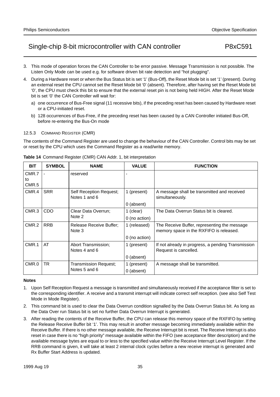- 3. This mode of operation forces the CAN Controller to be error passive. Message Transmission is not possible. The Listen Only Mode can be used e.g. for software driven bit rate detection and "hot plugging".
- 4. During a Hardware reset or when the Bus Status bit is set '1' (Bus-Off), the Reset Mode bit is set '1' (present). During an external reset the CPU cannot set the Reset Mode bit '0' (absent). Therefore, after having set the Reset Mode bit '0', the CPU must check this bit to ensure that the external reset pin is not being held HIGH. After the Reset Mode bit is set '0' the CAN Controller will wait for:
	- a) one occurrence of Bus-Free signal (11 recessive bits), if the preceding reset has been caused by Hardware reset or a CPU-initiated reset.
	- b) 128 occurrences of Bus-Free, if the preceding reset has been caused by a CAN Controller initiated Bus-Off, before re-entering the Bus-On mode

#### 12.5.3 COMMAND REGISTER (CMR)

The contents of the Command Register are used to change the behaviour of the CAN Controller. Control bits may be set or reset by the CPU which uses the Command Register as a read/write memory.

| <b>BIT</b>   | <b>SYMBOL</b> | <b>NAME</b>                              | <b>VALUE</b>  | <b>FUNCTION</b>                                                                         |
|--------------|---------------|------------------------------------------|---------------|-----------------------------------------------------------------------------------------|
| CMR.7        |               | reserved                                 |               |                                                                                         |
| to<br>CMR.5  |               |                                          |               |                                                                                         |
|              |               |                                          |               |                                                                                         |
| CMR.4        | <b>SRR</b>    | Self Reception Request;<br>Notes 1 and 6 | 1 (present)   | A message shall be transmitted and received<br>simultaneously.                          |
|              |               |                                          | 0 (absent)    |                                                                                         |
| CMR.3<br>CDO |               | Clear Data Overrun;                      | 1 (clear)     | The Data Overrun Status bit is cleared.                                                 |
|              |               | Note 2                                   | 0 (no action) |                                                                                         |
| CMR.2        | <b>RRB</b>    | <b>Release Receive Buffer:</b><br>Note 3 | 1 (released)  | The Receive Buffer, representing the message<br>memory space in the RXFIFO is released. |
|              |               |                                          | 0 (no action) |                                                                                         |
| CMR.1        | AT            | Abort Transmission:<br>Notes 4 and 6     | 1 (present)   | If not already in progress, a pending Transmission<br>Request is cancelled.             |
|              |               |                                          | 0 (absent)    |                                                                                         |
| CMR.0        | TR            | Transmission Request;<br>Notes 5 and 6   | 1 (present)   | A message shall be transmitted.                                                         |
|              |               |                                          | 0 (absent)    |                                                                                         |

**Table 14** Command Register (CMR) CAN Addr. 1, bit interpretation

#### **Notes**

- 1. Upon Self Reception Request a message is transmitted and simultaneously received if the acceptance filter is set to the corresponding identifier. A receive and a transmit interrupt will indicate correct self reception. (see also Self Test Mode in Mode Register).
- 2. This command bit is used to clear the Data Overrun condition signalled by the Data Overrun Status bit. As long as the Data Over run Status bit is set no further Data Overrun Interrupt is generated.
- 3. After reading the contents of the Receive Buffer, the CPU can release this memory space of the RXFIFO by setting the Release Receive Buffer bit '1'. This may result in another message becoming immediately available within the Receive Buffer. If there is no other message available, the Receive Interrupt bit is reset. The Receive Interrupt is also reset in case there is no "high priority" message available within the FIFO (see acceptance filter description) and the available message bytes are equal to or less to the specified value within the Receive Interrupt Level Register. If the RRB command is given, it will take at least 2 internal clock cycles before a new receive interrupt is generated and Rx Buffer Start Address is updated.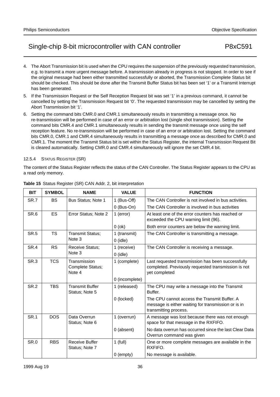- 4. The Abort Transmission bit is used when the CPU requires the suspension of the previously requested transmission, e.g. to transmit a more urgent message before. A transmission already in progress is not stopped. In order to see if the original message had been either transmitted successfully or aborted, the Transmission Complete Status bit should be checked. This should be done after the Transmit Buffer Status bit has been set '1' or a Transmit Interrupt has been generated.
- 5. If the Transmission Request or the Self Reception Request bit was set '1' in a previous command, it cannot be cancelled by setting the Transmission Request bit '0'. The requested transmission may be cancelled by setting the Abort Transmission bit '1'.
- 6. Setting the command bits CMR.0 and CMR.1 simultaneously results in transmitting a message once. No re-transmission will be performed in case of an error or arbitration lost (single shot transmission). Setting the command bits CMR.4 and CMR.1 simultaneously results in sending the transmit message once using the self reception feature. No re-transmission will be performed in case of an error or arbitration lost. Setting the command bits CMR.0, CMR.1 and CMR.4 simultaneously results in transmitting a message once as described for CMR.0 and CMR.1. The moment the Transmit Status bit is set within the Status Register, the internal Transmission Request Bit is cleared automatically. Setting CMR.0 and CMR.4 simultaneously will ignore the set CMR.4 bit.

#### 12.5.4 STATUS REGISTER (SR)

The content of the Status Register reflects the status of the CAN Controller. The Status Register appears to the CPU as a read only memory.

| <b>BIT</b>      | <b>SYMBOL</b> | <b>NAME</b>                                | <b>VALUE</b>   | <b>FUNCTION</b>                                                                                                              |
|-----------------|---------------|--------------------------------------------|----------------|------------------------------------------------------------------------------------------------------------------------------|
| SR.7            | <b>BS</b>     | Bus Status; Note 1                         | 1 (Bus-Off)    | The CAN Controller is not involved in bus activities.                                                                        |
|                 |               |                                            | $0$ (Bus-On)   | The CAN Controller is involved in bus activities                                                                             |
| SR.6            | <b>ES</b>     | Error Status; Note 2                       | 1 (error)      | At least one of the error counters has reached or<br>exceeded the CPU warning limit (96).                                    |
|                 |               |                                            | $0$ (ok)       | Both error counters are below the warning limit.                                                                             |
| <b>SR.5</b>     | TS            | <b>Transmit Status;</b>                    | 1 (transmit)   | The CAN Controller is transmitting a message.                                                                                |
|                 |               | Note 3                                     | $0$ (idle)     |                                                                                                                              |
| SR.4            | <b>RS</b>     | Receive Status;                            | 1 (receive)    | The CAN Controller is receiving a message.                                                                                   |
|                 |               | Note 3                                     | $0$ (idle)     |                                                                                                                              |
| SR <sub>3</sub> | <b>TCS</b>    | Transmission<br>Complete Status;<br>Note 4 | 1 (complete)   | Last requested transmission has been successfully<br>completed. Previously requested transmission is not<br>yet completed    |
|                 |               |                                            | 0 (incomplete) |                                                                                                                              |
| SR.2            | <b>TBS</b>    | <b>Transmit Buffer</b><br>Status; Note 5   | 1 (released)   | The CPU may write a message into the Transmit<br>Buffer.                                                                     |
|                 |               |                                            | 0 (locked)     | The CPU cannot access the Transmit Buffer. A<br>message is either waiting for transmission or is in<br>transmitting process. |
| <b>SR.1</b>     | <b>DOS</b>    | Data Overrun<br>Status; Note 6             | 1 (overrun)    | A message was lost because there was not enough<br>space for that message in the RXFIFO.                                     |
|                 |               |                                            | 0 (absent)     | No data overrun has occurred since the last Clear Data<br>Overrun command was given                                          |
| <b>SR.0</b>     | <b>RBS</b>    | Receive Buffer<br>Status; Note 7           | $1$ (full)     | One or more complete messages are available in the<br>RXFIFO.                                                                |
|                 |               |                                            | $0$ (empty)    | No message is available.                                                                                                     |

#### **Table 15** Status Register (SR) CAN Addr. 2, bit interpretation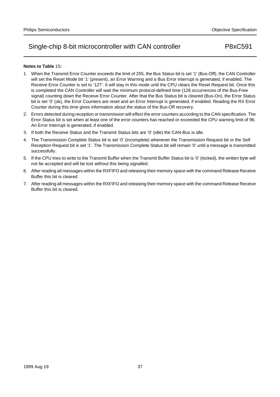## **Notes to Table** 15**:**

- 1. When the Transmit Error Counter exceeds the limit of 255, the Bus Status bit is set '1' (Bus-Off), the CAN Controller will set the Reset Mode bit '1' (present), an Error Warning and a Bus Error Interrupt is generated, if enabled. The Receive Error Counter is set to '127'. It will stay in this mode until the CPU clears the Reset Request bit. Once this is completed the CAN Controller will wait the minimum protocol-defined time (128 occurrences of the Bus-Free signal) counting down the Receive Error Counter. After that the Bus Status bit is cleared (Bus-On), the Error Status bit is set '0' (ok), the Error Counters are reset and an Error Interrupt is generated, if enabled. Reading the RX Error Counter during this time gives information about the status of the Bus-Off recovery.
- 2. Errors detected during reception or transmission will effect the error counters according to the CAN specification. The Error Status bit is set when at least one of the error counters has reached or exceeded the CPU warning limit of 96. An Error Interrupt is generated, if enabled.
- 3. If both the Receive Status and the Transmit Status bits are '0' (idle) the CAN-Bus is idle.
- 4. The Transmission Complete Status bit is set '0' (incomplete) whenever the Transmission Request bit or the Self Reception Request bit is set '1'. The Transmission Complete Status bit will remain '0' until a message is transmitted successfully.
- 5. If the CPU tries to write to the Transmit Buffer when the Transmit Buffer Status bit is '0' (locked), the written byte will not be accepted and will be lost without this being signalled.
- 6. After reading all messages within the RXFIFO and releasing their memory space with the command Release Receive Buffer this bit is cleared.
- 7. After reading all messages within the RXFIFO and releasing their memory space with the command Release Receive Buffer this bit is cleared.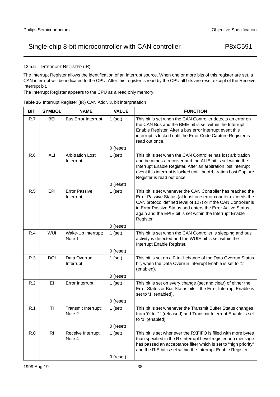12.5.5 INTERRUPT REGISTER (IR)

The Interrupt Register allows the identification of an interrupt source. When one or more bits of this register are set, a CAN interrupt will be indicated to the CPU. After this register is read by the CPU all bits are reset except of the Receive Interrupt bit.

The Interrupt Register appears to the CPU as a read only memory.

|  | Table 16 Interrupt Register (IR) CAN Addr. 3, bit interpretation |  |  |  |
|--|------------------------------------------------------------------|--|--|--|
|  |                                                                  |  |  |  |

| <b>BIT</b> | <b>SYMBOL</b>  | <b>NAME</b>                          | <b>VALUE</b>             | <b>FUNCTION</b>                                                                                                                                                                                                                                                                                                                       |
|------------|----------------|--------------------------------------|--------------------------|---------------------------------------------------------------------------------------------------------------------------------------------------------------------------------------------------------------------------------------------------------------------------------------------------------------------------------------|
| IR.7       | <b>BEI</b>     | <b>Bus Error Interrupt</b>           | $1$ (set)                | This bit is set when the CAN Controller detects an error on<br>the CAN Bus and the BEIE bit is set within the Interrupt<br>Enable Register. After a bus error interrupt event this<br>interrupt is locked until the Error Code Capture Register is<br>read out once.                                                                  |
|            |                |                                      | $0$ (reset)              |                                                                                                                                                                                                                                                                                                                                       |
| IR.6       | ALI            | <b>Arbitration Lost</b><br>Interrupt | $1$ (set)                | This bit is set when the CAN Controller has lost arbitration<br>and becomes a receiver and the ALIE bit is set within the<br>Interrupt Enable Register. After an arbitration lost interrupt<br>event this interrupt is locked until the Arbitration Lost Capture<br>Register is read out once.                                        |
|            |                |                                      | $0$ (reset)              |                                                                                                                                                                                                                                                                                                                                       |
| IR.5       | EPI            | <b>Error Passive</b><br>Interrupt    | $1$ (set)                | This bit is set whenever the CAN Controller has reached the<br>Error Passive Status (at least one error counter exceeds the<br>CAN protocol defined level of 127) or if the CAN Controller is<br>in Error Passive Status and enters the Error Active Status<br>again and the EPIE bit is set within the Interrupt Enable<br>Register. |
|            |                |                                      | $0$ (reset)              |                                                                                                                                                                                                                                                                                                                                       |
| IR.4       | <b>WUI</b>     | Wake-Up Interrupt;<br>Note 1         | $1$ (set)                | This bit is set when the CAN Controller is sleeping and bus<br>activity is detected and the WUIE bit is set within the<br>Interrupt Enable Register.                                                                                                                                                                                  |
|            |                |                                      | $0$ (reset)              |                                                                                                                                                                                                                                                                                                                                       |
| IR.3       | <b>DOI</b>     | Data Overrun<br>Interrupt            | $1$ (set)                | This bit is set on a 0-to-1 change of the Data Overrun Status<br>bit, when the Data Overrun Interrupt Enable is set to '1'<br>(enabled).                                                                                                                                                                                              |
|            |                |                                      | $0$ (reset)              |                                                                                                                                                                                                                                                                                                                                       |
| IR.2       | EI             | Error Interrupt                      | $1$ (set)                | This bit is set on every change (set and clear) of either the<br>Error Status or Bus Status bits if the Error Interrupt Enable is<br>set to '1' (enabled).                                                                                                                                                                            |
|            |                |                                      | $0$ (reset)              |                                                                                                                                                                                                                                                                                                                                       |
| IR.1       | TI             | Transmit Interrupt;<br>Note 2        | $1$ (set)                | This bit is set whenever the Transmit Buffer Status changes<br>from '0' to '1' (released) and Transmit Interrupt Enable is set<br>to '1' (enabled).                                                                                                                                                                                   |
|            |                |                                      | 0 (reset)                |                                                                                                                                                                                                                                                                                                                                       |
| IR.0       | R <sub>l</sub> | Receive Interrupt;<br>Note 4         | $1$ (set)<br>$0$ (reset) | This bit is set whenever the RXFIFO is filled with more bytes<br>than specified in the Rx Interrupt Level register or a message<br>has passed an acceptance filter which is set to "high priority"<br>and the RIE bit is set within the Interrupt Enable Register.                                                                    |
|            |                |                                      |                          |                                                                                                                                                                                                                                                                                                                                       |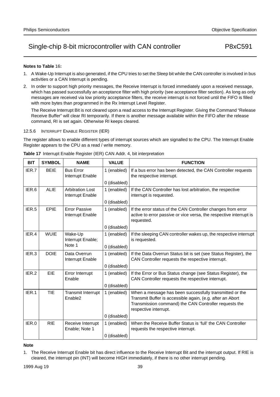### **Notes to Table** 16**:**

- 1. A Wake-Up Interrupt is also generated, if the CPU tries to set the Sleep bit while the CAN controller is involved in bus activities or a CAN Interrupt is pending.
- 2. In order to support high priority messages, the Receive Interrupt is forced immediately upon a received message, which has passed successfully an acceptance filter with high priority (see acceptance filter section). As long as only messages are received via low priority acceptance filters, the receive interrupt is not forced until the FIFO is filled with more bytes than programmed in the Rx Interrupt Level Register.

The Receive Interrupt Bit is not cleared upon a read access to the Interrupt Register. Giving the Command "Release Receive Buffer" will clear RI temporarily. If there is another message available within the FIFO after the release command, RI is set again. Otherwise RI keeps cleared.

### 12.5.6 INTERRUPT ENABLE REGISTER (IER)

The register allows to enable different types of interrupt sources which are signalled to the CPU. The Interrupt Enable Register appears to the CPU as a read / write memory.

| <b>BIT</b> | <b>SYMBOL</b> | <b>NAME</b>                                 | <b>VALUE</b> | <b>FUNCTION</b>                                                                                                                                                                                        |
|------------|---------------|---------------------------------------------|--------------|--------------------------------------------------------------------------------------------------------------------------------------------------------------------------------------------------------|
| IER.7      | <b>BEIE</b>   | <b>Bus Error</b><br>Interrupt Enable        | 1 (enabled)  | If a bus error has been detected, the CAN Controller requests<br>the respective interrupt.                                                                                                             |
|            |               |                                             | 0 (disabled) |                                                                                                                                                                                                        |
| IER.6      | <b>ALIE</b>   | <b>Arbitration Lost</b><br>Interrupt Enable | 1 (enabled)  | If the CAN Controller has lost arbitration, the respective<br>interrupt is requested.                                                                                                                  |
|            |               |                                             | 0 (disabled) |                                                                                                                                                                                                        |
| IER.5      | <b>EPIE</b>   | <b>Error Passive</b><br>Interrupt Enable    | 1 (enabled)  | If the error status of the CAN Controller changes from error<br>active to error passive or vice versa, the respective interrupt is<br>requested.                                                       |
|            |               |                                             | 0 (disabled) |                                                                                                                                                                                                        |
| IER.4      | <b>WUIE</b>   | Wake-Up<br>Interrupt Enable;                | 1 (enabled)  | If the sleeping CAN controller wakes up, the respective interrupt<br>is requested.                                                                                                                     |
|            |               | Note 1                                      | 0 (disabled) |                                                                                                                                                                                                        |
| IER.3      | <b>DOIE</b>   | Data Overrun<br>Interrupt Enable            | 1 (enabled)  | If the Data Overrun Status bit is set (see Status Register), the<br>CAN Controller requests the respective interrupt.                                                                                  |
|            |               |                                             | 0 (disabled) |                                                                                                                                                                                                        |
| IER.2      | <b>EIE</b>    | Error Interrupt<br>Enable                   | 1 (enabled)  | If the Error or Bus Status change (see Status Register), the<br>CAN Controller requests the respective interrupt.                                                                                      |
|            |               |                                             | 0 (disabled) |                                                                                                                                                                                                        |
| IER.1      | <b>TIE</b>    | Transmit Interrupt<br>Enable <sub>2</sub>   | 1 (enabled)  | When a message has been successfully transmitted or the<br>Transmit Buffer is accessible again, (e.g. after an Abort<br>Transmission command) the CAN Controller requests the<br>respective interrupt. |
|            |               |                                             | 0 (disabled) |                                                                                                                                                                                                        |
| IER.0      | <b>RIE</b>    | Receive Interrupt<br>Enable; Note 1         | 1 (enabled)  | When the Receive Buffer Status is 'full' the CAN Controller<br>requests the respective interrupt.                                                                                                      |
|            |               |                                             | 0 (disabled) |                                                                                                                                                                                                        |

**Table 17** Interrupt Enable Register (IER) CAN Addr. 4, bit interpretation

### **Note**

<sup>1.</sup> The Receive Interrupt Enable bit has direct influence to the Receive Interrupt Bit and the interrupt output. If RIE is cleared, the interrupt pin (INT) will become HIGH immediately, if there is no other interrupt pending.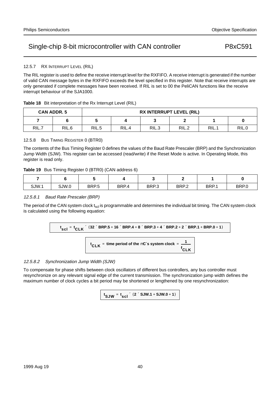## 12.5.7 RX INTERRUPT LEVEL (RIL)

The RIL register is used to define the receive interrupt level for the RXFIFO. A receive interrupt is generated if the number of valid CAN message bytes in the RXFIFO exceeds the level specified in this register. Note that receive interrupts are only generated if complete messages have been received. If RIL is set to 00 the PeliCAN functions like the receive interrupt behaviour of the SJA1000.

| <b>Table 18</b> Bit interpretation of the Rx Interrupt Level (RIL) |  |
|--------------------------------------------------------------------|--|
|                                                                    |  |

|       | <b>CAN ADDR. 5</b> | <b>RX INTERRUPT LEVEL (RIL)</b> |       |       |       |      |       |  |
|-------|--------------------|---------------------------------|-------|-------|-------|------|-------|--|
|       |                    |                                 |       |       |       |      |       |  |
| RIL.7 | RIL.6              | RIL.5                           | RIL.4 | RIL.3 | RIL.2 | RIL. | RIL.0 |  |

## 12.5.8 BUS TIMING REGISTER 0 (BTR0)

The contents of the Bus Timing Register 0 defines the values of the Baud Rate Prescaler (BRP) and the Synchronization Jump Width (SJW). This register can be accessed (read/write) if the Reset Mode is active. In Operating Mode, this register is read only.

### **Table 19** Bus Timing Register 0 (BTR0) (CAN address 6)

| SJW.1 | SJW.0 | BRP.5 | BRP.4 | BRP.3 | BRP.2 | BRP.1 | BRP.0 |
|-------|-------|-------|-------|-------|-------|-------|-------|

### 12.5.8.1 Baud Rate Prescaler (BRP)

The period of the CAN system clock  $t_{\text{sol}}$  is programmable and determines the individual bit timing. The CAN system clock is calculated using the following equation:

**t scl <sup>t</sup> CLK <sup>=</sup>** <sup>×</sup> (**32 BRP.5 16 BRP.4 8 BRP.3 4 BRP.2 2 BRP.1 BRP.0 1** <sup>×</sup> **<sup>+</sup>** <sup>×</sup> **<sup>+</sup>** <sup>×</sup> **<sup>+</sup>** <sup>×</sup> **<sup>+</sup>** <sup>×</sup> **+ +** )

 $\mathbf{t}_{\mathsf{CLK}}$  = time period of the  $\mu$ C´s system clock =  $\frac{1}{\epsilon}$ **f CLK**

# 12.5.8.2 Synchronization Jump Width (SJW)

To compensate for phase shifts between clock oscillators of different bus controllers, any bus controller must resynchronize on any relevant signal edge of the current transmission. The synchronization jump width defines the maximum number of clock cycles a bit period may be shortened or lengthened by one resynchronization:

 ${\bf t}_{\bf S}$ JW =  ${\bf t}_{\bf S}$ cl $\times$  (2 $\times$ SJW.1 + SJW.0 + 1)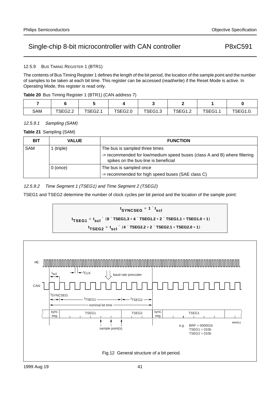## 12.5.9 BUS TIMING REGISTER 1 (BTR1)

The contents of Bus Timing Register 1 defines the length of the bit period, the location of the sample point and the number of samples to be taken at each bit time. This register can be accessed (read/write) if the Reset Mode is active. In Operating Mode, this register is read only.

|  |  | Table 20 Bus Timing Register 1 (BTR1) (CAN address 7) |  |
|--|--|-------------------------------------------------------|--|
|  |  |                                                       |  |

| SAM | TSEG2.2 | TSEG2.1 | TSEG2.0 | TSEG1.3 | TSEG1.2 | TSEG1. | TSEG1.0. |
|-----|---------|---------|---------|---------|---------|--------|----------|

## 12.5.9.1 Sampling (SAM)

**Table 21** Sampling (SAM)

| <b>BIT</b> | <b>VALUE</b> | <b>FUNCTION</b>                                                                                                   |
|------------|--------------|-------------------------------------------------------------------------------------------------------------------|
| SAM        | (triple)     | The bus is sampled three times                                                                                    |
|            |              | -> recommended for low/medium speed buses (class A and B) where filtering<br>spikes on the bus-line is beneficial |
|            | 0(once)      | The bus is sampled once                                                                                           |
|            |              | -> recommended for high speed buses (SAE class C)                                                                 |

12.5.9.2 Time Segment 1 (TSEG1) and Time Segment 2 (TSEG2)

TSEG1 and TSEG2 determine the number of clock cycles per bit period and the location of the sample point:



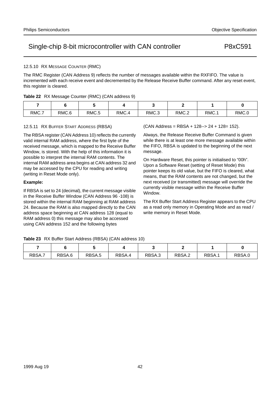## 12.5.10 RX MESSAGE COUNTER (RMC)

The RMC Register (CAN Address 9) reflects the number of messages available within the RXFIFO. The value is incremented with each receive event and decremented by the Release Receive Buffer command. After any reset event, this register is cleared.

|  |  |  |  | Table 22 RX Message Counter (RMC) (CAN address 9) |  |
|--|--|--|--|---------------------------------------------------|--|
|--|--|--|--|---------------------------------------------------|--|

| RMC.7 | RMC.6 | RMC.5 | RMC.4 | RMC.3 | RMC.2 | RMC.1 | RMC.0 |
|-------|-------|-------|-------|-------|-------|-------|-------|

## 12.5.11 RX BUFFER START ADDRESS (RBSA)

The RBSA register (CAN Address 10) reflects the currently valid internal RAM address, where the first byte of the received message, which is mapped to the Receive Buffer Window, is stored. With the help of this information it is possible to interpret the internal RAM contents. The internal RAM address area begins at CAN address 32 and may be accessed by the CPU for reading and writing (writing in Reset Mode only).

## **Example:**

If RBSA is set to 24 (decimal), the current message visible in the Receive Buffer Window (CAN Address 96 -108) is stored within the internal RAM beginning at RAM address 24. Because the RAM is also mapped directly to the CAN address space beginning at CAN address 128 (equal to RAM address 0) this message may also be accessed using CAN address 152 and the following bytes

(CAN Address = RBSA + 128--> 24 + 128= 152).

Always, the Release Receive Buffer Command is given while there is at least one more message available within the FIFO, RBSA is updated to the beginning of the next message.

On Hardware Reset, this pointer is initialised to "00h". Upon a Software Reset (setting of Reset Mode) this pointer keeps its old value, but the FIFO is cleared, what means, that the RAM contents are not changed, but the next received (or transmitted) message will override the currently visible message within the Receive Buffer Window.

The RX Buffer Start Address Register appears to the CPU as a read only memory in Operating Mode and as read / write memory in Reset Mode.

**Table 23** RX Buffer Start Address (RBSA) (CAN address 10)

| RBSA.7 | RBSA.6 | RBSA.5 | RBSA.4 | RBSA.3 | RBSA.2 | RBSA. | RBSA.u |
|--------|--------|--------|--------|--------|--------|-------|--------|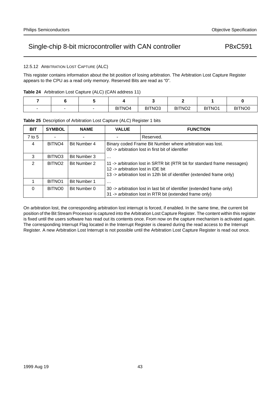12.5.12 ARBITRATION LOST CAPTURE (ALC)

This register contains information about the bit position of losing arbitration. The Arbitration Lost Capture Register appears to the CPU as a read only memory. Reserved Bits are read as "0".

|  |  |  |  | Table 24 Arbitration Lost Capture (ALC) (CAN address 11) |  |  |
|--|--|--|--|----------------------------------------------------------|--|--|
|--|--|--|--|----------------------------------------------------------|--|--|

|  | BITNO <sub>4</sub> | BITNO <sub>3</sub> | BITNO <sub>2</sub> | BITNO <sub>1</sub> | BITNO <sub>0</sub> |
|--|--------------------|--------------------|--------------------|--------------------|--------------------|

## **Table 25** Description of Arbitration Lost Capture (ALC) Register 1 bits

| <b>BIT</b>     | <b>SYMBOL</b>      | <b>NAME</b>         | <b>VALUE</b>                                                                                                   | <b>FUNCTION</b>                                                                                                                                    |  |  |  |
|----------------|--------------------|---------------------|----------------------------------------------------------------------------------------------------------------|----------------------------------------------------------------------------------------------------------------------------------------------------|--|--|--|
| $7$ to 5       |                    |                     |                                                                                                                | Reserved.                                                                                                                                          |  |  |  |
| 4              | BITNO <sub>4</sub> | Bit Number 4        | Binary coded Frame Bit Number where arbitration was lost.<br>00 -> arbitration lost in first bit of identifier |                                                                                                                                                    |  |  |  |
| 3              | BITNO <sub>3</sub> | Bit Number 3        | $\cdots$                                                                                                       |                                                                                                                                                    |  |  |  |
| $\mathfrak{D}$ | BITNO <sub>2</sub> | Bit Number 2        | 12 -> arbitration lost in IDE bit                                                                              | 11 -> arbitration lost in SRTR bit (RTR bit for standard frame messages)<br>13 -> arbitration lost in 12th bit of identifier (extended frame only) |  |  |  |
|                | BITNO <sub>1</sub> | <b>Bit Number 1</b> | $\cdots$                                                                                                       |                                                                                                                                                    |  |  |  |
| $\Omega$       | BITNO <sub>0</sub> | Bit Number 0        |                                                                                                                | 30 -> arbitration lost in last bit of identifier (extended frame only)<br>31 -> arbitration lost in RTR bit (extended frame only)                  |  |  |  |

On arbitration lost, the corresponding arbitration lost interrupt is forced, if enabled. In the same time, the current bit position of the Bit Stream Processor is captured into the Arbitration Lost Capture Register. The content within this register is fixed until the users software has read out its contents once. From now on the capture mechanism is activated again. The corresponding Interrupt Flag located in the Interrupt Register is cleared during the read access to the Interrupt Register. A new Arbitration Lost Interrupt is not possible until the Arbitration Lost Capture Register is read out once.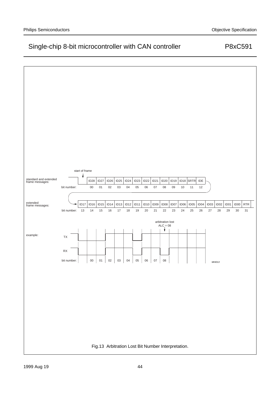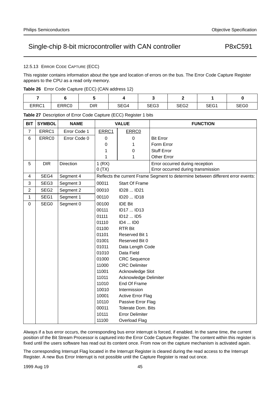## 12.5.13 ERROR CODE CAPTURE (ECC)

This register contains information about the type and location of errors on the bus. The Error Code Capture Register appears to the CPU as a read only memory.

|  |  |  |  | Table 26 Error Code Capture (ECC) (CAN address 12) |  |
|--|--|--|--|----------------------------------------------------|--|
|--|--|--|--|----------------------------------------------------|--|

| ERRC1 | ERRC0 | DIR | SEG4 | SEG3 | SEG2 | SEG <sub>1</sub> | SEG0 |
|-------|-------|-----|------|------|------|------------------|------|

**Table 27** Description of Error Code Capture (ECC) Register 1 bits

| <b>BIT</b>     | <b>SYMBOL</b>    | <b>NAME</b>  |       | <b>VALUE</b>              | <b>FUNCTION</b>                                                                 |
|----------------|------------------|--------------|-------|---------------------------|---------------------------------------------------------------------------------|
| $\overline{7}$ | ERRC1            | Error Code 1 | ERRC1 | ERRC0                     |                                                                                 |
| 6              | ERRC0            | Error Code 0 | 0     | $\pmb{0}$                 | <b>Bit Error</b>                                                                |
|                |                  |              | 0     | 1                         | Form Error                                                                      |
|                |                  |              | 1     | 0                         | <b>Stuff Error</b>                                                              |
|                |                  |              | 1     | 1                         | Other Error                                                                     |
| 5              | <b>DIR</b>       | Direction    | 1(RX) |                           | Error occurred during reception                                                 |
|                |                  |              | 0(TX) |                           | Error occurred during transmission                                              |
| 4              | SEG4             | Segment 4    |       |                           | Reflects the current Frame Segment to determine between different error events: |
| 3              | SEG <sub>3</sub> | Segment 3    | 00011 | <b>Start Of Frame</b>     |                                                                                 |
| $\overline{c}$ | SEG <sub>2</sub> | Segment 2    | 00010 | ID28  ID21                |                                                                                 |
| $\mathbf{1}$   | SEG1             | Segment 1    | 00110 | ID20  ID18                |                                                                                 |
| $\mathbf 0$    | SEG0             | Segment 0    | 00100 | <b>IDE Bit</b>            |                                                                                 |
|                |                  |              | 00111 | ID17  ID13                |                                                                                 |
|                |                  |              | 01111 | ID12  ID5                 |                                                                                 |
|                |                  |              | 01110 | ID4  ID0                  |                                                                                 |
|                |                  |              | 01100 | <b>RTR Bit</b>            |                                                                                 |
|                |                  |              | 01101 | Reserved Bit 1            |                                                                                 |
|                |                  |              | 01001 | Reserved Bit 0            |                                                                                 |
|                |                  |              | 01011 | Data Length Code          |                                                                                 |
|                |                  |              | 01010 | Data Field                |                                                                                 |
|                |                  |              | 01000 | <b>CRC</b> Sequence       |                                                                                 |
|                |                  |              | 11000 | <b>CRC Delimiter</b>      |                                                                                 |
|                |                  |              | 11001 | Acknowledge Slot          |                                                                                 |
|                |                  |              | 11011 | Acknowledge Delimiter     |                                                                                 |
|                |                  |              | 11010 | End Of Frame              |                                                                                 |
|                |                  |              | 10010 | Intermission              |                                                                                 |
|                |                  |              | 10001 | <b>Active Error Flag</b>  |                                                                                 |
|                |                  |              | 10110 | Passive Error Flag        |                                                                                 |
|                |                  |              | 00011 | <b>Tolerate Dom. Bits</b> |                                                                                 |
|                |                  |              | 10111 | <b>Error Delimiter</b>    |                                                                                 |
|                |                  |              | 11100 | Overload Flag             |                                                                                 |

Always if a bus error occurs, the corresponding bus error interrupt is forced, if enabled. In the same time, the current position of the Bit Stream Processor is captured into the Error Code Capture Register. The content within this register is fixed until the users software has read out its content once. From now on the capture mechanism is activated again.

The corresponding Interrupt Flag located in the Interrupt Register is cleared during the read access to the Interrupt Register. A new Bus Error Interrupt is not possible until the Capture Register is read out once.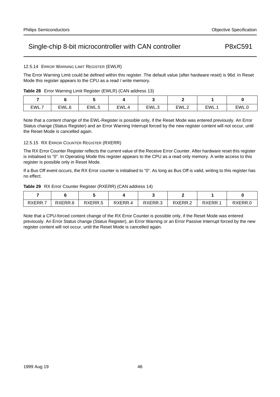## 12.5.14 ERROR WARNING LIMIT REGISTER (EWLR)

The Error Warning Limit could be defined within this register. The default value (after hardware reset) is 96d. In Reset Mode this register appears to the CPU as a read / write memory.

|  |  |  |  | Table 28 Error Warning Limit Register (EWLR) (CAN address 13) |  |
|--|--|--|--|---------------------------------------------------------------|--|
|--|--|--|--|---------------------------------------------------------------|--|

| EWL.7 | EWL.6 | EWL.5 | <b>FWI</b><br>. . | EWL.3 | EWL.2 | EWL.1 | EWL.0 |
|-------|-------|-------|-------------------|-------|-------|-------|-------|

Note that a content change of the EWL-Register is possible only, if the Reset Mode was entered previously. An Error Status change (Status Register) and an Error Warning Interrupt forced by the new register content will not occur, until the Reset Mode is cancelled again.

## 12.5.15 RX ERROR COUNTER REGISTER (RXERR)

The RX Error Counter Register reflects the current value of the Receive Error Counter. After hardware reset this register is initialised to "0". In Operating Mode this register appears to the CPU as a read only memory. A write access to this register is possible only in Reset Mode.

If a Bus Off event occurs, the RX Error counter is initialised to "0". As long as Bus Off is valid, writing to this register has no effect.

|  | Table 29 RX Error Counter Register (RXERR) (CAN address 14) |  |  |
|--|-------------------------------------------------------------|--|--|
|--|-------------------------------------------------------------|--|--|

| RXERR.7 | RXERR.6 | RXERR.5 | RXERR.4 | RXERR.3 | RXERR.2 | RXERR. | RXERR.U |
|---------|---------|---------|---------|---------|---------|--------|---------|

Note that a CPU-forced content change of the RX Error Counter is possible only, if the Reset Mode was entered previously. An Error Status change (Status Register), an Error Warning or an Error Passive Interrupt forced by the new register content will not occur, until the Reset Mode is cancelled again.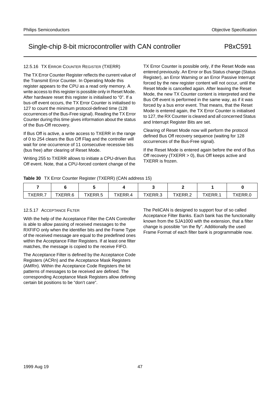## 12.5.16 TX ERROR COUNTER REGISTER (TXERR)

The TX Error Counter Register reflects the current value of the Transmit Error Counter. In Operating Mode this register appears to the CPU as a read only memory. A write access to this register is possible only in Reset Mode. After hardware reset this register is initialised to "0". If a bus-off event occurs, the TX Error Counter is initialised to 127 to count the minimum protocol-defined time (128 occurrences of the Bus-Free signal). Reading the TX Error Counter during this time gives information about the status of the Bus-Off recovery.

If Bus Off is active, a write access to TXERR in the range of 0 to 254 clears the Bus Off Flag and the controller will wait for one occurrence of 11 consecutive recessive bits (bus free) after clearing of Reset Mode.

Writing 255 to TXERR allows to initiate a CPU-driven Bus Off event. Note, that a CPU-forced content change of the

TX Error Counter is possible only, if the Reset Mode was entered previously. An Error or Bus Status change (Status Register), an Error Warning or an Error Passive Interrupt forced by the new register content will not occur, until the Reset Mode is cancelled again. After leaving the Reset Mode, the new TX Counter content is interpreted and the Bus Off event is performed in the same way, as if it was forced by a bus error event. That means, that the Reset Mode is entered again, the TX Error Counter is initialised to 127, the RX Counter is cleared and all concerned Status and Interrupt Register Bits are set.

Clearing of Reset Mode now will perform the protocol defined Bus Off recovery sequence (waiting for 128 occurrences of the Bus-Free signal).

If the Reset Mode is entered again before the end of Bus Off recovery (TXERR > 0), Bus Off keeps active and TXERR is frozen.

**Table 30** TX Error Counter Register (TXERR) (CAN address 15)

| TYEDD<br>$\Lambda$ LINN.I | TYERR 6<br>טייוי | TYERR.5 | TXERR.4 | TXERR.3 | TXFRR 2<br>. | <b>XERR</b><br>. | FRR |
|---------------------------|------------------|---------|---------|---------|--------------|------------------|-----|

## 12.5.17 ACCEPTANCE FILTER

With the help of the Acceptance Filter the CAN Controller is able to allow passing of received messages to the RXFIFO only when the identifier bits and the Frame Type of the received message are equal to the predefined ones within the Acceptance Filter Registers. If at least one filter matches, the message is copied to the receive FIFO.

The Acceptance Filter is defined by the Acceptance Code Registers (ACRn) and the Acceptance Mask Registers (AMRn). Within the Acceptance Code Registers the bit patterns of messages to be received are defined. The corresponding Acceptance Mask Registers allow defining certain bit positions to be "don't care".

The PeliCAN is designed to support four of so called Acceptance Filter Banks. Each bank has the functionality known from the SJA1000 with the extension, that a filter change is possible "on the fly". Additionally the used Frame Format of each filter bank is programmable now.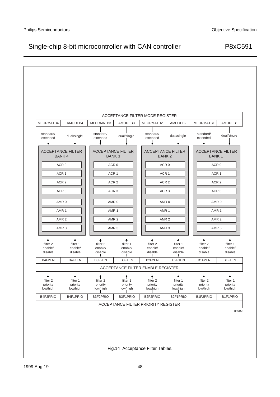

Fig.14 Acceptance Filter Tables.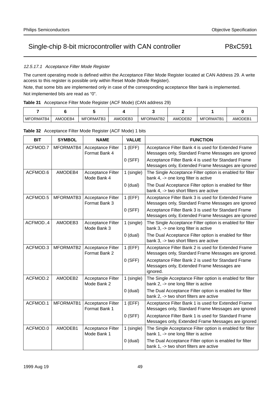# 12.5.17.1 Acceptance Filter Mode Register

The current operating mode is defined within the Acceptance Filter Mode Register located at CAN Address 29. A write access to this register is possible only within Reset Mode (Mode Register).

Note, that some bits are implemented only in case of the corresponding acceptance filter bank is implemented. Not implemented bits are read as "0".

| MFORMATB4 | AMODEB4 | MFORMATB3 | AMODEB3 | MFORMATB2 | AMODEB2 | MFORMATB1 | AMODEB1 |  |
|-----------|---------|-----------|---------|-----------|---------|-----------|---------|--|

| <b>BIT</b> | <b>SYMBOL</b> | <b>NAME</b>                               | <b>VALUE</b> | <b>FUNCTION</b>                                                                                               |
|------------|---------------|-------------------------------------------|--------------|---------------------------------------------------------------------------------------------------------------|
| ACFMOD.7   | MFORMATB4     | Acceptance Filter<br>Format Bank 4        | $1$ (EFF)    | Acceptance Filter Bank 4 is used for Extended Frame<br>Messages only, Standard Frame Messages are ignored     |
|            |               |                                           | $0$ (SFF)    | Acceptance Filter Bank 4 is used for Standard Frame<br>Messages only, Extended Frame Messages are ignored     |
| ACFMOD.6   | AMODEB4       | <b>Acceptance Filter</b><br>Mode Bank 4   | 1 (single)   | The Single Acceptance Filter option is enabled for filter<br>bank 4, -> one long filter is active             |
|            |               |                                           | $0$ (dual)   | The Dual Acceptance Filter option is enabled for filter<br>bank 4, -> two short filters are active            |
| ACFMOD.5   | MFORMATB3     | Acceptance Filter<br>Format Bank 3        | $1$ (EFF)    | Acceptance Filter Bank 3 is used for Extended Frame<br>Messages only, Standard Frame Messages are ignored     |
|            |               |                                           | $0$ (SFF)    | Acceptance Filter Bank 3 is used for Standard Frame<br>Messages only, Extended Frame Messages are ignored     |
| ACFMOD4    | AMODEB3       | <b>Acceptance Filter</b><br>Mode Bank 3   | 1 (single)   | The Single Acceptance Filter option is enabled for filter<br>bank 3, -> one long filter is active             |
|            |               |                                           | $0$ (dual)   | The Dual Acceptance Filter option is enabled for filter<br>bank 3, -> two short filters are active            |
| ACFMOD.3   | MFORMATB2     | Acceptance Filter<br>Format Bank 2        | $1$ (EFF)    | Acceptance Filter Bank 2 is used for Extended Frame<br>Messages only, Standard Frame Messages are ignored.    |
|            |               |                                           | $0$ (SFF)    | Acceptance Filter Bank 2 is used for Standard Frame<br>Messages only, Extended Frame Messages are<br>ignored. |
| ACFMOD.2   | AMODEB2       | <b>Acceptance Filter</b><br>Mode Bank 2   | 1 (single)   | The Single Acceptance Filter option is enabled for filter<br>bank 2, -> one long filter is active             |
|            |               |                                           | $0$ (dual)   | The Dual Acceptance Filter option is enabled for filter<br>bank 2, -> two short filters are active            |
| ACFMOD.1   | MFORMATB1     | <b>Acceptance Filter</b><br>Format Bank 1 | $1$ (EFF)    | Acceptance Filter Bank 1 is used for Extended Frame<br>Messages only, Standard Frame Messages are ignored     |
|            |               |                                           | $0$ (SFF)    | Acceptance Filter Bank 1 is used for Standard Frame<br>Messages only, Extended Frame Messages are ignored     |
| ACFMOD.0   | AMODEB1       | <b>Acceptance Filter</b><br>Mode Bank 1   | 1 (single)   | The Single Acceptance Filter option is enabled for filter<br>bank 1, -> one long filter is active             |
|            |               |                                           | $0$ (dual)   | The Dual Acceptance Filter option is enabled for filter<br>bank 1, -> two short filters are active            |

**Table 32** Acceptance Filter Mode Register (ACF Mode) 1 bits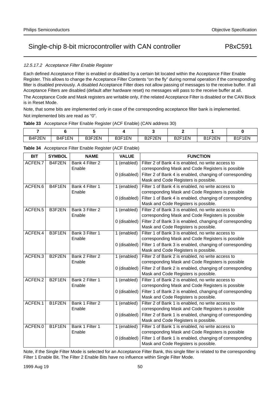## 12.5.17.2 Acceptance Filter Enable Register

Each defined Acceptance Filter is enabled or disabled by a certain bit located within the Acceptance Filter Enable Register. This allows to change the Acceptance Filter Contents "on the fly" during normal operation if the corresponding filter is disabled previously. A disabled Acceptance Filter does not allow passing of messages to the receive buffer. If all Acceptance Filters are disabled (default after hardware reset) no messages will pass to the receive buffer at all.

The Acceptance Code and Mask registers are writable only, if the related Acceptance Filter is disabled or the CAN Block is in Reset Mode.

Note, that some bits are implemented only in case of the corresponding acceptance filter bank is implemented. Not implemented bits are read as "0".

### **Table 33** Acceptance Filter Enable Register (ACF Enable) (CAN address 30)

| B4F2EN<br><u>___</u> | B4F1EN | B3F2EN | B3F1EN | B <sub>2F2EN</sub> | B <sub>2F1EN</sub> | R1F2FN<br>--- | B1F1EN |
|----------------------|--------|--------|--------|--------------------|--------------------|---------------|--------|

| <b>BIT</b> | <b>SYMBOL</b>      | <b>NAME</b>     | <b>VALUE</b> | <b>FUNCTION</b>                                          |
|------------|--------------------|-----------------|--------------|----------------------------------------------------------|
| ACFEN.7    | B4F2EN             | Bank 4 Filter 2 | 1 (enabled)  | Filter 2 of Bank 4 is enabled, no write access to        |
|            |                    | Enable          |              | corresponding Mask and Code Registers is possible        |
|            |                    |                 | 0 (disabled) | Filter 2 of Bank 4 is enabled, changing of corresponding |
|            |                    |                 |              | Mask and Code Registers is possible.                     |
| ACFEN.6    | B4F1EN             | Bank 4 Filter 1 | 1 (enabled)  | Filter 1 of Bank 4 is enabled, no write access to        |
|            |                    | Enable          |              | corresponding Mask and Code Registers is possible        |
|            |                    |                 | 0 (disabled) | Filter 1 of Bank 4 is enabled, changing of corresponding |
|            |                    |                 |              | Mask and Code Registers is possible.                     |
| ACFEN.5    | B3F2EN             | Bank 3 Filter 2 | 1 (enabled)  | Filter 2 of Bank 3 is enabled, no write access to        |
|            |                    | Enable          |              | corresponding Mask and Code Registers is possible        |
|            |                    |                 | 0 (disabled) | Filter 2 of Bank 3 is enabled, changing of corresponding |
|            |                    |                 |              | Mask and Code Registers is possible.                     |
| ACFEN.4    | B3F1EN             | Bank 3 Filter 1 | 1 (enabled)  | Filter 1 of Bank 3 is enabled, no write access to        |
|            |                    | Enable          |              | corresponding Mask and Code Registers is possible        |
|            |                    |                 | 0 (disabled) | Filter 1 of Bank 3 is enabled, changing of corresponding |
|            |                    |                 |              | Mask and Code Registers is possible.                     |
| ACFEN.3    | B <sub>2F2EN</sub> | Bank 2 Filter 2 | 1 (enabled)  | Filter 2 of Bank 2 is enabled, no write access to        |
|            |                    | Enable          |              | corresponding Mask and Code Registers is possible        |
|            |                    |                 | 0 (disabled) | Filter 2 of Bank 2 is enabled, changing of corresponding |
|            |                    |                 |              | Mask and Code Registers is possible.                     |
| ACFEN.2    | B <sub>2F1EN</sub> | Bank 2 Filter 1 | 1 (enabled)  | Filter 1 of Bank 2 is enabled, no write access to        |
|            |                    | Enable          |              | corresponding Mask and Code Registers is possible        |
|            |                    |                 | 0 (disabled) | Filter 1 of Bank 2 is enabled, changing of corresponding |
|            |                    |                 |              | Mask and Code Registers is possible.                     |
| ACFEN.1    | B1F2EN             | Bank 1 Filter 2 | 1 (enabled)  | Filter 2 of Bank 1 is enabled, no write access to        |
|            |                    | Enable          |              | corresponding Mask and Code Registers is possible        |
|            |                    |                 | 0 (disabled) | Filter 2 of Bank 1 is enabled, changing of corresponding |
|            |                    |                 |              | Mask and Code Registers is possible.                     |
| ACFEN.0    | B1F1EN             | Bank 1 Filter 1 | 1 (enabled)  | Filter 1 of Bank 1 is enabled, no write access to        |
|            |                    | Enable          |              | corresponding Mask and Code Registers is possible        |
|            |                    |                 | 0 (disabled) | Filter 1 of Bank 1 is enabled, changing of corresponding |
|            |                    |                 |              | Mask and Code Registers is possible.                     |

**Table 34** Acceptance Filter Enable Register (ACF Enable)

Note, if the Single Filter Mode is selected for an Acceptance Filter Bank, this single filter is related to the corresponding Filter 1 Enable Bit. The Filter 2 Enable Bits have no influence within Single Filter Mode.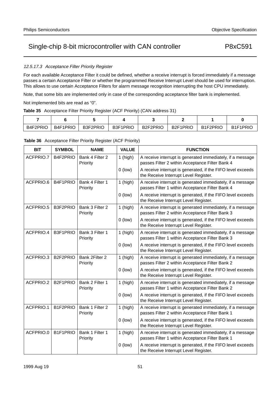# 12.5.17.3 Acceptance Filter Priority Register

For each available Acceptance Filter it could be defined, whether a receive interrupt is forced immediately if a message passes a certain Acceptance Filter or whether the programmed Receive Interrupt Level should be used for interruption. This allows to use certain Acceptance Filters for alarm message recognition interrupting the host CPU immediately.

Note, that some bits are implemented only in case of the corresponding acceptance filter bank is implemented.

Not implemented bits are read as "0".

| Table 35 Acceptance Filter Priority Register (ACF Priority) (CAN address 31) |
|------------------------------------------------------------------------------|
|                                                                              |

| B4F2PRIO | B4F1PRIO | B3F2PRIO | B3F1PRIO | B <sub>2F2PRIO</sub> | B <sub>2F1PRIO</sub> | B1F2PRIO | B <sub>1</sub> F <sub>1</sub> PRIC |  |
|----------|----------|----------|----------|----------------------|----------------------|----------|------------------------------------|--|

| <b>BIT</b> | <b>SYMBOL</b> | <b>NAME</b>                 | <b>VALUE</b> | <b>FUNCTION</b>                                                                                               |
|------------|---------------|-----------------------------|--------------|---------------------------------------------------------------------------------------------------------------|
| ACFPRIO.7  | B4F2PRIO      | Bank 4 Filter 2<br>Priority | $1$ (high)   | A receive interrupt is generated immediately, if a message<br>passes Filter 2 within Acceptance Filter Bank 4 |
|            |               |                             | $0$ (low)    | A receive interrupt is generated, if the FIFO level exceeds<br>the Receive Interrupt Level Register.          |
| ACFPRIO.6  | B4F1PRIO      | Bank 4 Filter 1<br>Priority | $1$ (high)   | A receive interrupt is generated immediately, if a message<br>passes Filter 1 within Acceptance Filter Bank 4 |
|            |               |                             | $0$ (low)    | A receive interrupt is generated, if the FIFO level exceeds<br>the Receive Interrupt Level Register.          |
| ACFPRIO.5  | B3F2PRIO      | Bank 3 Filter 2<br>Priority | $1$ (high)   | A receive interrupt is generated immediately, if a message<br>passes Filter 2 within Acceptance Filter Bank 3 |
|            |               |                             | $0$ (low)    | A receive interrupt is generated, if the FIFO level exceeds<br>the Receive Interrupt Level Register.          |
| ACFPRIO.4  | B3F1PRIO      | Bank 3 Filter 1<br>Priority | $1$ (high)   | A receive interrupt is generated immediately, if a message<br>passes Filter 1 within Acceptance Filter Bank 3 |
|            |               |                             | $0$ (low)    | A receive interrupt is generated, if the FIFO level exceeds<br>the Receive Interrupt Level Register.          |
| ACFPRIO.3  | B2F2PRIO      | Bank 2Filter 2<br>Priority  | $1$ (high)   | A receive interrupt is generated immediately, if a message<br>passes Filter 2 within Acceptance Filter Bank 2 |
|            |               |                             | $0$ (low)    | A receive interrupt is generated, if the FIFO level exceeds<br>the Receive Interrupt Level Register.          |
| ACFPRIO.2  | B2F1PRIO      | Bank 2 Filter 1<br>Priority | $1$ (high)   | A receive interrupt is generated immediately, if a message<br>passes Filter 1 within Acceptance Filter Bank 2 |
|            |               |                             | $0$ (low)    | A receive interrupt is generated, if the FIFO level exceeds<br>the Receive Interrupt Level Register.          |
| ACFPRIO.1  | B1F2PRIO      | Bank 1 Filter 2<br>Priority | $1$ (high)   | A receive interrupt is generated immediately, if a message<br>passes Filter 2 within Acceptance Filter Bank 1 |
|            |               |                             | $0$ (low)    | A receive interrupt is generated, if the FIFO level exceeds<br>the Receive Interrupt Level Register.          |
| ACFPRIO.0  | B1F1PRIO      | Bank 1 Filter 1<br>Priority | 1 (high)     | A receive interrupt is generated immediately, if a message<br>passes Filter 1 within Acceptance Filter Bank 1 |
|            |               |                             | $0$ (low)    | A receive interrupt is generated, if the FIFO level exceeds<br>the Receive Interrupt Level Register.          |

**Table 36** Acceptance Filter Priority Register (ACF Priority)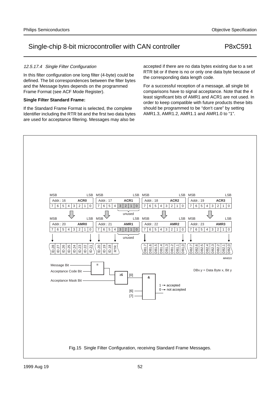and the Message bytes depends on the programmed Frame Format (see ACF Mode Register).

# **Single Filter Standard Frame:**

12.5.17.4 Single Filter Configuration

If the Standard Frame Format is selected, the complete Identifier including the RTR bit and the first two data bytes are used for acceptance filtering. Messages may also be

accepted if there are no data bytes existing due to a set RTR bit or if there is no or only one data byte because of the corresponding data length code.

For a successful reception of a message, all single bit comparisons have to signal acceptance. Note that the 4 least significant bits of AMR1 and ACR1 are not used. In order to keep compatible with future products these bits should be programmed to be "don't care" by setting AMR1.3, AMR1.2, AMR1.1 and AMR1.0 to "1".

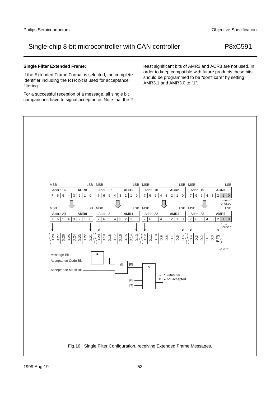### **Single Filter Extended Frame:**

If the Extended Frame Format is selected, the complete Identifier including the RTR bit is used for acceptance filtering.

For a successful reception of a message, all single bit comparisons have to signal acceptance. Note that the 2 least significant bits of AMR3 and ACR3 are not used. In order to keep compatible with future products these bits should be programmed to be "don't care" by setting AMR3.1 and AMR3.0 to "1".

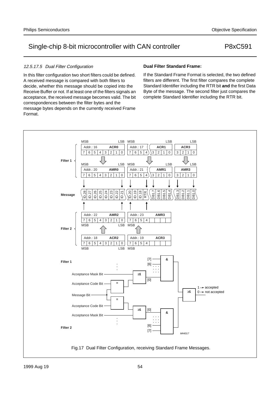# 12.5.17.5 Dual Filter Configuration

In this filter configuration two short filters could be defined. A received message is compared with both filters to decide, whether this message should be copied into the Receive Buffer or not. If at least one of the filters signals an acceptance, the received message becomes valid. The bit correspondences between the filter bytes and the message bytes depends on the currently received Frame Format.

## **Dual Filter Standard Frame:**

If the Standard Frame Format is selected, the two defined filters are different. The first filter compares the complete Standard Identifier including the RTR bit **and** the first Data Byte of the message. The second filter just compares the complete Standard Identifier including the RTR bit.

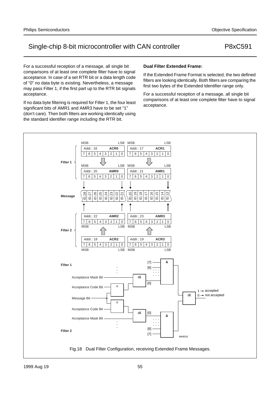For a successful reception of a message, all single bit comparisons of at least one complete filter have to signal acceptance. In case of a set RTR bit or a data length code of "0" no data byte is existing. Nevertheless, a message may pass Filter 1, if the first part up to the RTR bit signals acceptance.

If no data byte filtering is required for Filter 1, the four least significant bits of AMR1 and AMR3 have to be set "1" (don't care). Then both filters are working identically using the standard identifier range including the RTR bit.

# **Dual Filter Extended Frame:**

If the Extended Frame Format is selected, the two defined filters are looking identically. Both filters are comparing the first two bytes of the Extended Identifier range only.

For a successful reception of a message, all single bit comparisons of at least one complete filter have to signal acceptance.

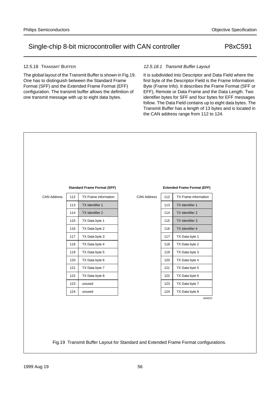### 12.5.18 TRANSMIT BUFFER

The global layout of the Transmit Buffer is shown in Fig.19. One has to distinguish between the Standard Frame Format (SFF) and the Extended Frame Format (EFF) configuration. The transmit buffer allows the definition of one transmit message with up to eight data bytes.

# 12.5.18.1 Transmit Buffer Layout

It is subdivided into Descriptor and Data Field where the first byte of the Descriptor Field is the Frame Information Byte (Frame Info). It describes the Frame Format (SFF or EFF), Remote or Data Frame and the Data Length. Two identifier bytes for SFF and four bytes for EFF messages follow. The Data Field contains up to eight data bytes. The Transmit Buffer has a length of 13 bytes and is located in the CAN address range from 112 to 124.

|                    |     | <b>Standard Frame Format (SFF)</b> |                    |     | <b>Extended Frame Format (EFF)</b> |  |
|--------------------|-----|------------------------------------|--------------------|-----|------------------------------------|--|
| <b>CAN Address</b> | 112 | TX Frame information               | <b>CAN Address</b> | 112 | TX Frame information               |  |
|                    | 113 | TX Identifier 1                    |                    | 113 | TX Identifier 1                    |  |
|                    | 114 | TX Identifier 2                    |                    | 114 | TX Identifier 2                    |  |
|                    | 115 | TX Data byte 1                     |                    | 115 | TX Identifier 3                    |  |
|                    | 116 | TX Data byte 2                     |                    | 116 | TX Identifier 4                    |  |
|                    | 117 | TX Data byte 3                     |                    | 117 | TX Data byte 1                     |  |
|                    | 118 | TX Data byte 4                     |                    | 118 | TX Data byte 2                     |  |
|                    | 119 | TX Data byte 5                     |                    | 119 | TX Data byte 3                     |  |
|                    | 120 | TX Data byte 6                     |                    | 120 | TX Data byte 4                     |  |
|                    | 121 | TX Data byte 7                     |                    | 121 | TX Data byte 5                     |  |
|                    | 122 | TX Data byte 8                     |                    | 122 | TX Data byte 6                     |  |
|                    | 123 | unused                             |                    | 123 | TX Data byte 7                     |  |
|                    | 124 | unused                             |                    | 124 | TX Data byte 8                     |  |
|                    |     |                                    |                    |     | MHI023                             |  |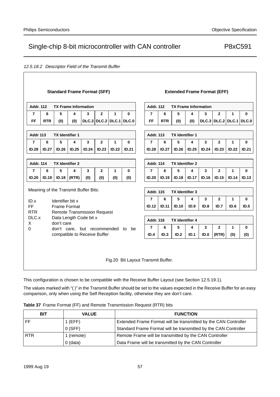# 12.5.18.2 Descriptor Field of the Transmit Buffer

| <b>Standard Frame Format (SFF)</b> |              |                                      |       |              |                                    |       | <b>Extended Frame Format (EFF)</b> |                                                 |              |                        |              |       |                           |              |              |
|------------------------------------|--------------|--------------------------------------|-------|--------------|------------------------------------|-------|------------------------------------|-------------------------------------------------|--------------|------------------------|--------------|-------|---------------------------|--------------|--------------|
| <b>Addr. 112</b>                   |              | <b>TX Frame Information</b>          |       |              |                                    |       |                                    | <b>Addr. 112</b><br><b>TX Frame Information</b> |              |                        |              |       |                           |              |              |
| 7                                  | 6            | 5                                    | 4     | 3            | $\mathbf{2}$                       | 1     | $\mathbf{0}$                       | 7                                               | 6            | 5                      | 4            | 3     | $\mathbf{2}$              | 1            | $\bf{0}$     |
| FF                                 | <b>RTR</b>   | (0)                                  | (0)   |              |                                    |       | $DLC.3$ DLC.2 DLC.1 DLC.0          | FF                                              | <b>RTR</b>   | (0)                    | (0)          |       | $DLC.3$ DLC.2 DLC.1 DLC.0 |              |              |
| <b>Addr 113</b>                    |              | <b>TX Identifier 1</b>               |       |              |                                    |       |                                    | <b>Addr. 113</b>                                |              | <b>TX Identifier 1</b> |              |       |                           |              |              |
| $\overline{7}$                     | 6            | 5                                    | 4     | 3            | $\overline{2}$                     | 1     | $\bf{0}$                           | $\overline{7}$                                  | 6            | 5                      | 4            | 3     | $\mathbf{2}$              | 1            | $\bf{0}$     |
| ID.28                              | <b>ID.27</b> | <b>ID.26</b>                         | ID.25 | <b>ID.24</b> | ID.23                              | ID.22 | <b>ID.21</b>                       | <b>ID.28</b>                                    | <b>ID.27</b> | ID.26                  | <b>ID.25</b> | ID.24 | ID.23                     | ID.22        | <b>ID.21</b> |
| <b>Addr. 114</b>                   |              | <b>TX Identifier 2</b>               |       |              |                                    |       |                                    | <b>Addr. 114</b><br><b>TX Identifier 2</b>      |              |                        |              |       |                           |              |              |
| $\overline{7}$                     | 6            | 5                                    | 4     | 3            | $\mathbf{2}$                       | 1     | $\bf{0}$                           | $\overline{7}$                                  | 6            | 5                      | 4            | 3     | $\mathbf{2}$              | 1            | $\bf{0}$     |
| ID.20                              | <b>ID.19</b> | ID.18                                | (RTR) | (0)          | (0)                                | (0)   | (0)                                | ID.20                                           | <b>ID.19</b> | <b>ID.18</b>           | <b>ID.17</b> | ID.16 | <b>ID.15</b>              | <b>ID.14</b> | ID.13        |
|                                    |              | Meaning of the Transmit Buffer Bits: |       |              |                                    |       |                                    | <b>Addr. 115</b>                                |              | <b>TX Identifier 3</b> |              |       |                           |              |              |
| ID.x                               |              | Identifier bit x                     |       |              |                                    |       |                                    | 7                                               | 6            | 5                      | 4            | 3     | $\mathbf{2}$              | 1            | $\bf{0}$     |
| FF                                 |              | <b>Frame Format</b>                  |       |              |                                    |       |                                    | ID.12                                           | <b>ID.11</b> | <b>ID.10</b>           | ID.9         | ID.8  | ID.7                      | ID.6         | ID.5         |
| <b>RTR</b><br>DLC.x<br>X           |              | Data Length Code bit x<br>don't care |       |              | <b>Remote Transmission Request</b> |       |                                    | <b>Addr. 116</b>                                |              | <b>TX Identifier 4</b> |              |       |                           |              |              |
| $\mathbf 0$                        |              |                                      |       |              |                                    |       | don't care, but recommended to be  | 7                                               | 6            | 5                      | 4            | 3     | $\mathbf{2}$              | 1            | $\bf{0}$     |
|                                    |              |                                      |       |              | compatible to Receive Buffer       |       |                                    | ID.4                                            | ID.3         | ID.2                   | ID.1         | ID.0  | (RTR)                     | (0)          | (0)          |
|                                    |              |                                      |       |              |                                    |       | Fig.20 Bit Layout Transmit Buffer. |                                                 |              |                        |              |       |                           |              |              |

This configuration is chosen to be compatible with the Receive Buffer Layout (see Section 12.5.19.1).

The values marked with "( )" in the Transmit Buffer should be set to the values expected in the Receive Buffer for an easy comparison, only when using the Self Reception facility, otherwise they are don't care.

|  | <b>Table 37</b> Frame Format (FF) and Remote Transmission Request (RTR) bits |  |  |  |  |  |  |
|--|------------------------------------------------------------------------------|--|--|--|--|--|--|
|--|------------------------------------------------------------------------------|--|--|--|--|--|--|

| <b>BIT</b> | <b>VALUE</b> | <b>FUNCTION</b>                                                 |
|------------|--------------|-----------------------------------------------------------------|
| FF         | $1$ (EFF)    | Extended Frame Format will be transmitted by the CAN Controller |
|            | $0$ (SFF)    | Standard Frame Format will be transmitted by the CAN Controller |
| <b>RTR</b> | 1 (remote)   | Remote Frame will be transmitted by the CAN Controller          |
|            | $0$ (data)   | Data Frame will be transmitted by the CAN Controller            |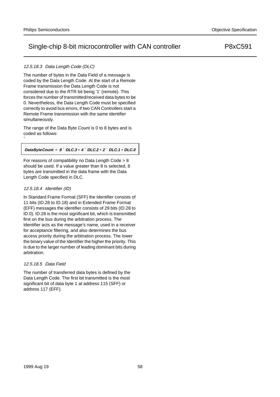# 12.5.18.3 Data Length Code (DLC)

The number of bytes in the Data Field of a message is coded by the Data Length Code. At the start of a Remote Frame transmission the Data Length Code is not considered due to the RTR bit being '1' (remote). This forces the number of transmitted/received data bytes to be 0. Nevertheless, the Data Length Code must be specified correctly to avoid bus errors, if two CAN Controllers start a Remote Frame transmission with the same identifier simultaneously.

The range of the Data Byte Count is 0 to 8 bytes and is coded as follows:

**DataByteCount 8 DLC.3 4 DLC.2 2 DLC.1 DLC.0** *=* × *+* × *+* × *+*

For reasons of compatibility no Data Length Code > 8 should be used. If a value greater than 8 is selected, 8 bytes are transmitted in the data frame with the Data Length Code specified in DLC.

## 12.5.18.4 Identifier (ID)

`

In Standard Frame Format (SFF) the Identifier consists of 11 bits (ID.28 to ID.18) and in Extended Frame Format (EFF) messages the identifier consists of 29 bits (ID.28 to ID.0). ID.28 is the most significant bit, which is transmitted first on the bus during the arbitration process. The Identifier acts as the message's name, used in a receiver for acceptance filtering, and also determines the bus access priority during the arbitration process. The lower the binary value of the Identifier the higher the priority. This is due to the larger number of leading dominant bits during arbitration.

## 12.5.18.5 Data Field

The number of transferred data bytes is defined by the Data Length Code. The first bit transmitted is the most significant bit of data byte 1 at address 115 (SFF) or address 117 (EFF).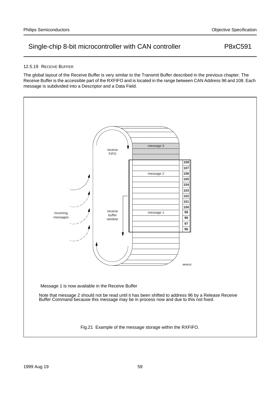### 12.5.19 RECEIVE BUFFER

The global layout of the Receive Buffer is very similar to the Transmit Buffer described in the previous chapter. The Receive Buffer is the accessible part of the RXFIFO and is located in the range between CAN Address 96 and 108. Each message is subdivided into a Descriptor and a Data Field.

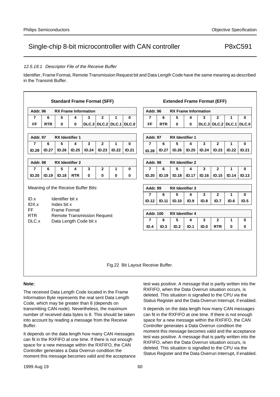### 12.5.19.1 Descriptor File of the Receive Buffer

Identifier, Frame Format, Remote Transmission Request bit and Data Length Code have the same meaning as described in the Transmit Buffer.

|                                     |              |                                 | <b>Standard Frame Format (SFF)</b> |             |                         |             |              |  |                                    |              | <b>Extended Frame Format (EFF)</b> |              |       |                           |              |              |
|-------------------------------------|--------------|---------------------------------|------------------------------------|-------------|-------------------------|-------------|--------------|--|------------------------------------|--------------|------------------------------------|--------------|-------|---------------------------|--------------|--------------|
| Addr. 96                            |              |                                 | <b>RX Frame Information</b>        |             |                         |             |              |  | Addr. 96                           |              | <b>RX Frame Information</b>        |              |       |                           |              |              |
| $\overline{7}$                      | 6            | 5                               | 4                                  | 3           | $\mathbf{2}$            | 1           | $\mathbf{0}$ |  | $\overline{7}$                     | 6            | 5                                  | 4            | 3     | $\mathbf{2}$              | 1            | $\bf{0}$     |
| FF                                  | <b>RTR</b>   | $\mathbf{0}$                    | $\bf{0}$                           |             | DLC.3 DLC.2 DLC.1 DLC.0 |             |              |  | FF                                 | <b>RTR</b>   | $\mathbf{0}$                       | 0            |       | $DLC.3$ DLC.2 DLC.1 DLC.0 |              |              |
|                                     |              |                                 |                                    |             |                         |             |              |  |                                    |              |                                    |              |       |                           |              |              |
| Addr. 97                            |              | <b>RX</b> Identifier 1          |                                    |             |                         |             |              |  | Addr. 97                           |              | <b>RX</b> Identifier 1             |              |       |                           |              |              |
| $\overline{7}$                      | 6            | 5                               | 4                                  | 3           | $\mathbf{2}$            | 1           | $\bf{0}$     |  | $\overline{7}$                     | 6            | 5                                  | 4            | 3     | $\mathbf{2}$              | 1            | 0            |
| <b>ID.28</b>                        | <b>ID.27</b> | ID.26                           | <b>ID.25</b>                       | ID.24       | ID.23                   | ID.22       | <b>ID.21</b> |  | <b>ID.28</b>                       | <b>ID.27</b> | ID.26                              | <b>ID.25</b> | ID.24 | <b>ID.23</b>              | ID.22        | ID.21        |
|                                     |              |                                 |                                    |             |                         |             |              |  |                                    |              |                                    |              |       |                           |              |              |
| Addr. 98                            |              | <b>RX</b> Identifier 2          |                                    |             |                         |             |              |  | Addr. 98<br><b>RX</b> Identifier 2 |              |                                    |              |       |                           |              |              |
| $\overline{7}$                      | 6            | 5                               | 4                                  | 3           | $\mathbf{2}$            | 1           | $\bf{0}$     |  | $\overline{7}$                     | 6            | 5                                  | 4            | 3     | $\mathbf{2}$              | 1            | $\bf{0}$     |
| <b>ID.20</b>                        | <b>ID.19</b> | <b>ID.18</b>                    | <b>RTR</b>                         | $\mathbf 0$ | $\mathbf 0$             | $\mathbf 0$ | 0            |  | ID.20                              | ID.19        | <b>ID.18</b>                       | <b>ID.17</b> | ID.16 | <b>ID.15</b>              | ID.14        | ID.13        |
|                                     |              |                                 |                                    |             |                         |             |              |  |                                    |              |                                    |              |       |                           |              |              |
| Meaning of the Receive Buffer Bits: |              |                                 |                                    |             |                         |             |              |  | Addr. 99<br><b>RX</b> Identifier 3 |              |                                    |              |       |                           |              |              |
|                                     |              |                                 |                                    |             |                         |             |              |  | 7                                  | 6            | 5                                  | 4            | 3     | $\mathbf{2}$              | 1            | $\mathbf{0}$ |
| ID.x<br>IDX.x                       |              | Identifier bit x<br>Index bit x |                                    |             |                         |             |              |  | ID.12                              | <b>ID.11</b> | <b>ID.10</b>                       | ID.9         | ID.8  | ID.7                      | ID.6         | ID.5         |
| FF                                  |              | <b>Frame Format</b>             |                                    |             |                         |             |              |  |                                    |              |                                    |              |       |                           |              |              |
| <b>RTR</b>                          |              |                                 | <b>Remote Transmission Request</b> |             |                         |             |              |  | <b>Addr. 100</b>                   |              | <b>RX</b> Identifier 4             |              |       |                           |              |              |
| DLC.x                               |              |                                 | Data Length Code bit x             |             |                         |             |              |  | $\overline{7}$                     | 6            | 5                                  | 4            | 3     | $\mathbf{2}$              | $\mathbf{1}$ | $\bf{0}$     |
|                                     |              |                                 |                                    |             |                         |             |              |  | ID.4                               | ID.3         | ID.2                               | <b>ID.1</b>  | ID.0  | <b>RTR</b>                | $\mathbf 0$  | 0            |
|                                     |              |                                 |                                    |             |                         |             |              |  |                                    |              |                                    |              |       |                           |              |              |
|                                     |              |                                 |                                    |             |                         |             |              |  |                                    |              |                                    |              |       |                           |              |              |
|                                     |              |                                 |                                    |             |                         |             |              |  |                                    |              |                                    |              |       |                           |              |              |
|                                     |              |                                 |                                    |             |                         |             |              |  |                                    |              |                                    |              |       |                           |              |              |
|                                     |              |                                 |                                    |             |                         |             |              |  |                                    |              |                                    |              |       |                           |              |              |

Fig.22 Bit Layout Receive Buffer.

### **Note:**

The received Data Length Code located in the Frame Information Byte represents the real sent Data Length Code, which may be greater than 8 (depends on transmitting CAN node). Nevertheless, the maximum number of received data bytes is 8. This should be taken into account by reading a message from the Receive Buffer.

It depends on the data length how many CAN messages can fit in the RXFIFO at one time. If there is not enough space for a new message within the RXFIFO, the CAN Controller generates a Data Overrun condition the moment this message becomes valid and the acceptance test was positive. A message that is partly written into the RXFIFO, when the Data Overrun situation occurs, is deleted. This situation is signalled to the CPU via the Status Register and the Data Overrun Interrupt, if enabled.

It depends on the data length how many CAN messages can fit in the RXFIFO at one time. If there is not enough space for a new message within the RXFIFO, the CAN Controller generates a Data Overrun condition the moment this message becomes valid and the acceptance test was positive. A message that is partly written into the RXFIFO, when the Data Overrun situation occurs, is deleted. This situation is signalled to the CPU via the Status Register and the Data Overrun Interrupt, if enabled.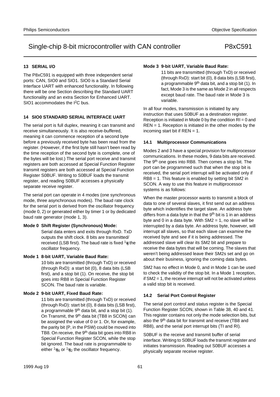# **13 SERIAL I/O**

The P8xC591 is equipped with three independent serial ports: CAN, SIO0 and SIO1. SIO0 is a Standard Serial Interface UART with enhanced functionality. In following there will be one Section describing the Standard UART functionality and an extra Section for Enhanced UART. SIO1 accommodates the I<sup>2</sup>C bus.

## **14 SIO0 STANDARD SERIAL INTERFACE UART**

The serial port is full duplex, meaning it can transmit and receive simultaneously. It is also receive-buffered, meaning it can commence reception of a second byte before a previously received byte has been read from the register. (However, if the first byte still hasn't been read by the time reception of the second byte is complete, one of the bytes will be lost.) The serial port receive and transmit registers are both accessed at Special Function Register transmit registers are both accessed at Special Function Register S0BUF. Writing to S0BUF loads the transmit register, and reading S0BUF accesses a physically separate receive register.

The serial port can operate in 4 modes (one synchronous mode, three asynchronous modes). The baud rate clock for the serial port is derived from the oscillator frequency (mode 0, 2) or generated either by timer 1 or by dedicated baud rate generator (mode 1, 3).

## **Mode 0 Shift Register (Synchronous) Mode:**

Serial data enters and exits through RxD. TxD outputs the shift clock. 8 bits are transmitted/ received (LSB first). The baud rate is fixed  $\frac{1}{6}$  the oscillator frequency.

## **Mode 1 8-bit UART, Variable Baud Rate:**

10 bits are transmitted (through TxD) or received (through RxD): a start bit (0), 8 data bits (LSB first), and a stop bit (1). On receive, the stop bit goes into RB8 in Special Function Register SCON. The baud rate is variable.

## **Mode 2 9-bit UART, Fixed Baud Rate:**

11 bits are transmitted (through TxD) or received (through RxD): start bit (0), 8 data bits (LSB first), a programmable 9th data bit, and a stop bit (1). On Transmit, the 9<sup>th</sup> data bit (TB8 in SCON) can be assigned the value of 0 or 1. Or, for example, the parity bit (P, in the PSW) could be moved into TB8. On receive, the 9th data bit goes into RB8 in Special Function Register SCON, while the stop bit ignored. The baud rate is programmable to either  $\frac{1}{16}$  or  $\frac{1}{32}$  the oscillator frequency.

### **Mode 3 9-bit UART, Variable Baud Rate:**

11 bits are transmitted (through TxD) or received (through RxD): start bit (0), 8 data bits (LSB first), a programmable 9<sup>th</sup> data bit, and a stop bit (1). In fact, Mode 3 is the same as Mode 2 in all respects except baud rate. The baud rate in Mode 3 is variable.

In all four modes, transmission is initiated by any instruction that uses S0BUF as a destination register. Reception is initiated in Mode 0 by the condition RI = 0 and REN = 1. Reception is initiated in the other modes by the incoming start bit if  $REN = 1$ .

### **14.1 Multiprocessor Communications**

Modes 2 and 3 have a special provision for multiprocessor communications. In these modes, 9 data bits are received. The 9<sup>th</sup> one goes into RB8. Then comes a stop bit. The port can be programmed such that when the stop bit is received, the serial port interrupt will be activated only if RB8 = 1. This feature is enabled by setting bit SM2 in SCON. A way to use this feature in multiprocessor systems is as follows:

When the master processor wants to transmit a block of data to one of several slaves, it first send out an address byte which indentifies the target slave. An address byte differs from a data byte in that the  $9<sup>th</sup>$  bit is 1 in an address byte and 0 in a data byte. With  $SM2 = 1$ , no slave will be interrupted by a data byte. An address byte, however, will interrupt all slaves, so that each slave can examine the received byte and see if it is being addressed. The addressed slave will clear its SM2 bit and prepare to receive the data bytes that will be coming. The slaves that weren't being addressed leave their SM2s set and go on about their business, ignoring the coming data bytes.

SM2 has no effect in Mode 0, and in Mode 1 can be used to check the validity of the stop bit. In a Mode 1 reception, if SM2 = 1, the receive interrupt will not be activated unless a valid stop bit is received.

## **14.2 Serial Port Control Register**

The serial port control and status register is the Special Function Register SCON, shown in Table 38, 40 and 41. This register contains not only the mode selection bits, but also the 9<sup>th</sup> data bit for transmit and receive (TB8 and RB8), and the serial port interrupt bits (TI and RI).

S0BUF is the receive and transmit buffer of serial interface. Writing to S0BUF loads the transmit register and initiates transmission. Reading out S0BUF accesses a physically separate receive register.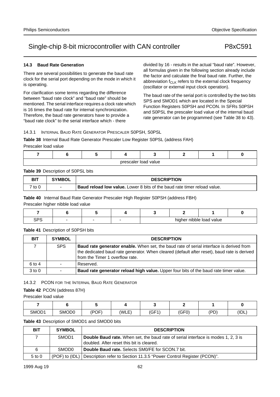## **14.3 Baud Rate Generation**

There are several possibilities to generate the baud rate clock for the serial port depending on the mode in which it is operating.

For clarification some terms regarding the difference between "baud rate clock" and "baud rate" should be mentioned. The serial interface requires a clock rate which is 16 times the baud rate for internal synchronization. Therefore, the baud rate generators have to provide a "baud rate clock" to the serial interface which - there

divided by 16 - results in the actual "baud rate". However, all formulas given in the following section already include the factor and calculate the final baud rate. Further, the abbreviation  $f_{CLK}$  refers to the external clock frequency (oscillator or external input clock operation).

The baud rate of the serial port is controlled by the two bits SPS and SMOD1 which are located in the Special Function Registers S0PSH and PCON. In SFRs S0PSH and S0PSL the prescaler load value of the internal baud rate generator can be programmed (see Table 38 to 43).

## 14.3.1 INTERNAL BAUD RATE GENERATOR PRESCALER S0PSH, S0PSL

# **Table 38** Internal Baud Rate Generator Prescaler Low Register S0PSL (address FAH)

Prescaler load value

|  |  | prescaler load value |  |  |
|--|--|----------------------|--|--|

## **Table 39** Description of S0PSL bits

| <b>BIT</b> | <b>SYMBOL</b>            | <b>DESCRIPTION</b>                                                              |
|------------|--------------------------|---------------------------------------------------------------------------------|
| 7 to 0     | $\overline{\phantom{0}}$ | <b>Baud reload low value.</b> Lower 8 bits of the baud rate timer reload value. |

**Table 40** Internal Baud Rate Generator Prescaler High Register S0PSH (address FBH)

Prescaler higher nibble load value

| ה ה |  |  | higher nibble load value |  |
|-----|--|--|--------------------------|--|

## **Table 41** Description of S0PSH bits

| <b>BIT</b> | <b>SYMBOL</b> | <b>DESCRIPTION</b>                                                                                                                                                                                                               |
|------------|---------------|----------------------------------------------------------------------------------------------------------------------------------------------------------------------------------------------------------------------------------|
|            | <b>SPS</b>    | <b>Baud rate generator enable.</b> When set, the baud rate of serial interface is derived from<br>the dedicated baud rate generator. When cleared (default after reset), baud rate is derived<br>from the Timer 1 overflow rate. |
| 6 to 4     |               | Reserved.                                                                                                                                                                                                                        |
| $3$ to $0$ |               | Baud rate generator reload high value. Upper four bits of the baud rate timer value.                                                                                                                                             |

# 14.3.2 PCON FOR THE INTERNAL BAUD RATE GENERATOR

# **Table 42** PCON (address 87H)

Prescaler load value

| SMOD1 | SMOD0 | (POF) | (WLE) | (GF1) | (0.5)<br>וט וס | (PD) | (IDL) |
|-------|-------|-------|-------|-------|----------------|------|-------|

## **Table 43** Description of SMOD1 and SMOD0 bits

| <b>BIT</b> | <b>SYMBOL</b>      | <b>DESCRIPTION</b>                                                                       |
|------------|--------------------|------------------------------------------------------------------------------------------|
|            | SMOD <sub>1</sub>  | <b>Double Baud rate.</b> When set, the baud rate of serial interface is modes 1, 2, 3 is |
|            |                    | doubled. After reset this bit is cleared.                                                |
| 6          | SMOD <sub>0</sub>  | <b>Double Baud rate.</b> Selects SM0/FE for SCON.7 bit.                                  |
| $5$ to $0$ | $(POF)$ to $(IDL)$ | Description refer to Section 11.3.5 "Power Control Register (PCON)".                     |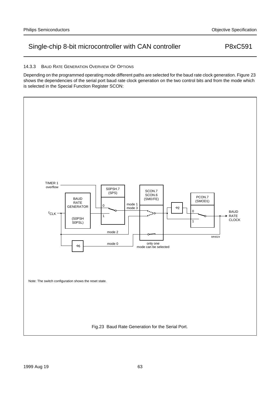### 14.3.3 BAUD RATE GENERATION OVERVIEW OF OPTIONS

Depending on the programmed operating mode different paths are selected for the baud rate clock generation. Figure 23 shows the dependencies of the serial port baud rate clock generation on the two control bits and from the mode which is selected in the Special Function Register SCON:

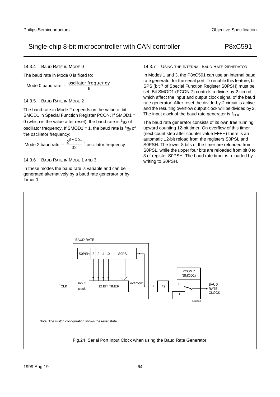14.3.4 BAUD RATE IN MODE 0

The baud rate in Mode 0 is fixed to:

Mode 0 baud rate  $=$   $\frac{\text{oscillator frequency}}{6}$ 

### 14.3.5 BAUD RATE IN MODE 2

The baud rate in Mode 2 depends on the value of bit SMOD1 in Special Function Register PCON. If SMOD1 = 0 (which is the value after reset), the baud rate is  $\frac{1}{32}$  of oscillator frequency. If SMOD1 = 1, the baud rate is  $\frac{1}{16}$  of the oscillator frequency:

Mode 2 baud rate  $=$   $\frac{2^{SMOD1}}{20}$  $=\frac{2}{32}$  × oscillator frequency

14.3.6 BAUD RATE IN MODE 1 AND 3

In these modes the baud rate is variable and can be generated alternatively by a baud rate generator or by Timer 1.

14.3.7 USING THE INTERNAL BAUD RATE GENERATOR

In Modes 1 and 3, the P8xC591 can use an internal baud rate generator for the serial port. To enable this feature, bit SPS (bit 7 of Special Function Register S0PSH) must be set. Bit SMOD1 (PCON.7) controls a divide-by-2 circuit which affect the input and output clock signal of the baud rate generator. After reset the divide-by-2 circuit is active and the resulting overflow output clock will be divided by 2. The input clock of the baud rate generator is  $f_{CLK}$ .

The baud rate generator consists of its own free running upward counting 12-bit timer. On overflow of this timer (next count step after counter value FFFH) there is an automatic 12-bit reload from the registers S0PSL and S0PSH. The lower 8 bits of the timer are reloaded from S0PSL, while the upper four bits are reloaded from bit 0 to 3 of register S0PSH. The baud rate timer is reloaded by writing to S0PSH.

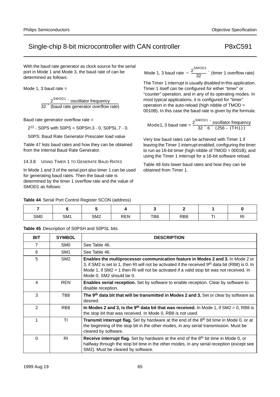With the baud rate generator as clock source for the serial port in Mode 1 and Mode 3, the baud rate of can be determined as follows:

Mode 1, 3 baud rate  $=$ 

 $2^{\mathsf{SMOD1}}\!\times\!$  osciillator frequency  $32 \times$  (baud rate generator overflow rate)

Baud rate generator overflow rate =

 $2^{12}$  - S0PS with S0PS = S0PSH.3 - 0, S0PSL.7 - 0.

S0PS: Baud Rate Generator Prescaler load value

Table 47 lists baud rates and how they can be obtained from the Internal Baud Rate Generator.

14.3.8 USING TIMER 1 TO GENERATE BAUD RATES

In Mode 1 and 3 of the serial port also timer 1 can be used for generating baud rates. Then the baud rate is determined by the timer 1 overflow rate and the value of SMOD1 as follows:

Mode 1, 3 baud rate  $=$   $\frac{2^{\text{SMOD1}}}{22}$  $=\frac{2}{32}$  × (timer 1 overflow rate)

The Timer 1 interrupt is usually disabled in this application. Timer 1 itself can be configured for either "timer" or "counter" operation, and in any of its operating modes. In most typical applications, it is configured for "timer" operation in the auto-reload (high nibble of TMOD = 0010B). In this case the baud rate is given by the formula:

$$
Mode 1, 3 bad rate = \frac{2^{SMOD1} \times oscillator frequency}{32 \times 6 \times (256 - (TH1))}
$$

Very low baud rates can be achieved with Timer 1 if leaving the Timer 1 interrupt enabled, configuring the timer to run as 16-bit timer (high nibble of TMOD = 0001B), and using the Timer 1 interrupt for a 16-bit software reload.

Table 48 lists lower baud rates and how they can be obtained from Timer 1.

## **Table 44** Serial Port Control Register SCON (address)

| SM <sub>0</sub> | SM <sub>1</sub> | SM <sub>2</sub> | <b>REN</b> | TB8 | RB <sub>8</sub> | - | n<br>вv |
|-----------------|-----------------|-----------------|------------|-----|-----------------|---|---------|

**Table 45** Description of S0PSH and S0PSL bits

| <b>BIT</b>    | <b>SYMBOL</b>   | <b>DESCRIPTION</b>                                                                                                                                                                                                                                                                                               |
|---------------|-----------------|------------------------------------------------------------------------------------------------------------------------------------------------------------------------------------------------------------------------------------------------------------------------------------------------------------------|
| 7             | SM0             | See Table 46.                                                                                                                                                                                                                                                                                                    |
| 6             | SM <sub>1</sub> | See Table 46.                                                                                                                                                                                                                                                                                                    |
| 5             | SM <sub>2</sub> | Enables the multiprocessor communication feature in Modes 2 and 3. In Mode 2 or<br>3, if SM2 is set to 1, then RI will not be activated if the received $9th$ data bit (RB8) is 0. In<br>Mode 1, if $SM2 = 1$ then RI will not be activated if a valid stop bit was not received. In<br>Mode 0, SM2 should be 0. |
| 4             | <b>REN</b>      | <b>Enables serial reception.</b> Set by software to enable reception. Clear by software to<br>disable reception.                                                                                                                                                                                                 |
| 3             | TB8             | The 9th data bit that will be transmitted in Modes 2 and 3. Set or clear by software as<br>desired.                                                                                                                                                                                                              |
| $\mathcal{P}$ | RB <sub>8</sub> | In Modes 2 and 3, is the 9 <sup>th</sup> data bit that was received. In Mode 1, if $SM2 = 0$ , RB8 is<br>the stop bit that was received. In Mode 0, RB8 is not used.                                                                                                                                             |
|               | ΤI              | Transmit interrupt flag. Set by hardware at the end of the 8 <sup>th</sup> bit time in Mode 0, or at<br>the beginning of the stop bit in the other modes, in any serial transmission. Must be<br>cleared by software.                                                                                            |
| $\Omega$      | R <sub>l</sub>  | Receive interrupt flag. Set by hardware at the end of the 8th bit time in Mode 0, or<br>halfway through the stop bit time in the other modes, in any serial reception (except see<br>SM2). Must be cleared by software.                                                                                          |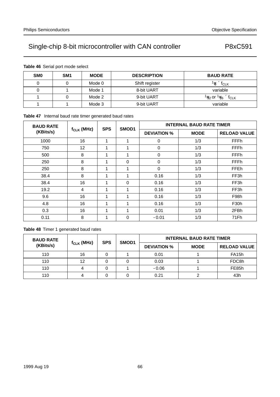**Table 46** Serial port mode select

| SM <sub>0</sub> | SM <sub>1</sub> | <b>MODE</b> | <b>DESCRIPTION</b> | <b>BAUD RATE</b>                                         |
|-----------------|-----------------|-------------|--------------------|----------------------------------------------------------|
|                 |                 | Mode 0      | Shift register     | $\frac{1}{6} \times$ f <sub>CLK</sub>                    |
|                 |                 | Mode 1      | 8-bit UART         | variable                                                 |
|                 |                 | Mode 2      | 9-bit UART         | $\frac{1}{32}$ or $\frac{1}{16} \times$ f <sub>CLK</sub> |
|                 |                 | Mode 3      | 9-bit UART         | variable                                                 |

# **Table 47** Internal baud rate timer generated baud rates

| <b>BAUD RATE</b> |                 |            | <b>INTERNAL BAUD RATE TIMER</b> |                    |             |                     |
|------------------|-----------------|------------|---------------------------------|--------------------|-------------|---------------------|
| (KBits/s)        | $f_{CLK}$ (MHz) | <b>SPS</b> | SMOD1                           | <b>DEVIATION %</b> | <b>MODE</b> | <b>RELOAD VALUE</b> |
| 1000             | 16              | 1          | 4                               | $\Omega$           | 1/3         | <b>FFFh</b>         |
| 750              | 12              | 1          |                                 | $\Omega$           | 1/3         | <b>FFFh</b>         |
| 500              | 8               | 1          | ◢                               | $\Omega$           | 1/3         | <b>FFFh</b>         |
| 250              | 8               | 1          | $\Omega$                        | $\Omega$           | 1/3         | <b>FFFh</b>         |
| 250              | 8               | 4          |                                 | $\Omega$           | 1/3         | <b>FFEh</b>         |
| 38.4             | 8               | 1          |                                 | 0.16               | 1/3         | FF3h                |
| 38.4             | 16              | 1          | $\Omega$                        | 0.16               | 1/3         | FF3h                |
| 19.2             | 4               | 1          | 4                               | 0.16               | 1/3         | FF3h                |
| 9.6              | 16              | 1          |                                 | 0.16               | 1/3         | F98h                |
| 4.8              | 16              | 1          |                                 | 0.16               | 1/3         | F30h                |
| 0.3              | 16              | 1          | и                               | 0.01               | 1/3         | 2FBh                |
| 0.11             | 8               |            | $\Omega$                        | $-0.01$            | 1/3         | 71Fh                |

# **Table 48** Timer 1 generated baud rates

| <b>BAUD RATE</b> |                 | <b>SPS</b> | SMOD1 | <b>INTERNAL BAUD RATE TIMER</b> |             |                     |  |
|------------------|-----------------|------------|-------|---------------------------------|-------------|---------------------|--|
| (KBits/s)        | $f_{CLK}$ (MHz) |            |       | <b>DEVIATION %</b>              | <b>MODE</b> | <b>RELOAD VALUE</b> |  |
| 110              | 16              |            |       | 0.01                            |             | FA <sub>15h</sub>   |  |
| 110              | 12              |            |       | 0.03                            |             | FDC8h               |  |
| 110              |                 |            |       | $-0.06$                         |             | FE85h               |  |
| 110              |                 |            |       | 0.21                            |             | 43h                 |  |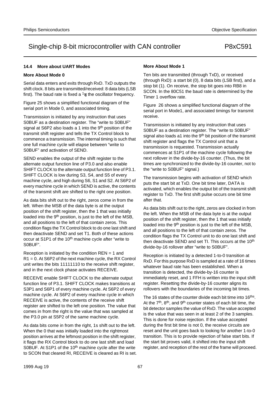## **14.4 More about UART Modes**

### **More About Mode 0**

Serial data enters and exits through RxD. TxD outputs the shift clock. 8 bits are transmitted/received: 8 data bits (LSB first). The baud rate is fixed a  $\frac{1}{6}$  the oscillator frequency.

Figure 25 shows a simplified functional diagram of the serial port in Mode 0, and associated timing.

Transmission is initiated by any instruction that uses S0BUF as a destination register. The "write to S0BUF" signal at S6P2 also loads a 1 into the 9<sup>th</sup> position of the transmit shift register and tells the TX Control block to commence a transmission. The internal timing is such that one full machine cycle will elapse between "write to S0BUF" and activation of SEND.

SEND enables the output of the shift register to the alternate output function line of P3.0 and also enable SHIFT CLOCK to the alternate output function line of P3.1. SHIFT CLOCK is low during S3, S4, and S5 of every machine cycle, and high during S6, S1 and S2. At S6P2 of every machine cycle in which SEND is active, the contents of the transmit shift are shifted to the right one position.

As data bits shift out to the right, zeros come in from the left. When the MSB of the data byte is at the output position of the shift register, then the 1 that was initially loaded into the 9<sup>th</sup> position, is just to the left of the MSB, and all positions to the left of that contain zeros. This condition flags the TX Control block to do one last shift and then deactivate SEND and set T1. Both of these actions occur at S1P1 of the 10<sup>th</sup> machine cycle after "write to S0BUF".

Reception is initiated by the condition REN = 1 and R1 = 0. At S6P2 of the next machine cycle, the RX Control unit writes the bits 11111110 to the receive shift register, and in the next clock phase activates RECEIVE.

RECEIVE enable SHIFT CLOCK to the alternate output function line of P3.1. SHIFT CLOCK makes transitions at S3P1 and S6P1 of every machine cycle. At S6P2 of every machine cycle. At S6P2 of every machine cycle in which RECEIVE is active, the contents of the receive shift register are shifted to the left one position. The value that comes in from the right is the value that was sampled at the P3.0 pin at S5P2 of the same machine cycle.

As data bits come in from the right, 1s shift out to the left. When the 0 that was initially loaded into the rightmost position arrives at the leftmost position in the shift register, it flags the RX Control block to do one last shift and load S0BUF. At S1P1 of the 10<sup>th</sup> machine cycle after the write to SCON that cleared RI, RECEIVE is cleared as RI is set.

### **More About Mode 1**

Ten bits are transmitted (through TxD), or received (through RxD): a start bit (0), 8 data bits (LSB first), and a stop bit (1). On receive, the stop bit goes into RB8 in SCON. In the 80C51 the baud rate is determined by the Timer 1 overflow rate.

Figure 26 shows a simplified functional diagram of the serial port in Mode1, and associated timings for transmit receive.

Transmission is initiated by any instruction that uses S0BUF as a destination register. The "write to S0BUF" signal also loads a1 into the 9<sup>th</sup> bit position of the transmit shift register and flags the TX Control unit that a transmission is requested. Transmission actually commences at S1P1 of the machine cycle following the next rollover in the divide-by-16 counter. (Thus, the bit times are synchronized to the divide-by-16 counter, not to the "write to S0BUF" signal.)

The transmission begins with activation of SEND which puts the start bit at TxD. One bit time later, DATA is activated, which enables the output bit of the transmit shift register to TxD. The first shift pulse occurs one bit time after that.

As data bits shift out to the right, zeros are clocked in from the left. When the MSB of the data byte is at the output position of the shift register, then the 1 that was initially loaded into the 9<sup>th</sup> position is just to the left of the MSB, and all positions to the left of that contain zeros. The condition flags the TX Control unit to do one last shift and then deactivate SEND and set TI. This occurs at the 10<sup>th</sup> divide-by-16 rollover after "write to S0BUF".

Reception is initiated by a detected 1-to-0 transition at RxD. For this purpose RxD is sampled at a rate of 16 times whatever baud rate has been established. When a transition is detected, the divide-by-16 counter is immediately reset, and 1 FFH is written into the input shift register. Resetting the divide-by-16 counter aligns its rollovers with the boundaries of the incoming bit times.

The 16 states of the counter divide each bit time into 16<sup>ths</sup>. At the 7<sup>th</sup>, 8<sup>th</sup>, and 9<sup>th</sup> counter states of each bit time, the bit detector samples the value of RxD. The value accepted is the value that was seen in at least 2 of the 3 samples. This is done for noise rejection. If the value accepted during the first bit time is not 0, the receive circuits are reset and the unit goes back to looking for another 1-to-0 transition. This is to provide rejection of false start bits. If the start bit proves valid, it shifted into the input shift register, and reception of the rest of the frame will proceed.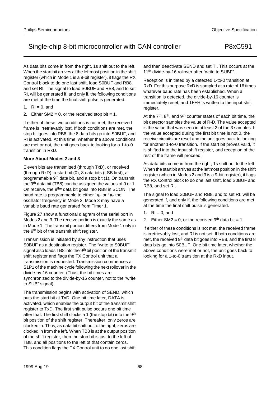As data bits come in from the right, 1s shift out to the left. When the start bit arrives at the leftmost position in the shift register (which in Mode 1 is a 9-bit register), it flags the RX Control block to do one last shift, load S0BUF and RB8, and set RI. The signal to load S0BUF and RB8, and to set RI, will be generated if, and only if, the following conditions are met at the time the final shift pulse is generated:

- 1.  $RI = 0$ , and
- 2. Either  $SM2 = 0$ , or the received stop bit = 1.

If either of these two conditions is not met, the received frame is irretrievably lost. If both conditions are met, the stop bit goes into RB8, the 8 data bits go into S0BUF, and RI is activated. At this time, whether the above conditions are met or not, the unit goes back to looking for a 1-to-0 transition in RxD.

## **More About Modes 2 and 3**

Eleven bits are transmitted (through TxD), or received (through RxD): a start bit (0), 8 data bits (LSB first), a programmable 9th data bit, and a stop bit (1). On transmit, the 9<sup>th</sup> data bit (TB8) can be assigned the values of 0 or 1. On receive, the 9the data bit goes into RB8 in SCON. The baud rate is programmable to either  $1/16$  or  $1/32$  the oscillator frequency in Mode 2. Mode 3 may have a variable baud rate generated from Timer 1.

Figure 27 show a functional diagram of the serial port in Modes 2 and 3. The receive portion is exactly the same as in Mode 1. The transmit portion differs from Mode 1 only in the 9<sup>th</sup> bit of the transmit shift register.

Transmission is initiated by any instruction that uses S0BUF as a destination register. The "write to S0BUF" signal also loads TB8 into the 9<sup>th</sup> bit position of the transmit shift register and flags the TX Control unit that a transmission is requested. Transmission commences at S1P1 of the machine cycle following the next rollover in the divide-by-16 counter. (Thus, the bit times are synchronized to the divide-by-16 counter, not to the "write to SUB" signal).

The transmission begins with activation of SEND, which puts the start bit at TxD. One bit time later, DATA is activated, which enables the output bit of the transmit shift register to TxD. The first shift pulse occurs one bit time after that. The first shift clocks a 1 (the stop bit) into the 9<sup>th</sup> bit position of the shift register. Thereafter, only zeros are clocked in. Thus, as data bit shift out to the right, zeros are clocked in from the left. When TB8 is at the output position of the shift register, then the stop bit is just to the left of TB8, and all positions to the left of that contain zeros. This condition flags the TX Control unit to do one last shift and then deactivate SEND and set TI. This occurs at the 11<sup>th</sup> divide-by-16 rollover after "write to SUBF".

Reception is initiated by a detected 1-to-0 transition at RxD. For this purpose RxD is sampled at a rate of 16 times whatever baud rate has been established. When a transition is detected, the divide-by-16 counter is immediately reset, and 1FFH is written to the input shift register.

At the  $7<sup>th</sup>$ ,  $8<sup>th</sup>$ , and  $9<sup>th</sup>$  counter states of each bit time, the bit detector samples the value of R-D. The value accepted is the value that was seen in at least 2 of the 3 samples. If the value accepted during the first bit time is not 0, the receive circuits are reset and the unit goes back to looking for another 1-to-0 transition. If the start bit proves valid, it is shifted into the input shift register, and reception of the rest of the frame will proceed.

As data bits come in from the right, 1s shift out to the left. When the start bit arrives at the leftmost position in the shift register (which in Modes 2 and 3 is a 9-bit register), it flags the RX Control block to do one last shift, load S0BUF and RB8, and set RI.

The signal to load S0BUF and RB8, and to set RI, will be generated if, and only if, the following conditions are met at the time the final shift pulse is generated.

- 1.  $R1 = 0$ , and
- 2. Either SM2 = 0, or the received  $9<sup>th</sup>$  data bit = 1.

If either of these conditions is not met, the received frame is irretrievably lost, and RI is not set. If both conditions are met, the received 9<sup>th</sup> data bit goes into RB8, and the first 8 data bits go into S0BUF. One bit time later, whether the above conditions were met or not, the unit goes back to looking for a 1-to-0 transition at the RxD input.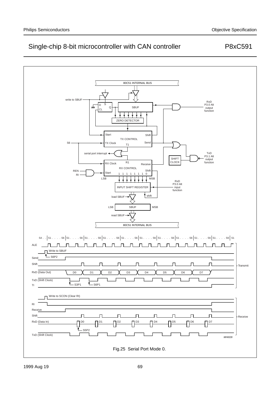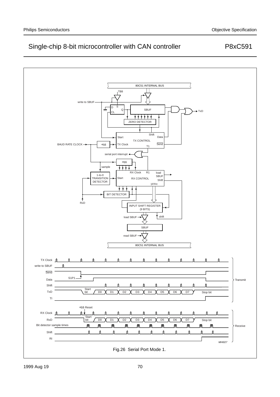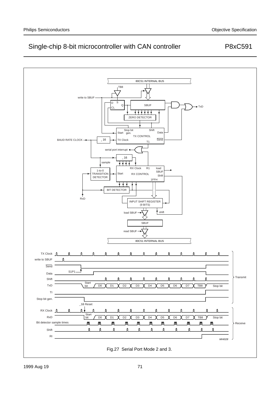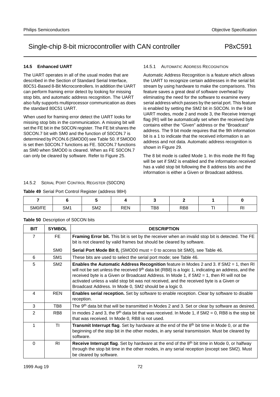# **14.5 Enhanced UART**

The UART operates in all of the usual modes that are described in the Section of Standard Serial Interface, 80C51-Based 8-Bit Microcontrollers. In addition the UART can perform framing error detect by looking for missing stop bits, and automatic address recognition. The UART also fully supports multiprocessor communication as does the standard 80C51 UART.

When used for framing error detect the UART looks for missing stop bits in the communication. A missing bit will set the FE bit in the S0CON register. The FE bit shares the S0CON.7 bit with SM0 and the function of S0CON.7 is determined by PCON.6 (SMOD0) see Table 50. If SMOD0 is set then S0CON.7 functions as FE. S0CON.7 functions as SM0 when SMOD0 is cleared. When as FE S0CON.7 can only be cleared by software. Refer to Figure 25.

### 14.5.1 AUTOMATIC ADDRESS RECOGNITION

Automatic Address Recognition is a feature which allows the UART to recognize certain addresses in the serial bit stream by using hardware to make the comparisons. This feature saves a great deal of software overhead by eliminating the need for the software to examine every serial address which passes by the serial port. This feature is enabled by setting the SM2 bit in S0CON. In the 9 bit UART modes, mode 2 and mode 3, the Receive Interrupt flag (RI) will be automatically set when the received byte contains either the "Given" address or the "Broadcast" address. The 9 bit mode requires that the 9th information bit is a 1 to indicate that the received information is an address and not data. Automatic address recognition is shown in Figure 29.

The 8 bit mode is called Mode 1. In this mode the RI flag will be set if SM2 is enabled and the information received has a valid stop bit following the 8 address bits and the information is either a Given or Broadcast address.

### 14.5.2 SERIAL PORT CONTROL REGISTER (S0CON)

**Table 49** Serial Port Control Register (address 98H)

| SM0/FE | SM <sub>1</sub> | SM <sub>2</sub> | REN | TB8 | RB <sub>8</sub> | $-$ | $\mathbf{D}$<br>πı |
|--------|-----------------|-----------------|-----|-----|-----------------|-----|--------------------|

## **Table 50** Description of S0CON bits

| <b>BIT</b>     | <b>SYMBOL</b>   | <b>DESCRIPTION</b>                                                                                                                                                                                                                                                                                                                                                                                                                                               |
|----------------|-----------------|------------------------------------------------------------------------------------------------------------------------------------------------------------------------------------------------------------------------------------------------------------------------------------------------------------------------------------------------------------------------------------------------------------------------------------------------------------------|
| 7              | FE.             | Framing Error bit. This bit is set by the receiver when an invalid stop bit is detected. The FE<br>bit is not cleared by valid frames but should be cleared by software.                                                                                                                                                                                                                                                                                         |
|                | SM <sub>0</sub> | <b>Serial Port Mode Bit 0, (SMOD0</b> must = 0 to access bit SM0), see Table 46.                                                                                                                                                                                                                                                                                                                                                                                 |
| 6              | SM <sub>1</sub> | These bits are used to select the serial port mode; see Table 46.                                                                                                                                                                                                                                                                                                                                                                                                |
| 5              | SM <sub>2</sub> | <b>Enables the Automatic Address Recognition</b> feature in Modes 2 and 3. If $SM2 = 1$ , then RI<br>will not be set unless the received $9th$ data bit (RB8) is a logic 1, indicating an address, and the<br>received byte is a Given or Broadcast Address. In Mode 1, if $S M2 = 1$ , then RI will not be<br>activated unless a valid stop bit was not received, and the received byte is a Given or<br>Broadcast Address. In Mode 0, SM2 should be a logic 0. |
| 4              | <b>REN</b>      | Enables serial reception. Set by software to enable reception. Clear by software to disable<br>reception.                                                                                                                                                                                                                                                                                                                                                        |
| 3              | TB8             | The 9 <sup>th</sup> data bit that will be transmitted in Modes 2 and 3. Set or clear by software as desired.                                                                                                                                                                                                                                                                                                                                                     |
| $\mathfrak{p}$ | RB <sub>8</sub> | In modes 2 and 3, the 9 <sup>th</sup> data bit that was received. In Mode 1, if SM2 = 0, RB8 is the stop bit<br>that was received. In Mode 0, RB8 is not used.                                                                                                                                                                                                                                                                                                   |
|                | ΤI              | Transmit Interrupt flag. Set by hardware at the end of the 8 <sup>th</sup> bit time in Mode 0, or at the<br>beginning of the stop bit in the other modes, in any serial transmission. Must be cleared by<br>software.                                                                                                                                                                                                                                            |
| $\Omega$       | RI.             | Receive Interrupt flag. Set by hardware at the end of the 8 <sup>th</sup> bit time in Mode 0, or halfway<br>through the stop bit time in the other modes, in any serial reception (except see SM2). Must<br>be cleared by software.                                                                                                                                                                                                                              |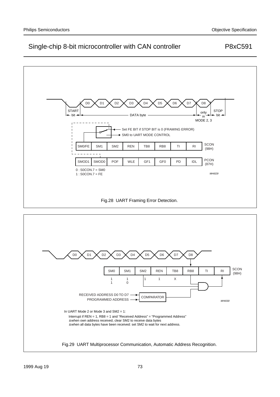

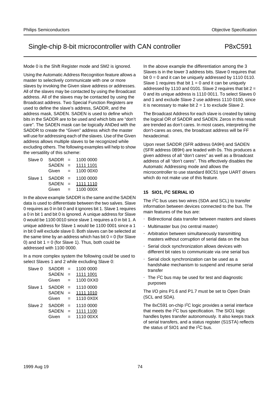#### Mode 0 is the Shift Register mode and SM2 is ignored.

Using the Automatic Address Recognition feature allows a master to selectively communicate with one or more slaves by invoking the Given slave address or addresses. All of the slaves may be contacted by using the Broadcast address. All of the slaves may be contacted by using the Broadcast address. Two Special Function Registers are used to define the slave's address, SADDR, and the address mask, SADEN. SADEN is used to define which bits in the SADDR are to be used and which bits are "don't care". The SADEN mask can be logically ANDed with the SADDR to create the "Given" address which the master will use for addressing each of the slaves. Use of the Given address allows multiple slaves to be recognized while excluding others. The following examples will help to show the versatility of this scheme:

| Slave 0 | $SADDR =$    |     | 1100 0000 |
|---------|--------------|-----|-----------|
|         | <b>SADEN</b> | $=$ | 1111 1101 |
|         | Given        | $=$ | 1100 00X0 |
| Slave 1 | $SADDR =$    |     | 1100 0000 |
|         | <b>SADEN</b> | $=$ | 1111 1110 |
|         | Given        | $=$ | 1100 000X |

In the above example SADDR is the same and the SADEN data is used to differentiate between the two salves. Slave 0 requires as 0 in bit 0 and it ignores bit 1. Slave 1 requires a 0 in bit 1 and bit 0 is ignored. A unique address for Slave 0 would be 1100 0010 since slave 1 requires a 0 in bit 1. A unique address for Slave 1 would be 1100 0001 since a 1 in bit 0 will exclude slave 0. Both slaves can be selected at the same time by an address which has bit  $0 = 0$  (for Slave 0) and bit  $1 = 0$  (for Slave 1). Thus, both could be addressed with 1100 0000.

In a more complex system the following could be used to select Slaves 1 and 2 while excluding Slave 0:

| Slave 0 | SADDR        | $=$ | 1100 0000 |
|---------|--------------|-----|-----------|
|         | SADEN        | $=$ | 1111 1001 |
|         | Given        | $=$ | 1100 0XX0 |
| Slave 1 | SADDR        | $=$ | 1110 0000 |
|         | SADEN        | $=$ | 1111 1010 |
|         | Given        | $=$ | 1110 0X0X |
| Slave 2 | SADDR        | $=$ | 1110 0000 |
|         | <b>SADEN</b> | $=$ | 1111 1100 |
|         | Given        | =   | 1110 00XX |
|         |              |     |           |

In the above example the differentiation among the 3 Slaves is in the lower 3 address bits. Slave 0 requires that bit  $0 = 0$  and it can be uniquely addressed by 1110 0110. Slave 1 requires that bit  $1 = 0$  and it can be uniquely addressed by 1110 and 0101. Slave 2 requires that bit  $2 =$ 0 and its unique address is 1110 0011. To select Slaves 0 and 1 and exclude Slave 2 use address 1110 0100, since it is necessary to make bit  $2 = 1$  to exclude Slave 2.

The Broadcast Address for each slave is created by taking the logical OR of SADDR and SADEN. Zeros in this result are trended as don't cares. In most cases, interpreting the don't-cares as ones, the broadcast address will be FF hexadecimal.

Upon reset SADDR (SFR address 0A9H) and SADEN (SFR address 0B9H) are leaded with 0s. This produces a given address of all "don't cares" as well as a Broadcast address of all "don't cares". This effectively disables the Automatic Addressing mode and allows the microcontroller to use standard 80C51 type UART drivers which do not make use of this feature.

#### **15 SIO1, I2C SERIAL IO**

The I<sup>2</sup>C bus uses two wires (SDA and SCL) to transfer information between devices connected to the bus. The main features of the bus are:

- Bidirectional data transfer between masters and slaves
- Multimaster bus (no central master)
- Arbitration between simultaneously transmitting masters without corruption of serial data on the bus
- Serial clock synchronization allows devices with different bit rates to communicate via one serial bus
- Serial clock synchronization can be used as a handshake mechanism to suspend and resume serial transfer
- The I<sup>2</sup>C bus may be used for test and diagnostic purposes

The I/O pins P1.6 and P1.7 must be set to Open Drain (SCL and SDA).

The 8xC591 on-chip I<sup>2</sup>C logic provides a serial interface that meets the I2C bus specification. The SIO1 logic handles bytes transfer autonomously. It also keeps track of serial transfers, and a status register (S1STA) reflects the status of SIO1 and the I2C bus.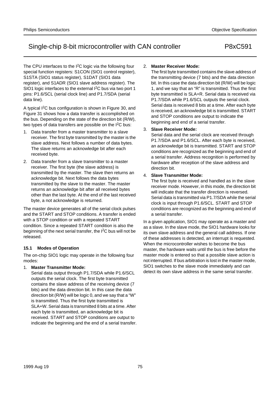The CPU interfaces to the I<sup>2</sup>C logic via the following four special function registers: S1CON (SIO1 control register), S1STA (SIO1 status register), S1DAT (SIO1 data register), and S1ADR (SIO1 slave address register). The SIO1 logic interfaces to the external I<sup>2</sup>C bus via two port 1 pins: P1.6/SCL (serial clock line) and P1.7/SDA (serial data line).

A typical I<sup>2</sup>C bus configuration is shown in Figure 30, and Figure 31 shows how a data transfer is accomplished on the bus. Depending on the state of the direction bit (R/W), two types of data transfers are possible on the  $1^2C$  bus:

- 1. Data transfer from a master transmitter to a slave receiver. The first byte transmitted by the master is the slave address. Next follows a number of data bytes. The slave returns an acknowledge bit after each received byte.
- 2. Data transfer from a slave transmitter to a master receiver. The first byte (the slave address) is transmitted by the master. The slave then returns an acknowledge bit. Next follows the data bytes transmitted by the slave to the master. The master returns an acknowledge bit after all received bytes other than the last byte. At the end of the last received byte, a not acknowledge is returned.

The master device generates all of the serial clock pulses and the START and STOP conditions. A transfer is ended with a STOP condition or with a repeated START condition. Since a repeated START condition is also the beginning of the next serial transfer, the I2C bus will not be released.

## **15.1 Modes of Operation**

The on-chip SIO1 logic may operate in the following four modes:

## 1. **Master Transmitter Mode:**

Serial data output through P1.7/SDA while P1.6/SCL outputs the serial clock. The first byte transmitted contains the slave address of the receiving device (7 bits) and the data direction bit. In this case the data direction bit (R/W) will be logic 0, and we say that a "W" is transmitted. Thus the first byte transmitted is SLA+W. Serial data is transmitted 8 bits at a time. After each byte is transmitted, an acknowledge bit is received. START and STOP conditions are output to indicate the beginning and the end of a serial transfer.

## 2. **Master Receiver Mode:**

The first byte transmitted contains the slave address of the transmitting device (7 bits) and the data direction bit. In this case the data direction bit (R/W) will be logic 1, and we say that an "R" is transmitted. Thus the first byte transmitted is SLA+R. Serial data is received via P1.7/SDA while P1.6/SCL outputs the serial clock. Serial data is received 8 bits at a time. After each byte is received, an acknowledge bit is transmitted. START and STOP conditions are output to indicate the beginning and end of a serial transfer.

## 3. **Slave Receiver Mode:**

Serial data and the serial clock are received through P1.7/SDA and P1.6/SCL. After each byte is received, an acknowledge bit is transmitted. START and STOP conditions are recognized as the beginning and end of a serial transfer. Address recognition is performed by hardware after reception of the slave address and direction bit.

## 4. **Slave Transmitter Mode:**

The first byte is received and handled as in the slave receiver mode. However, in this mode, the direction bit will indicate that the transfer direction is reversed. Serial data is transmitted via P1.7/SDA while the serial clock is input through P1.6/SCL. START and STOP conditions are recognized as the beginning and end of a serial transfer.

In a given application, SIO1 may operate as a master and as a slave. In the slave mode, the SIO1 hardware looks for its own slave address and the general call address. If one of these addresses is detected, an interrupt is requested. When the microcontroller wishes to become the bus master, the hardware waits until the bus is free before the master mode is entered so that a possible slave action is not interrupted. If bus arbitration is lost in the master mode, SIO1 switches to the slave mode immediately and can detect its own slave address in the same serial transfer.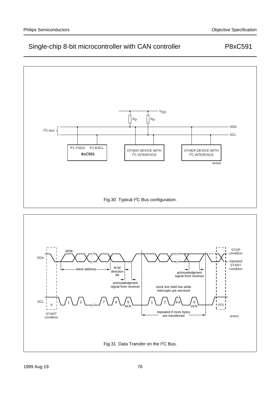

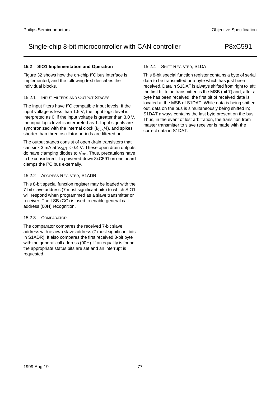## 15.2.2 ADDRESS REGISTER, S1ADR

This 8-bit special function register may be loaded with the 7-bit slave address (7 most significant bits) to which SIO1 will respond when programmed as a slave transmitter or receiver. The LSB (GC) is used to enable general call address (00H) recognition.

## 15.2.3 COMPARATOR

The comparator compares the received 7-bit slave address with its own slave address (7 most significant bits in S1ADR). It also compares the first received 8-bit byte with the general call address (00H). If an equality is found, the appropriate status bits are set and an interrupt is requested.

## 15.2.4 SHIFT REGISTER, S1DAT

This 8-bit special function register contains a byte of serial data to be transmitted or a byte which has just been received. Data in S1DAT is always shifted from right to left; the first bit to be transmitted is the MSB (bit 7) and, after a byte has been received, the first bit of received data is located at the MSB of S1DAT. While data is being shifted out, data on the bus is simultaneously being shifted in; S1DAT always contains the last byte present on the bus. Thus, in the event of lost arbitration, the transition from master transmitter to slave receiver is made with the correct data in S1DAT.

individual blocks.

**15.2 SIO1 Implementation and Operation**

15.2.1 INPUT FILTERS AND OUTPUT STAGES

Figure 32 shows how the on-chip I2C bus interface is implemented, and the following text describes the

The input filters have  $I^2C$  compatible input levels. If the input voltage is less than 1.5 V, the input logic level is interpreted as 0; if the input voltage is greater than 3.0 V, the input logic level is interpreted as 1. Input signals are synchronized with the internal clock  $(f_{CLK}/4)$ , and spikes shorter than three oscillator periods are filtered out.

The output stages consist of open drain transistors that can sink 3 mA at  $V_{\text{OUT}}$  < 0.4 V. These open drain outputs do have clamping diodes to  $V_{DD}$ . Thus, precautions have to be considered, if a powered-down 8xC591 on one board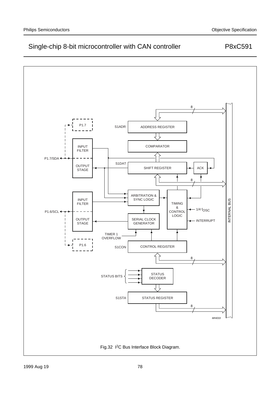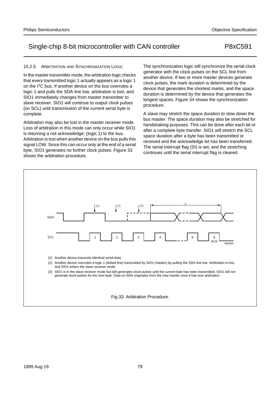## 15.2.5 ARBITRATION AND SYNCHRONIZATION LOGIC

In the master transmitter mode, the arbitration logic checks that every transmitted logic 1 actually appears as a logic 1 on the I2C bus. If another device on the bus overrules a logic 1 and pulls the SDA line low, arbitration is lost, and SIO1 immediately changes from master transmitter to slave receiver. SIO1 will continue to output clock pulses (on SCL) until transmission of the current serial byte is complete.

Arbitration may also be lost in the master receiver mode. Loss of arbitration in this mode can only occur while SIO1 is returning a not acknowledge: (logic 1) to the bus. Arbitration is lost when another device on the bus pulls this signal LOW. Since this can occur only at the end of a serial byte, SIO1 generates no further clock pulses. Figure 33 shows the arbitration procedure.

The synchronization logic will synchronize the serial clock generator with the clock pulses on the SCL line from another device. If two or more master devices generate clock pulses, the mark duration is determined by the device that generates the shortest marks, and the space duration is determined by the device that generates the longest spaces. Figure 34 shows the synchronization procedure.

A slave may stretch the space duration to slow down the bus master. The space duration may also be stretched for handshaking purposes. This can be done after each bit or after a complete byte transfer. SIO1 will stretch the SCL space duration after a byte has been transmitted or received and the acknowledge bit has been transferred. The serial interrupt flag (SI) is set, and the stretching continues until the serial interrupt flag is cleared.



(3) SIO1 is in the slave receiver mode but still generates clock pulses until the current byte has been transmitted. SIO1 will not generate clock pulses for the next byte. Data on SDA originates from the new master once it has won arbitration.

Fig.33 Arbitration Procedure.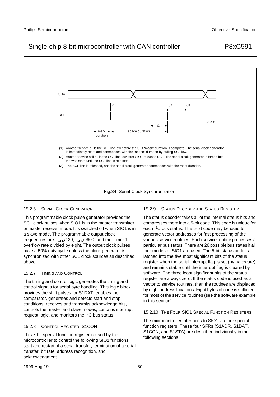

#### 15.2.6 SERIAL CLOCK GENERATOR

This programmable clock pulse generator provides the SCL clock pulses when SIO1 is in the master transmitter or master receiver mode. It is switched off when SIO1 is in a slave mode. The programmable output clock frequencies are:  $f_{CLK}/120$ ,  $f_{CLK}/9600$ , and the Timer 1 overflow rate divided by eight. The output clock pulses have a 50% duty cycle unless the clock generator is synchronized with other SCL clock sources as described above.

## 15.2.7 TIMING AND CONTROL

The timing and control logic generates the timing and control signals for serial byte handling. This logic block provides the shift pulses for S1DAT, enables the comparator, generates and detects start and stop conditions, receives and transmits acknowledge bits, controls the master and slave modes, contains interrupt request logic, and monitors the I2C bus status.

## 15.2.8 CONTROL REGISTER, S1CON

This 7-bit special function register is used by the microcontroller to control the following SIO1 functions: start and restart of a serial transfer, termination of a serial transfer, bit rate, address recognition, and acknowledgment.

## 15.2.9 STATUS DECODER AND STATUS REGISTER

The status decoder takes all of the internal status bits and compresses them into a 5-bit code. This code is unique for each I2C bus status. The 5-bit code may be used to generate vector addresses for fast processing of the various service routines. Each service routine processes a particular bus status. There are 26 possible bus states if all four modes of SIO1 are used. The 5-bit status code is latched into the five most significant bits of the status register when the serial interrupt flag is set (by hardware) and remains stable until the interrupt flag is cleared by software. The three least significant bits of the status register are always zero. If the status code is used as a vector to service routines, then the routines are displaced by eight address locations. Eight bytes of code is sufficient for most of the service routines (see the software example in this section).

## 15.2.10 THE FOUR SIO1 SPECIAL FUNCTION REGISTERS

The microcontroller interfaces to SIO1 via four special function registers. These four SFRs (S1ADR, S1DAT, S1CON, and S1STA) are described individually in the following sections.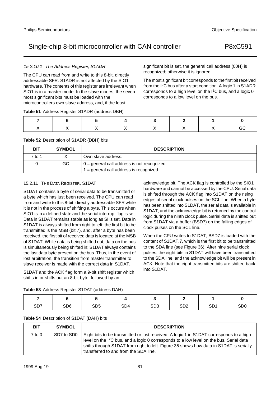## 15.2.10.1 The Address Register, S1ADR

The CPU can read from and write to this 8-bit, directly addressable SFR. S1ADR is not affected by the SIO1 hardware. The contents of this register are irrelevant when SIO1 is in a master mode. In the slave modes, the seven most significant bits must be loaded with the microcontrollers own slave address, and, if the least

## **Table 51** Address Register S1ADR (address DBH)

## **Table 52** Description of S1ADR (DBH) bits

| BIT    | <b>SYMBOL</b> | <b>DESCRIPTION</b>                                 |
|--------|---------------|----------------------------------------------------|
| 7 to 1 |               | Own slave address.                                 |
|        | GC.           | $0 =$ general call address is not recognized.      |
|        |               | $\mathbf{A}$ = general call address is recognized. |

## 15.2.11 THE DATA REGISTER, S1DAT

S1DAT contains a byte of serial data to be transmitted or a byte which has just been received. The CPU can read from and write to this 8-bit, directly addressable SFR while it is not in the process of shifting a byte. This occurs when SIO1 is in a defined state and the serial interrupt flag is set. Data in S1DAT remains stable as long as SI is set. Data in S1DAT is always shifted from right to left: the first bit to be transmitted is the MSB (bit 7), and, after a byte has been received, the first bit of received data is located at the MSB of S1DAT. While data is being shifted out, data on the bus is simultaneously being shifted in; S1DAT always contains the last data byte present on the bus. Thus, in the event of lost arbitration, the transition from master transmitter to slave receiver is made with the correct data in S1DAT.

S1DAT and the ACK flag form a 9-bit shift register which shifts in or shifts out an 8-bit byte, followed by an

acknowledge bit. The ACK flag is controlled by the SIO1 hardware and cannot be accessed by the CPU. Serial data is shifted through the ACK flag into S1DAT on the rising edges of serial clock pulses on the SCL line. When a byte has been shifted into S1DAT, the serial data is available in S1DAT, and the acknowledge bit is returned by the control logic during the ninth clock pulse. Serial data is shifted out from S1DAT via a buffer (BSD7) on the falling edges of clock pulses on the SCL line.

significant bit is set, the general call address (00H) is

The most significant bit corresponds to the first bit received from the I2C bus after a start condition. A logic 1 in S1ADR corresponds to a high level on the I2C bus, and a logic 0

recognized; otherwise it is ignored.

corresponds to a low level on the bus.

When the CPU writes to S1DAT, BSD7 is loaded with the content of S1DAT.7, which is the first bit to be transmitted to the SDA line (see Figure 36). After nine serial clock pulses, the eight bits in S1DAT will have been transmitted to the SDA line, and the acknowledge bit will be present in ACK. Note that the eight transmitted bits are shifted back into S1DAT.

|  |  | Table 53 Address Register S1DAT (address DAH) |
|--|--|-----------------------------------------------|
|--|--|-----------------------------------------------|

|     | __              | ______          | ______          |                 |                 |                 |                 |
|-----|-----------------|-----------------|-----------------|-----------------|-----------------|-----------------|-----------------|
|     |                 |                 |                 |                 | -               |                 |                 |
| SD7 | SD <sub>6</sub> | SD <sub>5</sub> | SD <sub>4</sub> | SD <sub>3</sub> | SD <sub>2</sub> | SD <sub>1</sub> | SD <sub>0</sub> |

## **Table 54** Description of S1DAT (DAH) bits

| <b>BIT</b> | <b>SYMBOL</b> | <b>DESCRIPTION</b>                                                                                                                                                                                                                                                                                                                |
|------------|---------------|-----------------------------------------------------------------------------------------------------------------------------------------------------------------------------------------------------------------------------------------------------------------------------------------------------------------------------------|
| 7 to 0     | SD7 to SD0    | Eight bits to be transmitted or just received. A logic 1 in S1DAT corresponds to a high<br>level on the I <sup>2</sup> C bus, and a logic 0 corresponds to a low level on the bus. Serial data<br>shifts through S1DAT from right to left. Figure 35 shows how data in S1DAT is serially<br>transferred to and from the SDA line. |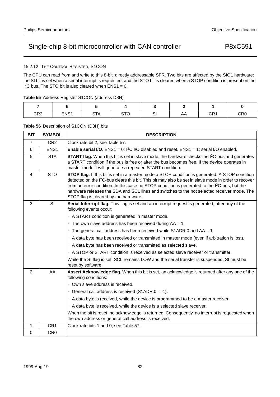## 15.2.12 THE CONTROL REGISTER, S1CON

The CPU can read from and write to this 8-bit, directly addressable SFR. Two bits are affected by the SIO1 hardware: the SI bit is set when a serial interrupt is requested, and the STO bit is cleared when a STOP condition is present on the  $I^2C$  bus. The STO bit is also cleared when ENS1 = 0.

|  |  | Table 55 Address Register S1CON (address D8H) |  |
|--|--|-----------------------------------------------|--|
|  |  |                                               |  |

| CR <sub>2</sub> | ENS1 | <b>STA</b> | $\sim$ T $\sim$<br>ں ر | ົ<br>اب | mm | CR <sub>1</sub> | CR <sub>0</sub> |
|-----------------|------|------------|------------------------|---------|----|-----------------|-----------------|

## **Table 56** Description of S1CON (D8H) bits

| <b>BIT</b>     | <b>SYMBOL</b>    | <b>DESCRIPTION</b>                                                                                                                                                                                                                                                                                                                                                                                                                                                      |
|----------------|------------------|-------------------------------------------------------------------------------------------------------------------------------------------------------------------------------------------------------------------------------------------------------------------------------------------------------------------------------------------------------------------------------------------------------------------------------------------------------------------------|
| $\overline{7}$ | CR <sub>2</sub>  | Clock rate bit 2, see Table 57.                                                                                                                                                                                                                                                                                                                                                                                                                                         |
| 6              | ENS <sub>1</sub> | <b>Enable serial I/O.</b> ENS1 = 0: ${}^{12}C$ I/O disabled and reset. ENS1 = 1: serial I/O enabled.                                                                                                                                                                                                                                                                                                                                                                    |
| 5              | <b>STA</b>       | <b>START flag.</b> When this bit is set in slave mode, the hardware checks the I <sup>2</sup> C-bus and generates<br>a START condition if the bus is free or after the bus becomes free. If the device operates in<br>master mode it will generate a repeated START condition.                                                                                                                                                                                          |
| 4              | <b>STO</b>       | STOP flag. If this bit is set in a master mode a STOP condition is generated. A STOP condition<br>detected on the I <sup>2</sup> C-bus clears this bit. This bit may also be set in slave mode in order to recover<br>from an error condition. In this case no STOP condition is generated to the I <sup>2</sup> C-bus, but the<br>hardware releases the SDA and SCL lines and switches to the not selected receiver mode. The<br>STOP flag is cleared by the hardware. |
| 3              | SI               | Serial Interrupt flag. This flag is set and an interrupt request is generated, after any of the<br>following events occur:                                                                                                                                                                                                                                                                                                                                              |
|                |                  | • A START condition is generated in master mode.                                                                                                                                                                                                                                                                                                                                                                                                                        |
|                |                  | • The own slave address has been received during $AA = 1$ .                                                                                                                                                                                                                                                                                                                                                                                                             |
|                |                  | • The general call address has been received while S1ADR.0 and $AA = 1$ .                                                                                                                                                                                                                                                                                                                                                                                               |
|                |                  | • A data byte has been received or transmitted in master mode (even if arbitration is lost).                                                                                                                                                                                                                                                                                                                                                                            |
|                |                  | • A data byte has been received or transmitted as selected slave.                                                                                                                                                                                                                                                                                                                                                                                                       |
|                |                  | • A STOP or START condition is received as selected slave receiver or transmitter.                                                                                                                                                                                                                                                                                                                                                                                      |
|                |                  | While the SI flag is set, SCL remains LOW and the serial transfer is suspended. SI must be<br>reset by software.                                                                                                                                                                                                                                                                                                                                                        |
| 2              | AA               | Assert Acknowledge flag. When this bit is set, an acknowledge is returned after any one of the<br>following conditions:                                                                                                                                                                                                                                                                                                                                                 |
|                |                  | • Own slave address is received.                                                                                                                                                                                                                                                                                                                                                                                                                                        |
|                |                  | • General call address is received (S1ADR.0 = 1).                                                                                                                                                                                                                                                                                                                                                                                                                       |
|                |                  | • A data byte is received, while the device is programmed to be a master receiver.                                                                                                                                                                                                                                                                                                                                                                                      |
|                |                  | • A data byte is received. while the device is a selected slave receiver.                                                                                                                                                                                                                                                                                                                                                                                               |
|                |                  | When the bit is reset, no acknowledge is returned. Consequently, no interrupt is requested when<br>the own address or general call address is received.                                                                                                                                                                                                                                                                                                                 |
| 1              | CR <sub>1</sub>  | Clock rate bits 1 and 0; see Table 57.                                                                                                                                                                                                                                                                                                                                                                                                                                  |
| 0              | CR <sub>0</sub>  |                                                                                                                                                                                                                                                                                                                                                                                                                                                                         |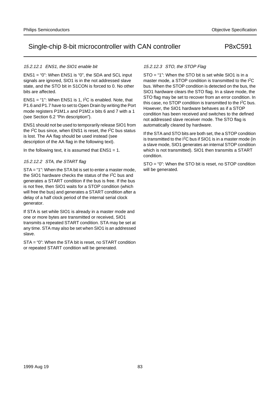## 15.2.12.1 ENS1, the SIO1 enable bit

ENS1 = "0": When ENS1 is "0", the SDA and SCL input signals are ignored. SIO1 is in the not addressed slave state, and the STO bit in S1CON is forced to 0. No other bits are affected.

ENS1 = "1": When ENS1 is 1,  $I^2C$  is enabled. Note, that P1.6 and P1.7 have to set to Open Drain by writing the Port mode registers P1M1.x and P1M2.x bits 6 and 7 with a 1 (see Section 6.2 "Pin description").

ENS1 should not be used to temporarily release SIO1 from the I<sup>2</sup>C bus since, when ENS1 is reset, the I<sup>2</sup>C bus status is lost. The AA flag should be used instead (see description of the AA flag in the following text).

In the following text, it is assumed that  $ENS1 = 1$ .

## 15.2.12.2 STA, the START flag

STA = "1": When the STA bit is set to enter a master mode, the SIO1 hardware checks the status of the I<sup>2</sup>C bus and generates a START condition if the bus is free. If the bus is not free, then SIO1 waits for a STOP condition (which will free the bus) and generates a START condition after a delay of a half clock period of the internal serial clock generator.

If STA is set while SIO1 is already in a master mode and one or more bytes are transmitted or received, SIO1 transmits a repeated START condition. STA may be set at any time. STA may also be set when SIO1 is an addressed slave.

STA = "0": When the STA bit is reset, no START condition or repeated START condition will be generated.

## 15.2.12.3 STO, the STOP Flag

STO = "1": When the STO bit is set while SIO1 is in a master mode, a STOP condition is transmitted to the I<sup>2</sup>C bus. When the STOP condition is detected on the bus, the SIO1 hardware clears the STO flag. In a slave mode, the STO flag may be set to recover from an error condition. In this case, no STOP condition is transmitted to the I<sup>2</sup>C bus. However, the SIO1 hardware behaves as if a STOP condition has been received and switches to the defined not addressed slave receiver mode. The STO flag is automatically cleared by hardware.

If the STA and STO bits are both set, the a STOP condition is transmitted to the I2C bus if SIO1 is in a master mode (in a slave mode, SIO1 generates an internal STOP condition which is not transmitted). SIO1 then transmits a START condition.

STO = "0": When the STO bit is reset, no STOP condition will be generated.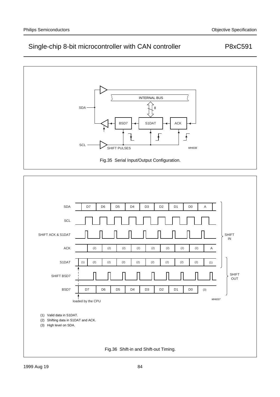

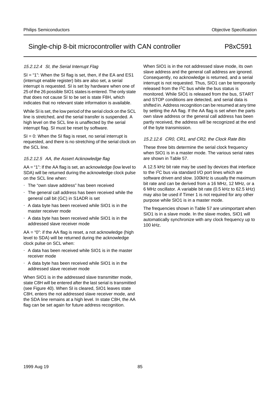## 15.2.12.4 SI, the Serial Interrupt Flag

SI = "1": When the SI flag is set, then, if the EA and ES1 (interrupt enable register) bits are also set, a serial interrupt is requested. SI is set by hardware when one of 25 of the 26 possible SIO1 states is entered. The only state that does not cause SI to be set is state F8H, which indicates that no relevant state information is available.

While SI is set, the low period of the serial clock on the SCL line is stretched, and the serial transfer is suspended. A high level on the SCL line is unaffected by the serial interrupt flag. SI must be reset by software.

 $SI = 0$ : When the SI flag is reset, no serial interrupt is requested, and there is no stretching of the serial clock on the SCL line.

## 15.2.12.5 AA, the Assert Acknowledge flag

AA = "1": If the AA flag is set, an acknowledge (low level to SDA) will be returned during the acknowledge clock pulse on the SCL line when:

- The "own slave address" has been received
- The general call address has been received while the general call bit (GC) in S1ADR is set
- A data byte has been received while SIO1 is in the master receiver mode
- A data byte has been received while SIO1 is in the addressed slave receiver mode

 $AA = "0"$ : if the AA flag is reset, a not acknowledge (high level to SDA) will be returned during the acknowledge clock pulse on SCL when:

- A data has been received while SIO1 is in the master receiver mode
- A data byte has been received while SIO1 is in the addressed slave receiver mode

When SIO1 is in the addressed slave transmitter mode, state C8H will be entered after the last serial is transmitted (see Figure 40). When SI is cleared, SIO1 leaves state C8H, enters the not addressed slave receiver mode, and the SDA line remains at a high level. In state C8H, the AA flag can be set again for future address recognition.

When SIO1 is in the not addressed slave mode, its own slave address and the general call address are ignored. Consequently, no acknowledge is returned, and a serial interrupt is not requested. Thus, SIO1 can be temporarily released from the I2C bus while the bus status is monitored. While SIO1 is released from the bus, START and STOP conditions are detected, and serial data is shifted in. Address recognition can be resumed at any time by setting the AA flag. If the AA flag is set when the parts own slave address or the general call address has been partly received, the address will be recognized at the end of the byte transmission.

## 15.2.12.6 CR0, CR1, and CR2, the Clock Rate Bits

These three bits determine the serial clock frequency when SIO1 is in a master mode. The various serial rates are shown in Table 57.

A 12.5 kHz bit rate may be used by devices that interface to the I2C bus via standard I/O port lines which are software driven and slow. 100kHz is usually the maximum bit rate and can be derived from a 16 MHz, 12 MHz, or a 6 MHz oscillator. A variable bit rate (0.5 kHz to 62.5 kHz) may also be used if Timer 1 is not required for any other purpose while SIO1 is in a master mode.

The frequencies shown in Table 57 are unimportant when SIO1 is in a slave mode. In the slave modes, SIO1 will automatically synchronize with any clock frequency up to 100 kHz.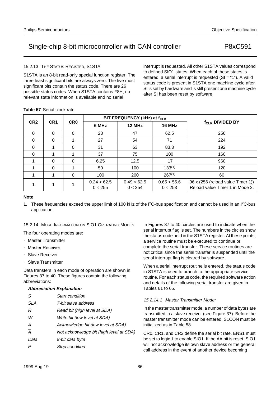15.2.13 THE STATUS REGISTER, S1STA

S1STA is an 8-bit read-only special function register. The three least significant bits are always zero. The five most significant bits contain the status code. There are 26 possible status codes. When S1STA contains F8H, no relevant state information is available and no serial

interrupt is requested. All other S1STA values correspond to defined SIO1 states. When each of these states is entered, a serial interrupt is requested  $(SI = "1")$ . A valid status code is present in S1STA one machine cycle after SI is set by hardware and is still present one machine cycle after SI has been reset by software.

## **Table 57** Serial clock rate

**CR2 CR1 CR0**

|              |  |  | 0 < 255 | 0 < 254 | 0 < 253 | Reload value Timer 1 in Mode 2.                                                                                                                |  |  |  |
|--------------|--|--|---------|---------|---------|------------------------------------------------------------------------------------------------------------------------------------------------|--|--|--|
| <b>Note</b>  |  |  |         |         |         |                                                                                                                                                |  |  |  |
|              |  |  |         |         |         | 1. These frequencies exceed the upper limit of 100 kHz of the I <sup>2</sup> C-bus specification and cannot be used in an I <sup>2</sup> C-bus |  |  |  |
| application. |  |  |         |         |         |                                                                                                                                                |  |  |  |

 $0.49 < 62.5$ 

**BIT FREQUENCY (kHz) at fCLK** 

**6 MHz 12 MHz 16 MHz**

0 0 0 23 47 62.5 256 0 0 0 1 27 54 71 224 0 | 1 | 0 | 31 | 63 | 83.3 | 192 0 | 1 | 1 | 37 | 75 | 100 | 160 1 0 0 6.25 12.5 17 960 1 0 1 50 100 133<sup>(1)</sup> 120 1 1 0 100 200 267(1) 60

## 15.2.14 MORE INFORMATION ON SIO1 OPERATING MODES

 $1\quad 1\quad 1\quad 1\quad 0.24 > 62.5$ 

The four operating modes are:

- Master Transmitter
- Master Receiver
- Slave Receiver
- Slave Transmitter

Data transfers in each mode of operation are shown in Figures 37 to 40. These figures contain the following abbreviations:

## **Abbreviation Explanation**

| S              | Start condition                         |
|----------------|-----------------------------------------|
| SL A           | 7-bit slave address                     |
| R              | Read bit (high level at SDA)            |
| W              | Write bit (low level at SDA)            |
| А              | Acknowledge bit (low level at SDA)      |
| $\overline{A}$ | Not acknowledge bit (high level at SDA) |
| Data           | 8-bit data byte                         |
|                | Stop condition                          |
|                |                                         |

In Figures 37 to 40, circles are used to indicate when the serial interrupt flag is set. The numbers in the circles show the status code held in the S1STA register. At these points, a service routine must be executed to continue or complete the serial transfer. These service routines are not critical since the serial transfer is suspended until the serial interrupt flag is cleared by software.

When a serial interrupt routine is entered, the status code in S1STA is used to branch to the appropriate service routine. For each status code, the required software action and details of the following serial transfer are given in Tables 61 to 65.

## 15.2.14.1 Master Transmitter Mode:

 $0.65 < 55.6$ 

In the master transmitter mode, a number of data bytes are transmitted to a slave receiver (see Figure 37). Before the master transmitter mode can be entered, S1CON must be initialized as in Table 58.

CR0, CR1, and CR2 define the serial bit rate. ENS1 must be set to logic 1 to enable SIO1. If the AA bit is reset, SIO1 will not acknowledge its own slave address or the general call address in the event of another device becoming

| Single-chip 8-bit microcontroller with CAN controller | P8xC591 |
|-------------------------------------------------------|---------|
|                                                       |         |

**f<sub>CLK</sub> DIVIDED BY** 

96 x (256 (reload value Timer 1))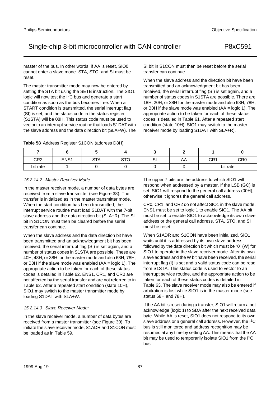master of the bus. In other words, if AA is reset, SIO0 cannot enter a slave mode. STA, STO, and SI must be reset.

The master transmitter mode may now be entered by setting the STA bit using the SETB instruction. The SIO1 logic will now test the I<sup>2</sup>C bus and generate a start condition as soon as the bus becomes free. When a START condition is transmitted, the serial interrupt flag (SI) is set, and the status code in the status register (S1STA) will be 08H. This status code must be used to vector to an interrupt service routine that loads S1DAT with the slave address and the data direction bit (SLA+W). The

**Table 58** Address Register S1CON (address D8H)

SI bit in S1CON must then be reset before the serial transfer can continue.

When the slave address and the direction bit have been transmitted and an acknowledgment bit has been received, the serial interrupt flag (SI) is set again, and a number of status codes in S1STA are possible. There are 18H, 20H, or 38H for the master mode and also 68H, 78H, or B0H if the slave mode was enabled (AA = logic 1). The appropriate action to be taken for each of these status codes is detailed in Table 61. After a repeated start condition (state 10H). SIO1 may switch to the master receiver mode by loading S1DAT with SLA+R).

| CR <sub>2</sub> | ENS <sub>1</sub> | <b>STA</b> | <b>STO</b> | $\sim$<br>וט | AA | CR1      | CR <sub>0</sub> |
|-----------------|------------------|------------|------------|--------------|----|----------|-----------------|
| bit rate        |                  |            |            |              |    | bit rate |                 |

## 15.2.14.2 Master Receiver Mode

In the master receiver mode, a number of data bytes are received from a slave transmitter (see Figure 38). The transfer is initialized as in the master transmitter mode. When the start condition has been transmitted, the interrupt service routine must load S1DAT with the 7-bit slave address and the data direction bit (SLA+R). The SI bit in S1CON must then be cleared before the serial transfer can continue.

When the slave address and the data direction bit have been transmitted and an acknowledgment bit has been received, the serial interrupt flag (SI) is set again, and a number of status codes in S1STA are possible. These are 40H, 48H, or 38H for the master mode and also 68H, 78H, or B0H if the slave mode was enabled  $(AA = 10$  and  $B = 10$ . The appropriate action to be taken for each of these status codes is detailed in Table 62. ENS1, CR1, and CR0 are not affected by the serial transfer and are not referred to in Table 62. After a repeated start condition (state 10H), SIO1 may switch to the master transmitter mode by loading S1DAT with SLA+W.

## 15.2.14.3 Slave Receiver Mode:

In the slave receiver mode, a number of data bytes are received from a master transmitter (see Figure 39). To initiate the slave receiver mode, S1ADR and S1CON must be loaded as in Table 59.

The upper 7 bits are the address to which SIO1 will respond when addressed by a master. If the LSB (GC) is set, SIO1 will respond to the general call address (00H); otherwise it ignores the general call address.

CR0, CR1, and CR2 do not affect SIO1 in the slave mode. ENS1 must be set to logic 1 to enable SIO1. The AA bit must be set to enable SIO1 to acknowledge its own slave address or the general call address. STA, STO, and SI must be reset.

When S1ADR and S1CON have been initialized, SIO1 waits until it is addressed by its own slave address followed by the data direction bit which must be "0" (W) for SIO1 to operate in the slave receiver mode. After its own slave address and the W bit have been received, the serial interrupt flag (I) is set and a valid status code can be read from S1STA. This status code is used to vector to an interrupt service routine, and the appropriate action to be taken for each of these status codes is detailed in Table 63. The slave receiver mode may also be entered if arbitration is lost while SIO1 is in the master mode (see status 68H and 78H).

If the AA bit is reset during a transfer, SIO1 will return a not acknowledge (logic 1) to SDA after the next received data byte. While AA is reset, SIO1 does not respond to its own slave address or a general call address. However, the I<sup>2</sup>C bus is still monitored and address recognition may be resumed at any time by setting AA. This means that the AA bit may be used to temporarily isolate SIO1 from the I<sup>2</sup>C bus.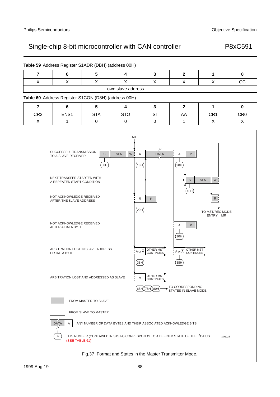|                 | 6                                                   | ລ          |                   |    |    |                 |                 |
|-----------------|-----------------------------------------------------|------------|-------------------|----|----|-----------------|-----------------|
| Χ               |                                                     |            |                   |    | Х  | X               | GC              |
|                 |                                                     |            | own slave address |    |    |                 |                 |
|                 |                                                     |            |                   |    |    |                 |                 |
|                 | Table 60 Address Register S1CON (D8H) (address 00H) |            |                   |    |    |                 |                 |
|                 | 6                                                   |            |                   |    |    |                 |                 |
| CR <sub>2</sub> | ENS <sub>1</sub>                                    | <b>STA</b> | <b>STO</b>        | SI | AA | CR <sub>1</sub> | CR <sub>0</sub> |

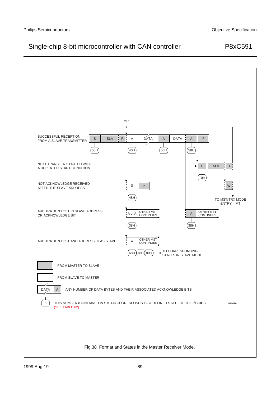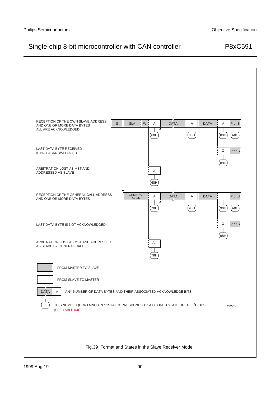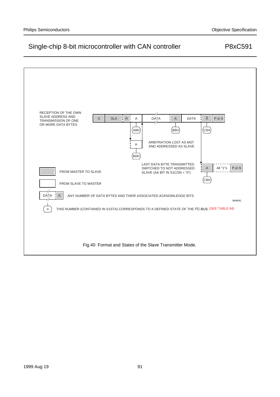## RECEPTION OF THE OWN SLAVE ADDRESS AND A S SLA R A DATA A DATA A Por S DATA A DATA TRANSMISSION OF ONE OR MORE DATA BYTES A8H  $(B8H)$  $_{\rm (COH)}$ ARBITRATION LOST AS MST A AND ADDRESSED AS SLAVE B0H LAST DATA BYTE TRANSMITTED. SWITCHED TO NOT ADDRESSED A All "1"s P or S FROM MASTER TO SLAVE SLAVE (AA BIT IN S1CON = "0") C8H FROM SLAVE TO MASTER DATA ÷ A ANY NUMBER OF DATA BYTES AND THEIR ASSOCIATED ACKNOWLEDGE BITS  $MHIM1$ n ) THIS NUMBER (CONTAINED IN S1STA) CORRESPONDS TO A DEFINED STATE OF THE I<sup>2</sup>C-BUS. (SEE TABLE 64) Fig.40 Format and States of the Slave Transmitter Mode.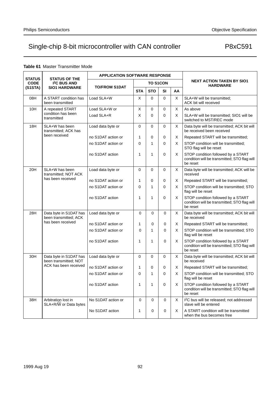|                              |                                                           | <b>APPLICATION SOFTWARE RESPONSE</b> |                |                 |             |    |                                                                                                |
|------------------------------|-----------------------------------------------------------|--------------------------------------|----------------|-----------------|-------------|----|------------------------------------------------------------------------------------------------|
| <b>STATUS</b><br><b>CODE</b> | <b>STATUS OF THE</b><br><b>I<sup>2</sup>C BUS AND</b>     | <b>TO/FROM S1DAT</b>                 |                | <b>TO S1CON</b> |             |    | <b>NEXT ACTION TAKEN BY SIO1</b><br><b>HARDWARE</b>                                            |
| (S1STA)                      | <b>SIO1 HARDWARE</b>                                      |                                      | <b>STA</b>     | <b>STO</b>      | SI          | AA |                                                                                                |
| 08H                          | A START condition has<br>been transmitted                 | Load SLA+W                           | X              | $\Omega$        | $\Omega$    | X  | SLA+W will be transmitted;<br>ACK bit will received                                            |
| 10H                          | A repeated START                                          | Load SLA+W or                        | X              | 0               | 0           | Х  | As above                                                                                       |
|                              | condition has been<br>transmitted                         | Load SLA+R                           | X              | $\Omega$        | $\Omega$    | X  | SLA+W will be transmitted; SIO1 will be<br>switched to MST/REC mode                            |
| 18H                          | SLA+W has been<br>transmitted; ACK has                    | Load data byte or                    | 0              | $\Omega$        | $\Omega$    | X  | Data byte will be transmitted; ACK bit will<br>be received been received                       |
|                              | been received                                             | no S1DAT action or                   | 1              | 0               | $\mathbf 0$ | X  | Repeated START will be transmitted;                                                            |
|                              |                                                           | no S1DAT action or                   | 0              | $\mathbf{1}$    | $\Omega$    | X  | STOP condition will be transmitted;<br>STO flag will be reset                                  |
|                              |                                                           | no S1DAT action                      | $\mathbf{1}$   | $\mathbf{1}$    | $\Omega$    | X  | STOP condition followed by a START<br>condition will be transmitted; STO flag will<br>be reset |
| 20H                          | SLA+W has been<br>transmitted; NOT ACK                    | Load data byte or                    | 0              | 0               | 0           | X  | Data byte will be transmitted; ACK will be<br>received                                         |
|                              | has been received                                         | no S1DAT action or                   | 1              | 0               | 0           | Х  | Repeated START will be transmitted;                                                            |
|                              |                                                           | no S1DAT action or                   | $\overline{0}$ | $\mathbf{1}$    | $\Omega$    | X  | STOP condition will be transmitted; STO<br>flag will be reset                                  |
|                              |                                                           | no S1DAT action                      | 1              | $\mathbf{1}$    | 0           | X  | STOP condition followed by a START<br>condition will be transmitted; STO flag will<br>be reset |
| 28H                          | Data byte in S1DAT has<br>been transmitted; ACK           | Load data byte or                    | $\Omega$       | $\Omega$        | $\Omega$    | X  | Data byte will be transmitted; ACK bit will<br>be received                                     |
|                              | has been received                                         | no S1DAT action or                   | 1              | 0               | $\Omega$    | X  | Repeated START will be transmitted;                                                            |
|                              |                                                           | no S1DAT action or                   | $\Omega$       | $\mathbf{1}$    | $\Omega$    | X  | STOP condition will be transmitted; STO<br>flag will be reset                                  |
|                              |                                                           | no S1DAT action                      | 1              | $\mathbf{1}$    | $\Omega$    | X  | STOP condition followed by a START<br>condition will be transmitted; STO flag will<br>be reset |
| 30H                          | Data byte in S1DAT has<br>been transmitted; NOT           | Load data byte or                    | 0              | $\Omega$        | $\Omega$    | X  | Data byte will be transmitted; ACK bit will<br>be received                                     |
|                              | ACK has been received                                     | no S1DAT action or                   | 1              | 0               | 0           | X  | Repeated START will be transmitted;                                                            |
|                              |                                                           | no S1DAT action or                   | 0              | $\mathbf{1}$    | $\Omega$    | X  | STOP condition will be transmitted; STO<br>flag will be reset                                  |
|                              |                                                           | no S1DAT action                      | 1              | $\mathbf{1}$    | $\Omega$    | X  | STOP condition followed by a START<br>condition will be transmitted; STO flag will<br>be reset |
| 38H                          | Arbitration lost in<br>$SLA+R/\overline{W}$ or Data bytes | No S1DAT action or                   | 0              | 0               | 0           | X  | I <sup>2</sup> C bus will be released; not addressed<br>slave will be entered                  |
|                              |                                                           | No S1DAT action                      | 1              | 0               | 0           | X  | A START condition will be transmitted                                                          |

### **Table 61** Master Transmitter Mode

when the bus becomes free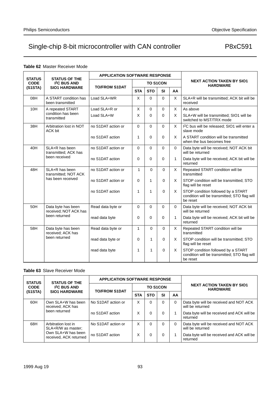## **Table 62** Master Receiver Mode

| <b>STATUS</b> | <b>STATUS OF THE</b>                        | <b>APPLICATION SOFTWARE RESPONSE</b> |              |                 |             |          |                                                                                                |
|---------------|---------------------------------------------|--------------------------------------|--------------|-----------------|-------------|----------|------------------------------------------------------------------------------------------------|
| <b>CODE</b>   | <b>I<sup>2</sup>C BUS AND</b>               |                                      |              | <b>TO S1CON</b> |             |          | <b>NEXT ACTION TAKEN BY SIO1</b><br><b>HARDWARE</b>                                            |
| (S1STA)       | <b>SIO1 HARDWARE</b>                        | <b>TO/FROM S1DAT</b>                 | <b>STA</b>   | <b>STO</b>      | SI          | AA       |                                                                                                |
| 08H           | A START condition has<br>been transmitted   | Load SLA+WR                          | X            | 0               | $\mathbf 0$ | X        | SLA+R will be transmitted; ACK bit will be<br>received                                         |
| 10H           | A repeated START                            | Load SLA+R or                        | X            | $\mathbf 0$     | $\mathbf 0$ | X        | As above                                                                                       |
|               | condition has been<br>transmitted           | Load SLA+W                           | X            | $\Omega$        | $\Omega$    | X        | SLA+W will be transmitted; SIO1 will be<br>switched to MST/TRX mode                            |
| 38H           | Arbitration lost in NOT<br>ACK bit          | no S1DAT action or                   | 0            | $\Omega$        | $\Omega$    | X        | I <sup>2</sup> C bus will be released; SIO1 will enter a<br>slave mode                         |
|               |                                             | no S1DAT action                      | 1            | $\Omega$        | $\mathbf 0$ | X        | A START condition will be transmitted<br>when the bus becomes free                             |
| 40H           | SLA+R has been<br>transmitted; ACK has      | no S1DAT action or                   | $\Omega$     | $\Omega$        | $\mathbf 0$ | 0        | Data byte will be received; NOT ACK bit<br>will be returned                                    |
|               | been received                               | no S1DAT action                      | 0            | $\Omega$        | $\mathbf 0$ | 1        | Data byte will be received; ACK bit will be<br>returned                                        |
| 48H           | SLA+R has been<br>transmitted; NOT ACK      | no S1DAT action or                   | $\mathbf{1}$ | $\Omega$        | $\mathbf 0$ | X        | Repeated START condition will be<br>transmitted                                                |
|               | has been received                           | no S1DAT action or                   | $\Omega$     | 1               | 0           | X        | STOP condition will be transmitted; STO<br>flag will be reset                                  |
|               |                                             | no S1DAT action                      | 1            | 1               | $\Omega$    | X        | STOP condition followed by a START<br>condition will be transmitted; STO flag will<br>be reset |
| 50H           | Data byte has been<br>received: NOT ACK has | Read data byte or                    | $\Omega$     | $\Omega$        | $\Omega$    | $\Omega$ | Data byte will be received; NOT ACK bit<br>will be returned                                    |
|               | been returned                               | read data byte                       | 0            | $\Omega$        | $\Omega$    | 1        | Data byte will be received; ACK bit will be<br>returned                                        |
| 58H           | Data byte has been<br>received; ACK has     | Read data byte or                    | $\mathbf{1}$ | $\Omega$        | $\Omega$    | X        | Repeated START condition will be<br>transmitted                                                |
|               | been returned                               | read data byte or                    | 0            | $\mathbf{1}$    | 0           | X        | STOP condition will be transmitted; STO<br>flag will be reset                                  |
|               |                                             | read data byte                       | 1            | $\mathbf{1}$    | $\Omega$    | X        | STOP condition followed by a START<br>condition will be transmitted; STO flag will<br>be reset |

## **Table 63** Slave Receiver Mode

| <b>STATUS OF THE</b><br><b>STATUS</b> |                                              | <b>APPLICATION SOFTWARE RESPONSE</b> |            |                 |           |          |                                                            |
|---------------------------------------|----------------------------------------------|--------------------------------------|------------|-----------------|-----------|----------|------------------------------------------------------------|
| <b>CODE</b>                           | <b>I<sup>2</sup>C BUS AND</b>                | <b>TO/FROM S1DAT</b>                 |            | <b>TO S1CON</b> |           |          | <b>NEXT ACTION TAKEN BY SIO1</b><br><b>HARDWARE</b>        |
| (S1STA)                               | <b>SIO1 HARDWARE</b>                         |                                      | <b>STA</b> | <b>STO</b>      | <b>SI</b> | AA       |                                                            |
| 60H                                   | Own SLA+W has been<br>received: ACK has      | No S1DAT action or                   | X          | 0               | 0         | $\Omega$ | Data byte will be received and NOT ACK<br>will be returned |
|                                       | been returned                                | no S1DAT action                      | X          | $\Omega$        | 0         |          | Data byte will be received and ACK will be<br>returned     |
| 68H                                   | Arbitration lost in<br>SLA+R/W as master:    | No S1DAT action or                   | X          | 0               | $\Omega$  | $\Omega$ | Data byte will be received and NOT ACK<br>will be returned |
|                                       | Own SLA+W has been<br>received. ACK returned | no S1DAT action                      | X          | 0               | 0         |          | Data byte will be received and ACK will be<br>returned     |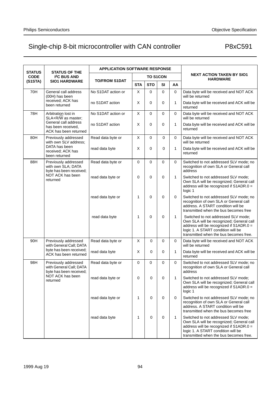| <b>STATUS</b> | <b>STATUS OF THE</b>                                                       | <b>APPLICATION SOFTWARE RESPONSE</b> |              |                 |             |              |                                                                                                                                                                                                            |  |  |
|---------------|----------------------------------------------------------------------------|--------------------------------------|--------------|-----------------|-------------|--------------|------------------------------------------------------------------------------------------------------------------------------------------------------------------------------------------------------------|--|--|
| <b>CODE</b>   | <b>I<sup>2</sup>C BUS AND</b>                                              | <b>TO/FROM S1DAT</b>                 |              | <b>TO S1CON</b> |             |              | <b>NEXT ACTION TAKEN BY SIO1</b><br><b>HARDWARE</b>                                                                                                                                                        |  |  |
| (S1STA)       | <b>SIO1 HARDWARE</b>                                                       |                                      | <b>STA</b>   | <b>STO</b>      | <b>SI</b>   | AA           |                                                                                                                                                                                                            |  |  |
| 70H           | General call address<br>(00H) has been                                     | No S1DAT action or                   | X            | 0               | $\Omega$    | 0            | Data byte will be received and NOT ACK<br>will be returned                                                                                                                                                 |  |  |
|               | received; ACK has<br>been returned                                         | no S1DAT action                      | Х            | 0               | $\mathbf 0$ | 1            | Data byte will be received and ACK will be<br>returned                                                                                                                                                     |  |  |
| 78H           | Arbitration lost in<br>SLA+R/W as master;                                  | No S1DAT action or                   | X            | 0               | $\Omega$    | 0            | Data byte will be received and NOT ACK<br>will be returned                                                                                                                                                 |  |  |
|               | General call address<br>has been received,<br>ACK has been returned        | no S1DAT action                      | X            | 0               | $\mathbf 0$ | $\mathbf{1}$ | Data byte will be received and ACK will be<br>returned                                                                                                                                                     |  |  |
| 80H           | Previously addressed<br>with own SLV address;                              | Read data byte or                    | X            | 0               | 0           | 0            | Data byte will be received and NOT ACK<br>will be returned                                                                                                                                                 |  |  |
|               | DATA has been<br>received; ACK has<br>been returned                        | read data byte                       | X            | 0               | $\mathbf 0$ | 1            | Data byte will be received and ACK will be<br>returned                                                                                                                                                     |  |  |
| 88H           | Previously addressed<br>with own SLA; DATA<br>byte has been received;      | Read data byte or                    | 0            | 0               | $\mathbf 0$ | 0            | Switched to not addressed SLV mode: no<br>recognition of own SLA or General call<br>address                                                                                                                |  |  |
|               | NOT ACK has been<br>returned                                               | read data byte or                    | 0            | 0               | $\mathbf 0$ | $\mathbf{1}$ | Switched to not addressed SLV mode;<br>Own SLA will be recognized; General call<br>address will be recognized if S1ADR.0 =<br>logic 1                                                                      |  |  |
|               |                                                                            | read data byte or                    | $\mathbf{1}$ | 0               | $\mathbf 0$ | 0            | Switched to not addressed SLV mode; no<br>recognition of own SLA or General call<br>address. A START condition will be<br>transmitted when the bus becomes free                                            |  |  |
|               |                                                                            | read data byte                       | $\mathbf{1}$ | $\mathbf 0$     | $\mathbf 0$ | $\mathbf{1}$ | Switched to not addressed SLV mode;<br>Own SLA will be recognized; General call<br>address will be recognized if S1ADR.0 =<br>logic 1. A START condition will be<br>transmitted when the bus becomes free. |  |  |
| 90H           | Previously addressed<br>with General Call; DATA                            | Read data byte or                    | X            | $\mathbf 0$     | $\mathbf 0$ | 0            | Data byte will be received and NOT ACK<br>will be returned                                                                                                                                                 |  |  |
|               | byte has been received;<br>ACK has been returned                           | read data byte                       | X            | 0               | 0           | 1            | Data byte will be received and ACK will be<br>returned                                                                                                                                                     |  |  |
| 98H           | Previously addressed<br>with General Call; DATA<br>byte has been received; | Read data byte or                    | 0            | $\mathbf 0$     | $\mathbf 0$ | $\Omega$     | Switched to not addressed SLV mode; no<br>recognition of own SLA or General call<br>address                                                                                                                |  |  |
|               | NOT ACK has been<br>returned                                               | read data byte or                    | 0            | $\mathbf 0$     | $\mathbf 0$ | $\mathbf{1}$ | Switched to not addressed SLV mode;<br>Own SLA will be recognized; General call<br>address will be recognized if S1ADR.0 =<br>logic 1                                                                      |  |  |
|               |                                                                            | read data byte or                    | 1            | $\mathbf 0$     | $\mathbf 0$ | $\mathbf 0$  | Switched to not addressed SLV mode; no<br>recognition of own SLA or General call<br>address. A START condition will be<br>transmitted when the bus becomes free                                            |  |  |
|               |                                                                            | read data byte                       | 1            | $\mathbf 0$     | $\mathbf 0$ | $\mathbf{1}$ | Switched to not addressed SLV mode;<br>Own SLA will be recognized; General call<br>address will be recognized if S1ADR.0 =<br>logic 1. A START condition will be<br>transmitted when the bus becomes free. |  |  |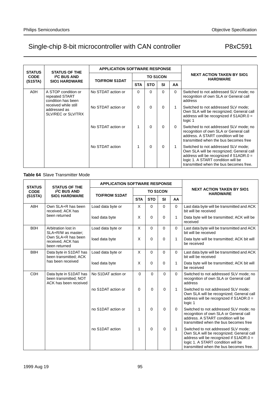| <b>STATUS</b>                                                      | <b>STATUS OF THE</b>                                       | <b>APPLICATION SOFTWARE RESPONSE</b> |            |                 |           |                                                                                             |                                                                                                                                                                                                            |
|--------------------------------------------------------------------|------------------------------------------------------------|--------------------------------------|------------|-----------------|-----------|---------------------------------------------------------------------------------------------|------------------------------------------------------------------------------------------------------------------------------------------------------------------------------------------------------------|
| <b>CODE</b>                                                        | <b>I<sup>2</sup>C BUS AND</b>                              | <b>TO/FROM S1DAT</b>                 |            | <b>TO S1CON</b> |           |                                                                                             | <b>NEXT ACTION TAKEN BY SIO1</b><br><b>HARDWARE</b>                                                                                                                                                        |
| (S1STA)                                                            | <b>SIO1 HARDWARE</b>                                       |                                      | <b>STA</b> | <b>STO</b>      | <b>SI</b> | AA                                                                                          |                                                                                                                                                                                                            |
| A0H<br>A STOP condition or<br>repeated START<br>condition has been | No STDAT action or                                         | $\Omega$                             | $\Omega$   | $\Omega$        | $\Omega$  | Switched to not addressed SLV mode; no<br>recognition of own SLA or General call<br>address |                                                                                                                                                                                                            |
|                                                                    | received while still<br>addressed as<br>SLV/REC or SLV/TRX | No STDAT action or                   | 0          | $\Omega$        | 0         |                                                                                             | Switched to not addressed SLV mode:<br>Own SLA will be recognized; General call<br>address will be recognized if S1ADR.0 =<br>logic 1                                                                      |
|                                                                    |                                                            | No STDAT action or                   | 1          | $\Omega$        | $\Omega$  | $\Omega$                                                                                    | Switched to not addressed SLV mode; no<br>recognition of own SLA or General call<br>address. A START condition will be<br>transmitted when the bus becomes free                                            |
|                                                                    |                                                            | No STDAT action                      |            | $\Omega$        | $\Omega$  |                                                                                             | Switched to not addressed SLV mode:<br>Own SLA will be recognized; General call<br>address will be recognized if S1ADR.0 =<br>logic 1. A START condition will be<br>transmitted when the bus becomes free. |

## **Table 64** Slave Transmitter Mode

| <b>STATUS</b>                                                       | <b>STATUS OF THE</b>                                                     | <b>APPLICATION SOFTWARE RESPONSE</b> |              |                 |           |                                                                    |                                                                                                                                                                                                            |
|---------------------------------------------------------------------|--------------------------------------------------------------------------|--------------------------------------|--------------|-----------------|-----------|--------------------------------------------------------------------|------------------------------------------------------------------------------------------------------------------------------------------------------------------------------------------------------------|
| <b>CODE</b>                                                         | <b>I<sup>2</sup>C BUS AND</b>                                            | <b>TO/FROM S1DAT</b>                 |              | <b>TO S1CON</b> |           |                                                                    | <b>NEXT ACTION TAKEN BY SIO1</b><br><b>HARDWARE</b>                                                                                                                                                        |
| (S1STA)                                                             | <b>SIO1 HARDWARE</b>                                                     |                                      | <b>STA</b>   | <b>STO</b>      | <b>SI</b> | AA                                                                 |                                                                                                                                                                                                            |
| A8H                                                                 | Own SLA+R has been<br>received; ACK has                                  | Load data byte or                    | X            | 0               | $\Omega$  | $\mathbf 0$                                                        | Last data byte will be transmitted and ACK<br>bit will be received                                                                                                                                         |
| been returned                                                       | load data byte                                                           | X                                    | $\Omega$     | $\mathbf 0$     | 1         | Data byte will be transmitted; ACK will be<br>received             |                                                                                                                                                                                                            |
| <b>BOH</b>                                                          | Arbitration lost in<br>SLA+R/W as master:                                | Load data byte or                    | $\mathsf{X}$ | $\Omega$        | $\Omega$  | $\Omega$                                                           | Last data byte will be transmitted and ACK<br>bit will be received                                                                                                                                         |
|                                                                     | Own SLA+R has been<br>received, ACK has<br>been returned                 | load data byte                       | X            | 0               | 0         | 1                                                                  | Data byte will be transmitted; ACK bit will<br>be received                                                                                                                                                 |
| B <sub>8</sub> H<br>Data byte in S1DAT has<br>been transmitted; ACK | Load data byte or                                                        | X                                    | $\Omega$     | $\Omega$        | 0         | Last data byte will be transmitted and ACK<br>bit will be received |                                                                                                                                                                                                            |
|                                                                     | has been received                                                        | load data byte                       | X            | $\Omega$        | $\Omega$  | 1                                                                  | Data byte will be transmitted; ACK bit will<br>be received                                                                                                                                                 |
| <b>C<sub>OH</sub></b>                                               | Data byte in S1DAT has<br>been transmitted; NOT<br>ACK has been received | No S1DAT action or                   | $\Omega$     | $\Omega$        | $\Omega$  | $\Omega$                                                           | Switched to not addressed SLV mode; no<br>recognition of own SLA or General call<br>address                                                                                                                |
|                                                                     |                                                                          | no S1DAT action or                   | $\Omega$     | $\Omega$        | $\Omega$  | 1                                                                  | Switched to not addressed SLV mode;<br>Own SLA will be recognized; General call<br>address will be recognized if S1ADR.0 =<br>logic 1                                                                      |
|                                                                     |                                                                          | no S1DAT action or                   | 1            | $\Omega$        | $\Omega$  | $\mathbf 0$                                                        | Switched to not addressed SLV mode; no<br>recognition of own SLA or General call<br>address. A START condition will be<br>transmitted when the bus becomes free                                            |
|                                                                     |                                                                          | no S1DAT action                      | 1            | $\Omega$        | $\Omega$  | 1                                                                  | Switched to not addressed SLV mode;<br>Own SLA will be recognized; General call<br>address will be recognized if S1ADR.0 =<br>logic 1. A START condition will be<br>transmitted when the bus becomes free. |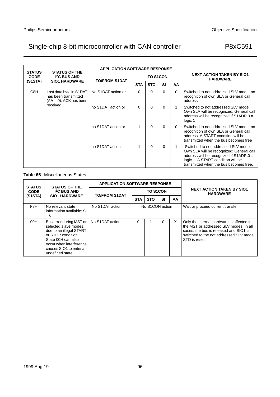| <b>STATUS</b>                                                                                    | <b>STATUS OF THE</b>          | <b>APPLICATION SOFTWARE RESPONSE</b> |                 |            |           |                                                                                             |                                                                                                                                                                                                            |
|--------------------------------------------------------------------------------------------------|-------------------------------|--------------------------------------|-----------------|------------|-----------|---------------------------------------------------------------------------------------------|------------------------------------------------------------------------------------------------------------------------------------------------------------------------------------------------------------|
| <b>CODE</b>                                                                                      | <b>I<sup>2</sup>C BUS AND</b> |                                      | <b>TO S1CON</b> |            |           |                                                                                             | <b>NEXT ACTION TAKEN BY SIO1</b><br><b>HARDWARE</b>                                                                                                                                                        |
| (S1STA)                                                                                          | <b>SIO1 HARDWARE</b>          | <b>TO/FROM S1DAT</b>                 | <b>STA</b>      | <b>STO</b> | <b>SI</b> | AA                                                                                          |                                                                                                                                                                                                            |
| C <sub>8</sub> H<br>Last data byte in S1DAT<br>has been transmitted<br>$(AA = 0)$ ; ACK has been | No S1DAT action or            | 0                                    | $\Omega$        | $\Omega$   | $\Omega$  | Switched to not addressed SLV mode; no<br>recognition of own SLA or General call<br>address |                                                                                                                                                                                                            |
|                                                                                                  | received                      | no S1DAT action or                   | 0               | $\Omega$   | $\Omega$  |                                                                                             | Switched to not addressed SLV mode:<br>Own SLA will be recognized; General call<br>address will be recognized if S1ADR.0 =<br>logic 1                                                                      |
|                                                                                                  |                               | no S1DAT action or                   |                 | $\Omega$   | $\Omega$  | $\Omega$                                                                                    | Switched to not addressed SLV mode; no<br>recognition of own SLA or General call<br>address. A START condition will be<br>transmitted when the bus becomes free                                            |
|                                                                                                  |                               | no S1DAT action                      |                 | $\Omega$   | $\Omega$  |                                                                                             | Switched to not addressed SLV mode:<br>Own SLA will be recognized; General call<br>address will be recognized if S1ADR.0 =<br>logic 1. A START condition will be<br>transmitted when the bus becomes free. |

## **Table 65** Miscellaneous States

| <b>STATUS</b> | <b>STATUS OF THE</b>                                                                                                                                                                              | <b>APPLICATION SOFTWARE RESPONSE</b> |                 |                 |           |    |                                                                                                                                                                                           |
|---------------|---------------------------------------------------------------------------------------------------------------------------------------------------------------------------------------------------|--------------------------------------|-----------------|-----------------|-----------|----|-------------------------------------------------------------------------------------------------------------------------------------------------------------------------------------------|
| <b>CODE</b>   | <b>I<sup>2</sup>C BUS AND</b>                                                                                                                                                                     | <b>TO/FROM S1DAT</b>                 |                 | <b>TO S1CON</b> |           |    | <b>NEXT ACTION TAKEN BY SIO1</b><br><b>HARDWARE</b>                                                                                                                                       |
| (S1STA)       | <b>SIO1 HARDWARE</b>                                                                                                                                                                              |                                      | <b>STA</b>      | <b>STO</b>      | <b>SI</b> | AA |                                                                                                                                                                                           |
| F8H           | No relevant state<br>information available; SI<br>$= 0$                                                                                                                                           | No S1DAT action                      | No S1CON action |                 |           |    | Wait or proceed current transfer                                                                                                                                                          |
| 00H           | Bus error during MST or<br>selected slave modes.<br>due to an illegal START<br>or STOP condition.<br>State 00H can also<br>occur when interference<br>causes SIO1 to enter an<br>undefined state. | No S1DAT action                      | $\Omega$        |                 | $\Omega$  | X  | Only the internal hardware is affected in<br>the MST or addressed SLV modes. In all<br>cases, the bus is released and SIO1 is<br>switched to the not addressed SLV mode.<br>STO is reset. |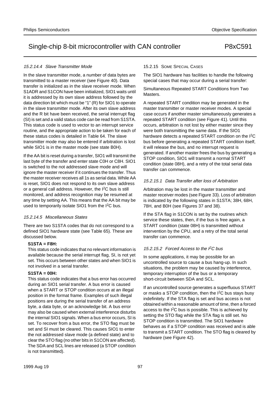#### 15.2.14.4 Slave Transmitter Mode

In the slave transmitter mode, a number of data bytes are transmitted to a master receiver (see Figure 40). Data transfer is initialized as in the slave receiver mode. When S1ADR and S1CON have been initialized, SIO1 waits until it is addressed by its own slave address followed by the data direction bit which must be "1" (R) for SIO1 to operate in the slave transmitter mode. After its own slave address and the R bit have been received, the serial interrupt flag (SI) is set and a valid status code can be read from S1STA. This status code is used to vector to an interrupt service routine, and the appropriate action to be taken for each of these status codes is detailed in Table 64. The slave transmitter mode may also be entered if arbitration is lost while SIO1 is in the master mode (see state B0H).

If the AA bit is reset during a transfer, SIO1 will transmit the last byte of the transfer and enter state C0H or C8H. SIO1 is switched to the not addressed slave mode and will ignore the master receiver if it continues the transfer. Thus the master receiver receives all 1s as serial data. While AA is reset, SIO1 does not respond to its own slave address or a general call address. However, the I2C bus is still monitored, and address recognition may be resumed at any time by setting AA. This means that the AA bit may be used to temporarily isolate SIO1 from the I<sup>2</sup>C bus.

#### 15.2.14.5 Miscellaneous States

There are two S1STA codes that do not correspond to a defined SIO1 hardware state (see Table 65). These are discussed below.

#### **S1STA = F8H:**

This status code indicates that no relevant information is available because the serial interrupt flag, SI, is not yet set. This occurs between other states and when SIO1 is not involved in a serial transfer.

#### **S1STA = 00H:**

This status code indicates that a bus error has occurred during an SIO1 serial transfer. A bus error is caused when a START or STOP condition occurs at an illegal position in the format frame. Examples of such illegal positions are during the serial transfer of an address byte, a data byte, or an acknowledge bit. A bus error may also be caused when external interference disturbs the internal SIO1 signals. When a bus error occurs, SI is set. To recover from a bus error, the STO flag must be set and SI must be cleared. This causes SIO1 to enter the not addressed slave mode (a defined state) and to clear the STO flag (no other bits in S1CON are affected). The SDA and SCL lines are released (a STOP condition is not transmitted).

#### 15.2.15 SOME SPECIAL CASES

The SIO1 hardware has facilities to handle the following special cases that may occur during a serial transfer:

Simultaneous Repeated START Conditions from Two Masters.

A repeated START condition may be generated in the master transmitter or master receiver modes. A special case occurs if another master simultaneously generates a repeated START condition (see Figure 41). Until this occurs, arbitration is not lost by either master since they were both transmitting the same data. If the SIO1 hardware detects a repeated START condition on the I<sup>2</sup>C bus before generating a repeated START condition itself, it will release the bus, and no interrupt request is generated. If another master frees the bus by generating a STOP condition, SIO1 will transmit a normal START condition (state 08H), and a retry of the total serial data transfer can commence.

#### 15.2.15.1 Data Transfer after loss of Arbitration

Arbitration may be lost in the master transmitter and master receiver modes (see Figure 33). Loss of arbitration is indicated by the following states in S1STA; 38H, 68H, 78H, and B0H (see Figures 37 and 38).

If the STA flag in S1CON is set by the routines which service these states, then, if the bus is free again, a START condition (state 08H) is transmitted without intervention by the CPU, and a retry of the total serial transfer can commence.

#### 15.2.15.2 Forced Access to the I<sup>2</sup>C bus

In some applications, it may be possible for an uncontrolled source to cause a bus hang-up. In such situations, the problem may be caused by interference, temporary interruption of the bus or a temporary short-circuit between SDA and SCL.

If an uncontrolled source generates a superfluous START or masks a STOP condition, then the  $1^2C$  bus stays busy indefinitely. If the STA flag is set and bus access is not obtained within a reasonable amount of time, then a forced access to the I2C bus is possible. This is achieved by setting the STO flag while the STA flag is still set. No STOP condition is transmitted. The SIO1 hardware behaves as if a STOP condition was received and is able to transmit a START condition. The STO flag is cleared by hardware (see Figure 42).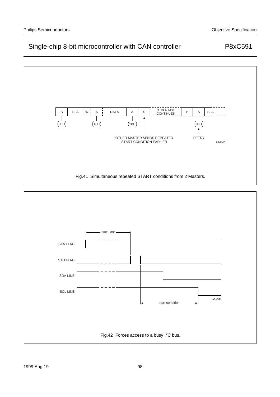

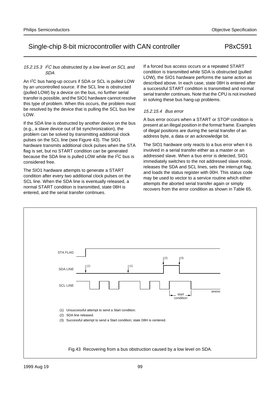## 15.2.15.3  $\angle$  PC bus obstructed by a low level on SCL and SDA

An I2C bus hang-up occurs if SDA or SCL is pulled LOW by an uncontrolled source. If the SCL line is obstructed (pulled LOW) by a device on the bus, no further serial transfer is possible, and the SIO1 hardware cannot resolve this type of problem. When this occurs, the problem must be resolved by the device that is pulling the SCL bus line LOW.

If the SDA line is obstructed by another device on the bus (e.g., a slave device out of bit synchronization), the problem can be solved by transmitting additional clock pulses on the SCL line (see Figure 43). The SIO1 hardware transmits additional clock pulses when the STA flag is set, but no START condition can be generated because the SDA line is pulled LOW while the I2C bus is considered free.

The SIO1 hardware attempts to generate a START condition after every two additional clock pulses on the SCL line. When the SDA line is eventually released, a normal START condition is transmitted, state 08H is entered, and the serial transfer continues.

If a forced bus access occurs or a repeated START condition is transmitted while SDA is obstructed (pulled LOW), the SIO1 hardware performs the same action as described above. In each case, state 08H is entered after a successful START condition is transmitted and normal serial transfer continues. Note that the CPU is not involved in solving these bus hang-up problems.

## 15.2.15.4 Bus error

A bus error occurs when a START or STOP condition is present at an illegal position in the format frame. Examples of illegal positions are during the serial transfer of an address byte, a data or an acknowledge bit.

The SIO1 hardware only reacts to a bus error when it is involved in a serial transfer either as a master or an addressed slave. When a bus error is detected, SIO1 immediately switches to the not addressed slave mode, releases the SDA and SCL lines, sets the interrupt flag, and loads the status register with 00H. This status code may be used to vector to a service routine which either attempts the aborted serial transfer again or simply recovers from the error condition as shown in Table 65.

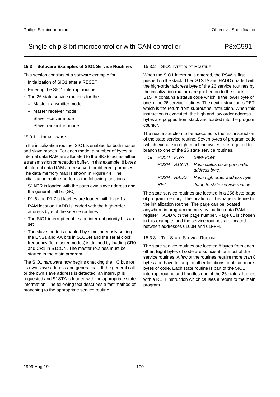## **15.3 Software Examples of SIO1 Service Routines**

This section consists of a software example for:

- Initialization of SIO1 after a RESET
- Entering the SIO1 interrupt routine
- The 26 state service routines for the
	- Master transmitter mode
	- Master receiver mode
	- Slave receiver mode
	- Slave transmitter mode

## 15.3.1 INITIALIZATION

In the initialization routine, SIO1 is enabled for both master and slave modes. For each mode, a number of bytes of internal data RAM are allocated to the SIO to act as either a transmission or reception buffer. In this example, 8 bytes of internal data RAM are reserved for different purposes. The data memory map is shown in Figure 44. The initialization routine performs the following functions:

- S1ADR is loaded with the parts own slave address and the general call bit (GC)
- P1.6 and P1.7 bit latches are loaded with logic 1s
- RAM location HADD is loaded with the high-order address byte of the service routines
- The SIO1 interrupt enable and interrupt priority bits are set
- The slave mode is enabled by simultaneously setting the ENS1 and AA bits in S1CON and the serial clock frequency (for master modes) is defined by loading CR0 and CR1 in S1CON. The master routines must be started in the main program.

The SIO1 hardware now begins checking the I2C bus for its own slave address and general call. If the general call or the own slave address is detected, an interrupt is requested and S1STA is loaded with the appropriate state information. The following text describes a fast method of branching to the appropriate service routine.

## 15.3.2 SIO1 INTERRUPT ROUTINE

When the SIO1 interrupt is entered, the PSW is first pushed on the stack. Then S1STA and HADD (loaded with the high-order address byte of the 26 service routines by the initialization routine) are pushed on to the stack. S1STA contains a status code which is the lower byte of one of the 26 service routines. The next instruction is RET, which is the return from subroutine instruction. When this instruction is executed, the high and low order address bytes are popped from stack and loaded into the program counter.

The next instruction to be executed is the first instruction of the state service routine. Seven bytes of program code (which execute in eight machine cycles) are required to branch to one of the 26 state service routines.

| SI PUSH PSW |           | Save PSW                                                |
|-------------|-----------|---------------------------------------------------------|
|             |           | PUSH S1STA Push status code (low order<br>address byte) |
|             | PUSH HADD | Push high order address byte                            |
| RFT         |           | Jump to state service routine                           |

The state service routines are located in a 256-byte page of program memory. The location of this page is defined in the initialization routine. The page can be located anywhere in program memory by loading data RAM register HADD with the page number. Page 01 is chosen in this example, and the service routines are located between addresses 0100H and 01FFH.

#### 15.3.3 THE STATE SERVICE ROUTINE

The state service routines are located 8 bytes from each other. Eight bytes of code are sufficient for most of the service routines. A few of the routines require more than 8 bytes and have to jump to other locations to obtain more bytes of code. Each state routine is part of the SIO1 interrupt routine and handles one of the 26 states. It ends with a RETI instruction which causes a return to the main program.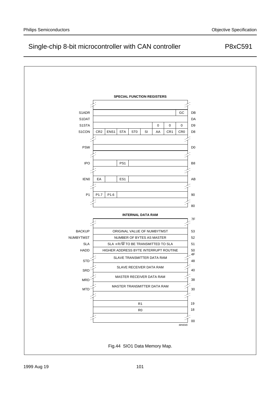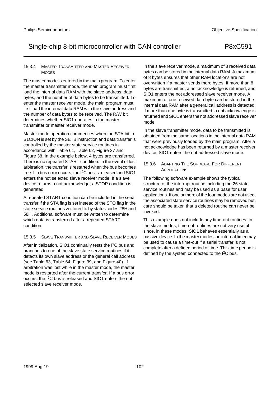#### 15.3.4 MASTER TRANSMITTER AND MASTER RECEIVER MODES

The master mode is entered in the main program. To enter the master transmitter mode, the main program must first load the internal data RAM with the slave address, data bytes, and the number of data bytes to be transmitted. To enter the master receiver mode, the main program must first load the internal data RAM with the slave address and the number of data bytes to be received. The R/W bit determines whether SIO1 operates in the master transmitter or master receiver mode.

Master mode operation commences when the STA bit in S1CION is set by the SETB instruction and data transfer is controlled by the master state service routines in accordance with Table 61, Table 62, Figure 37 and Figure 38. In the example below, 4 bytes are transferred. There is no repeated START condition. In the event of lost arbitration, the transfer is restarted when the bus becomes free. If a bus error occurs, the I2C bus is released and SIO1 enters the not selected slave receiver mode. If a slave device returns a not acknowledge, a STOP condition is generated.

A repeated START condition can be included in the serial transfer if the STA flag is set instead of the STO flag in the state service routines vectored to by status codes 28H and 58H. Additional software must be written to determine which data is transferred after a repeated START condition.

## 15.3.5 SLAVE TRANSMITTER AND SLAVE RECEIVER MODES

After initialization, SIO1 continually tests the I<sup>2</sup>C bus and branches to one of the slave state service routines if it detects its own slave address or the general call address (see Table 63, Table 64, Figure 39, and Figure 40). If arbitration was lost while in the master mode, the master mode is restarted after the current transfer. If a bus error occurs, the I2C bus is released and SIO1 enters the not selected slave receiver mode.

In the slave receiver mode, a maximum of 8 received data bytes can be stored in the internal data RAM. A maximum of 8 bytes ensures that other RAM locations are not overwritten if a master sends more bytes. If more than 8 bytes are transmitted, a not acknowledge is returned, and SIO1 enters the not addressed slave receiver mode. A maximum of one received data byte can be stored in the internal data RAM after a general call address is detected. If more than one byte is transmitted, a not acknowledge is returned and SIO1 enters the not addressed slave receiver mode.

In the slave transmitter mode, data to be transmitted is obtained from the same locations in the internal data RAM that were previously loaded by the main program. After a not acknowledge has been returned by a master receiver device, SIO1 enters the not addressed slave mode.

## 15.3.6 ADAPTING THE SOFTWARE FOR DIFFERENT APPLICATIONS

The following software example shows the typical structure of the interrupt routine including the 26 state service routines and may be used as a base for user applications. If one or more of the four modes are not used, the associated state service routines may be removed but, care should be taken that a deleted routine can never be invoked.

This example does not include any time-out routines. In the slave modes, time-out routines are not very useful since, in these modes, SIO1 behaves essentially as a passive device. In the master modes, an internal timer may be used to cause a time-out if a serial transfer is not complete after a defined period of time. This time period is defined by the system connected to the I2C bus.

Philips Semiconductors **Objective Specification** Christian Christian Christian Christian Christian Christian Christian Christian Christian Christian Christian Christian Christian Christian Christian Christian Christian Chr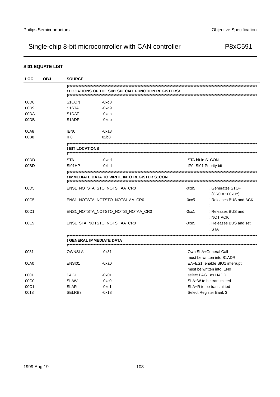## **SI01 EQUATE LIST**

| <b>LOC</b>       | <b>OBJ</b> | <b>SOURCE</b>            |                                                     |                          |                                                                |
|------------------|------------|--------------------------|-----------------------------------------------------|--------------------------|----------------------------------------------------------------|
|                  |            |                          | ! LOCATIONS OF THE SI01 SPECIAL FUNCTION REGISTERS! |                          |                                                                |
| 00D8             |            | S <sub>1</sub> CON       | -0xd8                                               |                          |                                                                |
| 00D9             |            | S <sub>1</sub> STA       | -0xd9                                               |                          |                                                                |
| 00DA             |            | S <sub>1</sub> DAT       | -0xda                                               |                          |                                                                |
| 00DB             |            | S <sub>1</sub> ADR       | -0xdb                                               |                          |                                                                |
| 00A8             |            | <b>IEN0</b>              | -0xa8                                               |                          |                                                                |
| 00B8             |            | IP <sub>0</sub>          | 02b8                                                |                          |                                                                |
|                  |            | ! BIT LOCATIONS          |                                                     |                          |                                                                |
| 00DD             |            | STA                      | -0xdd                                               | ! STA bit in S1CON       |                                                                |
| 00BD             |            | SI01HP                   | $-0xbd$                                             | ! IP0, SI01 Priority bit |                                                                |
|                  |            |                          | ! IMMEDIATE DATA TO WRITE INTO REGISTER S1CON       |                          |                                                                |
| 00D <sub>5</sub> |            |                          | ENS1_NOTSTA_STO_NOTSI_AA_CR0                        | $-0xd5$                  | ! Generates STOP<br>$!(CR0 = 100kHz)$                          |
| 00C5             |            |                          | ENS1_NOTSTA_NOTSTO_NOTSI_AA_CR0                     | $-0xc5$                  | ! Releases BUS and ACK<br>Ţ                                    |
| 00C1             |            |                          | ENS1_NOTSTA_NOTSTO_NOTSI_NOTAA_CR0                  | $-0xc1$                  | ! Releases BUS and<br>! NOT ACK                                |
| 00E5             |            |                          | ENS1_STA_NOTSTO_NOTSI_AA_CR0                        | $-0xe5$                  | ! Releases BUS and set<br>! STA                                |
|                  |            | ! GENERAL IMMEDIATE DATA |                                                     |                          |                                                                |
| 0031             |            | OWNSLA                   | $-0x31$                                             |                          | ! Own SLA+General Call                                         |
|                  |            |                          |                                                     |                          | ! must be written into S1ADR                                   |
| 00A0             |            | ENSI01                   | -0xa0                                               |                          | ! EA+ES1, enable SIO1 interrupt<br>! must be written into IEN0 |
| 0001             |            | PAG1                     | $-0x01$                                             | select PAG1 as HADD      |                                                                |
| 00C <sub>0</sub> |            | <b>SLAW</b>              | $-0xc0$                                             |                          | ! SLA+W to be transmitted                                      |
| 00C1             |            | <b>SLAR</b>              | $-0xc1$                                             |                          | ! SLA+R to be transmitted                                      |
| 0018             |            | SELRB3                   | $-0x18$                                             | ! Select Register Bank 3 |                                                                |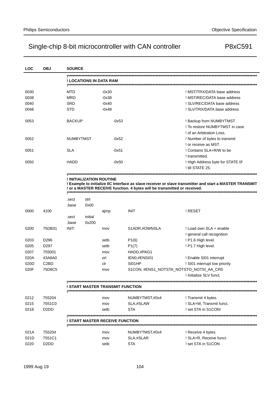| <b>LOC</b> | <b>OBJ</b>                    | <b>SOURCE</b>    |                          |                                  |                                                                          |                                                                                                         |
|------------|-------------------------------|------------------|--------------------------|----------------------------------|--------------------------------------------------------------------------|---------------------------------------------------------------------------------------------------------|
|            |                               |                  |                          | ! LOCATIONS IN DATA RAM          |                                                                          |                                                                                                         |
| 0030       |                               | MTD              |                          | -0x30                            |                                                                          | ! MST/TRX/DATA base address                                                                             |
| 0038       |                               | MRD              |                          | -0x38                            |                                                                          | ! MST/REC/DATA base address                                                                             |
| 0040       |                               | SRD              |                          | $-0x40$                          |                                                                          | ! SLV/REC/DATA base address                                                                             |
| 0048       |                               | STD              |                          | -0x48                            |                                                                          | ! SLV/TRX/DATA base address                                                                             |
| 0053       |                               | <b>BACKUP</b>    |                          | -0x53                            |                                                                          | ! Backup from NUMBYTMST                                                                                 |
|            |                               |                  |                          |                                  |                                                                          | ! To restore NUMBYTMST in case                                                                          |
|            |                               |                  |                          |                                  |                                                                          | ! of an Arbitration Loss.                                                                               |
| 0052       |                               | <b>NUMBYTMST</b> |                          | -0x52                            |                                                                          | ! Number of bytes to transmit                                                                           |
|            |                               |                  |                          |                                  |                                                                          | ! or receive as MST.                                                                                    |
| 0051       |                               | SLA              |                          | $-0x51$                          |                                                                          | ! Contains SLA+R/W to be                                                                                |
|            |                               |                  |                          |                                  |                                                                          | ! transmitted.                                                                                          |
| 0050       |                               | HADD             |                          | -0x50                            |                                                                          | ! High Address byte for STATE Of<br>! till STATE 25.                                                    |
|            |                               |                  |                          |                                  |                                                                          |                                                                                                         |
|            |                               |                  | ! INITIALIZATION ROUTINE |                                  |                                                                          |                                                                                                         |
|            |                               |                  |                          |                                  |                                                                          | Example to initialize IIC Interface as slave receiver or slave transmitter and start a MASTER TRANSMIT! |
|            |                               |                  |                          |                                  | ! or a MASTER RECEIVE function. 4 bytes will be transmitted or received. |                                                                                                         |
|            |                               | .sect            | strt                     |                                  |                                                                          |                                                                                                         |
|            |                               | .base            | 0x00                     |                                  |                                                                          |                                                                                                         |
| 0000       | 4100                          |                  |                          | ajmp                             | <b>INIT</b>                                                              | ! RESET                                                                                                 |
|            |                               | .sect            | initial                  |                                  |                                                                          |                                                                                                         |
|            |                               | .base            | 0x200                    |                                  |                                                                          |                                                                                                         |
| 0200       | 75DB31                        | INIT:            |                          | mov                              | S1ADR,#OWNSLA                                                            | ! Load own SLA + enable                                                                                 |
|            |                               |                  |                          |                                  |                                                                          | ! general call recognition                                                                              |
| 0203       | D <sub>296</sub>              |                  |                          | setb                             | P1(6)                                                                    | ! P1.6 High level.                                                                                      |
| 0205       | D297                          |                  |                          | setb                             | P1(7)                                                                    | ! P1.7 High level.                                                                                      |
| 0207       | 755001                        |                  |                          |                                  | HADD,#PAG1                                                               |                                                                                                         |
|            |                               |                  |                          | mov                              |                                                                          |                                                                                                         |
| 020A       | 43A8A0                        |                  |                          | orl                              | IEN0,#ENSI01                                                             | ! Enable SI01 interrupt                                                                                 |
| 020D       | C <sub>2</sub> B <sub>D</sub> |                  |                          | clr                              | SI01HP                                                                   | ! SI01 interrupt low priority                                                                           |
| 020F       | 75D8C5                        |                  |                          | mov                              |                                                                          | S1CON, #ENS1_NOTSTA_NOTSTO_NOTSI_AA_CR0                                                                 |
|            |                               |                  |                          |                                  |                                                                          | ! Initialize SLV funct.                                                                                 |
|            |                               |                  |                          | ! START MASTER TRANSMIT FUNCTION |                                                                          |                                                                                                         |
|            |                               |                  |                          |                                  |                                                                          |                                                                                                         |
| 0212       | 755204                        |                  |                          | mov                              | NUMBYTMST,#0x4                                                           | ! Transmit 4 bytes.                                                                                     |
| 0215       | 7551C0                        |                  |                          | mov                              | SLA,#SLAW                                                                | ! SLA+W, Transmit funct.                                                                                |
| 0218       | D <sub>2</sub> D <sub>D</sub> |                  |                          | setb                             | <b>STA</b>                                                               | ! set STA in S1CON!                                                                                     |
|            |                               |                  |                          | ! START MASTER RECEIVE FUNCTION  |                                                                          |                                                                                                         |
|            |                               |                  |                          |                                  |                                                                          |                                                                                                         |
| 021A       | 755204                        |                  |                          | mov                              | NUMBYTMST,#0x4                                                           | ! Receive 4 bytes.                                                                                      |
| 021D       | 7551C1                        |                  |                          | mov                              | SLA,#SLAR<br><b>STA</b>                                                  | ! SLA+R, Receive funct.<br>! set STA in S1CON                                                           |
| 0220       | D2DD                          |                  |                          | setb                             |                                                                          |                                                                                                         |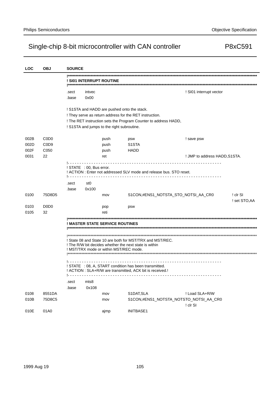| <b>LOC</b> | <b>OBJ</b>                    | <b>SOURCE</b> |                          |                                            |                                                                                                                            |                               |               |
|------------|-------------------------------|---------------|--------------------------|--------------------------------------------|----------------------------------------------------------------------------------------------------------------------------|-------------------------------|---------------|
|            |                               |               |                          |                                            |                                                                                                                            |                               |               |
|            |                               |               |                          | ! SI01 INTERRUPT ROUTINE                   |                                                                                                                            |                               |               |
|            |                               |               |                          |                                            |                                                                                                                            |                               |               |
|            |                               | .sect         | intvec                   |                                            |                                                                                                                            | ! SI01 interrupt vector       |               |
|            |                               | .base         | 0x00                     |                                            |                                                                                                                            |                               |               |
|            |                               |               |                          |                                            |                                                                                                                            |                               |               |
|            |                               |               |                          |                                            | ! S1STA and HADD are pushed onto the stack.                                                                                |                               |               |
|            |                               |               |                          |                                            | ! They serve as return address for the RET instruction.<br>! The RET instruction sets the Program Counter to address HADD, |                               |               |
|            |                               |               |                          | ! S1STA and jumps to the right subroutine. |                                                                                                                            |                               |               |
|            |                               |               |                          |                                            |                                                                                                                            |                               |               |
| 002B       | C <sub>0</sub> D <sub>0</sub> |               |                          | push                                       | psw                                                                                                                        | ! save psw                    |               |
| 002D       | C <sub>0</sub> D <sub>9</sub> |               |                          | push                                       | S <sub>1</sub> STA                                                                                                         |                               |               |
| 002F       | C <sub>050</sub>              |               |                          | push                                       | HADD                                                                                                                       |                               |               |
| 0031       | 22                            |               |                          | ret                                        |                                                                                                                            | ! JMP to address HADD, S1STA. |               |
|            |                               |               |                          |                                            |                                                                                                                            |                               |               |
|            |                               |               | ! STATE : 00, Bus error. |                                            |                                                                                                                            |                               |               |
|            |                               |               |                          |                                            | ! ACTION : Enter not addressed SLV mode and release bus. STO reset.                                                        |                               |               |
|            |                               | .sect         | st0                      |                                            |                                                                                                                            |                               |               |
|            |                               | .base         | 0x100                    |                                            |                                                                                                                            |                               |               |
| 0100       | 75D8D5                        |               |                          | mov                                        | S1CON,#ENS1_NOTSTA_STO_NOTSI_AA_CR0                                                                                        |                               | ! clr SI      |
|            |                               |               |                          |                                            |                                                                                                                            |                               | ! set STO, AA |
| 0103       | D <sub>0</sub> D <sub>0</sub> |               |                          | pop                                        | psw                                                                                                                        |                               |               |
| 0105       | 32                            |               |                          | reti                                       |                                                                                                                            |                               |               |
|            |                               |               |                          |                                            |                                                                                                                            |                               |               |
|            |                               |               |                          | ! MASTER STATE SERVICE ROUTINES            |                                                                                                                            |                               |               |
|            |                               |               |                          |                                            |                                                                                                                            |                               |               |
|            |                               |               |                          |                                            |                                                                                                                            |                               |               |
|            |                               |               |                          |                                            | ! State 08 and State 10 are both for MST/TRX and MST/REC.<br>! The R/W bit decides whether the next state is within        |                               |               |
|            |                               |               |                          | ! MST/TRX mode or within MST/REC mode.     |                                                                                                                            |                               |               |
|            |                               |               |                          |                                            |                                                                                                                            |                               |               |
|            |                               |               |                          |                                            |                                                                                                                            |                               |               |
|            |                               |               |                          |                                            | ! STATE : 08, A, START condition has been transmitted.                                                                     |                               |               |
|            |                               |               |                          |                                            | ! ACTION : SLA+R/W are transmitted, ACK bit is received.!                                                                  |                               |               |
|            |                               | .sect         | mts8                     |                                            |                                                                                                                            |                               |               |
|            |                               | .base         | 0x108                    |                                            |                                                                                                                            |                               |               |
| 0108       | 8551DA                        |               |                          | mov                                        | S1DAT, SLA                                                                                                                 | ! Load SLA+R/W                |               |
| 010B       | 75D8C5                        |               |                          | mov                                        | S1CON,#ENS1_NOTSTA_NOTSTO_NOTSI_AA_CR0                                                                                     |                               |               |
|            |                               |               |                          |                                            |                                                                                                                            | ! clr SI                      |               |
| 010E       | 01A0                          |               |                          | ajmp                                       | <b>INITBASE1</b>                                                                                                           |                               |               |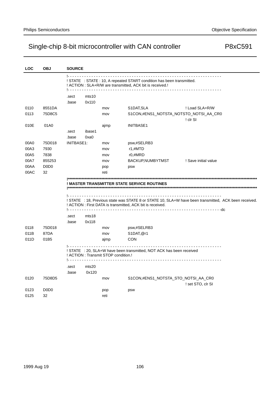| LOC  | <b>OBJ</b>                    | <b>SOURCE</b>     |                                               |                                      |                                                                        |                                                                                                       |
|------|-------------------------------|-------------------|-----------------------------------------------|--------------------------------------|------------------------------------------------------------------------|-------------------------------------------------------------------------------------------------------|
|      |                               |                   |                                               |                                      |                                                                        |                                                                                                       |
|      |                               |                   |                                               |                                      | ! STATE : STATE : 10, A repeated START condition has been transmitted. |                                                                                                       |
|      |                               |                   |                                               |                                      | ! ACTION : SLA+R/W are transmitted, ACK bit is received.!              |                                                                                                       |
|      |                               | .sect             | mts10                                         |                                      |                                                                        |                                                                                                       |
|      |                               | .base             | 0x110                                         |                                      |                                                                        |                                                                                                       |
| 0110 | 8551DA                        |                   |                                               | mov                                  | S1DAT, SLA                                                             | ! Load SLA+R/W                                                                                        |
| 0113 | 75D8C5                        |                   |                                               | mov                                  | S1CON, #ENS1_NOTSTA_NOTSTO_NOTSI_AA_CR0                                |                                                                                                       |
|      |                               |                   |                                               |                                      |                                                                        | ! cir Si                                                                                              |
| 010E | 01A0                          |                   |                                               | ajmp                                 | <b>INITBASE1</b>                                                       |                                                                                                       |
|      |                               | .sect             | ibase1                                        |                                      |                                                                        |                                                                                                       |
|      |                               | .base             | 0xa0                                          |                                      |                                                                        |                                                                                                       |
| 00A0 | 75D018                        | <b>INITBASE1:</b> |                                               | mov                                  | psw,#SELRB3                                                            |                                                                                                       |
| 00A3 | 7930                          |                   |                                               | mov                                  | r1,#MTD                                                                |                                                                                                       |
| 00A5 | 7838                          |                   |                                               | mov                                  | r0,#MRD                                                                |                                                                                                       |
| 00A7 | 855253                        |                   |                                               | mov                                  | BACKUP, NUMBYTMST                                                      | ! Save initial value                                                                                  |
| 00AA | D <sub>0</sub> D <sub>0</sub> |                   |                                               | pop                                  | psw                                                                    |                                                                                                       |
| 00AC | 32                            |                   |                                               | reti                                 |                                                                        |                                                                                                       |
|      |                               |                   |                                               |                                      |                                                                        |                                                                                                       |
|      |                               |                   |                                               |                                      | ! MASTER TRANSMITTER STATE SERVICE ROUTINES                            |                                                                                                       |
|      |                               |                   |                                               |                                      |                                                                        |                                                                                                       |
|      |                               |                   |                                               |                                      |                                                                        |                                                                                                       |
|      |                               |                   |                                               |                                      | ! ACTION : First DATA is transmitted, ACK bit is received.             | ! STATE : 18, Previous state was STATE 8 or STATE 10, SLA+W have been transmitted, ACK been received. |
|      |                               |                   |                                               |                                      |                                                                        |                                                                                                       |
|      |                               | .sect             | mts18                                         |                                      |                                                                        |                                                                                                       |
|      |                               | .base             | 0x118                                         |                                      |                                                                        |                                                                                                       |
| 0118 | 75D018                        |                   |                                               | mov                                  | psw,#SELRB3                                                            |                                                                                                       |
| 011B | 87DA                          |                   |                                               | mov                                  | S1DAT, @r1                                                             |                                                                                                       |
| 011D | 01B5                          |                   |                                               | ajmp                                 | <b>CON</b>                                                             |                                                                                                       |
|      |                               |                   |                                               |                                      |                                                                        |                                                                                                       |
|      |                               |                   |                                               |                                      | ! STATE : 20, SLA+W have been transmitted, NOT ACK has been received   |                                                                                                       |
|      |                               |                   | <u> - - - - - - - - - - - - - - - - - - -</u> | ! ACTION : Transmit STOP condition.! |                                                                        |                                                                                                       |
|      |                               |                   |                                               |                                      |                                                                        |                                                                                                       |
|      |                               | .sect<br>.base    | mts20<br>0x120                                |                                      |                                                                        |                                                                                                       |
| 0120 | 75D8D5                        |                   |                                               |                                      | S1CON,#ENS1_NOTSTA_STO_NOTSI_AA_CR0                                    |                                                                                                       |
|      |                               |                   |                                               | mov                                  |                                                                        | ! set STO, clr SI                                                                                     |
| 0123 | D <sub>0</sub> D <sub>0</sub> |                   |                                               |                                      | psw                                                                    |                                                                                                       |
| 0125 | 32                            |                   |                                               | pop<br>reti                          |                                                                        |                                                                                                       |
|      |                               |                   |                                               |                                      |                                                                        |                                                                                                       |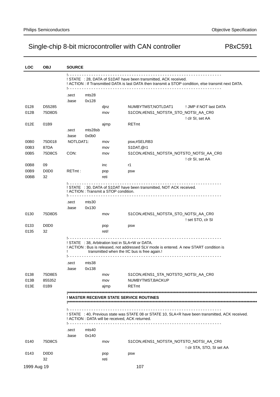| <b>LOC</b>   | <b>OBJ</b>                          | <b>SOURCE</b>                                                                                                 |                  |                                                 |                                                                                                                                                                                            |                                                                                                      |  |
|--------------|-------------------------------------|---------------------------------------------------------------------------------------------------------------|------------------|-------------------------------------------------|--------------------------------------------------------------------------------------------------------------------------------------------------------------------------------------------|------------------------------------------------------------------------------------------------------|--|
|              |                                     |                                                                                                               |                  |                                                 | ! STATE : 28, DATA of S1DAT have been transmitted, ACK received.                                                                                                                           | ! ACTION : If Transmitted DATA is last DATA then transmit a STOP condition, else transmit next DATA. |  |
|              |                                     | .sect<br>.base                                                                                                | mts28<br>0x128   |                                                 |                                                                                                                                                                                            |                                                                                                      |  |
| 0128<br>012B | D55285<br>75D8D5                    |                                                                                                               |                  | dinz<br>mov                                     | NUMBYTMST, NOTLDAT1<br>S1CON,#ENS1_NOTSTA_STO_NOTSI_AA_CR0                                                                                                                                 | ! JMP if NOT last DATA<br>! clr SI, set AA                                                           |  |
| 012E         | 01B9                                | .sect<br>.base                                                                                                | mts28sb<br>0x0b0 | ajmp                                            | <b>RETmt</b>                                                                                                                                                                               |                                                                                                      |  |
| 00B0         | 75D018                              | NOTLDAT1:                                                                                                     |                  | mov                                             | psw,#SELRB3                                                                                                                                                                                |                                                                                                      |  |
| 00B3         | 87DA                                |                                                                                                               |                  | mov                                             | S1DAT, @r1                                                                                                                                                                                 |                                                                                                      |  |
| 00B5         | 75D8C5                              | CON:                                                                                                          |                  | mov                                             | S1CON,#ENS1_NOTSTA_NOTSTO_NOTSI_AA_CR0                                                                                                                                                     |                                                                                                      |  |
|              |                                     |                                                                                                               |                  |                                                 |                                                                                                                                                                                            | ! clr SI, set AA                                                                                     |  |
| 00B8         | 09                                  |                                                                                                               |                  | inc                                             | r1                                                                                                                                                                                         |                                                                                                      |  |
| 00B9         | D <sub>0</sub> D <sub>0</sub>       | RETmt:                                                                                                        |                  | pop                                             | psw                                                                                                                                                                                        |                                                                                                      |  |
| 00BB         | 32                                  |                                                                                                               |                  | reti                                            |                                                                                                                                                                                            |                                                                                                      |  |
|              |                                     | ! STATE : 30, DATA of S1DAT have been transmitted, NOT ACK received.<br>! ACTION : Transmit a STOP condition. |                  |                                                 |                                                                                                                                                                                            |                                                                                                      |  |
|              |                                     | .sect                                                                                                         | mts30            |                                                 |                                                                                                                                                                                            |                                                                                                      |  |
|              |                                     | .base                                                                                                         | 0x130            |                                                 |                                                                                                                                                                                            |                                                                                                      |  |
| 0130         | 75D8D5                              |                                                                                                               |                  | mov                                             | S1CON,#ENS1_NOTSTA_STO_NOTSI_AA_CR0                                                                                                                                                        |                                                                                                      |  |
|              |                                     |                                                                                                               |                  |                                                 |                                                                                                                                                                                            | ! set STO, clr SI                                                                                    |  |
| 0133<br>0135 | D <sub>0</sub> D <sub>0</sub><br>32 |                                                                                                               |                  | pop<br>reti!                                    | psw                                                                                                                                                                                        |                                                                                                      |  |
|              |                                     |                                                                                                               |                  |                                                 | ! STATE : 38, Arbitration lost in SLA+W or DATA.<br>! ACTION : Bus is released, not addressed SLV mode is entered. A new START condition is<br>transmitted when the IIC bus is free again. |                                                                                                      |  |
|              |                                     | .sect                                                                                                         | mts38            |                                                 |                                                                                                                                                                                            |                                                                                                      |  |
|              |                                     | .base                                                                                                         | 0x138            |                                                 |                                                                                                                                                                                            |                                                                                                      |  |
| 0138         | 75D8E5                              |                                                                                                               |                  | mov                                             | S1CON,#ENS1_STA_NOTSTO_NOTSI_AA_CR0                                                                                                                                                        |                                                                                                      |  |
| 013B         | 855352                              |                                                                                                               |                  | mov                                             | NUMBYTMST, BACKUP                                                                                                                                                                          |                                                                                                      |  |
| 013E         | 01B9                                |                                                                                                               |                  | ajmp                                            | RETmt                                                                                                                                                                                      |                                                                                                      |  |
|              |                                     |                                                                                                               |                  |                                                 | ! MASTER RECEIVER STATE SERVICE ROUTINES                                                                                                                                                   |                                                                                                      |  |
|              |                                     |                                                                                                               |                  | ! ACTION : DATA will be received, ACK returned. |                                                                                                                                                                                            | ! STATE : 40, Previous state was STATE 08 or STATE 10, SLA+R have been transmitted, ACK received.    |  |
|              |                                     | .sect                                                                                                         | mts40            |                                                 |                                                                                                                                                                                            |                                                                                                      |  |
|              |                                     | .base                                                                                                         | 0x140            |                                                 |                                                                                                                                                                                            |                                                                                                      |  |
| 0140         | 75D8C5                              |                                                                                                               |                  | mov                                             | S1CON,#ENS1_NOTSTA_NOTSTO_NOTSI_AA_CR0                                                                                                                                                     |                                                                                                      |  |
|              |                                     |                                                                                                               |                  |                                                 |                                                                                                                                                                                            | ! clr STA, STO, SI set AA                                                                            |  |
| 0143         | D <sub>0</sub> D <sub>0</sub>       |                                                                                                               |                  | pop                                             | psw                                                                                                                                                                                        |                                                                                                      |  |
|              | 32                                  |                                                                                                               |                  | reti                                            |                                                                                                                                                                                            |                                                                                                      |  |
| 1999 Aug 19  |                                     |                                                                                                               |                  |                                                 | 107                                                                                                                                                                                        |                                                                                                      |  |
|              |                                     |                                                                                                               |                  |                                                 |                                                                                                                                                                                            |                                                                                                      |  |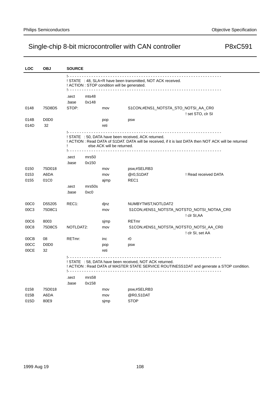| <b>LOC</b>   | <b>OBJ</b>                          | <b>SOURCE</b>                                                                                                                                                                                     |                |             |                                                          |                                                                                           |  |  |
|--------------|-------------------------------------|---------------------------------------------------------------------------------------------------------------------------------------------------------------------------------------------------|----------------|-------------|----------------------------------------------------------|-------------------------------------------------------------------------------------------|--|--|
|              |                                     | 1.<br>! STATE : 48, SLA+R have been transmitted, NOT ACK received.<br>! ACTION : STOP condition will be generated.<br><u>.</u>                                                                    |                |             |                                                          |                                                                                           |  |  |
|              |                                     | .sect<br>.base                                                                                                                                                                                    | mts48<br>0x148 |             |                                                          |                                                                                           |  |  |
| 0148         | 75D8D5                              | STOP:                                                                                                                                                                                             |                | mov         |                                                          | S1CON,#ENS1_NOTSTA_STO_NOTSI_AA_CR0<br>! set STO, clr SI                                  |  |  |
| 014B<br>014D | D <sub>0</sub> D <sub>0</sub><br>32 |                                                                                                                                                                                                   |                | pop<br>reti | psw                                                      |                                                                                           |  |  |
|              |                                     | 1.<br>! STATE : 50, DATA have been received, ACK returned.<br>! ACTION: Read DATA of S1DAT. DATA will be received, if it is last DATA then NOT ACK will be returned<br>else ACK will be returned. |                |             |                                                          |                                                                                           |  |  |
|              |                                     | .sect<br>.base                                                                                                                                                                                    | mrs50<br>0x150 |             |                                                          |                                                                                           |  |  |
| 0150         | 75D018                              |                                                                                                                                                                                                   |                | mov         | psw,#SELRB3                                              |                                                                                           |  |  |
| 0153         | A6DA                                |                                                                                                                                                                                                   |                | mov         | @r0,S1DAT                                                | ! Read received DATA                                                                      |  |  |
| 0155         | 01C0                                |                                                                                                                                                                                                   |                | ajmp        | REC1                                                     |                                                                                           |  |  |
|              |                                     | .sect                                                                                                                                                                                             | mrs50s         |             |                                                          |                                                                                           |  |  |
|              |                                     | .base                                                                                                                                                                                             | 0xc0           |             |                                                          |                                                                                           |  |  |
| 00C0         | D55205                              | REC1:                                                                                                                                                                                             |                | dinz        | NUMBYTMST, NOTLDAT2                                      |                                                                                           |  |  |
| 00C3         | 75D8C1                              |                                                                                                                                                                                                   |                | mov         |                                                          | S1CON,#ENS1_NOTSTA_NOTSTO_NOTSI_NOTAA_CR0<br>! clr SI, AA                                 |  |  |
| 00C6         | 8003                                |                                                                                                                                                                                                   |                | sjmp        | <b>RETmr</b>                                             |                                                                                           |  |  |
| 00C8         | 75D8C5                              | NOTLDAT2:                                                                                                                                                                                         |                | mov         |                                                          | S1CON,#ENS1_NOTSTA_NOTSTO_NOTSI_AA_CR0                                                    |  |  |
|              |                                     |                                                                                                                                                                                                   |                |             |                                                          | ! clr SI, set AA                                                                          |  |  |
| 00CB         | 08                                  | RETmr:                                                                                                                                                                                            |                | inc         | r0                                                       |                                                                                           |  |  |
| 00CC         | D <sub>0</sub> D <sub>0</sub>       |                                                                                                                                                                                                   |                | pop         | psw                                                      |                                                                                           |  |  |
| 00CE         | 32                                  |                                                                                                                                                                                                   |                | reti        |                                                          |                                                                                           |  |  |
|              |                                     |                                                                                                                                                                                                   |                |             | ! STATE : 58, DATA have been received, NOT ACK returned. | ! ACTION : Read DATA of MASTER STATE SERVICE ROUTINESS1DAT and generate a STOP condition. |  |  |
|              |                                     | .sect                                                                                                                                                                                             | mrs58          |             |                                                          |                                                                                           |  |  |
|              |                                     | .base                                                                                                                                                                                             | 0x158          |             |                                                          |                                                                                           |  |  |
| 0158         | 75D018                              |                                                                                                                                                                                                   |                | mov         | psw,#SELRB3                                              |                                                                                           |  |  |
| 015B         | A6DA                                |                                                                                                                                                                                                   |                | mov         | @R0,S1DAT                                                |                                                                                           |  |  |
| 015D         | 80E9                                |                                                                                                                                                                                                   |                | simp        | <b>STOP</b>                                              |                                                                                           |  |  |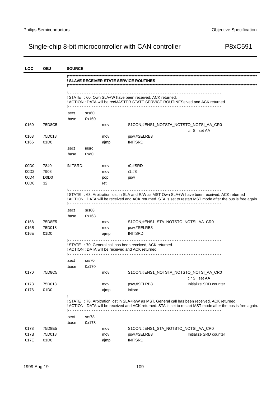| <b>LOC</b>       | <b>OBJ</b>                    | <b>SOURCE</b>  |                |      |                                                                                                                   |                                                                                                                                                                                                                   |
|------------------|-------------------------------|----------------|----------------|------|-------------------------------------------------------------------------------------------------------------------|-------------------------------------------------------------------------------------------------------------------------------------------------------------------------------------------------------------------|
|                  |                               |                |                |      | ! SLAVE RECEIVER STATE SERVICE ROUTINES                                                                           |                                                                                                                                                                                                                   |
|                  |                               |                |                |      | ! STATE : 60, Own SLA+W have been received, ACK returned.                                                         | ! ACTION : DATA will be recMASTER STATE SERVICE ROUTINESeived and ACK returned.                                                                                                                                   |
|                  |                               |                |                |      |                                                                                                                   |                                                                                                                                                                                                                   |
|                  |                               | .sect          | srs60          |      |                                                                                                                   |                                                                                                                                                                                                                   |
|                  |                               | .base          | 0x160          |      |                                                                                                                   |                                                                                                                                                                                                                   |
| 0160             | 75D8C5                        |                |                | mov  |                                                                                                                   | S1CON,#ENS1_NOTSTA_NOTSTO_NOTSI_AA_CR0<br>! clr SI, set AA                                                                                                                                                        |
| 0163             | 75D018                        |                |                | mov  | psw,#SELRB3                                                                                                       |                                                                                                                                                                                                                   |
| 0166             | 01D <sub>0</sub>              |                |                | ajmp | <b>INITSRD</b>                                                                                                    |                                                                                                                                                                                                                   |
|                  |                               | .sect          | insrd          |      |                                                                                                                   |                                                                                                                                                                                                                   |
|                  |                               | .base          | $0$ xd $0$     |      |                                                                                                                   |                                                                                                                                                                                                                   |
| 00D <sub>0</sub> | 7840                          | INITSRD:       |                | mov  | $r0,$ #SRD                                                                                                        |                                                                                                                                                                                                                   |
| 00D <sub>2</sub> | 7908                          |                |                | mov  | r1,#8                                                                                                             |                                                                                                                                                                                                                   |
| 00D4             | D <sub>0</sub> D <sub>0</sub> |                |                | pop  | psw                                                                                                               |                                                                                                                                                                                                                   |
| 00D6             | 32                            |                |                | reti |                                                                                                                   |                                                                                                                                                                                                                   |
| 0168<br>016B     | 75D8E5<br>75D018              | .sect<br>.base | srs68<br>0x168 | mov  |                                                                                                                   | ! ACTION : DATA will be received and ACK returned. STA is set to restart MST mode after the bus is free again.<br>S1CON,#ENS1_STA_NOTSTO_NOTSI_AA_CR0                                                             |
|                  |                               |                |                | mov  | psw,#SELRB3                                                                                                       |                                                                                                                                                                                                                   |
| 016E             | 01D <sub>0</sub>              |                |                | ajmp | <b>INITSRD</b>                                                                                                    |                                                                                                                                                                                                                   |
|                  |                               | .sect          | srs70          |      | ! STATE : 70, General call has been received, ACK returned.<br>! ACTION : DATA will be received and ACK returned. |                                                                                                                                                                                                                   |
|                  |                               | .base          | 0x170          |      |                                                                                                                   |                                                                                                                                                                                                                   |
| 0170             | 75D8C5                        |                |                | mov  |                                                                                                                   | S1CON,#ENS1_NOTSTA_NOTSTO_NOTSI_AA_CR0                                                                                                                                                                            |
|                  |                               |                |                |      |                                                                                                                   | ! clr SI, set AA                                                                                                                                                                                                  |
| 0173             | 75D018                        |                |                | mov  | psw,#SELRB3                                                                                                       | ! Initialize SRD counter                                                                                                                                                                                          |
| 0176             | 01D0                          |                |                | ajmp | initsrd                                                                                                           |                                                                                                                                                                                                                   |
|                  |                               |                |                |      |                                                                                                                   | ! STATE : 78, Arbitration lost in SLA+R/W as MST. General call has been received, ACK returned.<br>! ACTION : DATA will be received and ACK returned. STA is set to restart MST mode after the bus is free again. |
|                  |                               | .sect          | srs78          |      |                                                                                                                   |                                                                                                                                                                                                                   |
|                  |                               | .base          | 0x178          |      |                                                                                                                   |                                                                                                                                                                                                                   |
| 0178             | 75D8E5                        |                |                | mov  |                                                                                                                   | S1CON,#ENS1_STA_NOTSTO_NOTSI_AA_CR0                                                                                                                                                                               |
| 017B             | 75D018                        |                |                | mov  | psw,#SELRB3                                                                                                       | ! Initialize SRD counter                                                                                                                                                                                          |
| 017E             | 01D0                          |                |                | ajmp | <b>INITSRD</b>                                                                                                    |                                                                                                                                                                                                                   |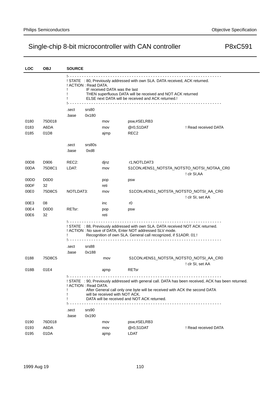| <b>LOC</b>   | <b>OBJ</b>                    | <b>SOURCE</b>                                                                                                                                                                                                                                                                              |                                |                                                                                                                                                                                                                  |                                                                                                      |  |
|--------------|-------------------------------|--------------------------------------------------------------------------------------------------------------------------------------------------------------------------------------------------------------------------------------------------------------------------------------------|--------------------------------|------------------------------------------------------------------------------------------------------------------------------------------------------------------------------------------------------------------|------------------------------------------------------------------------------------------------------|--|
|              |                               | 12 2 2 2 2 2 2<br>! STATE : 80, Previously addressed with own SLA. DATA received, ACK returned.<br>! ACTION : Read DATA.<br>IF received DATA was the last<br>THEN superfluous DATA will be received and NOT ACK returned<br>ELSE next DATA will be received and ACK returned.!<br><u>.</u> |                                |                                                                                                                                                                                                                  |                                                                                                      |  |
|              |                               | .sect                                                                                                                                                                                                                                                                                      | srs80                          |                                                                                                                                                                                                                  |                                                                                                      |  |
|              |                               | .base                                                                                                                                                                                                                                                                                      | 0x180                          |                                                                                                                                                                                                                  |                                                                                                      |  |
| 0180         | 75D018                        |                                                                                                                                                                                                                                                                                            | mov                            | psw,#SELRB3                                                                                                                                                                                                      |                                                                                                      |  |
| 0183         | A6DA                          |                                                                                                                                                                                                                                                                                            | mov                            | @r0,S1DAT                                                                                                                                                                                                        | ! Read received DATA                                                                                 |  |
| 0185         | 01D8                          |                                                                                                                                                                                                                                                                                            | ajmp                           | REC <sub>2</sub>                                                                                                                                                                                                 |                                                                                                      |  |
|              |                               | .sect                                                                                                                                                                                                                                                                                      | srs80s                         |                                                                                                                                                                                                                  |                                                                                                      |  |
|              |                               | .base                                                                                                                                                                                                                                                                                      | 0xd8                           |                                                                                                                                                                                                                  |                                                                                                      |  |
| 00D8         | D906                          | REC <sub>2</sub> :                                                                                                                                                                                                                                                                         | djnz                           | r1, NOTLDAT3                                                                                                                                                                                                     |                                                                                                      |  |
| 00DA         | 75D8C1                        | LDAT:                                                                                                                                                                                                                                                                                      | mov                            |                                                                                                                                                                                                                  | S1CON,#ENS1_NOTSTA_NOTSTO_NOTSI_NOTAA_CR0                                                            |  |
|              |                               |                                                                                                                                                                                                                                                                                            |                                |                                                                                                                                                                                                                  | ! clr SI, AA                                                                                         |  |
| 00DD         | D <sub>0</sub> D <sub>0</sub> |                                                                                                                                                                                                                                                                                            | pop                            | psw                                                                                                                                                                                                              |                                                                                                      |  |
| 00DF         | 32                            |                                                                                                                                                                                                                                                                                            | reti                           |                                                                                                                                                                                                                  |                                                                                                      |  |
| 00E0         | 75D8C5                        | NOTLDAT3:                                                                                                                                                                                                                                                                                  | mov                            |                                                                                                                                                                                                                  | S1CON,#ENS1_NOTSTA_NOTSTO_NOTSI_AA_CR0                                                               |  |
|              |                               |                                                                                                                                                                                                                                                                                            |                                |                                                                                                                                                                                                                  | ! clr SI, set AA                                                                                     |  |
| 00E3         | 08                            |                                                                                                                                                                                                                                                                                            | inc                            | r0                                                                                                                                                                                                               |                                                                                                      |  |
| 00E4         | D <sub>0</sub> D <sub>0</sub> | RETsr:                                                                                                                                                                                                                                                                                     | pop                            | psw                                                                                                                                                                                                              |                                                                                                      |  |
| 00E6         | 32                            |                                                                                                                                                                                                                                                                                            | reti                           |                                                                                                                                                                                                                  |                                                                                                      |  |
|              |                               | Ι.                                                                                                                                                                                                                                                                                         |                                | ! STATE : 88, Previously addressed with own SLA. DATA received NOT ACK returned.<br>! ACTION : No save of DATA, Enter NOT addressed SLV mode.<br>Recognition of own SLA. General call recognized, if S1ADR. 01.! |                                                                                                      |  |
|              |                               | .sect                                                                                                                                                                                                                                                                                      | srs88                          |                                                                                                                                                                                                                  |                                                                                                      |  |
|              |                               | .base                                                                                                                                                                                                                                                                                      | 0x188                          |                                                                                                                                                                                                                  |                                                                                                      |  |
| 0188         | 75D8C5                        |                                                                                                                                                                                                                                                                                            | mov                            |                                                                                                                                                                                                                  | S1CON,#ENS1_NOTSTA_NOTSTO_NOTSI_AA_CR0<br>! clr SI, set AA                                           |  |
| 018B         | 01E4                          |                                                                                                                                                                                                                                                                                            | ajmp                           | <b>RETsr</b>                                                                                                                                                                                                     |                                                                                                      |  |
|              |                               | ! ACTION : Read DATA.                                                                                                                                                                                                                                                                      | will be received with NOT ACK. | After General call only one byte will be received with ACK the second DATA<br>DATA will be received and NOT ACK returned.                                                                                        | ! STATE : 90, Previously addressed with general call. DATA has been received, ACK has been returned. |  |
|              |                               |                                                                                                                                                                                                                                                                                            |                                |                                                                                                                                                                                                                  |                                                                                                      |  |
|              |                               | .sect                                                                                                                                                                                                                                                                                      | srs90                          |                                                                                                                                                                                                                  |                                                                                                      |  |
|              |                               | .base                                                                                                                                                                                                                                                                                      | 0x190                          |                                                                                                                                                                                                                  |                                                                                                      |  |
| 0190         | 76D018                        |                                                                                                                                                                                                                                                                                            | mov                            | psw,#SELRB3                                                                                                                                                                                                      |                                                                                                      |  |
| 0193<br>0195 | A6DA<br>01DA                  |                                                                                                                                                                                                                                                                                            | mov                            | @r0,S1DAT<br>LDAT                                                                                                                                                                                                | ! Read received DATA                                                                                 |  |
|              |                               |                                                                                                                                                                                                                                                                                            | ajmp                           |                                                                                                                                                                                                                  |                                                                                                      |  |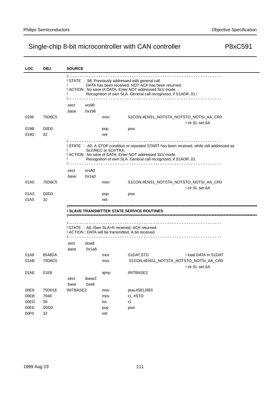| LOC   | <b>OBJ</b>                    | <b>SOURCE</b>                                                                                                                                                                                                                               |        |                     |                                                                |                                                                                              |  |  |
|-------|-------------------------------|---------------------------------------------------------------------------------------------------------------------------------------------------------------------------------------------------------------------------------------------|--------|---------------------|----------------------------------------------------------------|----------------------------------------------------------------------------------------------|--|--|
|       |                               | ! STATE : 98, Previously addressed with general call.<br>DATA has been received, NOT ACK has been returned.<br>! ACTION : No save of DATA, Enter NOT addressed SLV mode.<br>Recognition of own SLA. General call recognized, if S1ADR. 01.! |        |                     |                                                                |                                                                                              |  |  |
|       |                               | .sect                                                                                                                                                                                                                                       | srs98  |                     |                                                                |                                                                                              |  |  |
|       |                               | .base                                                                                                                                                                                                                                       | 0x198  |                     |                                                                |                                                                                              |  |  |
| 0198  | 75D8C5                        |                                                                                                                                                                                                                                             |        | mov                 |                                                                | S1CON,#ENS1_NOTSTA_NOTSTO_NOTSI_AA_CR0                                                       |  |  |
|       |                               |                                                                                                                                                                                                                                             |        |                     |                                                                | ! clr SI, set AA                                                                             |  |  |
| 019B  | D <sub>0</sub> D <sub>0</sub> |                                                                                                                                                                                                                                             |        | pop                 | psw                                                            |                                                                                              |  |  |
| 019D  | 32                            |                                                                                                                                                                                                                                             |        | reti                |                                                                |                                                                                              |  |  |
|       |                               |                                                                                                                                                                                                                                             |        |                     |                                                                |                                                                                              |  |  |
|       |                               |                                                                                                                                                                                                                                             |        | SLV/REC or SLV/TRX. |                                                                | ! STATE : A0, A STOP condition or repeated START has been received, while still addressed as |  |  |
|       |                               |                                                                                                                                                                                                                                             |        |                     | ! ACTION : No save of DATA, Enter NOT addressed SLV mode.      |                                                                                              |  |  |
|       |                               |                                                                                                                                                                                                                                             |        |                     | Recognition of own SLA. General call recognized, if S1ADR. 01. |                                                                                              |  |  |
|       |                               |                                                                                                                                                                                                                                             |        |                     |                                                                |                                                                                              |  |  |
|       |                               | .sect                                                                                                                                                                                                                                       | srsA0  |                     |                                                                |                                                                                              |  |  |
|       |                               | .base                                                                                                                                                                                                                                       | 0x1a0  |                     |                                                                |                                                                                              |  |  |
| 01A0  | 75D8C5                        |                                                                                                                                                                                                                                             |        | mov                 |                                                                | S1CON,#ENS1_NOTSTA_NOTSTO_NOTSI_AA_CR0                                                       |  |  |
|       |                               |                                                                                                                                                                                                                                             |        |                     |                                                                | ! clr SI, set AA                                                                             |  |  |
| 01A3  | D <sub>0</sub> D <sub>0</sub> |                                                                                                                                                                                                                                             |        | pop                 | psw                                                            |                                                                                              |  |  |
| 01A5  | 32                            |                                                                                                                                                                                                                                             |        | reti                |                                                                |                                                                                              |  |  |
|       |                               |                                                                                                                                                                                                                                             |        |                     | ! SLAVE TRANSMITTER STATE SERVICE ROUTINES                     |                                                                                              |  |  |
|       |                               |                                                                                                                                                                                                                                             |        |                     |                                                                |                                                                                              |  |  |
|       |                               |                                                                                                                                                                                                                                             |        |                     |                                                                |                                                                                              |  |  |
|       |                               |                                                                                                                                                                                                                                             |        |                     | ! STATE : A8, Own SLA+R received, ACK returned.                |                                                                                              |  |  |
|       |                               |                                                                                                                                                                                                                                             |        |                     | ! ACTION : DATA will be transmitted, A bit received.           |                                                                                              |  |  |
|       |                               |                                                                                                                                                                                                                                             | stsa8  |                     |                                                                |                                                                                              |  |  |
|       |                               | .sect                                                                                                                                                                                                                                       | 0x1a8  |                     |                                                                |                                                                                              |  |  |
| 01A8  | 8548DA                        | .base                                                                                                                                                                                                                                       |        |                     | S1DAT, STD                                                     | ! load DATA in S1DAT                                                                         |  |  |
| 01 AB | 75D8C5                        |                                                                                                                                                                                                                                             |        | mov<br>mov          |                                                                | S1CON,#ENS1_NOTSTA_NOTSTO_NOTSI_AA_CR0                                                       |  |  |
|       |                               |                                                                                                                                                                                                                                             |        |                     |                                                                | ! clr SI, set AA                                                                             |  |  |
| 01 AE | 01E8                          |                                                                                                                                                                                                                                             |        | ajmp                | <b>INITBASE2</b>                                               |                                                                                              |  |  |
|       |                               | .sect                                                                                                                                                                                                                                       | ibase2 |                     |                                                                |                                                                                              |  |  |
|       |                               | .base                                                                                                                                                                                                                                       | 0xe8   |                     |                                                                |                                                                                              |  |  |
| 00E8  | 75D018                        | <b>INITBASE2:</b>                                                                                                                                                                                                                           |        | mov                 | psw,#SELRB3                                                    |                                                                                              |  |  |
| 00EB  | 7948                          |                                                                                                                                                                                                                                             |        | mov                 | r1,#STD                                                        |                                                                                              |  |  |
| 00ED  | 09                            |                                                                                                                                                                                                                                             |        | inc                 | r1                                                             |                                                                                              |  |  |
| 00EE  | D <sub>0</sub> D <sub>0</sub> |                                                                                                                                                                                                                                             |        | pop                 | psw                                                            |                                                                                              |  |  |
| 00F0  | 32                            |                                                                                                                                                                                                                                             |        | reti                |                                                                |                                                                                              |  |  |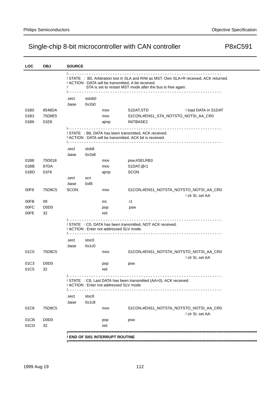| <b>LOC</b>   | <b>OBJ</b>                    | <b>SOURCE</b> |        |                                          |                                                                                                                                                                                                                |                      |
|--------------|-------------------------------|---------------|--------|------------------------------------------|----------------------------------------------------------------------------------------------------------------------------------------------------------------------------------------------------------------|----------------------|
|              |                               |               |        |                                          | ! STATE : B0, Arbitration lost in SLA and R/W as MST. Own SLA+R received, ACK returned.<br>! ACTION : DATA will be transmitted, A bit received.<br>STA is set to restart MST mode after the bus is free again. |                      |
|              |                               | .sect         | sstsb0 |                                          |                                                                                                                                                                                                                |                      |
|              |                               | .base         | 0x1b0  |                                          |                                                                                                                                                                                                                |                      |
| 01B0         | 8548DA                        |               |        | mov                                      | S1DAT, STD                                                                                                                                                                                                     | ! load DATA in S1DAT |
| 01B3         | 75D8E5                        |               |        | mov                                      | S1CON, #ENS1_STA_NOTSTO_NOTSI_AA_CR0                                                                                                                                                                           |                      |
| 01B6         | 01E8                          |               |        | ajmp                                     | INITBASE2                                                                                                                                                                                                      |                      |
|              |                               |               |        |                                          | ! STATE : B8, DATA has been transmitted, ACK received.<br>! ACTION : DATA will be transmitted, ACK bit is received.<br>.                                                                                       |                      |
|              |                               | .sect         | stsb8  |                                          |                                                                                                                                                                                                                |                      |
|              |                               | .base         | 0x1b8  |                                          |                                                                                                                                                                                                                |                      |
| 01B8         | 75D018                        |               |        | mov                                      | psw,#SELRB3                                                                                                                                                                                                    |                      |
| 01BB         | 87DA                          |               |        | mov                                      | S1DAT, @r1                                                                                                                                                                                                     |                      |
| 01BD         | 01F8                          |               |        | ajmp                                     | <b>SCON</b>                                                                                                                                                                                                    |                      |
|              |                               | .sect         | scn    |                                          |                                                                                                                                                                                                                |                      |
|              |                               | .base         | 0xf8   |                                          |                                                                                                                                                                                                                |                      |
| 00F8         | 75D8C5                        | SCON:         |        | mov                                      | S1CON,#ENS1_NOTSTA_NOTSTO_NOTSI_AA_CR0                                                                                                                                                                         |                      |
|              |                               |               |        |                                          |                                                                                                                                                                                                                | ! clr SI, set AA     |
| 00FB         | 09                            |               |        | inc                                      | r1                                                                                                                                                                                                             |                      |
| 00FC         | D <sub>0</sub> D <sub>0</sub> |               |        | pop                                      | psw                                                                                                                                                                                                            |                      |
| 00FE         | 32                            |               |        | reti                                     |                                                                                                                                                                                                                |                      |
|              |                               |               |        | ! ACTION : Enter not addressed SLV mode. | ! STATE : C0, DATA has been transmitted, NOT ACK received.                                                                                                                                                     |                      |
|              |                               | .sect         | stsc0  |                                          |                                                                                                                                                                                                                |                      |
|              |                               | .base         | 0x1c0  |                                          |                                                                                                                                                                                                                |                      |
| 01C0         | 75D8C5                        |               |        | mov                                      | S1CON,#ENS1_NOTSTA_NOTSTO_NOTSI_AA_CR0                                                                                                                                                                         | ! clr SI, set AA     |
| 01C3         | D <sub>0</sub> D <sub>0</sub> |               |        | pop                                      | psw                                                                                                                                                                                                            |                      |
| 01C5         | 32                            |               |        | reti                                     |                                                                                                                                                                                                                |                      |
|              |                               | <u> 1.</u>    |        | ! ACTION : Enter not addressed SLV mode  | ! STATE : C8, Last DATA has been transmitted (AA=0), ACK received.                                                                                                                                             |                      |
|              |                               | .sect         | stsc8  |                                          |                                                                                                                                                                                                                |                      |
|              |                               | .base         | 0x1c8  |                                          |                                                                                                                                                                                                                |                      |
| 01C8         | 75D8C5                        |               |        | mov                                      | S1CON,#ENS1_NOTSTA_NOTSTO_NOTSI_AA_CR0                                                                                                                                                                         | ! clr SI, set AA     |
|              | D <sub>0</sub> D <sub>0</sub> |               |        |                                          |                                                                                                                                                                                                                |                      |
| 01CB<br>01CD | 32                            |               |        | pop<br>reti                              | psw                                                                                                                                                                                                            |                      |
|              |                               |               |        |                                          |                                                                                                                                                                                                                |                      |
|              |                               |               |        | ! END OF SI01 INTERRUPT ROUTINE          |                                                                                                                                                                                                                |                      |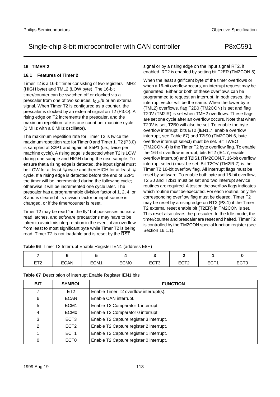## **16 TIMER 2**

### **16.1 Features of Timer 2**

Timer T2 is a 16-bit timer consisting of two registers TMH2 (HIGH byte) and TML2 (LOW byte). The 16-bit timer/counter can be switched off or clocked via a prescaler from one of two sources:  $f_{CLK}/6$  or an external signal. When Timer T2 is configured as a counter, the prescaler is clocked by an external signal on T2 (P3.O). A rising edge on T2 increments the prescaler, and the maximum repetition rate is one count per machine cycle (1 MHz with a 6 MHz oscillator).

The maximum repetition rate for Timer T2 is twice the maximum repetition rate for Timer 0 and Timer 1. T2 (P3.0) is sampled at S2P1 and again at S5P1 (i.e., twice per machine cycle). A rising edge is detected when T2 is LOW during one sample and HIGH during the next sample. To ensure that a rising edge is detected, the input signal must be LOW for at least  $\frac{1}{2}$  cycle and then HIGH for at least  $\frac{1}{2}$ cycle. If a rising edge is detected before the end of S2P1, the timer will be incremented during the following cycle; otherwise it will be incremented one cycle later. The prescaler has a programmable division factor of 1, 2, 4, or 8 and is cleared if its division factor or input source is changed, or if the timer/counter is reset.

Timer T2 may be read "on the fly" but possesses no extra read latches, and software precautions may have to be taken to avoid misinterpretation in the event of an overflow from least to most significant byte while Timer T2 is being read. Timer T2 is not loadable and is reset by the RST

signal or by a rising edge on the input signal RT2, if enabled. RT2 is enabled by setting bit T2ER (TM2CON.5).

When the least significant byte of the timer overflows or when a 16-bit overflow occurs, an interrupt request may be generated. Either or both of these overflows can be programmed to request an interrupt. In both cases, the interrupt vector will be the same. When the lower byte (TML2) overflows, flag T2B0 (TM2CON) is set and flag T20V (TM2lR) is set when TMH2 overflows. These flags are set one cycle after an overflow occurs. Note that when T20V is set, T2B0 will also be set. To enable the byte overflow interrupt, bits ET2 (lEN1.7, enable overflow interrupt, see Table 67) and T2lS0 (TM2CON.6, byte overflow interrupt select) must be set. Bit TWBO (TM2CON.4) is the Timer T2 byte overflow flag. To enable the 16-bit overflow interrupt, bits ET2 (lE1.7, enable overflow interrupt) and T2lS1 (TM2CON.7, 16-bit overflow interrupt select) must be set. Bit T2OV (TM2lR.7) is the Timer T2 16-bit overflow flag. All interrupt flags must be reset by software. To enable both byte and 16-bit overflow, T2lS0 and T2lS1 must be set and two interrupt service routines are required. A test on the overflow flags indicates which routine must be executed. For each routine, only the corresponding overflow flag must be cleared. Timer T2 may be reset by a rising edge on RT2 (P3.1) if the Timer T2 external reset enable bit (T2ER) in TM2CON is set. This reset also clears the prescaler. In the Idle mode, the timer/counter and prescaler are reset and halted. Timer T2 is controlled by the TM2CON special function register (see Section 16.1.1).

| <b>ET2</b><br>니ᄼ | <b>ECAN</b> | ECM1 | ECM <sub>0</sub> | ECT <sub>3</sub> | <b>EOTO</b><br>ᆮᇦᆝᇫ | ECT <sub>1</sub> | ECT <sub>0</sub> |  |
|------------------|-------------|------|------------------|------------------|---------------------|------------------|------------------|--|

| <b>Table 67</b> Description of interrupt Enable Register IEN1 bits |
|--------------------------------------------------------------------|

**Table 66** Timer T2 Interrupt Enable Register IEN1 (address E8H)

| <b>BIT</b>     | <b>SYMBOL</b>    | <b>FUNCTION</b>                         |
|----------------|------------------|-----------------------------------------|
| 7              | ET <sub>2</sub>  | Enable Timer T2 overflow interrupt(s).  |
| 6              | <b>ECAN</b>      | Enable CAN interrupt.                   |
| 5              | ECM <sub>1</sub> | Enable T2 Comparator 1 interrupt.       |
| 4              | ECM <sub>0</sub> | Enable T2 Comparator 0 interrupt.       |
| 3              | ECT <sub>3</sub> | Enable T2 Capture register 3 interrupt. |
| $\mathfrak{p}$ | ECT <sub>2</sub> | Enable T2 Capture register 2 interrupt. |
|                | ECT <sub>1</sub> | Enable T2 Capture register 1 interrupt. |
| 0              | ECT <sub>0</sub> | Enable T2 Capture register 0 interrupt. |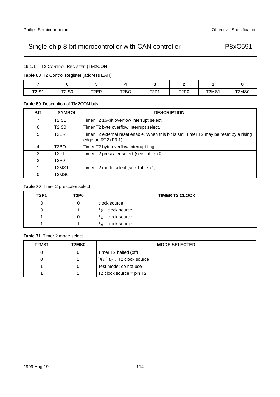16.1.1 T2 CONTROL REGISTER (TM2CON)

**Table 68** T2 Control Register (address EAH)

|              |              |      |                   |             | -                             |       |       |
|--------------|--------------|------|-------------------|-------------|-------------------------------|-------|-------|
| <b>T2IS1</b> | <b>T2IS0</b> | T2ER | T <sub>2</sub> BO | <b>T2P1</b> | T <sub>2</sub> P <sub>0</sub> | T2MS1 | T2MS0 |

## **Table 69** Description of TM2CON bits

| <b>BIT</b> | <b>SYMBOL</b>                  | <b>DESCRIPTION</b>                                                                                             |
|------------|--------------------------------|----------------------------------------------------------------------------------------------------------------|
| 7          | <b>T2IS1</b>                   | Timer T2 16-bit overflow interrupt select.                                                                     |
| 6          | <b>T2IS0</b>                   | Timer T2 byte overflow interrupt select.                                                                       |
| 5          | T <sub>2</sub> ER              | Timer T2 external reset enable. When this bit is set, Timer T2 may be reset by a rising<br>edge on RT2 (P3.1). |
| 4          | T <sub>2</sub> BO              | Timer T2 byte overflow interrupt flag.                                                                         |
| 3          | <b>T2P1</b>                    | Timer T2 prescaler select (see Table 70).                                                                      |
| 2          | T <sub>2</sub> P <sub>0</sub>  |                                                                                                                |
|            | T <sub>2</sub> M <sub>S1</sub> | Timer T2 mode select (see Table 71).                                                                           |
| 0          | T2MS0                          |                                                                                                                |

### **Table 70** Timer 2 prescaler select

| <b>T2P1</b> | T2P0 | <b>TIMER T2 CLOCK</b>             |
|-------------|------|-----------------------------------|
| U           |      | clock source                      |
|             |      | $\frac{1}{2} \times$ clock source |
|             |      | $\frac{1}{4} \times$ clock source |
|             |      | $\frac{1}{8}$ x clock source      |

## **Table 71** Timer 2 mode select

| T2MS1 | T2MS0 | <b>MODE SELECTED</b>                                 |
|-------|-------|------------------------------------------------------|
|       |       | Timer T2 halted (off)                                |
| 0     |       | $1\frac{1}{2} \times f_{\text{CLK}}$ T2 clock source |
|       |       | Test mode; do not use                                |
|       |       | $T2$ clock source = pin T2                           |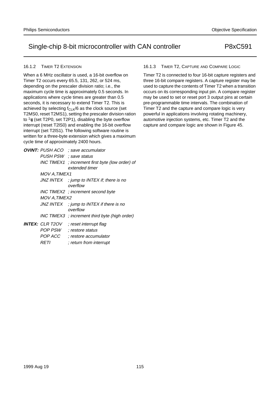### 16.1.2 TIMER T2 EXTENSION

When a 6 MHz oscillator is used, a 16-bit overflow on Timer T2 occurs every 65.5, 131, 262, or 524 ms, depending on the prescaler division ratio; i.e., the maximum cycle time is approximately 0.5 seconds. In applications where cycle times are greater than 0.5 seconds, it is necessary to extend Timer T2. This is achieved by selecting  $f_{CLK}/6$  as the clock source (set T2MS0, reset T2MS1), setting the prescaler division ration to  $\frac{1}{8}$  (set T2P0, set T2P1), disabling the byte overflow interrupt (reset T2lS0) and enabling the 16-bit overflow interrupt (set T2lS1). The following software routine is written for a three-byte extension which gives a maximum cycle time of approximately 2400 hours.

| <b>OVINT: PUSH ACO</b><br>PUSH PSW ; save status<br>INC TIMEX1 | : save accumulator<br>; increment first byte (low order) of<br>extended timer                                     |
|----------------------------------------------------------------|-------------------------------------------------------------------------------------------------------------------|
| MOV A, TIMEX1                                                  | JNZ INTEX ; jump to INTEX if; there is no<br>overflow                                                             |
| <i>MOV A.TIMEX2</i>                                            | INC TIMEX2; increment second byte                                                                                 |
|                                                                | JNZ INTEX $\therefore$ jump to INTEX if there is no<br>overflow<br>INC TIMEX3 ; increment third byte (high order) |
| <b>INTEX:</b> CLR T2OV<br>POP PSW<br>POP ACC<br>RETI           | : reset interrupt flag<br>restore status<br>: restore accumulator<br>; return from interrupt                      |

### 16.1.3 TIMER T2, CAPTURE AND COMPARE LOGIC

Timer T2 is connected to four 16-bit capture registers and three 16-bit compare registers. A capture register may be used to capture the contents of Timer T2 when a transition occurs on its corresponding input pin. A compare register may be used to set or reset port 3 output pins at certain pre-programmable time intervals. The combination of Timer T2 and the capture and compare logic is very powerful in applications involving rotating machinery, automotive injection systems, etc. Timer T2 and the capture and compare logic are shown in Figure 45.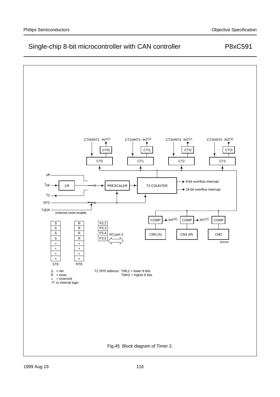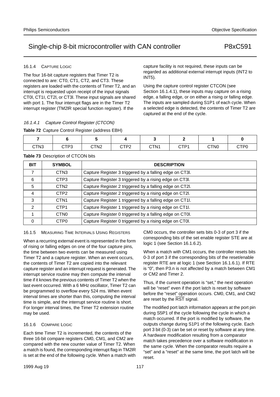#### 16.1.4 CAPTURE LOGIC

The four 16-bit capture registers that Timer T2 is connected to are: CT0, CT1, CT2, and CT3. These registers are loaded with the contents of Timer T2, and an interrupt is requested upon receipt of the input signals CT0l, CT1I, CT2l, or CT3l. These input signals are shared with port 1. The four interrupt flags are in the Timer T2 interrupt register (TM2lR special function register). If the

### 16.1.4.1 Capture Control Register (CTCON)

#### **Table 72** Capture Control Register (address EBH)

| CTN3 | CTP3 | CTN2 | פס⊤י<br>シー・ム | CTN <sub>1</sub> | стви<br>◡╷┌ | CTN0 | CTP0 |
|------|------|------|--------------|------------------|-------------|------|------|

INT5).

**Table 73** Description of CTCON bits

| <b>BIT</b>     | <b>SYMBOL</b>    | <b>DESCRIPTION</b>                                      |
|----------------|------------------|---------------------------------------------------------|
| 7              | CTN <sub>3</sub> | Capture Register 3 triggered by a falling edge on CT3I. |
| 6              | CTP <sub>3</sub> | Capture Register 3 triggered by a rising edge on CT3I.  |
| 5              | CTN <sub>2</sub> | Capture Register 2 triggered by a falling edge on CT2I. |
| $\overline{4}$ | CTP <sub>2</sub> | Capture Register 2 triggered by a rising edge on CT2I.  |
| 3              | CTN <sub>1</sub> | Capture Register 1 triggered by a falling edge on CT1I. |
| $\overline{2}$ | CTP <sub>1</sub> | Capture Register 1 triggered by a rising edge on CT1I.  |
|                | CTN <sub>0</sub> | Capture Register 0 triggered by a falling edge on CT0I. |
| 0              | CTP <sub>0</sub> | Capture Register 0 triggered by a rising edge on CT0I.  |

#### 16.1.5 MEASURING TIME INTERVALS USING REGISTERS

When a recurring external event is represented in the form of rising or falling edges on one of the four capture pins, the time between two events can be measured using Timer T2 and a capture register. When an event occurs, the contents of Timer T2 are copied into the relevant capture register and an interrupt request is generated. The interrupt service routine may then compute the interval time if it knows the previous contents of Timer T2 when the last event occurred. With a 6 MHz oscillator, Timer T2 can be programmed to overflow every 524 ms. When event interval times are shorter than this, computing the interval time is simple, and the interrupt service routine is short. For longer interval times, the Timer T2 extension routine may be used.

### 16.1.6 COMPARE LOGIC

Each time Timer T2 is incremented, the contents of the three 16-bit compare registers CM0, CM1, and CM2 are compared with the new counter value of Timer T2. When a match is found, the corresponding interrupt flag in TM2lR is set at the end of the following cycle. When a match with

CM0 occurs, the controller sets bits 0-3 of port 3 if the corresponding bits of the set enable register STE are at logic 1 (see Section 16.1.6.2).

capture facility is not required, these inputs can be regarded as additional external interrupt inputs (INT2 to

Using the capture control register CTCON (see

captured at the end of the cycle.

Section 16.1.4.1), these inputs may capture on a rising edge, a falling edge, or on either a rising or falling edge. The inputs are sampled during S1P1 of each cycle. When a selected edge is detected, the contents of Timer T2 are

When a match with CM1 occurs, the controller resets bits 0-3 of port 3 if the corresponding bits of the reset/enable register RTE are at logic 1 (see Section 16.1.6.1). If RTE is "0", then P3.n is not affected by a match between CM1 or CM2 and Timer 2.

Thus, if the current operation is "set," the next operation will be "reset" even if the port latch is reset by software before the "reset" operation occurs. CM0, CM1, and CM2 are reset by the RST signal.

The modified port latch information appears at the port pin during S5P1 of the cycle following the cycle in which a match occurred. If the port is modified by software, the outputs change during S1P1 of the following cycle. Each port 3 bit (0-3) can be set or reset by software at any time. A hardware modification resulting from a comparator match takes precedence over a software modification in the same cycle. When the comparator results require a "set" and a "reset" at the same time, the port latch will be reset.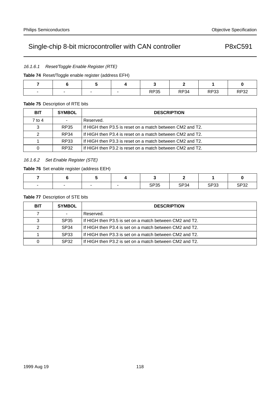16.1.6.1 Reset/Toggle Enable Register (RTE)

**Table 74** Reset/Toggle enable register (address EFH)

| $\overline{\phantom{0}}$ | $\overline{\phantom{0}}$<br>$\overline{\phantom{a}}$ | $\overline{\phantom{0}}$ | <b>DDOE</b><br>RP35 | RP34 | DD22<br>ט וו | <b>RP32</b> |
|--------------------------|------------------------------------------------------|--------------------------|---------------------|------|--------------|-------------|

## **Table 75** Description of RTE bits

| <b>BIT</b> | <b>SYMBOL</b> | <b>DESCRIPTION</b>                                        |
|------------|---------------|-----------------------------------------------------------|
| 7 to 4     |               | Reserved.                                                 |
| 3          | RP35          | If HIGH then P3.5 is reset on a match between CM2 and T2. |
| 2          | RP34          | If HIGH then P3.4 is reset on a match between CM2 and T2. |
|            | RP33          | If HIGH then P3.3 is reset on a match between CM2 and T2. |
| 0          | RP32          | If HIGH then P3.2 is reset on a match between CM2 and T2. |

## 16.1.6.2 Set Enable Register (STE)

## **Table 76** Set enable register (address EEH)

| $\overline{\phantom{0}}$ | $\overline{\phantom{0}}$ | <b>SP35</b> | <b>SP34</b> | cnoo<br>ം | SP32 |
|--------------------------|--------------------------|-------------|-------------|-----------|------|

### **Table 77** Description of STE bits

| <b>BIT</b> | <b>SYMBOL</b>    | <b>DESCRIPTION</b>                                      |
|------------|------------------|---------------------------------------------------------|
|            |                  | Reserved.                                               |
| 3          | SP35             | If HIGH then P3.5 is set on a match between CM2 and T2. |
| 2          | SP <sub>34</sub> | If HIGH then P3.4 is set on a match between CM2 and T2. |
|            | SP <sub>33</sub> | If HIGH then P3.3 is set on a match between CM2 and T2. |
| 0          | SP <sub>32</sub> | If HIGH then P3.2 is set on a match between CM2 and T2. |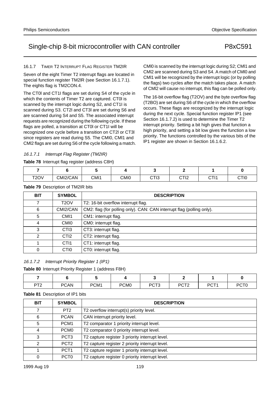CMl0 is scanned by the interrupt logic during S2; CMl1 and CMl2 are scanned during S3 and S4. A match of CMl0 and CMl1 will be recognized by the interrupt logic (or by polling the flags) two cycles after the match takes place. A match of CMl2 will cause no interrupt, this flag can be polled only. The 16-bit overflow flag (T2OV) and the byte overflow flag (T2BO) are set during S6 of the cycle in which the overflow occurs. These flags are recognized by the interrupt logic during the next cycle. Special function register lP1 (see Section 16.1.7.2) is used to determine the Timer T2 interrupt priority. Setting a bit high gives that function a high priority, and setting a bit low gives the function a low priority. The functions controlled by the various bits of the

lP1 register are shown in Section 16.1.6.2.

# Single-chip 8-bit microcontroller with CAN controller **P8xC591**

### 16.1.7 TIMER T2 INTERRUPT FLAG REGISTER TM2IR

Seven of the eight Timer T2 interrupt flags are located in special function register TM2lR (see Section 16.1.7.1). The eights flag is TM2CON.4.

The CT0l and CT1I flags are set during S4 of the cycle in which the contents of Timer T2 are captured. CT0l is scanned by the interrupt logic during S2, and CT1I is scanned during S3. CT2l and CT3l are set during S6 and are scanned during S4 and S5. The associated interrupt requests are recognized during the following cycle. If these flags are polled, a transition at CT0l or CT1I will be recognized one cycle before a transition on CT2l or CT3l since registers are read during S5. The CMI0, CMl1 and CMl2 flags are set during S6 of the cycle following a match.

16.1.7.1 Interrupt Flag Register (TM2IR)

**Table 78** Interrupt flag register (address C8H)

|                   | $\sim$<br>$\overline{\phantom{a}}$ |      |      |                          |                  |                  |      |
|-------------------|------------------------------------|------|------|--------------------------|------------------|------------------|------|
|                   |                                    |      |      |                          |                  |                  |      |
| T <sub>2</sub> OV | CMI2/CAN                           | CMI1 | CMI0 | $\sim$ TIO<br><b>UII</b> | $\sim$ TIC<br>ᄓᄕ | <b>ATI</b><br>◡᠁ | CTI0 |

| <b>BIT</b> | <b>SYMBOL</b>     | <b>DESCRIPTION</b>                                                    |
|------------|-------------------|-----------------------------------------------------------------------|
|            | T <sub>2</sub> OV | T2: 16-bit overflow interrupt flag.                                   |
| 6          | CMI2/CAN          | CM2: flag (for polling only). CAN: CAN interrupt flag (polling only). |
| 5          | CM <sub>1</sub>   | CM1: interrupt flag.                                                  |
| 4          | CM <sub>I0</sub>  | CM0: interrupt flag.                                                  |
| 3          | CT <sub>13</sub>  | CT3: interrupt flag.                                                  |
| 2          | CT <sub>12</sub>  | CT2: interrupt flag.                                                  |
|            | CT <sub>11</sub>  | CT1: interrupt flag.                                                  |
| 0          | CT <sub>I0</sub>  | CT0: interrupt flag.                                                  |

#### **Table 79** Description of TM2IR bits

### 16.1.7.2 Interrupt Priority Register 1 (IP1)

**Table 80** Interrupt Priority Register 1 (address F8H)

| <b>DTO</b> | <b>PCAN</b> | PCM1 | PCM <sub>0</sub> | PCT <sub>3</sub> | <b>DOTO</b><br>ニレーム | DCT1<br>- U I - | PCT <sub>0</sub> |
|------------|-------------|------|------------------|------------------|---------------------|-----------------|------------------|

#### **Table 81** Description of IP1 bits

| <b>BIT</b>    | <b>SYMBOL</b>    | <b>DESCRIPTION</b>                              |
|---------------|------------------|-------------------------------------------------|
| 7             | PT <sub>2</sub>  | T2 overflow interrupt(s) priority level.        |
| 6             | <b>PCAN</b>      | CAN interrupt priority level.                   |
| 5             | PCM <sub>1</sub> | T2 comparator 1 priority interrupt level.       |
| 4             | PCM <sub>0</sub> | T2 comparator 0 priority interrupt level.       |
| 3             | PCT <sub>3</sub> | T2 capture register 3 priority interrupt level. |
| $\mathcal{P}$ | PCT <sub>2</sub> | T2 capture register 2 priority interrupt level. |
|               | PCT <sub>1</sub> | T2 capture register 1 priority interrupt level. |
| 0             | PCT <sub>0</sub> | T2 capture register 0 priority interrupt level. |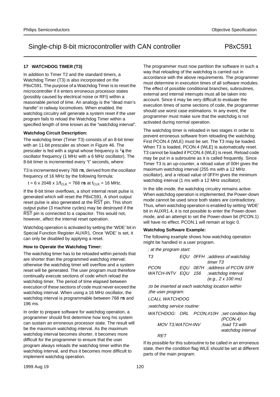### **17 WATCHDOG TIMER (T3)**

In addition to Timer T2 and the standard timers, a Watchdog Timer (T3) is also incorporated on the P8xC591. The purpose of a Watchdog Timer is to reset the microcontroller if it enters erroneous processor states (possibly caused by electrical noise or RFI) within a reasonable period of time. An analogy is the "dead man's handle" in railway locomotives. When enabled, the watchdog circuitry will generate a system reset if the user program fails to reload the Watchdog Timer within a specified length of time known as the "watchdog interval".

#### **Watchdog Circuit Description:**

The watchdog timer (Timer T3) consists of an 8-bit timer with an 11-bit prescaler as shown in Figure 46. The prescaler is fed with a signal whose frequency is  $\frac{1}{6}$  the oscillator frequency (1 MHz with a 6 MHz oscillator). The 8-bit timer is incremented every "t" seconds, where:

T3 is incremented every 768 µs, derived from the oscillator frequency of 16 MHz by the following formula:

 $t = 6 \times 2048 \times 1/f_{CLK} = 768 \mu s$  at  $f_{CLK} = 16 \text{ MHz}$ .

If the 8-bit timer overflows, a short internal reset pulse is generated which will reset the P8xC591. A short output reset pulse is also generated at the RST pin. This short output pulse (3 machine cycles) may be destroyed if the RST pin is connected to a capacitor. This would not, however, affect the internal reset operation.

Watchdog operation is activated by setting the 'WDE' bit in Special Function Register AUXR1. Once 'WDE' is set, it can only be disabled by applying a reset.

#### **How to Operate the Watchdog Timer:**

The watchdog timer has to be reloaded within periods that are shorter than the programmed watchdog interval; otherwise the watchdog timer will overflow and a system reset will be generated. The user program must therefore continually execute sections of code which reload the watchdog timer. The period of time elapsed between execution of these sections of code must never exceed the watchdog interval. When using a 16 MHz oscillator, the watchdog interval is programmable between 768  $\mu$ s and 196 ms.

In order to prepare software for watchdog operation, a programmer should first determine how long his system can sustain an erroneous processor state. The result will be the maximum watchdog interval. As the maximum watchdog interval becomes shorter, it becomes more difficult for the programmer to ensure that the user program always reloads the watchdog timer within the watchdog interval, and thus it becomes more difficult to implement watchdog operation.

The programmer must now partition the software in such a way that reloading of the watchdog is carried out in accordance with the above requirements. The programmer must determine in execution times of all software modules. The effect of possible conditional branches, subroutines, external and internal interrupts must all be taken into account. Since it may be very difficult to evaluate the execution times of some sections of code, the programmer should use worst case estimations. In any event, the programmer must make sure that the watchdog is not activated during normal operation.

The watchdog timer is reloaded in two stages in order to prevent erroneous software from reloading the watchdog. First PCON.4 (WLE) must be set. The T3 may be loaded. When T3 is loaded, PCON.4 (WLE) is automatically reset. T3 cannot be loaded if PCON.4 (WLE) is reset. Reload code may be put in a subroutine as it is called frequently. Since Timer T3 is an up-counter, a reload value of 00H gives the maximum watchdog interval (255 ms with a 12 MHz oscillator), and a reload value of 0FFH gives the minimum watchdog interval (1 ms with a 12 MHz oscillator).

In the Idle mode, the watchdog circuitry remains active. When watchdog operation is implemented, the Power-down mode cannot be used since both states are contradictory. Thus, when watchdog operation is enabled by setting 'WDE' bit in AUXR1.4, it is not possible to enter the Power-down mode, and an attempt to set the Power-down bit (PCON.1) will have no effect. PCON.1 will remain at logic 0.

#### **Watchdog Software Example:**

The following example shows how watchdog operation might be handled in a user program.

; at the program start:

| T3                                               |     | timer T <sub>3</sub> | EQU OFFH ;address of watchdog                           |  |
|--------------------------------------------------|-----|----------------------|---------------------------------------------------------|--|
| <i>PCON</i>                                      | EQU |                      | 087H :address of PCON SFR                               |  |
| <b>WATCH-INTV EQU</b>                            |     |                      | 156 ;watchdog interval                                  |  |
|                                                  |     |                      | $(e.g., 2 \times 100 \text{ ms})$                       |  |
| to be inserted at each watchdog location within: |     |                      |                                                         |  |
| the user program:                                |     |                      |                                                         |  |
| <i>LCALL WATCHDOG</i>                            |     |                      |                                                         |  |
| ;watchdog service routine:                       |     |                      |                                                         |  |
|                                                  |     |                      | WATCHDOG: ORL PCON,#10H ;set condition flag<br>(PCON.4) |  |
| MOV T3, WATCH-INV                                |     |                      | load T3 with                                            |  |

watchdog interval

**RET** 

If its possible for this subroutine to be called in an erroneous state, then the condition flag WLE should be set at different parts of the main program.

1999 Aug 19 120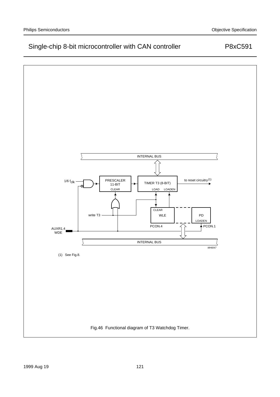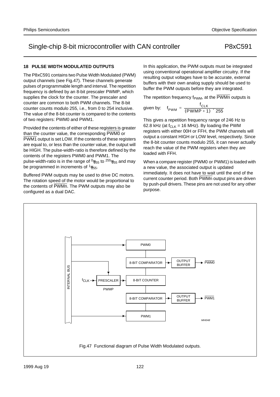## **18 PULSE WIDTH MODULATED OUTPUTS**

The P8xC591 contains two Pulse Width Modulated (PWM) output channels (see Fig.47). These channels generate pulses of programmable length and interval. The repetition frequency is defined by an 8-bit prescaler PWMP, which supplies the clock for the counter. The prescaler and counter are common to both PWM channels. The 8-bit counter counts modulo 255, i.e., from 0 to 254 inclusive. The value of the 8-bit counter is compared to the contents of two registers: PWM0 and PWM1.

Provided the contents of either of these registers is greater than the counter value, the corresponding PWM0 or PWM1 output is set LOW. If the contents of these registers are equal to, or less than the counter value, the output will be HIGH. The pulse-width-ratio is therefore defined by the contents of the registers PWM0 and PWM1. The pulse-width-ratio is in the range of  $\%_{255}$  to  $^{255}\%_{255}$  and may be programmed in increments of  $\frac{1}{255}$ .

Buffered PWM outputs may be used to drive DC motors. The rotation speed of the motor would be proportional to the contents of PWMn. The PWM outputs may also be configured as a dual DAC.

In this application, the PWM outputs must be integrated using conventional operational amplifier circuitry. If the resulting output voltages have to be accurate, external buffers with their own analog supply should be used to buffer the PWM outputs before they are integrated.

The repetition frequency  $f_{\text{PWM}}$ , at the PWMn outputs is

$$
given by: \quad f_{\text{PWM}} = \frac{f_{\text{CLK}}}{(\text{PWMP} + 1) \times 255}
$$

This gives a repetition frequency range of 246 Hz to 62.8 kHz (at  $f_{CLK}$  = 16 MHz). By loading the PWM registers with either 00H or FFH, the PWM channels will output a constant HIGH or LOW level, respectively. Since the 8-bit counter counts modulo 255, it can never actually reach the value of the PWM registers when they are loaded with FFH.

When a compare register (PWM0 or PWM1) is loaded with a new value, the associated output is updated immediately. It does not have to wait until the end of the current counter period. Both PWMn output pins are driven by push-pull drivers. These pins are not used for any other purpose.

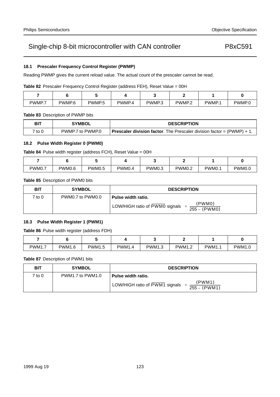## **18.1 Prescaler Frequency Control Register (PWMP)**

Reading PWMP gives the current reload value. The actual count of the prescaler cannot be read.

Table 82 Prescaler Frequency Control Register (address FEH), Reset Value = 00H

| PWMP.7 | PWMP <sub>.6</sub> | PWMP <sub>.5</sub> | PWMP.4 | PWMP <sub>3</sub> | PWMP <sub>2</sub> | PWMP.1 | PWMP.0 |
|--------|--------------------|--------------------|--------|-------------------|-------------------|--------|--------|

**Table 83** Description of PWMP bits

| <b>BIT</b> | <b>SYMBOL</b>    | <b>DESCRIPTION</b>                                                               |
|------------|------------------|----------------------------------------------------------------------------------|
| 7 to 0     | PWMP.7 to PWMP.0 | <b>Prescaler division factor.</b> The Prescaler division factor = $(PWMP) + 1$ . |

## **18.2 Pulse Width Register 0 (PWM0)**

| <b>Table 84</b> Pulse width register (address FCH), Reset Value = 00H |  |  |  |
|-----------------------------------------------------------------------|--|--|--|
|                                                                       |  |  |  |

| PWM0.7 | PWM0.6 | PWM0.5 | PWM0. | PWM0.3 | <b>PWM0.2</b> | PWM0. | PWM0.0 |
|--------|--------|--------|-------|--------|---------------|-------|--------|

**Table 85** Description of PWM0 bits

| <b>BIT</b> | <b>SYMBOL</b>    | <b>DESCRIPTION</b>                                         |
|------------|------------------|------------------------------------------------------------|
| 7 to 0     | PWM0.7 to PWM0.0 | Pulse width ratio.                                         |
|            |                  | (PWM0)<br>LOW/HIGH ratio of PWM0 signals<br>$255 - (PWM0)$ |

## **18.3 Pulse Width Register 1 (PWM1)**

**Table 86** Pulse width register (address FDH)

|        |        |               |       |               | -                  |       |        |
|--------|--------|---------------|-------|---------------|--------------------|-------|--------|
| PWM1.7 | PWM1.6 | <b>PWM1.5</b> | PWM1. | <b>PWM1.3</b> | <b>PWM1.2</b><br>. | PWM1. | PWM1.∪ |

**Table 87** Description of PWM1 bits

| <b>BIT</b> | <b>SYMBOL</b>    | <b>DESCRIPTION</b>                                         |
|------------|------------------|------------------------------------------------------------|
| 7 to 0     | PWM1.7 to PWM1.0 | Pulse width ratio.                                         |
|            |                  | (PWM1)<br>LOW/HIGH ratio of PWM1 signals<br>$255 - (PWM1)$ |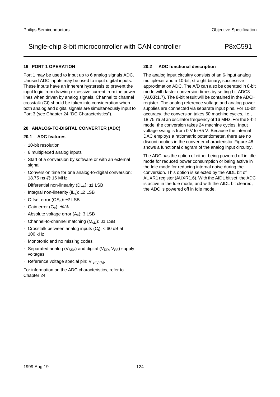## **19 PORT 1 OPERATION**

Port 1 may be used to input up to 6 analog signals ADC. Unused ADC inputs may be used to input digital inputs. These inputs have an inherent hysteresis to prevent the input logic from drawing excessive current from the power lines when driven by analog signals. Channel to channel crosstalk (Ct) should be taken into consideration when both analog and digital signals are simultaneously input to Port 3 (see Chapter 24 "DC Characteristics").

### **20 ANALOG-TO-DIGITAL CONVERTER (ADC)**

### **20.1 ADC features**

- 10-bit resolution
- 6 multiplexed analog inputs
- Start of a conversion by software or with an external signal
- Conversion time for one analog-to-digital conversion: 18.75 µs @ 16 MHz
- Differential non-linearity  $(DL_e): \pm 1$  LSB
- Integral non-linearity  $(IL_e): \pm 2$  LSB
- Offset error  $(OS_e)$ :  $\pm 2$  LSB
- Gain error  $(G_e)$ :  $\pm 4\%$
- Absolute voltage error  $(A_{e})$ : 3 LSB
- Channel-to-channel matching  $(M<sub>ctc</sub>)$ :  $\pm 1$  LSB
- Crosstalk between analog inputs  $(C_t)$ : < 60 dB at 100 kHz
- Monotonic and no missing codes
- Separated analog ( $V_{SSA}$ ) and digital ( $V_{DD}$ ,  $V_{SS}$ ) supply voltages
- Reference voltage special pin:  $V_{ref(p)(A)}$ .

For information on the ADC characteristics, refer to Chapter 24.

### **20.2 ADC functional description**

The analog input circuitry consists of an 6-input analog multiplexer and a 10-bit, straight binary, successive approximation ADC. The A/D can also be operated in 8-bit mode with faster conversion times by setting bit ADC8 (AUXR1.7). The 8-bit result will be contained in the ADCH register. The analog reference voltage and analog power supplies are connected via separate input pins. For 10-bit accuracy, the conversion takes 50 machine cycles, i.e., 18.75 µs at an oscillator frequency of 16 MHz. For the 8-bit mode, the conversion takes 24 machine cycles. Input voltage swing is from 0 V to +5 V. Because the internal DAC employs a ratiometric potentiometer, there are no discontinouties in the converter characteristic. Figure 48 shows a functional diagram of the analog input circuitry.

The ADC has the option of either being powered off in Idle mode for reduced power consumption or being active in the Idle mode for reducing internal noise during the conversion. This option is selected by the AIDL bit of AUXR1 register (AUXR1.6). With the AIDL bit set, the ADC is active in the Idle mode, and with the AIDL bit cleared, the ADC is powered off in Idle mode.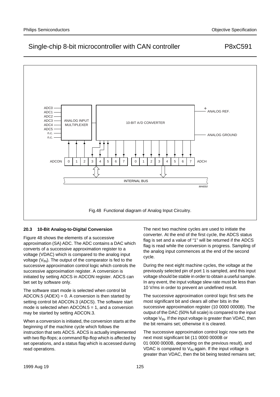

### **20.3 10-Bit Analog-to-Digital Conversion**

Figure 48 shows the elements of a successive approximation (SA) ADC. The ADC contains a DAC which converts of a successive approximation register to a voltage (VDAC) which is compared to the analog input voltage  $(V_{1N})$ . The output of the comparator is fed to the successive approximation control logic which controls the successive approximation register. A conversion is initiated by setting ADCS in ADCON register. ADCS can bet set by software only.

The software start mode is selected when control bit  $ADCON.5 (ADEX) = 0. A conversion is then started by$ setting control bit ADCON.3 (ADCS). The software start mode is selected when ADCON.5 = 1, and a conversion may be started by setting ADCON.3.

When a conversion is initiated, the conversion starts at the beginning of the machine cycle which follows the instruction that sets ADCS. ADCS is actually implemented with two flip-flops; a command flip-flop which is affected by set operations, and a status flag which is accessed during read operations.

The next two machine cycles are used to initiate the converter. At the end of the first cycle, the ADCS status flag is set and a value of "1" will be returned if the ADCS flag is read while the conversion is progress. Sampling of the analog input commences at the end of the second cycle.

During the next eight machine cycles, the voltage at the previously selected pin of port 1 is sampled, and this input voltage should be stable in order to obtain a useful sample. In any event, the input voltage slew rate must be less than 10 V/ms in order to prevent an undefined result.

The successive approximation control logic first sets the most significant bit and clears all other bits in the successive approximation register (10 0000 0000B). The output of the DAC (50% full scale) is compared to the input voltage  $V_{IN}$ . If the input voltage is greater than VDAC, then the bit remains set; otherwise it is cleared.

The successive approximation control logic now sets the next most significant bit (11 0000 0000B or 01 0000 0000B, depending on the previous result), and VDAC is compared to  $V_{IN}$  again. If the input voltage is greater than VDAC, then the bit being tested remains set;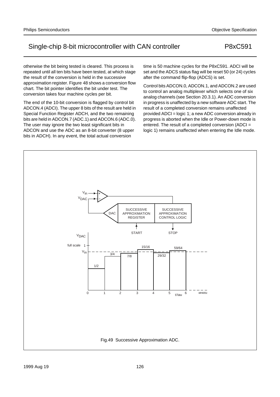otherwise the bit being tested is cleared. This process is repeated until all ten bits have been tested, at which stage the result of the conversion is held in the successive approximation register. Figure 48 shows a conversion flow chart. The bit pointer identifies the bit under test. The conversion takes four machine cycles per bit.

The end of the 10-bit conversion is flagged by control bit ADCON.4 (ADCI). The upper 8 bits of the result are held in Special Function Register ADCH, and the two remaining bits are held in ADCON.7 (ADC.1) and ADCON.6 (ADC.0). The user may ignore the two least significant bits in ADCON and use the ADC as an 8-bit converter (8 upper bits in ADCH). In any event, the total actual conversion

time is 50 machine cycles for the P8xC591. ADCI will be set and the ADCS status flag will be reset 50 (or 24) cycles after the command flip-flop (ADCS) is set.

Control bits ADCON.0, ADCON.1, and ADCON.2 are used to control an analog multiplexer which selects one of six analog channels (see Section 20.3.1). An ADC conversion in progress is unaffected by a new software ADC start. The result of a completed conversion remains unaffected provided ADCI = logic 1; a new ADC conversion already in progress is aborted when the Idle or Power-down mode is entered. The result of a completed conversion (ADCI = logic 1) remains unaffected when entering the Idle mode.

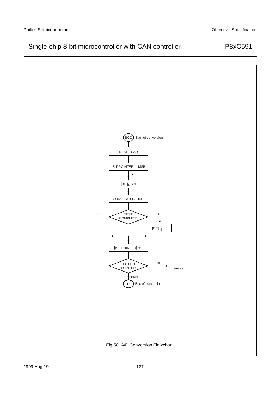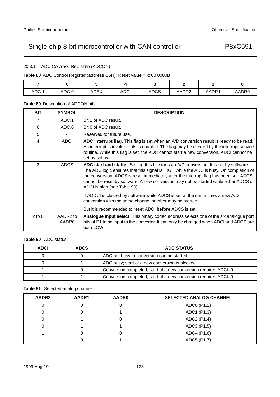## 20.3.1 ADC CONTROL REGISTER (ADCON)

## **Table 88** ADC Control Register (address C5H); Reset value = xx00 0000B

| ADC.1 | ADC.0 | ADEX | <b>ADCI</b> | <b>ADCS</b> | AADR2 | AADR1 | AADR0 |
|-------|-------|------|-------------|-------------|-------|-------|-------|

## **Table 89** Description of ADCON bits

| <b>BIT</b> | <b>SYMBOL</b>     | <b>DESCRIPTION</b>                                                                                                                                                                                                                                                                                                                                                                                                                                                                   |
|------------|-------------------|--------------------------------------------------------------------------------------------------------------------------------------------------------------------------------------------------------------------------------------------------------------------------------------------------------------------------------------------------------------------------------------------------------------------------------------------------------------------------------------|
| 7          | ADC.1             | Bit 1 of ADC result.                                                                                                                                                                                                                                                                                                                                                                                                                                                                 |
| 6          | ADC.0             | Bit 0 of ADC result.                                                                                                                                                                                                                                                                                                                                                                                                                                                                 |
| 5          |                   | Reserved for future use.                                                                                                                                                                                                                                                                                                                                                                                                                                                             |
| 4          | <b>ADCI</b>       | ADC interrupt flag. This flag is set when an A/D conversion result is ready to be read.<br>An interrupt is invoked if its is enabled. The flag may be cleared by the interrupt service<br>routine. While this flag is set, the ADC cannot start a new conversion. ADCI cannot be<br>set by software.                                                                                                                                                                                 |
| 3          | ADCS              | ADC start and status. Setting this bit starts an A/D conversion. It is set by software.<br>The ADC logic ensures that this signal is HIGH while the ADC is busy. On completion of<br>the conversion. ADCS is reset immediately after the interrupt flag has been set. ADCS<br>cannot be reset by software. A new conversion may not be started while either ADCS or<br>ADCI is high (see Table 90).<br>If ADDCI is cleared by software while ADCS is set at the same time, a new A/D |
|            |                   | conversion with the same channel number may be started.<br>But it is recommended to reset ADCI before ADCS is set.                                                                                                                                                                                                                                                                                                                                                                   |
| $2$ to $0$ | AADR2 to<br>AADR0 | <b>Analogue input select:</b> This binary coded address selects one of the six analogue port<br>bits of P1 to be input to the converter. It can only be changed when ADCI and ADCS are<br>both LOW.                                                                                                                                                                                                                                                                                  |

## **Table 90** ADC status

| <b>ADCI</b> | <b>ADCS</b> | <b>ADC STATUS</b>                                               |
|-------------|-------------|-----------------------------------------------------------------|
|             |             | ADC not busy; a conversion can be started                       |
|             |             | ADC busy; start of a new conversion is blocked                  |
|             |             | Conversion completed; start of a new conversion requires ADCI=0 |
|             |             | Conversion completed; start of a new conversion requires ADCI=0 |

### **Table 91** Selected analog channel

| AADR2 | AADR1 | AADR0 | <b>SELECTED ANALOG CHANNEL</b> |
|-------|-------|-------|--------------------------------|
|       |       |       | ADC0 (P1.2)                    |
|       |       |       | ADC1 (P1.3)                    |
|       |       |       | ADC2 (P1.4)                    |
|       |       |       | ADC3 (P1.5)                    |
|       |       |       | ADC4 (P1.6)                    |
|       |       |       | ADC5 (P1.7)                    |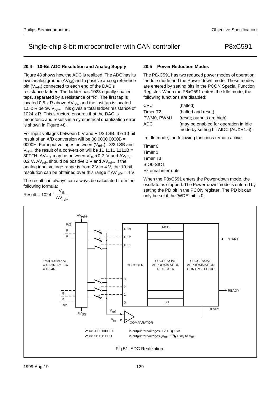## **20.4 10-Bit ADC Resolution and Analog Supply**

Figure 48 shows how the ADC is realized. The ADC has its own analog ground  $(AV_{SS})$  and a positive analog reference pin  $(V_{ref+})$  connected to each end of the DAC's resistance-ladder. The ladder has 1023 equally spaced taps, separated by a resistance of "R". The first tap is located  $0.5 \times R$  above  $AV_{SS}$ , and the last tap is located 1.5 x R below  $V_{ref+}$ . This gives a total ladder resistance of 1024 x R. This structure ensures that the DAC is monotonic and results in a symmetrical quantization error is shown in Figure 48.

For input voltages between 0 V and + 1/2 LSB, the 10-bit result of an  $A/D$  conversion will be 00 0000 0000B = 0000H. For input voltages between  $(V_{ref+})$  - 3/2 LSB and  $V_{ref+}$ , the result of a conversion will be 11 1111 1111B = 3FFFH.  $AV_{ref+}$  may be between  $V_{DD}$  +0.2 V and  $AV_{SS}$  -0.2 V. AV $_{ref+}$  should be positive 0 V and AV $_{ref+}$ . If the analog input voltage range is from 2 V to 4 V, the 10-bit resolution can be obtained over this range if  $AV_{ref+} = 4 V$ .

The result can always can always be calculated from the following formula:

$$
Result = 1024 \times \frac{V_{IN}}{AV_{ref+}}
$$

## **20.5 Power Reduction Modes**

The P8xC591 has two reduced power modes of operation: the Idle mode and the Power-down mode. These modes are entered by setting bits in the PCON Special Function Register. When the P8xC591 enters the Idle mode, the following functions are disabled:

| CPU                  | (halted)                              |
|----------------------|---------------------------------------|
| Timer T <sub>2</sub> | (halted and reset)                    |
| PWM0. PWM1           | (reset; outputs are high)             |
| ADC.                 | (may be enabled for operation in Idle |
|                      | mode by setting bit AIDC (AUXR1.6).   |

In Idle mode, the following functions remain active:

Timer 0 Timer 1 Timer T3 SIO0 SIO1 External interrupts

When the P8xC591 enters the Power-down mode, the oscillator is stopped. The Power-down mode is entered by setting the PD bit in the PCON register. The PD bit can only be set if the 'WDE' bit is 0.

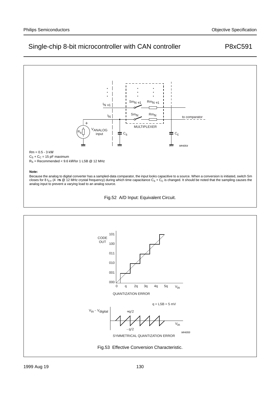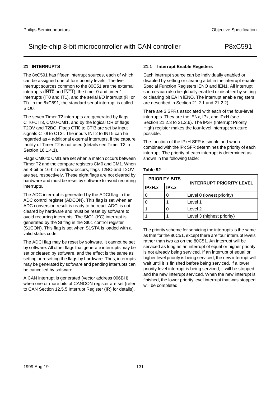## **21 INTERRUPTS**

The 8xC591 has fifteen interrupt sources, each of which can be assigned one of four priority levels. The five interrupt sources common to the 80C51 are the external interrupts  $(\overline{\text{INT0}}$  and  $\overline{\text{INT1}}$ ), the timer 0 and timer 1 interrupts (lT0 and IT1), and the serial I/O interrupt (RI or TI). In the 8xC591, the standard serial interrupt is called SIO0.

The seven Timer T2 interrupts are generated by flags CTl0-CTI3, CMl0-CMl1, and by the logical OR of flags T2OV and T2BO. Flags CTl0 to CTI3 are set by input signals CT0l to CT3I. The inputs INT2 to INT5 can be regarded as 4 additional external interrupts, if the capture facility of Timer T2 is not used (details see Timer T2 in Section 16.1.4.1).

Flags CMl0 to CMl1 are set when a match occurs between Timer T2 and the compare registers CM0 and CM1. When an 8-bit or 16-bit overflow occurs, flags T2BO and T2OV are set, respectively. These eight flags are not cleared by hardware and must be reset by software to avoid recurring interrupts.

The ADC interrupt is generated by the ADCl flag in the ADC control register (ADCON). This flag is set when an ADC conversion result is ready to be read. ADCl is not cleared by hardware and must be reset by software to avoid recurring interrupts. The SIO1 (I<sup>2</sup>C) interrupt is generated by the SI flag in the SI01 control register (S1CON). This flag is set when S1STA is loaded with a valid status code.

The ADCl flag may be reset by software. It cannot be set by software. All other flags that generate interrupts may be set or cleared by software, and the effect is the same as setting or resetting the flags by hardware. Thus, interrupts may be generated by software and pending interrupts can be cancelled by software.

A CAN interrupt is generated (vector address 006BH) when one or more bits of CANCON register are set (refer to CAN Section 12.5.5 Interrupt Register (IR) for details).

## **21.1 Interrupt Enable Registers**

Each interrupt source can be individually enabled or disabled by setting or clearing a bit in the interrupt enable Special Function Registers lENO and lEN1. All interrupt sources can also be globally enabled or disabled by setting or clearing bit EA in lENO. The interrupt enable registers are described in Section 21.2.1 and 21.2.2).

There are 3 SFRs associated with each of the four-level interrupts. They are the lENx, lPx, and lPxH (see Section 21.2.3 to 21.2.6). The lPxH (Interrupt Priority High) register makes the four-level interrupt structure possible.

The function of the lPxH SFR is simple and when combined with the lPx SFR determines the priority of each interrupt. The priority of each interrupt is determined as shown in the following table:

### **Table 92**

|        | <b>PRIORITY BITS</b> |                                 |  |
|--------|----------------------|---------------------------------|--|
| IPxH.x | IPx.x                | <b>INTERRUPT PRIORITY LEVEL</b> |  |
|        |                      | Level 0 (lowest priority)       |  |
|        |                      | Level 1                         |  |
|        |                      | Level 2                         |  |
|        |                      | Level 3 (highest priority)      |  |

The priority scheme for servicing the interrupts is the same as that for the 80C51, except there are four interrupt levels rather than two as on the 80C51. An interrupt will be serviced as long as an interrupt of equal or higher priority is not already being serviced. If an interrupt of equal or higher level priority is being serviced, the new interrupt will wait until it is finished before being serviced. If a lower priority level interrupt is being serviced, it will be stopped and the new interrupt serviced. When the new interrupt is finished, the lower priority level interrupt that was stopped will be completed.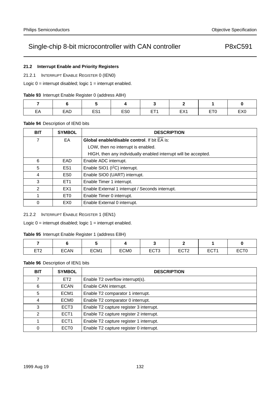## **21.2 Interrupt Enable and Priority Registers**

21.2.1 INTERRUPT ENABLE REGISTER 0 (IEN0)

Logic  $0 =$  interrupt disabled; logic  $1 =$  interrupt enabled.

| Table 93 Interrupt Enable Register 0 (address A8H) |  |  |  |
|----------------------------------------------------|--|--|--|
|                                                    |  |  |  |

| $\Box$<br>−−<br>— <i>1</i> 1 | EAD | ⊏⊂∤<br>-- | ES <sub>0</sub> | ET <sub>1</sub><br>. | ″⊐⊏<br>$-11$ | —— <i>—</i><br>- - | EX <sub>0</sub> |
|------------------------------|-----|-----------|-----------------|----------------------|--------------|--------------------|-----------------|

## **Table 94** Description of IEN0 bits

| <b>BIT</b> | <b>SYMBOL</b>   | <b>DESCRIPTION</b>                                              |
|------------|-----------------|-----------------------------------------------------------------|
| 7          | EA              | <b>Global enable/disable control.</b> If bit EA is:             |
|            |                 | LOW, then no interrupt is enabled.                              |
|            |                 | HIGH, then any individually enabled interrupt will be accepted. |
| 6          | EAD             | Enable ADC interrupt.                                           |
| 5          | ES <sub>1</sub> | Enable SIO1 (I <sup>2</sup> C) interrupt.                       |
| 4          | ES <sub>0</sub> | Enable SIO0 (UART) interrupt.                                   |
| 3          | ET <sub>1</sub> | Enable Timer 1 interrupt.                                       |
| 2          | EX <sub>1</sub> | Enable External 1 interrupt / Seconds interrupt.                |
| 1          | ET <sub>0</sub> | Enable Timer 0 interrupt.                                       |
| $\Omega$   | EX <sub>0</sub> | Enable External 0 interrupt.                                    |

## 21.2.2 INTERRUPT ENABLE REGISTER 1 (IEN1)

Logic  $0 =$  interrupt disabled; logic  $1 =$  interrupt enabled.

### **Table 95** Interrupt Enable Register 1 (address E8H)

| <b>ET?</b><br>니ᄼ | <b>ECAN</b> | ECM1 | ECM <sub>0</sub> | ECT <sub>3</sub> | <b>FOTO</b><br>ᄃᅛᆝᄼ | ECT1<br>ᆫ | <b>ECTO</b> |
|------------------|-------------|------|------------------|------------------|---------------------|-----------|-------------|

### **Table 96** Description of IEN1 bits

| <b>BIT</b>  | <b>SYMBOL</b>    | <b>DESCRIPTION</b>                      |
|-------------|------------------|-----------------------------------------|
| 7           | ET <sub>2</sub>  | Enable T2 overflow interrupt(s).        |
| 6           | <b>ECAN</b>      | Enable CAN interrupt.                   |
| 5           | ECM <sub>1</sub> | Enable T2 comparator 1 interrupt.       |
| 4           | ECM <sub>0</sub> | Enable T2 comparator 0 interrupt.       |
| 3           | ECT <sub>3</sub> | Enable T2 capture register 3 interrupt. |
| 2           | ECT <sub>1</sub> | Enable T2 capture register 2 interrupt. |
|             | ECT <sub>1</sub> | Enable T2 capture register 1 interrupt. |
| $\mathbf 0$ | ECT <sub>0</sub> | Enable T2 capture register 0 interrupt. |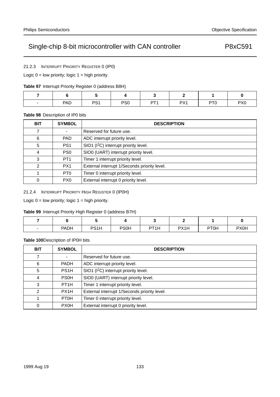21.2.3 INTERRUPT PRIORITY REGISTER 0 (IP0)

Logic  $0 =$  low priority; logic  $1 =$  high priority.

|  |  | Table 97 Interrupt Priority Register 0 (address B8H) |  |
|--|--|------------------------------------------------------|--|
|  |  |                                                      |  |

| $\hspace{0.1mm}-\hspace{0.1mm}$ | PAD | D <sub>Q</sub> 1 | PS <sub>0</sub> | DT <sub>4</sub> | DY <sub>1</sub><br>$\lambda$<br>. | PT <sub>0</sub> | PX <sub>0</sub> |
|---------------------------------|-----|------------------|-----------------|-----------------|-----------------------------------|-----------------|-----------------|

### **Table 98** Description of IP0 bits

| <b>BIT</b>    | <b>SYMBOL</b>   | <b>DESCRIPTION</b>                                |
|---------------|-----------------|---------------------------------------------------|
| 7             |                 | Reserved for future use.                          |
| 6             | <b>PAD</b>      | ADC interrupt priority level.                     |
| 5             | PS <sub>1</sub> | SIO1 (I <sup>2</sup> C) interrupt priority level. |
| 4             | PS <sub>0</sub> | SIO0 (UART) interrupt priority level.             |
| 3             | PT <sub>1</sub> | Timer 1 interrupt priority level.                 |
| $\mathcal{P}$ | PX <sub>1</sub> | External interrupt 1/Seconds priority level.      |
|               | PT <sub>0</sub> | Timer 0 interrupt priority level.                 |
| $\Omega$      | P <sub>X0</sub> | External interrupt 0 priority level.              |

21.2.4 INTERRUPT PRIORITY HIGH REGISTER 0 (IP0H)

Logic  $0 =$  low priority; logic  $1 =$  high priority.

## **Table 99** Interrupt Priority High Register 0 (address B7H)

| <b>PADH</b> | PS <sub>1</sub> H | <b>PS0H</b> | PT <sub>1</sub> H | PX1H | PT <sub>0</sub> H | <b>PX0H</b> |
|-------------|-------------------|-------------|-------------------|------|-------------------|-------------|

## **Table 100**Description of IP0H bits

| <b>BIT</b> | <b>SYMBOL</b>     | <b>DESCRIPTION</b>                                |
|------------|-------------------|---------------------------------------------------|
| 7          |                   | Reserved for future use.                          |
| 6          | <b>PADH</b>       | ADC interrupt priority level.                     |
| 5          | PS <sub>1</sub> H | SIO1 (I <sup>2</sup> C) interrupt priority level. |
| 4          | <b>PS0H</b>       | SIO0 (UART) interrupt priority level.             |
| 3          | PT <sub>1</sub> H | Timer 1 interrupt priority level.                 |
| 2          | PX <sub>1</sub> H | External interrupt 1/Seconds priority level.      |
|            | PT <sub>0</sub> H | Timer 0 interrupt priority level.                 |
| 0          | <b>PX0H</b>       | External interrupt 0 priority level.              |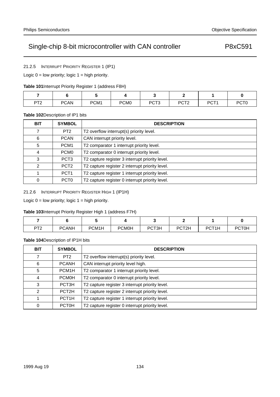21.2.5 INTERRUPT PRIORITY REGISTER 1 (IP1)

Logic  $0 =$  low priority; logic  $1 =$  high priority.

| Table 101 Interrupt Priority Register 1 (address F8H) |  |
|-------------------------------------------------------|--|
|-------------------------------------------------------|--|

| <b>DT?</b><br>$\sim$ | <b>PCAN</b> | PCM1 | PCM <sub>0</sub> | PCT <sub>3</sub> | <b>DOTO</b><br>ニマレー | PCT <sub>1</sub> | PCT <sub>0</sub> |
|----------------------|-------------|------|------------------|------------------|---------------------|------------------|------------------|

### **Table 102**Description of IP1 bits

| <b>BIT</b>    | <b>SYMBOL</b>    | <b>DESCRIPTION</b>                              |
|---------------|------------------|-------------------------------------------------|
| 7             | PT <sub>2</sub>  | T2 overflow interrupt(s) priority level.        |
| 6             | <b>PCAN</b>      | CAN interrupt priority level.                   |
| 5             | PCM <sub>1</sub> | T2 comparator 1 interrupt priority level.       |
| 4             | PCM <sub>0</sub> | T2 comparator 0 interrupt priority level.       |
| 3             | PCT <sub>3</sub> | T2 capture register 3 interrupt priority level. |
| $\mathcal{P}$ | PCT <sub>2</sub> | T2 capture register 2 interrupt priority level. |
|               | PCT <sub>1</sub> | T2 capture register 1 interrupt priority level. |
| $\Omega$      | PCT <sub>0</sub> | T2 capture register 0 interrupt priority level. |

21.2.6 INTERRUPT PRIORITY REGISTER HIGH 1 (IP1H)

Logic  $0 =$  low priority; logic  $1 =$  high priority.

## **Table 103**Interrupt Priority Register High 1 (address F7H)

| PT <sub>2</sub> | <b>PCANH</b> | PCM <sub>1</sub> H | <b>PCM0H</b> | PCT <sub>3</sub> H | PCT <sub>2H</sub> | PCT <sub>1</sub> H | <b>PCT0H</b> |
|-----------------|--------------|--------------------|--------------|--------------------|-------------------|--------------------|--------------|

## **Table 104**Description of IP1H bits

| <b>BIT</b> | <b>SYMBOL</b>      | <b>DESCRIPTION</b>                              |
|------------|--------------------|-------------------------------------------------|
| 7          | PT <sub>2</sub>    | T2 overflow interrupt(s) priority level.        |
| 6          | <b>PCANH</b>       | CAN interrupt priority level high.              |
| 5          | PCM <sub>1</sub> H | T2 comparator 1 interrupt priority level.       |
| 4          | <b>PCM0H</b>       | T2 comparator 0 interrupt priority level.       |
| 3          | PCT <sub>3</sub> H | T2 capture register 3 interrupt priority level. |
| 2          | PCT <sub>2H</sub>  | T2 capture register 2 interrupt priority level. |
|            | PCT <sub>1</sub> H | T2 capture register 1 interrupt priority level. |
| 0          | <b>PCT0H</b>       | T2 capture register 0 interrupt priority level. |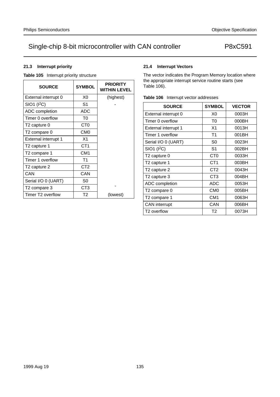## **21.3 Interrupt priority**

**Table 105** Interrupt priority structure

| <b>SOURCE</b>                 | <b>SYMBOL</b>   | <b>PRIORITY</b><br><b>WITHIN LEVEL</b> |
|-------------------------------|-----------------|----------------------------------------|
| External interrupt 0          | X0              | (highest)                              |
| SIO1 (1 <sup>2</sup> C)       | S1              |                                        |
| ADC completion                | ADC             |                                        |
| Timer 0 overflow              | T0              |                                        |
| T <sub>2</sub> capture 0      | CT <sub>0</sub> |                                        |
| T2 compare 0                  | CM <sub>0</sub> |                                        |
| External interrupt 1          | X1              |                                        |
| T2 capture 1                  | CT1             |                                        |
| T2 compare 1                  | CM1             |                                        |
| Timer 1 overflow              | T1              |                                        |
| T <sub>2</sub> capture 2      | CT <sub>2</sub> |                                        |
| CAN                           | CAN             |                                        |
| Serial I/O 0 (UART)           | S0              |                                        |
| T2 compare 3                  | CT <sub>3</sub> |                                        |
| Timer T <sub>2</sub> overflow | T <sub>2</sub>  | (lowest)                               |

## **21.4 Interrupt Vectors**

The vector indicates the Program Memory location where the appropriate interrupt service routine starts (see Table 106).

|  | Table 106 Interrupt vector addresses |
|--|--------------------------------------|
|--|--------------------------------------|

| <b>SOURCE</b>            | <b>SYMBOL</b>   | <b>VECTOR</b> |
|--------------------------|-----------------|---------------|
| External interrupt 0     | X0              | 0003H         |
| Timer 0 overflow         | T <sub>0</sub>  | 000BH         |
| External interrupt 1     | X <sub>1</sub>  | 0013H         |
| Timer 1 overflow         | T1              | 001BH         |
| Serial I/O 0 (UART)      | S0              | 0023H         |
| $SIO1$ ( $I2C$ )         | S1              | 002BH         |
| T2 capture 0             | C <sub>T0</sub> | 0033H         |
| T <sub>2</sub> capture 1 | CT <sub>1</sub> | 003BH         |
| T <sub>2</sub> capture 2 | CT <sub>2</sub> | 0043H         |
| T <sub>2</sub> capture 3 | CT <sub>3</sub> | 004BH         |
| ADC completion           | ADC             | 0053H         |
| T <sub>2</sub> compare 0 | CM <sub>0</sub> | 005BH         |
| T <sub>2</sub> compare 1 | CM <sub>1</sub> | 0063H         |
| <b>CAN</b> interrupt     | CAN             | 006BH         |
| T <sub>2</sub> overflow  | T <sub>2</sub>  | 0073H         |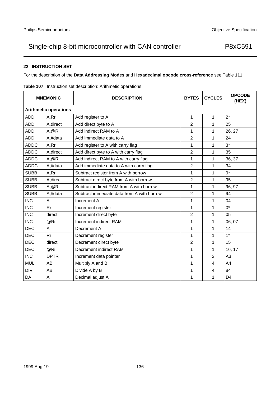## **22 INSTRUCTION SET**

For the description of the **Data Addressing Modes** and **Hexadecimal opcode cross-reference** see Table 111.

| <b>MNEMONIC</b> |                              | <b>DESCRIPTION</b>                         | <b>BYTES</b>   | <b>CYCLES</b>  | <b>OPCODE</b><br>(HEX) |  |  |  |  |
|-----------------|------------------------------|--------------------------------------------|----------------|----------------|------------------------|--|--|--|--|
|                 | <b>Arithmetic operations</b> |                                            |                |                |                        |  |  |  |  |
| <b>ADD</b>      | A,Rr                         | Add register to A                          | 1              | 1              | $2^*$                  |  |  |  |  |
| <b>ADD</b>      | A, direct                    | Add direct byte to A                       | 2              | 1              | 25                     |  |  |  |  |
| <b>ADD</b>      | A,@Ri                        | Add indirect RAM to A                      | 1              | 1              | 26, 27                 |  |  |  |  |
| <b>ADD</b>      | A,#data                      | Add immediate data to A                    | $\overline{2}$ | 1              | 24                     |  |  |  |  |
| <b>ADDC</b>     | A,Rr                         | Add register to A with carry flag          | 1              | 1              | $3*$                   |  |  |  |  |
| <b>ADDC</b>     | A, direct                    | Add direct byte to A with carry flag       | 2              | 1              | 35                     |  |  |  |  |
| <b>ADDC</b>     | A,@Ri                        | Add indirect RAM to A with carry flag      | 1              | 1              | 36, 37                 |  |  |  |  |
| <b>ADDC</b>     | A,#data                      | Add immediate data to A with carry flag    | $\overline{2}$ | 1              | 34                     |  |  |  |  |
| <b>SUBB</b>     | A,Rr                         | Subtract register from A with borrow       | 1              | 1              | $9*$                   |  |  |  |  |
| <b>SUBB</b>     | A, direct                    | Subtract direct byte from A with borrow    | $\overline{2}$ | 1              | 95                     |  |  |  |  |
| <b>SUBB</b>     | A,@Ri                        | Subtract indirect RAM from A with borrow   | 1              | 1              | 96, 97                 |  |  |  |  |
| <b>SUBB</b>     | A,#data                      | Subtract immediate data from A with borrow | $\overline{2}$ | 1              | 94                     |  |  |  |  |
| <b>INC</b>      | A                            | Increment A                                | 1              | 1              | 04                     |  |  |  |  |
| <b>INC</b>      | Rr                           | Increment register                         | 1              | 1              | $0^*$                  |  |  |  |  |
| <b>INC</b>      | direct                       | Increment direct byte                      | 2              | 1              | 05                     |  |  |  |  |
| <b>INC</b>      | @Ri                          | Increment indirect RAM                     | 1              | 1              | 06, 07                 |  |  |  |  |
| <b>DEC</b>      | A                            | Decrement A                                | 1              | 1              | 14                     |  |  |  |  |
| <b>DEC</b>      | Rr                           | Decrement register                         | 1              | 1              | $1*$                   |  |  |  |  |
| <b>DEC</b>      | direct                       | Decrement direct byte                      | 2              | 1              | 15                     |  |  |  |  |
| <b>DEC</b>      | @Ri                          | Decrement indirect RAM                     | 1              | 1              | 16, 17                 |  |  |  |  |
| <b>INC</b>      | <b>DPTR</b>                  | Increment data pointer                     | 1              | $\overline{2}$ | A <sub>3</sub>         |  |  |  |  |
| <b>MUL</b>      | AB                           | Multiply A and B                           | 1              | $\overline{4}$ | A4                     |  |  |  |  |
| <b>DIV</b>      | AB                           | Divide A by B                              | 1              | 4              | 84                     |  |  |  |  |
| DA              | A                            | Decimal adjust A                           | 1              | 1              | D <sub>4</sub>         |  |  |  |  |

**Table 107** Instruction set description: Arithmetic operations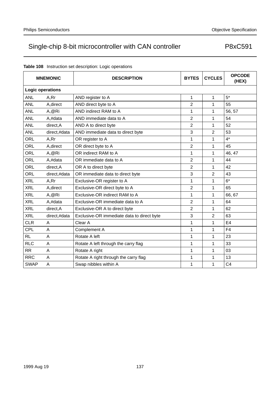|             | <b>MNEMONIC</b>         | <b>DESCRIPTION</b>                         | <b>BYTES</b>   | <b>CYCLES</b> | <b>OPCODE</b><br>(HEX) |  |  |  |  |  |
|-------------|-------------------------|--------------------------------------------|----------------|---------------|------------------------|--|--|--|--|--|
|             | <b>Logic operations</b> |                                            |                |               |                        |  |  |  |  |  |
| <b>ANL</b>  | A,Rr                    | AND register to A                          | 1              | 1             | $5*$                   |  |  |  |  |  |
| <b>ANL</b>  | A, direct               | AND direct byte to A                       | 2              | 1             | 55                     |  |  |  |  |  |
| <b>ANL</b>  | A,@Ri                   | AND indirect RAM to A                      | 1              | 1             | 56, 57                 |  |  |  |  |  |
| <b>ANL</b>  | A,#data                 | AND immediate data to A                    | $\overline{2}$ | 1             | 54                     |  |  |  |  |  |
| <b>ANL</b>  | direct, A               | AND A to direct byte                       | 2              | 1             | 52                     |  |  |  |  |  |
| <b>ANL</b>  | direct,#data            | AND immediate data to direct byte          | 3              | 2             | 53                     |  |  |  |  |  |
| <b>ORL</b>  | A,Rr                    | OR register to A                           | 1              | 1             | $4^*$                  |  |  |  |  |  |
| <b>ORL</b>  | A, direct               | OR direct byte to A                        | $\overline{2}$ | 1             | 45                     |  |  |  |  |  |
| <b>ORL</b>  | A,@Ri                   | OR indirect RAM to A                       | 1              | 1             | 46, 47                 |  |  |  |  |  |
| <b>ORL</b>  | A,#data                 | OR immediate data to A                     | 2              | 1             | 44                     |  |  |  |  |  |
| <b>ORL</b>  | direct, A               | OR A to direct byte                        | 2              | 1             | 42                     |  |  |  |  |  |
| <b>ORL</b>  | direct,#data            | OR immediate data to direct byte           | 3              | 2             | 43                     |  |  |  |  |  |
| <b>XRL</b>  | A,Rr                    | Exclusive-OR register to A                 | 1              | $\mathbf{1}$  | $6*$                   |  |  |  |  |  |
| <b>XRL</b>  | A, direct               | Exclusive-OR direct byte to A              | 2              | 1             | 65                     |  |  |  |  |  |
| <b>XRL</b>  | A,@Ri                   | Exclusive-OR indirect RAM to A             | 1              | 1             | 66, 67                 |  |  |  |  |  |
| <b>XRL</b>  | A,#data                 | Exclusive-OR immediate data to A           | 2              | 1             | 64                     |  |  |  |  |  |
| <b>XRL</b>  | direct, A               | Exclusive-OR A to direct byte              | 2              | 1             | 62                     |  |  |  |  |  |
| <b>XRL</b>  | direct,#data            | Exclusive-OR immediate data to direct byte | 3              | 2             | 63                     |  |  |  |  |  |
| <b>CLR</b>  | Α                       | Clear A                                    | 1              | $\mathbf{1}$  | E <sub>4</sub>         |  |  |  |  |  |
| <b>CPL</b>  | A                       | Complement A                               | 1              | 1             | F <sub>4</sub>         |  |  |  |  |  |
| <b>RL</b>   | A                       | Rotate A left                              | 1              | $\mathbf{1}$  | 23                     |  |  |  |  |  |
| <b>RLC</b>  | A                       | Rotate A left through the carry flag       | 1              | 1             | 33                     |  |  |  |  |  |
| RR          | A                       | Rotate A right                             | 1              | 1             | 03                     |  |  |  |  |  |
| <b>RRC</b>  | A                       | Rotate A right through the carry flag      | 1              | 1             | 13                     |  |  |  |  |  |
| <b>SWAP</b> | A                       | Swap nibbles within A                      | 1              | 1             | C <sub>4</sub>         |  |  |  |  |  |

## **Table 108** Instruction set description: Logic operations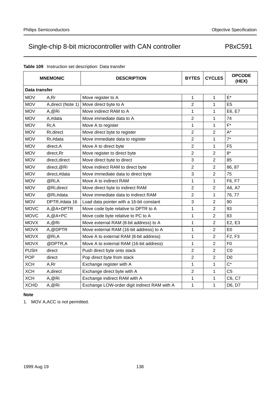|               | <b>MNEMONIC</b>    | <b>DESCRIPTION</b>                           | <b>BYTES</b>   | <b>CYCLES</b>  | <b>OPCODE</b><br>(HEX)          |
|---------------|--------------------|----------------------------------------------|----------------|----------------|---------------------------------|
| Data transfer |                    |                                              |                |                |                                 |
| <b>MOV</b>    | A,Rr               | Move register to A                           | 1              | 1              | $E^*$                           |
| <b>MOV</b>    | A, direct (Note 1) | Move direct byte to A                        | 2              | 1              | E <sub>5</sub>                  |
| <b>MOV</b>    | A,@Ri              | Move indirect RAM to A                       | 1              | 1              | E6, E7                          |
| <b>MOV</b>    | A,#data            | Move immediate data to A                     | $\overline{2}$ | 1              | 74                              |
| <b>MOV</b>    | Rr, A              | Move A to register                           | 1              | $\mathbf{1}$   | $F^*$                           |
| <b>MOV</b>    | Rr, direct         | Move direct byte to register                 | 2              | $\overline{c}$ | $A^*$                           |
| <b>MOV</b>    | Rr,#data           | Move immediate data to register              | $\overline{2}$ | 1              | $7^*$                           |
| <b>MOV</b>    | direct, A          | Move A to direct byte                        | 2              | 1              | F <sub>5</sub>                  |
| <b>MOV</b>    | direct, Rr         | Move register to direct byte                 | 2              | $\overline{c}$ | $8*$                            |
| <b>MOV</b>    | direct, direct     | Move direct byte to direct                   | 3              | $\overline{2}$ | 85                              |
| <b>MOV</b>    | direct, @Ri        | Move indirect RAM to direct byte             | 2              | $\overline{2}$ | 86, 87                          |
| <b>MOV</b>    | direct,#data       | Move immediate data to direct byte           | 3              | $\overline{2}$ | 75                              |
| <b>MOV</b>    | @Ri,A              | Move A to indirect RAM                       | 1              | 1              | F6, F7                          |
| <b>MOV</b>    | @Ri,direct         | Move direct byte to indirect RAM             | $\overline{2}$ | 2              | A6, A7                          |
| <b>MOV</b>    | @Ri,#data          | Move immediate data to indirect RAM          | 2              | 1              | 76, 77                          |
| <b>MOV</b>    | DPTR,#data 16      | Load data pointer with a 16-bit constant     | 3              | $\overline{2}$ | 90                              |
| <b>MOVC</b>   | A, @A+DPTR         | Move code byte relative to DPTR to A         | 1              | $\overline{2}$ | 93                              |
| <b>MOVC</b>   | $A, @A+PC$         | Move code byte relative to PC to A           | 1              | $\overline{2}$ | 83                              |
| <b>MOVX</b>   | A,@Ri              | Move external RAM (8-bit address) to A       | 1              | $\overline{2}$ | E <sub>2</sub> , E <sub>3</sub> |
| <b>MOVX</b>   | A, @DPTR           | Move external RAM (16-bit address) to A      | 1              | $\overline{2}$ | E <sub>0</sub>                  |
| <b>MOVX</b>   | @Ri,A              | Move A to external RAM (8-bit address)       | 1              | $\overline{2}$ | F2, F3                          |
| <b>MOVX</b>   | @DPTR,A            | Move A to external RAM (16-bit address)      | 1              | $\overline{c}$ | F <sub>0</sub>                  |
| <b>PUSH</b>   | direct             | Push direct byte onto stack                  | 2              | $\overline{2}$ | CO                              |
| <b>POP</b>    | direct             | Pop direct byte from stack                   | 2              | $\overline{2}$ | D <sub>0</sub>                  |
| <b>XCH</b>    | A,Rr               | Exchange register with A                     | 1              | 1              | $C^*$                           |
| <b>XCH</b>    | A, direct          | Exchange direct byte with A                  | 2              | 1              | C <sub>5</sub>                  |
| <b>XCH</b>    | A,@Ri              | Exchange indirect RAM with A                 | 1              | 1              | C6, C7                          |
| <b>XCHD</b>   | A,@Ri              | Exchange LOW-order digit indirect RAM with A | 1              | 1              | D6, D7                          |

## **Table 109** Instruction set description: Data transfer

## **Note**

1. MOV A,ACC is not permitted.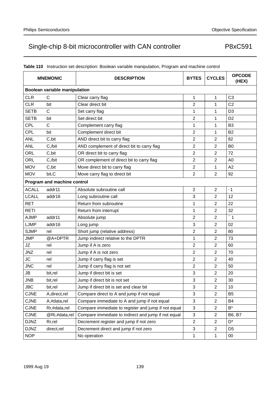| <b>MNEMONIC</b>               |                             | <b>DESCRIPTION</b>                                  | <b>BYTES</b>            | <b>CYCLES</b>  | <b>OPCODE</b><br>(HEX) |  |  |  |  |
|-------------------------------|-----------------------------|-----------------------------------------------------|-------------------------|----------------|------------------------|--|--|--|--|
| Boolean variable manipulation |                             |                                                     |                         |                |                        |  |  |  |  |
| <b>CLR</b>                    | C                           | Clear carry flag                                    | 1                       | 1              | C <sub>3</sub>         |  |  |  |  |
| <b>CLR</b>                    | bit                         | Clear direct bit                                    | $\overline{2}$          | 1              | C <sub>2</sub>         |  |  |  |  |
| <b>SETB</b>                   | $\mathsf{C}$                | Set carry flag                                      | 1                       | 1              | D <sub>3</sub>         |  |  |  |  |
| <b>SETB</b>                   | bit                         | Set direct bit                                      | $\overline{2}$          | 1              | D <sub>2</sub>         |  |  |  |  |
| <b>CPL</b>                    | C                           | Complement carry flag                               | 1                       | 1              | B <sub>3</sub>         |  |  |  |  |
| <b>CPL</b>                    | bit                         | Complement direct bit                               | $\overline{c}$          | 1              | <b>B2</b>              |  |  |  |  |
| <b>ANL</b>                    | C, bit                      | AND direct bit to carry flag                        | $\overline{c}$          | $\overline{2}$ | 82                     |  |  |  |  |
| <b>ANL</b>                    | $C$ ,/bit                   | AND complement of direct bit to carry flag          | $\overline{2}$          | $\overline{2}$ | B <sub>0</sub>         |  |  |  |  |
| <b>ORL</b>                    | C,bit                       | OR direct bit to carry flag                         | $\overline{c}$          | $\overline{2}$ | 72                     |  |  |  |  |
| <b>ORL</b>                    | $C$ ,/bit                   | OR complement of direct bit to carry flag           | $\overline{c}$          | $\overline{c}$ | A <sub>0</sub>         |  |  |  |  |
| <b>MOV</b>                    | C, bit                      | Move direct bit to carry flag                       | $\boldsymbol{2}$        | 1              | A2                     |  |  |  |  |
| <b>MOV</b>                    | bit, C                      | Move carry flag to direct bit                       | $\overline{2}$          | $\overline{2}$ | 92                     |  |  |  |  |
|                               | Program and machine control |                                                     |                         |                |                        |  |  |  |  |
| <b>ACALL</b>                  | addr11                      | Absolute subroutine call                            | $\overline{\mathbf{c}}$ | $\overline{2}$ | •1                     |  |  |  |  |
| <b>LCALL</b>                  | addr16                      | Long subroutine call                                | 3                       | $\overline{2}$ | 12                     |  |  |  |  |
| <b>RET</b>                    |                             | Return from subroutine                              | 1                       | $\overline{2}$ | 22                     |  |  |  |  |
| <b>RETI</b>                   |                             | Return from interrupt                               | 1                       | $\overline{2}$ | 32                     |  |  |  |  |
| <b>AJMP</b>                   | addr11                      | Absolute jump                                       | $\overline{c}$          | $\overline{c}$ | $\bullet$ 1            |  |  |  |  |
| <b>LJMP</b>                   | addr16                      | Long jump                                           | 3                       | $\overline{c}$ | 02                     |  |  |  |  |
| <b>SJMP</b>                   | rel                         | Short jump (relative address)                       | $\overline{2}$          | $\overline{c}$ | 80                     |  |  |  |  |
| <b>JMP</b>                    | @A+DPTR                     | Jump indirect relative to the DPTR                  | 1                       | 2              | 73                     |  |  |  |  |
| JZ                            | rel                         | Jump if A is zero                                   | $\overline{2}$          | $\overline{2}$ | 60                     |  |  |  |  |
| <b>JNZ</b>                    | rel                         | Jump if A is not zero                               | $\boldsymbol{2}$        | $\overline{c}$ | 70                     |  |  |  |  |
| <b>JC</b>                     | rel                         | Jump if carry flag is set                           | $\overline{c}$          | $\overline{2}$ | 40                     |  |  |  |  |
| <b>JNC</b>                    | rel                         | Jump if carry flag is not set                       | $\overline{2}$          | $\overline{2}$ | 50                     |  |  |  |  |
| JB                            | bit,rel                     | Jump if direct bit is set                           | 3                       | $\overline{c}$ | 20                     |  |  |  |  |
| <b>JNB</b>                    | bit, rel                    | Jump if direct bit is not set                       | 3                       | $\overline{2}$ | 30                     |  |  |  |  |
| <b>JBC</b>                    | bit,rel                     | Jump if direct bit is set and clear bit             | 3                       | $\overline{2}$ | 10                     |  |  |  |  |
| <b>CJNE</b>                   | A, direct, rel              | Compare direct to A and jump if not equal           | 3                       | $\overline{c}$ | B <sub>5</sub>         |  |  |  |  |
| <b>CJNE</b>                   | A,#data,rel                 | Compare immediate to A and jump if not equal        | 3                       | $\overline{c}$ | B4                     |  |  |  |  |
| <b>CJNE</b>                   | Rr,#data,rel                | Compare immediate to register and jump if not equal | 3                       | $\overline{c}$ | $B^*$                  |  |  |  |  |
| <b>CJNE</b>                   | @Ri,#data,rel               | Compare immediate to indirect and jump if not equal | 3                       | $\overline{c}$ | B6, B7                 |  |  |  |  |
| <b>DJNZ</b>                   | Rr, rel                     | Decrement register and jump if not zero             | $\overline{2}$          | $\overline{c}$ | D <sup>*</sup>         |  |  |  |  |
| <b>DJNZ</b>                   | direct,rel                  | Decrement direct and jump if not zero               | 3                       | $\overline{2}$ | D <sub>5</sub>         |  |  |  |  |
| <b>NOP</b>                    |                             | No operation                                        | $\mathbf{1}$            | 1              | $00\,$                 |  |  |  |  |

## **Table 110** Instruction set description: Boolean variable manipulation, Program and machine control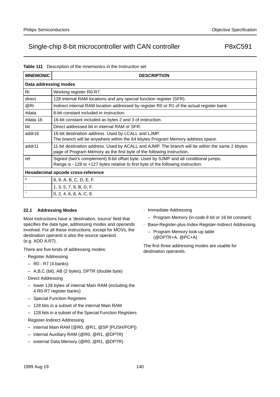### **Table 111** Description of the mnemonics in the Instruction set

| <b>MNEMONIC</b> | <b>DESCRIPTION</b>                                                                                                                                                        |  |  |  |  |  |  |
|-----------------|---------------------------------------------------------------------------------------------------------------------------------------------------------------------------|--|--|--|--|--|--|
|                 | Data addressing modes                                                                                                                                                     |  |  |  |  |  |  |
| <b>Rr</b>       | Working register R0-R7.                                                                                                                                                   |  |  |  |  |  |  |
| direct          | 128 internal RAM locations and any special function register (SFR).                                                                                                       |  |  |  |  |  |  |
| @Ri             | Indirect internal RAM location addressed by register R0 or R1 of the actual register bank.                                                                                |  |  |  |  |  |  |
| #data           | 8-bit constant included in instruction.                                                                                                                                   |  |  |  |  |  |  |
| #data 16        | 16-bit constant included as bytes 2 and 3 of instruction.                                                                                                                 |  |  |  |  |  |  |
| bit             | Direct addressed bit in internal RAM or SFR.                                                                                                                              |  |  |  |  |  |  |
| addr16          | 16-bit destination address. Used by LCALL and LJMP.<br>The branch will be anywhere within the 64 kbytes Program Memory address space.                                     |  |  |  |  |  |  |
| addr11          | 11-bit destination address. Used by ACALL and AJMP. The branch will be within the same 2 kbytes<br>page of Program Memory as the first byte of the following instruction. |  |  |  |  |  |  |
| rel             | Signed (two's complement) 8-bit offset byte. Used by SJMP and all conditional jumps.<br>Range is -128 to +127 bytes relative to first byte of the following instruction.  |  |  |  |  |  |  |
|                 | Hexadecimal opcode cross-reference                                                                                                                                        |  |  |  |  |  |  |
| $\star$         | 8, 9, A, B, C, D, E, F.                                                                                                                                                   |  |  |  |  |  |  |
|                 | 1, 3, 5, 7, 9, B, D, F.                                                                                                                                                   |  |  |  |  |  |  |
|                 | 0, 2, 4, 6, 8, A, C, E.                                                                                                                                                   |  |  |  |  |  |  |

### **22.1 Addressing Modes**

Most instructions have a 'destination, source' field that specifies the data type, addressing modes and operands involved. For all these instructions, except for MOVs, the destination operand is also the source operand (e.g. ADD A,R7).

There are five kinds of addressing modes:

- Register Addressing
	- R0 R7 (4 banks)
	- A,B,C (bit), AB (2 bytes), DPTR (double byte)
- Direct Addressing
	- lower 128 bytes of internal Main RAM (including the 4 R0-R7 register banks)
	- Special Function Registers
	- 128 bits in a subset of the internal Main RAM
	- 128 bits in a subset of the Special Function Registers
- Register-Indirect Addressing
	- internal Main RAM (@R0, @R1, @SP [PUSH/POP])
	- internal Auxiliary RAM (@R0, @R1, @DPTR)
	- external Data Memory (@R0, @R1, @DPTR)
- Immediate Addressing
	- Program Memory (in-code 8 bit or 16 bit constant)
- Base-Register-plus-Index-Register-Indirect Addressing
	- Program Memory look-up table (@DPTR+A, @PC+A)

The first three addressing modes are usable for destination operands.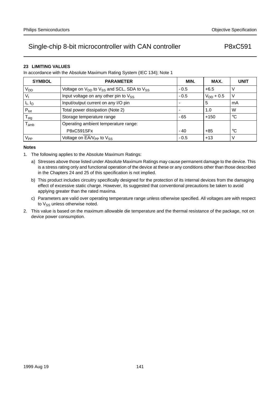## **23 LIMITING VALUES**

In accordance with the Absolute Maximum Rating System (IEC 134); Note 1

| <b>SYMBOL</b>                 | <b>PARAMETER</b>                                                              | MIN.   | MAX.           | <b>UNIT</b> |
|-------------------------------|-------------------------------------------------------------------------------|--------|----------------|-------------|
| V <sub>DD</sub>               | Voltage on V <sub>DD</sub> to V <sub>SS</sub> and SCL, SDA to V <sub>SS</sub> | $-0.5$ | $+6.5$         | V           |
| $V_{I}$                       | Input voltage on any other pin to V <sub>SS</sub>                             | $-0.5$ | $V_{DD}$ + 0.5 | V           |
| $I_{\parallel}$ , $I_{\odot}$ | Input/output current on any I/O pin                                           |        | 5              | mA          |
| $P_{\text{tot}}$              | Total power dissipation (Note 2)                                              |        | 1.0            | W           |
| ${\mathsf T}_{\text{stg}}$    | Storage temperature range                                                     | $-65$  | $+150$         | °C          |
| $\mathsf{T}_{\mathsf{amb}}$   | Operating ambient temperature range:                                          |        |                |             |
|                               | P8xC591SFx                                                                    | $-40$  | $+85$          | °C          |
| V <sub>PP</sub>               | Voltage on $\overline{EA/V_{PP}}$ to $V_{SS}$                                 | $-0.5$ | $+13$          | V           |

#### **Notes**

- 1. The following applies to the Absolute Maximum Ratings:
	- a) Stresses above those listed under Absolute Maximum Ratings may cause permanent damage to the device. This is a stress rating only and functional operation of the device at these or any conditions other than those described in the Chapters 24 and 25 of this specification is not implied.
	- b) This product includes circuitry specifically designed for the protection of its internal devices from the damaging effect of excessive static charge. However, its suggested that conventional precautions be taken to avoid applying greater than the rated maxima.
	- c) Parameters are valid over operating temperature range unless otherwise specified. All voltages are with respect to  $V_{SS}$  unless otherwise noted.
- 2. This value is based on the maximum allowable die temperature and the thermal resistance of the package, not on device power consumption.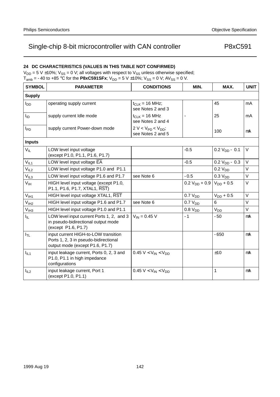## **24 DC CHARACTERISTICS (VALUES IN THIS TABLE NOT CONFIRMED)**

 $V_{DD} = 5$  V ±10%;  $V_{SS} = 0$  V; all voltages with respect to  $V_{SS}$  unless otherwise specified;  $T_{amb} = -40$  to +85 °C for the **P8xC591SFx**;  $V_{DD} = 5$  V ±10%;  $V_{SS} = 0$  V; AV<sub>SS</sub> = 0 V.

| <b>SYMBOL</b>     | <b>PARAMETER</b>                                                                                                 | <b>CONDITIONS</b>                              | MIN.                | MAX.                | <b>UNIT</b>    |  |  |  |
|-------------------|------------------------------------------------------------------------------------------------------------------|------------------------------------------------|---------------------|---------------------|----------------|--|--|--|
| <b>Supply</b>     |                                                                                                                  |                                                |                     |                     |                |  |  |  |
| $I_{DD}$          | operating supply current                                                                                         | $t_{CLK}$ = 16 MHz;<br>see Notes 2 and 3       |                     | 45                  | m <sub>A</sub> |  |  |  |
| ŀр                | supply current Idle mode                                                                                         | $t_{C1 K}$ = 16 MHz<br>see Notes 2 and 4       |                     | 25                  | mA             |  |  |  |
| $I_{PD}$          | supply current Power-down mode                                                                                   | $2 V < V_{PD} < V_{DD}$ ;<br>see Notes 2 and 5 |                     | 100                 | μA             |  |  |  |
| <b>Inputs</b>     |                                                                                                                  |                                                |                     |                     |                |  |  |  |
| $V_{IL}$          | LOW level input voltage<br>(except P1.0, P1.1, P1.6, P1.7)                                                       |                                                | $-0.5$              | $0.2 VDD - 0.1$     | $\vee$         |  |  |  |
| V <sub>IL1</sub>  | LOW level input voltage EA                                                                                       |                                                | $-0.5$              | $0.2 V_{DD} - 0.3$  | V              |  |  |  |
| V <sub>IL2</sub>  | LOW level input voltage P1.0 and P1.1                                                                            |                                                |                     | 0.2 V <sub>DD</sub> | $\vee$         |  |  |  |
| V <sub>IL3</sub>  | LOW level input voltage P1.6 and P1.7                                                                            | see Note 6                                     | $-0.5$              | 0.3 V <sub>DD</sub> | V              |  |  |  |
| $V_{\text{IH}}$   | HIGH level input voltage (except P1.0,<br>P1.1, P1.6, P1.7, XTAL1, RST)                                          |                                                | $0.2 V_{DD} + 0.9$  | $V_{DD}$ + 0.5      | V              |  |  |  |
| V <sub>IH1</sub>  | HIGH level input voltage XTAL1, RST                                                                              |                                                | 0.7 V <sub>DD</sub> | $V_{DD}$ + 0.5      | $\vee$         |  |  |  |
| V <sub>IH2</sub>  | HIGH level input voltage P1.6 and P1.7                                                                           | see Note 6                                     | 0.7 V <sub>DD</sub> | 6                   | V              |  |  |  |
| V <sub>IH3</sub>  | HIGH level input voltage P1.0 and P1.1                                                                           |                                                | 0.8 V <sub>DD</sub> | V <sub>DD</sub>     | V              |  |  |  |
| $I_{\parallel L}$ | LOW level input current Ports 1, 2, and 3<br>in pseudo-bidirectional output mode<br>(except P1.6, P1.7)          | $V_{IN} = 0.45 V$                              | $-1$                | $-50$               | μA             |  |  |  |
| $I_{TL}$          | input current HIGH-to-LOW transition<br>Ports 1, 2, 3 in pseudo-bidirectional<br>output mode (except P1.6, P1.7) |                                                |                     | $-650$              | μA             |  |  |  |
| $I_{IL1}$         | input leakage current, Ports 0, 2, 3 and<br>P1.0, P1.1 in high impedance<br>configurations                       | 0.45 V < $V_{IN}$ < $V_{DD}$                   |                     | ±10                 | μA             |  |  |  |
| $I_{IL2}$         | input leakage current, Port 1<br>(except P1.0, P1.1)                                                             | $0.45 V < V_{IN} < V_{DD}$                     |                     | 1                   | μA             |  |  |  |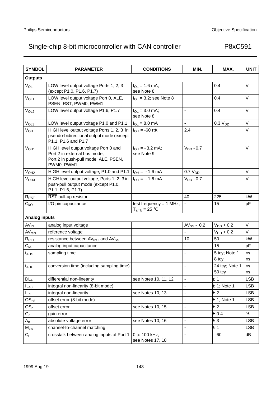| <b>SYMBOL</b>          | <b>PARAMETER</b>                                                                                                           | <b>CONDITIONS</b>                              | MIN.                     | MAX.                     | <b>UNIT</b>   |  |  |  |  |
|------------------------|----------------------------------------------------------------------------------------------------------------------------|------------------------------------------------|--------------------------|--------------------------|---------------|--|--|--|--|
| <b>Outputs</b>         |                                                                                                                            |                                                |                          |                          |               |  |  |  |  |
| V <sub>OL</sub>        | LOW level output voltage Ports 1, 2, 3<br>(except P1.0, P1.6, P1.7)                                                        | $I_{OL} = 1.6$ mA;<br>see Note 8               |                          | 0.4                      | V             |  |  |  |  |
| V <sub>OL1</sub>       | LOW level output voltage Port 0, ALE,<br>PSEN, RST, PWM0, PWM1                                                             | $I_{OL}$ = 3.2; see Note 8                     |                          | 0.4                      | $\vee$        |  |  |  |  |
| V <sub>OL2</sub>       | LOW level output voltage P1.6, P1.7                                                                                        | $I_{OL} = 3.0$ mA;<br>see Note 8               |                          | 0.4                      | $\vee$        |  |  |  |  |
| V <sub>OL3</sub>       | LOW level output voltage P1.0 and P1.1                                                                                     | $I_{OL} = 8.0$ mA                              |                          | 0.3 V <sub>DD</sub>      | V             |  |  |  |  |
| <b>V<sub>OH</sub></b>  | HIGH level output voltage Ports 1, 2, 3 in<br>pseudo-bidirectional output mode (except<br>P1.1, P1.6 and P1.7              | $I_{OH} = -60 \mu A$                           | 2.4                      |                          | $\vee$        |  |  |  |  |
| V <sub>OH1</sub>       | HIGH level output voltage Port 0 and<br>Port 2 in external bus mode,<br>Port 2 in push-pull mode, ALE, PSEN,<br>PWM0, PWM1 | $I_{OH} = -3.2$ mA;<br>see Note 9              | $V_{DD}$ -0.7            |                          | $\vee$        |  |  |  |  |
| V <sub>OH2</sub>       | HIGH level output voltage, P1.0 and P1.1                                                                                   | $I_{OH} = -1.6$ mA                             | 0.7 V <sub>DD</sub>      |                          | $\vee$        |  |  |  |  |
| V <sub>OH3</sub>       | HIGH level output voltage, Ports 1, 2, 3 in<br>push-pull output mode (except P1.0,<br>P1.1, P1.6, P1.7)                    | $I_{OH} = -1.6$ mA                             | $V_{DD}$ -0.7            |                          | $\vee$        |  |  |  |  |
| $R_{\overline{RST}}$   | RST pull-up resistor                                                                                                       |                                                | 40                       | 225                      | $k\Omega$     |  |  |  |  |
| C <sub>I/O</sub>       | I/O pin capacitance                                                                                                        | test frequency = $1$ MHz;<br>$T_{amb}$ = 25 °C |                          | 15                       | pF            |  |  |  |  |
| <b>Analog inputs</b>   |                                                                                                                            |                                                |                          |                          |               |  |  |  |  |
| <b>AV<sub>IN</sub></b> | analog input voltage                                                                                                       |                                                | $AV_{SS} - 0.2$          | $V_{DD}$ + 0.2           | $\sf V$       |  |  |  |  |
| $AV_{ref+}$            | reference voltage                                                                                                          |                                                |                          | $V_{DD}$ + 0.2           | $\vee$        |  |  |  |  |
| $R_{REF}$              | resistance between AV <sub>ref+</sub> and AV <sub>SS</sub>                                                                 |                                                | 10                       | 50                       | $k\Omega$     |  |  |  |  |
| C <sub>IA</sub>        | analog input capacitance                                                                                                   |                                                |                          | 15                       | pF            |  |  |  |  |
| t <sub>ADS</sub>       | sampling time                                                                                                              |                                                | $\overline{\phantom{0}}$ | 5 tcy; Note 1<br>8 tcy   | μs<br>$\mu s$ |  |  |  |  |
| $t_{ADC}$              | conversion time (including sampling time)                                                                                  |                                                |                          | 24 tcy; Note 1<br>50 tcy | $\mu s$<br>μs |  |  |  |  |
| DL <sub>e</sub>        | differential non-linearity                                                                                                 | see Notes 10, 11, 12                           |                          | ±1                       | <b>LSB</b>    |  |  |  |  |
| $IL_{e8}$              | integral non-linearity (8-bit mode)                                                                                        |                                                |                          | $±1$ ; Note 1            | <b>LSB</b>    |  |  |  |  |
| $IL_e$                 | integral non-linearity                                                                                                     | see Notes 10, 13                               | $\overline{\phantom{0}}$ | ±2                       | <b>LSB</b>    |  |  |  |  |
| $OS_{e8}$              | offset error (8-bit mode)                                                                                                  |                                                | —                        | $±1$ ; Note 1            | <b>LSB</b>    |  |  |  |  |
| OS <sub>e</sub>        | offset error                                                                                                               | see Notes 10, 15                               | $\overline{\phantom{0}}$ | ±2                       | <b>LSB</b>    |  |  |  |  |
| $G_{\rm e}$            | gain error                                                                                                                 |                                                |                          | ±0.4                     | $\%$          |  |  |  |  |
| $A_e$                  | absolute voltage error                                                                                                     | see Notes 10, 16                               | —                        | $\pm 3$                  | <b>LSB</b>    |  |  |  |  |
| $M_{\text{ctc}}$       | channel-to-channel matching                                                                                                |                                                | —                        | ±1                       | <b>LSB</b>    |  |  |  |  |
| $C_{t}$                | crosstalk between analog inputs of Port 1                                                                                  | 0 to 100 kHz;<br>see Notes 17, 18              |                          | $-60$                    | dB            |  |  |  |  |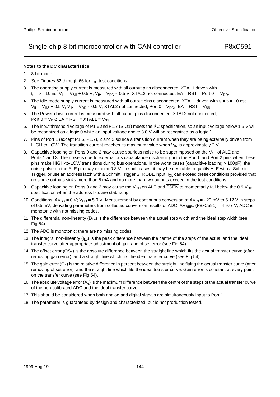## **Notes to the DC characteristics**

- 1. 8-bit mode
- 2. See Figures 62 through 66 for  $I_{DD}$  test conditions.
- 3. The operating supply current is measured with all output pins disconnected; XTAL1 driven with  $t_r = t_f = 10$  ns;  $V_{IL} = V_{SS} + 0.5$  V;  $V_{IH} = V_{DD} - 0.5$  V; XTAL2 not connected;  $\overline{EA} = \overline{RST} =$  Port 0 = V<sub>DD</sub>.
- 4. The Idle mode supply current is measured with all output pins disconnected; XTAL1 driven with  $t_r = t_f = 10$  ns;  $V_{IL} = V_{SS} + 0.5 V$ ;  $V_{IH} = V_{DD} - 0.5 V$ ; XTAL2 not connected; Port 0 =  $V_{DD}$ ;  $\overline{EA} = \overline{RST} = V_{SS}$ .
- 5. The Power-down current is measured with all output pins disconnected; XTAL2 not connected; Port  $0 = V_{DD}$ ;  $\overline{EA} = \overline{RST} = XTAL1 = V_{SS}$ .
- 6. The input threshold voltage of P1.6 and P1.7 (SIO1) meets the I2C specification, so an input voltage below 1.5 V will be recognized as a logic 0 while an input voltage above 3.0 V will be recognized as a logic 1.
- 7. Pins of Port 1 (except P1.6, P1.7), 2 and 3 source a transition current when they are being externally driven from HIGH to LOW. The transition current reaches its maximum value when  $V_{\text{IN}}$  is approximately 2 V.
- 8. Capacitive loading on Ports 0 and 2 may cause spurious noise to be superimposed on the  $V_{\text{O}}$  of ALE and Ports 1 and 3. The noise is due to external bus capacitance discharging into the Port 0 and Port 2 pins when these pins make HIGH-to-LOW transitions during bus operations. In the worst cases (capacitive loading > 100pF), the noise pulse on the ALE pin may exceed 0.8 V. In such cases, it may be desirable to qualify ALE with a Schmitt Trigger, or use an address latch with a Schmitt Trigger STROBE input.  $I_{\Omega}$  can exceed these conditions provided that no single outputs sinks more than 5 mA and no more than two outputs exceed in the test conditions.
- 9. Capacitive loading on Ports 0 and 2 may cause the  $V_{OH}$  on ALE and PSEN to momentarily fall below the 0.9  $V_{DD}$ specification when the address bits are stabilizing.
- 10. Conditions: AV<sub>SS</sub> = 0 V; V<sub>DD</sub> = 5.0 V. Measurement by continuous conversion of AV<sub>IN</sub> = −20 mV to 5.12 V in steps of 0.5 mV, derivating parameters from collected conversion results of ADC.  $AV_{REF+}$  (P8xC591) = 4.977 V, ADC is monotonic with not missing codes.
- 11. The differential non-linearity  $(D_{\text{Le}})$  is the difference between the actual step width and the ideal step width (see Fig.54).
- 12. The ADC is monotonic; there are no missing codes.
- 13. The integral non-linearity ( $I_{\text{Le}}$ ) is the peak difference between the centre of the steps of the actual and the ideal transfer curve after appropriate adjustment of gain and offset error (see Fig.54).
- 14. The offset error (OS<sub>e</sub>) is the absolute difference between the straight line which fits the actual transfer curve (after removing gain error), and a straight line which fits the ideal transfer curve (see Fig.54).
- 15. The gain error  $(G_e)$  is the relative difference in percent between the straight line fitting the actual transfer curve (after removing offset error), and the straight line which fits the ideal transfer curve. Gain error is constant at every point on the transfer curve (see Fig.54).
- 16. The absolute voltage error  $(A_e)$  is the maximum difference between the centre of the steps of the actual transfer curve of the non-calibrated ADC and the ideal transfer curve.
- 17. This should be considered when both analog and digital signals are simultaneously input to Port 1.
- 18. The parameter is guaranteed by design and characterized, but is not production tested.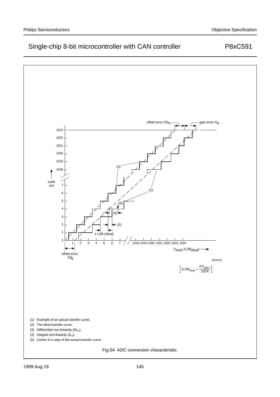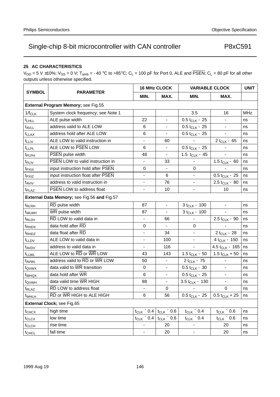## **25 AC CHARACTERISTICS**

 $V_{DD} = 5$  V ±10%;  $V_{SS} = 0$  V; T<sub>amb</sub> = -40 °C to +85°C; C<sub>L</sub> = 100 pF for Port 0, ALE and  $\overline{PSEN}$ ; C<sub>L</sub> = 80 pF for all other outputs unless otherwise specified.

|                     |                                                                       |                          | <b>16 MHz CLOCK</b>           | <b>VARIABLE CLOCK</b>         | <b>UNIT</b>              |            |  |  |  |  |
|---------------------|-----------------------------------------------------------------------|--------------------------|-------------------------------|-------------------------------|--------------------------|------------|--|--|--|--|
| <b>SYMBOL</b>       | <b>PARAMETER</b>                                                      | MIN.                     | MAX.                          | MIN.                          | MAX.                     |            |  |  |  |  |
|                     | External Program Memory; see Fig.55                                   |                          |                               |                               |                          |            |  |  |  |  |
| $1/f_{CLK}$         | System clock frequency; see Note 1                                    |                          |                               | 3.5                           | 16                       | <b>MHz</b> |  |  |  |  |
| $t$ <sub>LHLL</sub> | ALE pulse width                                                       | 22                       | $\overline{\phantom{0}}$      | $0.5 t_{CLK} - 25$            |                          | ns         |  |  |  |  |
| t <sub>AVLL</sub>   | address valid to ALE LOW                                              | 6                        |                               | $0.5 t_{CLK} - 25$            | $\overline{\phantom{0}}$ | ns         |  |  |  |  |
| $t_{LLAX}$          | address hold after ALE LOW                                            | 6                        |                               | $0.5$ t <sub>CLK</sub> $-$ 25 |                          | ns         |  |  |  |  |
| $t_{LLIV}$          | ALE LOW to valid instruction in                                       | $\overline{\phantom{0}}$ | 60                            |                               | 2 $t_{CLK} - 65$         | ns         |  |  |  |  |
| <b>t</b> LLPL       | ALE LOW to PSEN LOW                                                   | 6                        | $\qquad \qquad -$             | $0.5$ t <sub>CLK</sub> $-$ 25 |                          | ns         |  |  |  |  |
| t <sub>PLPH</sub>   | PSEN pulse width                                                      | 48                       |                               | 1.5 $t_{CLK}$ – 45            |                          | ns         |  |  |  |  |
| t <sub>PLIV</sub>   | PSEN LOW to valid instruction in                                      | $\qquad \qquad -$        | 33                            |                               | 1.5 $t_{CLK} - 60$       | ns         |  |  |  |  |
| t <sub>PXIX</sub>   | input instruction hold after PSEN                                     | 0                        |                               | 0                             |                          | ns         |  |  |  |  |
| t <sub>PXIZ</sub>   | input instruction float after PSEN                                    | $\overline{\phantom{0}}$ | 6                             | $\overline{\phantom{0}}$      | $0.5 t_{CLK} - 25$       | ns         |  |  |  |  |
| t <sub>AVIV</sub>   | address to valid instruction in                                       |                          | 76                            |                               | $2.5 t_{CLK} - 80$       | ns         |  |  |  |  |
| t <sub>PLAZ</sub>   | PSEN LOW to address float                                             | $\qquad \qquad -$        | 10                            | —                             | 10                       | ns         |  |  |  |  |
|                     | External Data Memory; see Fig.56 and Fig.57                           |                          |                               |                               |                          |            |  |  |  |  |
| t <sub>RLRH</sub>   | RD pulse width                                                        | 87                       |                               | $3 t_{CLK} - 100$             |                          | ns         |  |  |  |  |
| twLwH               | WR pulse width                                                        | 87                       | $\qquad \qquad -$             | $3 t_{CLK} - 100$             |                          | ns         |  |  |  |  |
| t <sub>RLDV</sub>   | RD LOW to valid data in                                               | $\qquad \qquad -$        | 66                            |                               | $2.5 t_{CLK} - 90$       | ns         |  |  |  |  |
| t <sub>RHDX</sub>   | data hold after RD                                                    | 0                        |                               | 0                             |                          | ns         |  |  |  |  |
| t <sub>RHDZ</sub>   | data float after RD                                                   | $\qquad \qquad -$        | 34                            | $\overline{\phantom{0}}$      | $2t_{CLK} - 28$          | ns         |  |  |  |  |
| t <sub>LLDV</sub>   | ALE LOW to valid data in                                              | $\overline{\phantom{0}}$ | 100                           | —                             | $4t_{CLK} - 150$         | ns         |  |  |  |  |
| t <sub>AVDV</sub>   | address to valid data in                                              |                          | 116                           |                               | 4.5 $t_{CLK}$ – 165      | ns         |  |  |  |  |
| <b>t</b> LLWL       | ALE LOW to RD or WR LOW                                               | 43                       | 143                           | 1.5 $t_{CLK}$ – 50            | 1.5 $t_{CLK}$ + 50       | ns         |  |  |  |  |
| t <sub>AVWL</sub>   | address valid to $\overline{\text{RD}}$ or $\overline{\text{WR}}$ LOW | 50                       | $\overline{\phantom{0}}$      | $2 t_{CLK} - 75$              |                          | ns         |  |  |  |  |
| t <sub>QVWX</sub>   | data valid to WR transition                                           | $\mathbf 0$              |                               | $0.5 t_{CLK} - 30$            | $\overline{\phantom{0}}$ | ns         |  |  |  |  |
| t <sub>WHQX</sub>   | data hold after WR                                                    | 6                        | $\qquad \qquad -$             | $0.5 t_{CLK} - 25$            | $\qquad \qquad -$        | ns         |  |  |  |  |
| t <sub>QVWH</sub>   | data valid time WR HIGH                                               | 88                       |                               | $3.5 t_{CLK} - 130$           |                          | ns         |  |  |  |  |
| t <sub>RLAZ</sub>   | RD LOW to address float                                               | $\overline{\phantom{0}}$ | 0                             |                               | 0                        | ns         |  |  |  |  |
| $t_{WHLH}$          | RD or WR HIGH to ALE HIGH                                             | $\,6$                    | 56                            | $0.5 t_{CLK} - 25$            | $0.5 t_{CLK} + 25$       | $ $ ns     |  |  |  |  |
|                     | External Clock; see Fig.65                                            |                          |                               |                               |                          |            |  |  |  |  |
| t <sub>CHCX</sub>   | high time                                                             | $t_{CLK} \times 0.4$     | $t_{\text{CLK}}$ $\times$ 0.6 | $t_{CLK}$ $\times$ 0.4        | $t_{CLK} \times 0.6$     | ns         |  |  |  |  |
| $t_{CLCX}$          | low time                                                              | $t_{CLK} \times 0.4$     | $t_{CLK} \times 0.6$          | $t_{CLK}$ $\times$ 0.4        | $t_{CLK}$ $\times$ 0.6   | ns         |  |  |  |  |
| $t_{CLCH}$          | rise time                                                             | $\qquad \qquad -$        | 20                            | $\overline{\phantom{0}}$      | 20                       | ns         |  |  |  |  |
| t <sub>CHCL</sub>   | fall time                                                             | $\qquad \qquad -$        | 20                            | $\overline{\phantom{0}}$      | 20                       | ns         |  |  |  |  |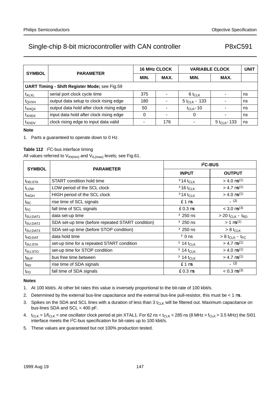| <b>SYMBOL</b>                                        | <b>PARAMETER</b>                         |              | <b>16 MHz CLOCK</b> | <b>VARIABLE CLOCK</b>    | <b>UNIT</b>                |    |  |  |
|------------------------------------------------------|------------------------------------------|--------------|---------------------|--------------------------|----------------------------|----|--|--|
|                                                      |                                          | MAX.<br>MIN. |                     | MIN.                     | MAX.                       |    |  |  |
| <b>UART Timing - Shift Register Mode; see Fig.59</b> |                                          |              |                     |                          |                            |    |  |  |
| t <sub>XLXL</sub>                                    | serial port clock cycle time             | 375          |                     | $6 t_{CLK}$              |                            | ns |  |  |
| t <sub>QVXH</sub>                                    | output data setup to clock rising edge   | 180          |                     | 5 t <sub>CLK</sub> – 133 |                            | ns |  |  |
| t <sub>XHQX</sub>                                    | output data hold after clock rising edge | 50           |                     | $t_{Cl K}$ –10           |                            | ns |  |  |
| t <sub>XHDX</sub>                                    | input data hold after clock rising edge  | 0            |                     | 0                        |                            | ns |  |  |
| t <sub>XHDV</sub>                                    | clock rising edge to input data valid    |              | 176                 |                          | 5 t <sub>Cl K</sub> $-133$ | ns |  |  |

### **Note**

1. Parts a guaranteed to operate down to 0 Hz.

### Table 112 <sup>2</sup>C-bus interface timing

All values referred to  $V_{\text{IH}(min)}$  and  $V_{\text{IL}(max)}$  levels; see Fig.61.

| <b>SYMBOL</b>        |                                                   | $I2C-BUS$                  |                                           |  |  |  |
|----------------------|---------------------------------------------------|----------------------------|-------------------------------------------|--|--|--|
|                      | <b>PARAMETER</b>                                  | <b>INPUT</b>               | <b>OUTPUT</b>                             |  |  |  |
| t <sub>HD;STA</sub>  | START condition hold time                         | $≥14$ t <sub>CLK</sub>     | $> 4.0 \,\mu s^{(1)}$                     |  |  |  |
| t <sub>LOW</sub>     | LOW period of the SCL clock                       | $≥16$ t <sub>CLK</sub>     | $> 4.7 \mu s^{(1)}$                       |  |  |  |
| t <sub>HIGH</sub>    | HIGH period of the SCL clock                      | $≥14$ t <sub>CLK</sub>     | $> 4.0 \,\mu s^{(1)}$                     |  |  |  |
| $t_{RC}$             | rise time of SCL signals                          | $\leq 1 \mu s$             | (2)                                       |  |  |  |
| $t_{\sf FC}$         | fall time of SCL signals                          | $\leq 0.3$ µs              | $<$ 3.0 $\mu$ s <sup>(3)</sup>            |  |  |  |
| t <sub>SU;DAT1</sub> | data set-up time                                  | $\geq$ 250 ns              | $> 20$ t <sub>CLK</sub> – t <sub>RD</sub> |  |  |  |
| t <sub>SU;DAT2</sub> | SDA set-up time (before repeated START condition) | $\geq$ 250 ns              | $> 1 \mu s^{(1)}$                         |  |  |  |
| t <sub>SU;DAT3</sub> | SDA set-up time (before STOP condition)           | $\geq$ 250 ns              | $> 8$ t <sub>CLK</sub>                    |  |  |  |
| t <sub>HD;DAT</sub>  | data hold time                                    | $\geq 0$ ns                | $> 8$ t <sub>CLK</sub> – t <sub>FC</sub>  |  |  |  |
| t <sub>SU;STA</sub>  | set-up time for a repeated START condition        | $\geq$ 14 t <sub>CLK</sub> | $> 4.7 \mu s^{(1)}$                       |  |  |  |
| t <sub>SU;STO</sub>  | set-up time for STOP condition                    | $\geq$ 14 t <sub>CLK</sub> | $> 4.0 \mu s^{(1)}$                       |  |  |  |
| $t_{\text{BUF}}$     | bus free time between                             | $\geq$ 14 t <sub>CLK</sub> | $> 4.7 \mu s^{(1)}$                       |  |  |  |
| t <sub>RD</sub>      | rise time of SDA signals                          | $\leq 1 \mu s$             | $-$ (2)                                   |  |  |  |
| $t_{FD}$             | fall time of SDA signals                          | $\leq 0.3$ µs              | $< 0.3 \mu s^{(3)}$                       |  |  |  |

### **Notes**

- 1. At 100 kbit/s. At other bit rates this value is inversely proportional to the bit-rate of 100 kbit/s.
- 2. Determined by the external bus-line capacitance and the external bus-line pull-resistor, this must be  $< 1 \,\mu s$ .
- 3. Spikes on the SDA and SCL lines with a duration of less than  $3t_{CLK}$  will be filtered out. Maximum capacitance on bus-lines SDA and SCL = 400 pF.
- 4.  $t_{CLK} = 1/f_{CLK}$  = one oscillator clock period at pin XTAL1. For 62 ns <  $t_{CLK}$  < 285 ns (8 MHz >  $t_{CLK}$  > 3.5 MHz) the SI01 interface meets the I<sup>2</sup>C-bus specification for bit-rates up to 100 kbit/s.
- 5. These values are guaranteed but not 100% production tested.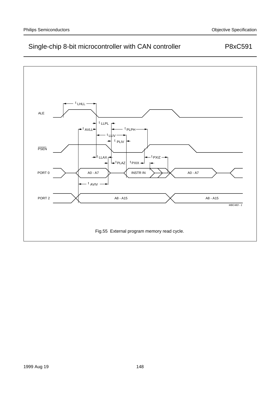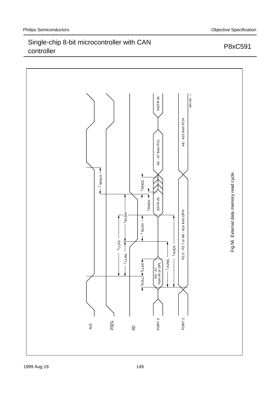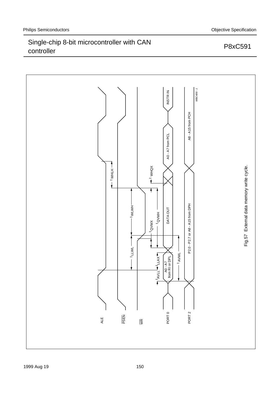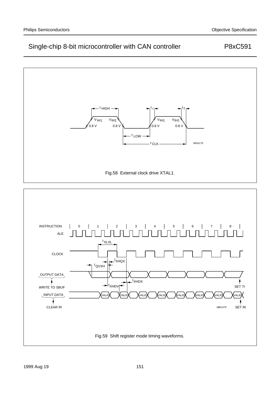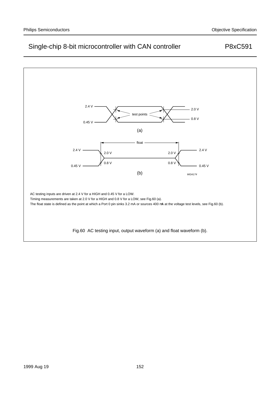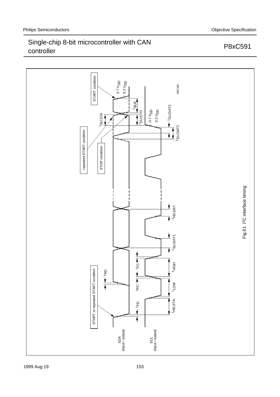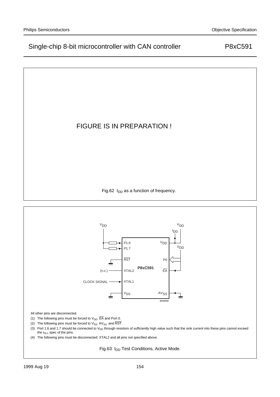## FIGURE IS IN PREPARATION !

Fig.62  $I_{DD}$  as a function of frequency.

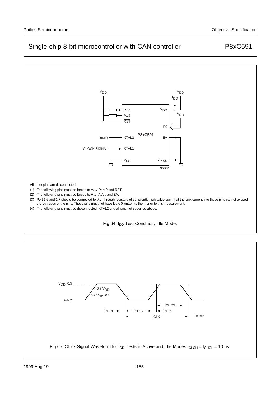

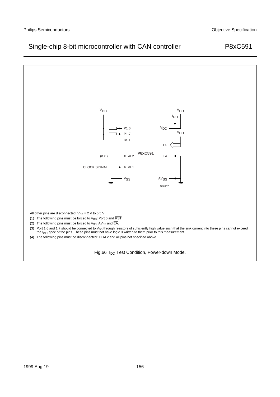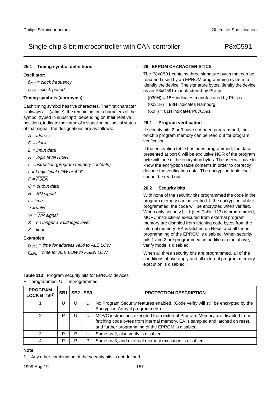### **25.1 Timing symbol definitions**

### **Oscillator:**

 $f_{Cl K}$  = clock frequency

 $t_{CLK}$  = clock period

### **Timing symbols (acronyms):**

Each timing symbol has five characters. The first character is always a  $t'$  (= time). the remaining four characters of the symbol (typed in subscript), depending on their relative positions, indicate the name of a signal or the logical status of that signal. the designations are as follows:

- A =address
- $C = clock$
- $D = input data$
- H = logic level HIGH
- $I =$  instruction (program memory contents)
- L = Logic level LOW or ALE
- $P = \overline{PSFN}$
- $Q =$  output data
- $R = \overline{RD}$  signal
- $t = time$
- $V =$  valid
- $W = \overline{WR}$  signal
- $X = no$  longer a valid logic level
- $Z =$  float

#### **Examples:**

 $t_{AVII}$  = time for address valid to ALE LOW  $t_{LIPI}$  = time for ALE LOW to  $\overline{PSEN}$  LOW

### **26 EPROM CHARACTERISTICS**

The P8xC591 contains three signature bytes that can be read and used by an EPROM programming system to identify the device. The signature bytes identify the device as an P8xC591 manufactured by Philips:

- $(030H) = 15H$  indicates manufactured by Philips
- (0031H) = 98H indicates Hamburg
- $\bullet$  (60H) = 01H indicates P87C591

#### **26.1 Program verification**

If security bits 2 or 3 have not been programmed, the on-chip program memory can be read out for program verification.

If the encryption table has been programmed, the data presented at port 0 will be exclusive NOR of the program byte with one of the encryption bytes. The user will have to know the encryption table contents in order to correctly decode the verification data. The encryption table itself cannot be read out.

### **26.2 Security bits**

With none of the security bits programmed the code in the program memory can be verified. If the encryption table is programmed, the code will be encrypted when verified. When only security bit 1 (see Table 113) is programmed, MOVC instructions executed from external program memory are disabled from fetching code bytes from the internal memory.  $\overline{EA}$  is latched on Reset and all further programming of the EPROM is disabled. When security bits 1 and 2 are programmed, in addition to the above, verify mode is disabled.

When all three security bits are programmed, all of the conditions above apply and all external program memory execution is disabled.

| <b>PROGRAM</b><br>LOCK BITS(1) | SB <sub>1</sub> | SB <sub>2</sub> | SB <sub>3</sub> | <b>PROTECTION DESCRIPTION</b>                                                                                                                                                                                                |
|--------------------------------|-----------------|-----------------|-----------------|------------------------------------------------------------------------------------------------------------------------------------------------------------------------------------------------------------------------------|
|                                | U               | U               | U               | No Program Security features enabled. (Code verify will still be encrypted by the<br>Encryption Array if programmed.).                                                                                                       |
|                                | P               | U               | U               | MOVC instructions executed from external Program Memory are disabled from<br>fetching code bytes from internal memory, $\overline{EA}$ is sampled and latched on reset,<br>and further programming of the EPROM is disabled. |
| 3                              | P               | P               | U               | Same as 2, also verify is disabled.                                                                                                                                                                                          |
| 4                              | Р               | P               | P               | Same as 3, and external memory execution is disabled.                                                                                                                                                                        |

**Table 113** Program security bits for EPROM devices  $P =$  programmed;  $U =$  unprogrammed.

#### **Note**

1. Any other combination of the security bits is not defined.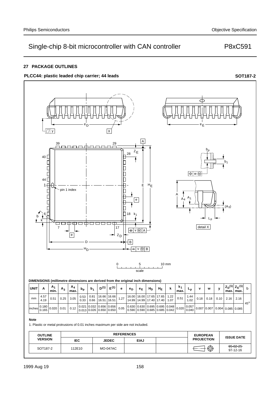### **27 PACKAGE OUTLINES**

## PLCC44: plastic leaded chip carrier; 44 leads **SOT187-2 SOT187-2**



97-12-16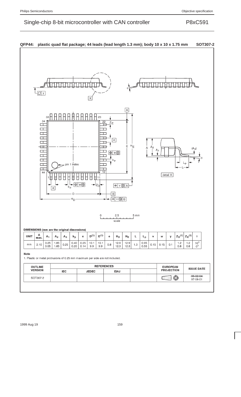| $\overline{\mathsf{A}}$<br>23<br>33<br>34<br>22<br>$Z_E$<br>□<br>$\Box$ | 日日中日日<br>$\Box$<br>□<br>44 | 1<br>П | $\mathsf{e}% _{t}\left( t\right)$ | $b_p$ | pin 1 index<br>$ \Phi $<br>$H_D$ | w⊛ | $\rightarrow$ $z_{D}$ | 12<br>11<br>0 | $\boxed{e}$<br>⊕∣w®<br>$b_{p}$<br>ᆃ<br>$\boxed{B}$<br>$\sqrt{M}B$<br>ᅴ<br>2.5<br>scale | $E$ <sup>H</sup> E<br>$\sqrt{M}$ A | $5 \, \text{mm}$ | A | A <sub>2</sub><br>A <sub>1</sub> | detail X | $L_{\rm D}$ | $(A_3)$ |
|-------------------------------------------------------------------------|----------------------------|--------|-----------------------------------|-------|----------------------------------|----|-----------------------|---------------|----------------------------------------------------------------------------------------|------------------------------------|------------------|---|----------------------------------|----------|-------------|---------|
|                                                                         |                            |        |                                   |       |                                  |    |                       |               |                                                                                        |                                    |                  |   |                                  |          |             |         |



## **QFP44: plastic quad flat package; 44 leads (lead length 1.3 mm); body 10 x 10 x 1.75 mm SOT307-2**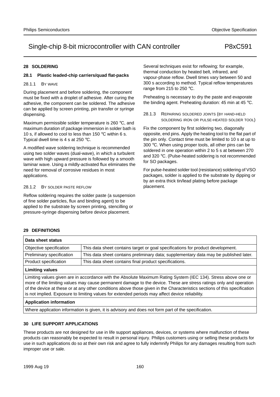### **28 SOLDERING**

### **28.1 Plastic leaded-chip carriers/quad flat-packs**

### 28.1.1 BY WAVE

During placement and before soldering, the component must be fixed with a droplet of adhesive. After curing the adhesive, the component can be soldered. The adhesive can be applied by screen printing, pin transfer or syringe dispensing.

Maximum permissible solder temperature is 260 °C, and maximum duration of package immersion in solder bath is 10 s, if allowed to cool to less than 150 °C within 6 s. Typical dwell time is 4 s at 250 °C.

A modified wave soldering technique is recommended using two solder waves (dual-wave), in which a turbulent wave with high upward pressure is followed by a smooth laminar wave. Using a mildly-activated flux eliminates the need for removal of corrosive residues in most applications.

### 28.1.2 BY SOLDER PASTE REFLOW

Reflow soldering requires the solder paste (a suspension of fine solder particles, flux and binding agent) to be applied to the substrate by screen printing, stencilling or pressure-syringe dispensing before device placement.

Several techniques exist for reflowing; for example, thermal conduction by heated belt, infrared, and vapour-phase reflow. Dwell times vary between 50 and 300 s according to method. Typical reflow temperatures range from 215 to 250 °C.

Preheating is necessary to dry the paste and evaporate the binding agent. Preheating duration: 45 min at 45 °C.

28.1.3 REPAIRING SOLDERED JOINTS (BY HAND-HELD SOLDERING IRON OR PULSE-HEATED SOLDER TOOL)

Fix the component by first soldering two, diagonally opposite, end pins. Apply the heating tool to the flat part of the pin only. Contact time must be limited to 10 s at up to 300 °C. When using proper tools, all other pins can be soldered in one operation within 2 to 5 s at between 270 and 320 °C. (Pulse-heated soldering is not recommended for SO packages.

For pulse-heated solder tool (resistance) soldering of VSO packages, solder is applied to the substrate by dipping or by an extra thick tin/lead plating before package placement.

## **29 DEFINITIONS**

| Data sheet status         |                                                                                                                                                                                                                                                                                                                                                                  |  |  |  |  |  |  |
|---------------------------|------------------------------------------------------------------------------------------------------------------------------------------------------------------------------------------------------------------------------------------------------------------------------------------------------------------------------------------------------------------|--|--|--|--|--|--|
| Objective specification   | This data sheet contains target or goal specifications for product development.                                                                                                                                                                                                                                                                                  |  |  |  |  |  |  |
| Preliminary specification | This data sheet contains preliminary data; supplementary data may be published later.                                                                                                                                                                                                                                                                            |  |  |  |  |  |  |
| Product specification     | This data sheet contains final product specifications.                                                                                                                                                                                                                                                                                                           |  |  |  |  |  |  |
| <b>Limiting values</b>    |                                                                                                                                                                                                                                                                                                                                                                  |  |  |  |  |  |  |
|                           | Limiting values given are in accordance with the Absolute Maximum Rating System (IEC 134). Stress above one or<br>more of the limiting values may cause permanent damage to the device. These are stress ratings only and operation<br>of the device at these or at any other conditions above those given in the Characteristics sections of this specification |  |  |  |  |  |  |

is not implied. Exposure to limiting values for extended periods may affect device reliability.

### **Application information**

Where application information is given, it is advisory and does not form part of the specification.

## **30 LIFE SUPPORT APPLICATIONS**

These products are not designed for use in life support appliances, devices, or systems where malfunction of these products can reasonably be expected to result in personal injury. Philips customers using or selling these products for use in such applications do so at their own risk and agree to fully indemnify Philips for any damages resulting from such improper use or sale.